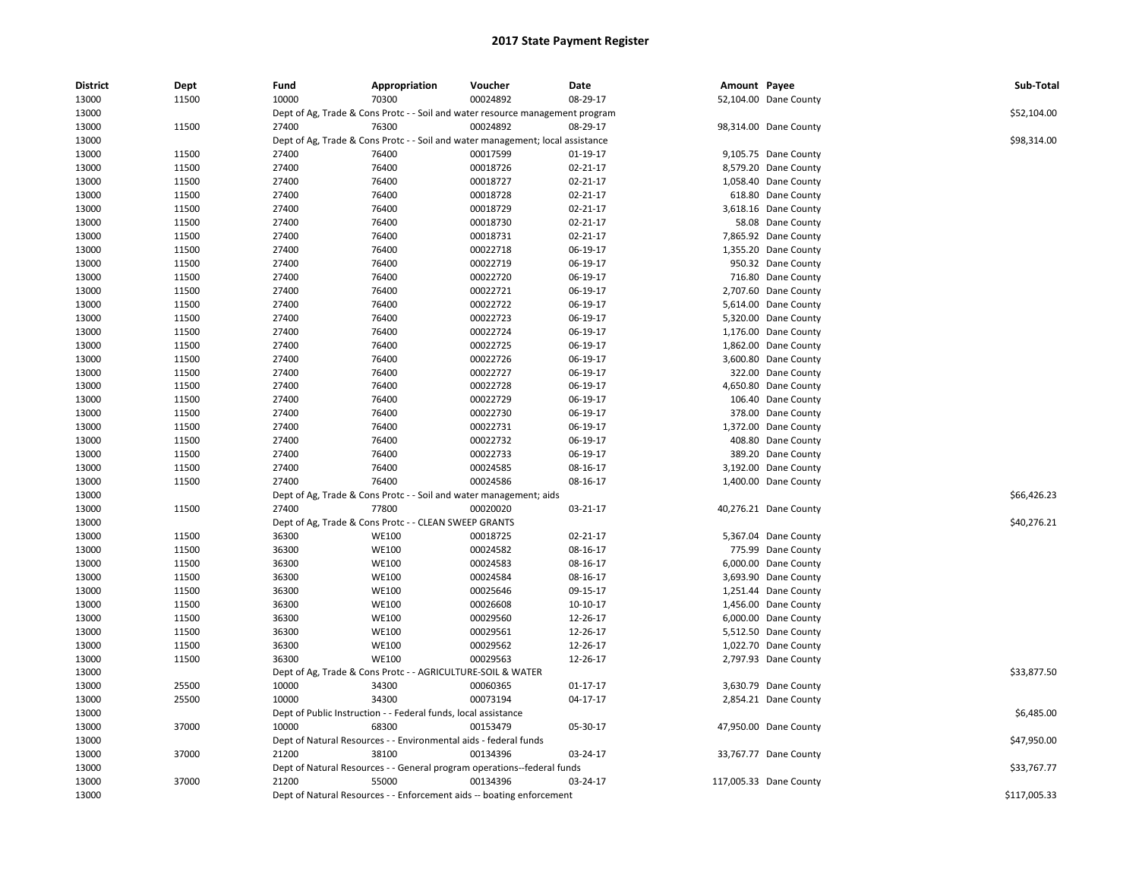| <b>District</b> | Dept  | Fund  | Appropriation                                                      | Voucher                                                                        | Date     | Amount Payee |                        | Sub-Total    |
|-----------------|-------|-------|--------------------------------------------------------------------|--------------------------------------------------------------------------------|----------|--------------|------------------------|--------------|
| 13000           | 11500 | 10000 | 70300                                                              | 00024892                                                                       | 08-29-17 |              | 52,104.00 Dane County  |              |
| 13000           |       |       |                                                                    | Dept of Ag, Trade & Cons Protc - - Soil and water resource management program  |          |              |                        | \$52,104.00  |
| 13000           | 11500 | 27400 | 76300                                                              | 00024892                                                                       | 08-29-17 |              | 98,314.00 Dane County  |              |
| 13000           |       |       |                                                                    | Dept of Ag, Trade & Cons Protc - - Soil and water management; local assistance |          |              |                        | \$98,314.00  |
| 13000           | 11500 | 27400 | 76400                                                              | 00017599                                                                       | 01-19-17 |              | 9,105.75 Dane County   |              |
| 13000           | 11500 | 27400 | 76400                                                              | 00018726                                                                       | 02-21-17 |              | 8,579.20 Dane County   |              |
| 13000           | 11500 | 27400 | 76400                                                              | 00018727                                                                       | 02-21-17 |              | 1,058.40 Dane County   |              |
| 13000           | 11500 | 27400 | 76400                                                              | 00018728                                                                       | 02-21-17 |              | 618.80 Dane County     |              |
| 13000           | 11500 | 27400 | 76400                                                              | 00018729                                                                       | 02-21-17 |              | 3,618.16 Dane County   |              |
| 13000           | 11500 | 27400 | 76400                                                              | 00018730                                                                       | 02-21-17 |              | 58.08 Dane County      |              |
| 13000           | 11500 | 27400 | 76400                                                              | 00018731                                                                       | 02-21-17 |              | 7,865.92 Dane County   |              |
| 13000           | 11500 | 27400 | 76400                                                              | 00022718                                                                       | 06-19-17 |              | 1,355.20 Dane County   |              |
| 13000           | 11500 | 27400 | 76400                                                              | 00022719                                                                       | 06-19-17 |              | 950.32 Dane County     |              |
| 13000           | 11500 | 27400 | 76400                                                              | 00022720                                                                       | 06-19-17 |              | 716.80 Dane County     |              |
| 13000           | 11500 | 27400 | 76400                                                              | 00022721                                                                       | 06-19-17 |              | 2,707.60 Dane County   |              |
| 13000           | 11500 | 27400 | 76400                                                              | 00022722                                                                       | 06-19-17 |              | 5,614.00 Dane County   |              |
| 13000           | 11500 | 27400 | 76400                                                              | 00022723                                                                       | 06-19-17 |              | 5,320.00 Dane County   |              |
| 13000           | 11500 | 27400 | 76400                                                              | 00022724                                                                       | 06-19-17 |              | 1,176.00 Dane County   |              |
| 13000           | 11500 | 27400 | 76400                                                              | 00022725                                                                       | 06-19-17 |              | 1,862.00 Dane County   |              |
| 13000           | 11500 | 27400 | 76400                                                              | 00022726                                                                       | 06-19-17 |              | 3,600.80 Dane County   |              |
| 13000           | 11500 | 27400 | 76400                                                              | 00022727                                                                       | 06-19-17 |              | 322.00 Dane County     |              |
| 13000           | 11500 | 27400 | 76400                                                              | 00022728                                                                       | 06-19-17 |              | 4,650.80 Dane County   |              |
| 13000           | 11500 | 27400 | 76400                                                              | 00022729                                                                       | 06-19-17 |              | 106.40 Dane County     |              |
| 13000           | 11500 | 27400 | 76400                                                              | 00022730                                                                       | 06-19-17 |              | 378.00 Dane County     |              |
| 13000           | 11500 | 27400 | 76400                                                              | 00022731                                                                       | 06-19-17 |              | 1,372.00 Dane County   |              |
| 13000           | 11500 | 27400 | 76400                                                              | 00022732                                                                       | 06-19-17 |              | 408.80 Dane County     |              |
| 13000           | 11500 | 27400 | 76400                                                              | 00022733                                                                       | 06-19-17 |              | 389.20 Dane County     |              |
| 13000           | 11500 | 27400 | 76400                                                              | 00024585                                                                       | 08-16-17 |              | 3,192.00 Dane County   |              |
| 13000           | 11500 | 27400 | 76400                                                              | 00024586                                                                       | 08-16-17 |              | 1,400.00 Dane County   |              |
| 13000           |       |       | Dept of Ag, Trade & Cons Protc - - Soil and water management; aids |                                                                                |          |              |                        | \$66,426.23  |
| 13000           | 11500 | 27400 | 77800                                                              | 00020020                                                                       | 03-21-17 |              | 40,276.21 Dane County  |              |
| 13000           |       |       | Dept of Ag, Trade & Cons Protc - - CLEAN SWEEP GRANTS              |                                                                                |          |              |                        | \$40,276.21  |
| 13000           | 11500 | 36300 | <b>WE100</b>                                                       | 00018725                                                                       | 02-21-17 |              | 5,367.04 Dane County   |              |
| 13000           | 11500 | 36300 | <b>WE100</b>                                                       | 00024582                                                                       | 08-16-17 |              | 775.99 Dane County     |              |
| 13000           | 11500 | 36300 | <b>WE100</b>                                                       | 00024583                                                                       | 08-16-17 |              | 6,000.00 Dane County   |              |
| 13000           | 11500 | 36300 | <b>WE100</b>                                                       | 00024584                                                                       | 08-16-17 |              | 3,693.90 Dane County   |              |
| 13000           | 11500 | 36300 | <b>WE100</b>                                                       | 00025646                                                                       | 09-15-17 |              | 1,251.44 Dane County   |              |
| 13000           | 11500 | 36300 | <b>WE100</b>                                                       | 00026608                                                                       | 10-10-17 |              | 1,456.00 Dane County   |              |
| 13000           | 11500 | 36300 | <b>WE100</b>                                                       | 00029560                                                                       | 12-26-17 |              | 6,000.00 Dane County   |              |
| 13000           | 11500 | 36300 | <b>WE100</b>                                                       | 00029561                                                                       | 12-26-17 |              | 5,512.50 Dane County   |              |
| 13000           | 11500 | 36300 | <b>WE100</b>                                                       | 00029562                                                                       | 12-26-17 |              | 1,022.70 Dane County   |              |
| 13000           | 11500 | 36300 | <b>WE100</b>                                                       | 00029563                                                                       | 12-26-17 |              | 2,797.93 Dane County   |              |
| 13000           |       |       | Dept of Ag, Trade & Cons Protc - - AGRICULTURE-SOIL & WATER        |                                                                                |          |              |                        | \$33,877.50  |
| 13000           | 25500 | 10000 | 34300                                                              | 00060365                                                                       | 01-17-17 |              | 3,630.79 Dane County   |              |
| 13000           | 25500 | 10000 | 34300                                                              | 00073194                                                                       | 04-17-17 |              | 2,854.21 Dane County   |              |
| 13000           |       |       | Dept of Public Instruction - - Federal funds, local assistance     |                                                                                |          |              |                        | \$6,485.00   |
| 13000           | 37000 | 10000 | 68300                                                              | 00153479                                                                       | 05-30-17 |              | 47,950.00 Dane County  |              |
| 13000           |       |       | Dept of Natural Resources - - Environmental aids - federal funds   |                                                                                |          |              |                        | \$47,950.00  |
| 13000           | 37000 | 21200 | 38100                                                              | 00134396                                                                       | 03-24-17 |              | 33,767.77 Dane County  |              |
| 13000           |       |       |                                                                    | Dept of Natural Resources - - General program operations--federal funds        |          |              |                        | \$33,767.77  |
| 13000           | 37000 | 21200 | 55000                                                              | 00134396                                                                       | 03-24-17 |              | 117,005.33 Dane County |              |
| 13000           |       |       |                                                                    | Dept of Natural Resources - - Enforcement aids -- boating enforcement          |          |              |                        | \$117,005.33 |
|                 |       |       |                                                                    |                                                                                |          |              |                        |              |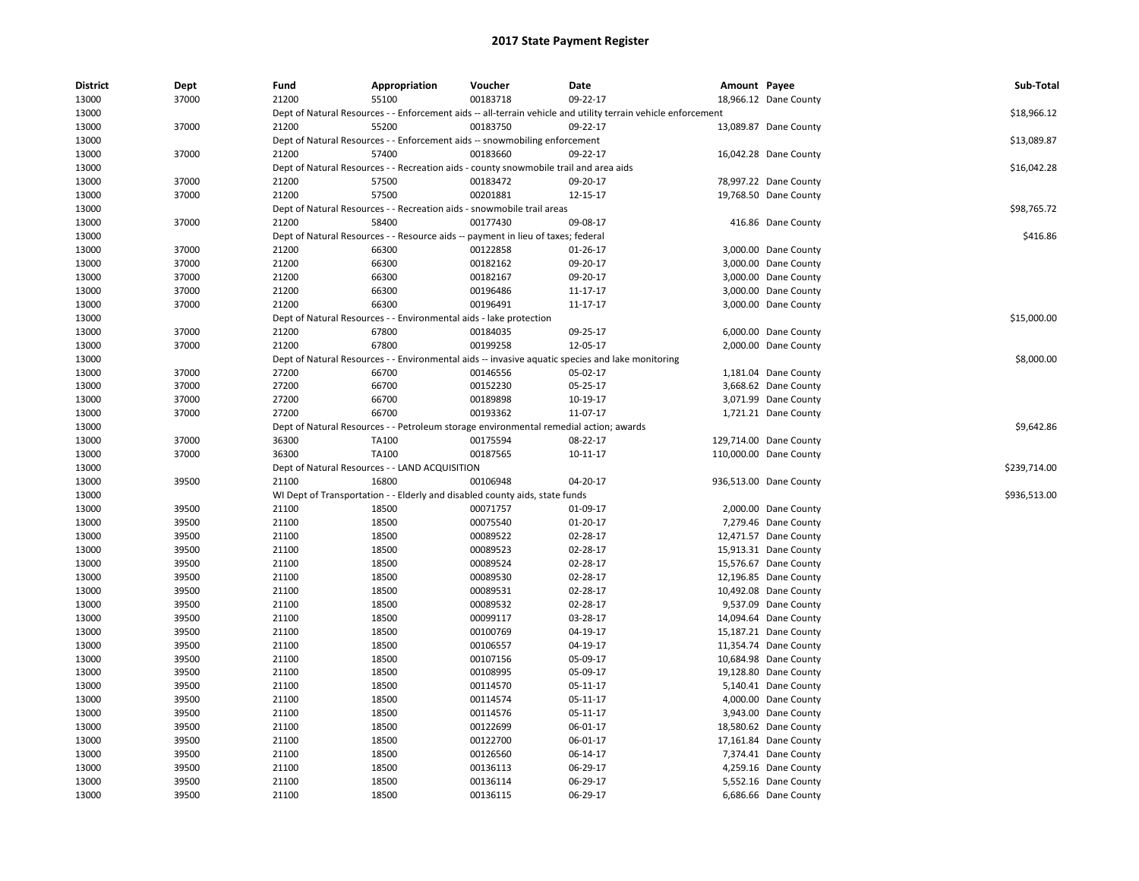| <b>District</b> | Dept  | Fund  | Appropriation                                                                         | Voucher  | Date                                                                                                          | Amount Payee |                        | Sub-Total    |
|-----------------|-------|-------|---------------------------------------------------------------------------------------|----------|---------------------------------------------------------------------------------------------------------------|--------------|------------------------|--------------|
| 13000           | 37000 | 21200 | 55100                                                                                 | 00183718 | 09-22-17                                                                                                      |              | 18,966.12 Dane County  |              |
| 13000           |       |       |                                                                                       |          | Dept of Natural Resources - - Enforcement aids -- all-terrain vehicle and utility terrain vehicle enforcement |              |                        | \$18,966.12  |
| 13000           | 37000 | 21200 | 55200                                                                                 | 00183750 | 09-22-17                                                                                                      |              | 13,089.87 Dane County  |              |
| 13000           |       |       | Dept of Natural Resources - - Enforcement aids -- snowmobiling enforcement            |          |                                                                                                               |              |                        | \$13,089.87  |
| 13000           | 37000 | 21200 | 57400                                                                                 | 00183660 | 09-22-17                                                                                                      |              | 16,042.28 Dane County  |              |
| 13000           |       |       | Dept of Natural Resources - - Recreation aids - county snowmobile trail and area aids |          |                                                                                                               |              |                        | \$16,042.28  |
| 13000           | 37000 | 21200 | 57500                                                                                 | 00183472 | 09-20-17                                                                                                      |              | 78,997.22 Dane County  |              |
| 13000           | 37000 | 21200 | 57500                                                                                 | 00201881 | 12-15-17                                                                                                      |              | 19,768.50 Dane County  |              |
| 13000           |       |       | Dept of Natural Resources - - Recreation aids - snowmobile trail areas                |          |                                                                                                               |              |                        | \$98,765.72  |
| 13000           | 37000 | 21200 | 58400                                                                                 | 00177430 | 09-08-17                                                                                                      |              | 416.86 Dane County     |              |
| 13000           |       |       | Dept of Natural Resources - - Resource aids -- payment in lieu of taxes; federal      |          |                                                                                                               |              |                        | \$416.86     |
| 13000           | 37000 | 21200 | 66300                                                                                 | 00122858 | 01-26-17                                                                                                      |              | 3,000.00 Dane County   |              |
| 13000           | 37000 | 21200 | 66300                                                                                 | 00182162 | 09-20-17                                                                                                      |              | 3,000.00 Dane County   |              |
| 13000           | 37000 | 21200 | 66300                                                                                 | 00182167 | 09-20-17                                                                                                      |              | 3,000.00 Dane County   |              |
| 13000           | 37000 | 21200 | 66300                                                                                 | 00196486 | 11-17-17                                                                                                      |              | 3,000.00 Dane County   |              |
| 13000           | 37000 | 21200 | 66300                                                                                 | 00196491 | 11-17-17                                                                                                      |              | 3,000.00 Dane County   |              |
| 13000           |       |       | Dept of Natural Resources - - Environmental aids - lake protection                    |          |                                                                                                               |              |                        | \$15,000.00  |
| 13000           | 37000 | 21200 | 67800                                                                                 | 00184035 | 09-25-17                                                                                                      |              | 6,000.00 Dane County   |              |
| 13000           | 37000 | 21200 | 67800                                                                                 | 00199258 | 12-05-17                                                                                                      |              | 2,000.00 Dane County   |              |
| 13000           |       |       |                                                                                       |          | Dept of Natural Resources - - Environmental aids -- invasive aquatic species and lake monitoring              |              |                        | \$8,000.00   |
| 13000           | 37000 | 27200 | 66700                                                                                 | 00146556 | 05-02-17                                                                                                      |              | 1,181.04 Dane County   |              |
| 13000           | 37000 | 27200 | 66700                                                                                 | 00152230 | 05-25-17                                                                                                      |              | 3,668.62 Dane County   |              |
| 13000           | 37000 | 27200 | 66700                                                                                 | 00189898 | 10-19-17                                                                                                      |              | 3,071.99 Dane County   |              |
| 13000           | 37000 | 27200 | 66700                                                                                 | 00193362 | 11-07-17                                                                                                      |              | 1,721.21 Dane County   |              |
| 13000           |       |       | Dept of Natural Resources - - Petroleum storage environmental remedial action; awards |          |                                                                                                               |              |                        | \$9,642.86   |
| 13000           | 37000 | 36300 | TA100                                                                                 | 00175594 | 08-22-17                                                                                                      |              | 129,714.00 Dane County |              |
| 13000           | 37000 | 36300 | TA100                                                                                 | 00187565 | 10-11-17                                                                                                      |              | 110,000.00 Dane County |              |
| 13000           |       |       | Dept of Natural Resources - - LAND ACQUISITION                                        |          |                                                                                                               |              |                        | \$239,714.00 |
| 13000           | 39500 | 21100 | 16800                                                                                 | 00106948 | 04-20-17                                                                                                      |              | 936,513.00 Dane County |              |
| 13000           |       |       | WI Dept of Transportation - - Elderly and disabled county aids, state funds           |          |                                                                                                               |              |                        | \$936,513.00 |
| 13000           | 39500 | 21100 | 18500                                                                                 | 00071757 | 01-09-17                                                                                                      |              | 2,000.00 Dane County   |              |
| 13000           | 39500 | 21100 | 18500                                                                                 | 00075540 | $01 - 20 - 17$                                                                                                |              | 7,279.46 Dane County   |              |
| 13000           | 39500 | 21100 | 18500                                                                                 | 00089522 | 02-28-17                                                                                                      |              | 12,471.57 Dane County  |              |
| 13000           | 39500 | 21100 | 18500                                                                                 | 00089523 | 02-28-17                                                                                                      |              | 15,913.31 Dane County  |              |
| 13000           | 39500 | 21100 | 18500                                                                                 | 00089524 | 02-28-17                                                                                                      |              | 15,576.67 Dane County  |              |
| 13000           | 39500 | 21100 | 18500                                                                                 | 00089530 | 02-28-17                                                                                                      |              | 12,196.85 Dane County  |              |
| 13000           | 39500 | 21100 | 18500                                                                                 | 00089531 | 02-28-17                                                                                                      |              | 10,492.08 Dane County  |              |
| 13000           | 39500 | 21100 | 18500                                                                                 | 00089532 | 02-28-17                                                                                                      |              | 9,537.09 Dane County   |              |
| 13000           | 39500 | 21100 | 18500                                                                                 | 00099117 | 03-28-17                                                                                                      |              | 14,094.64 Dane County  |              |
| 13000           | 39500 | 21100 | 18500                                                                                 | 00100769 | 04-19-17                                                                                                      |              | 15,187.21 Dane County  |              |
| 13000           | 39500 | 21100 | 18500                                                                                 | 00106557 | 04-19-17                                                                                                      |              | 11,354.74 Dane County  |              |
| 13000           | 39500 | 21100 | 18500                                                                                 | 00107156 | 05-09-17                                                                                                      |              | 10,684.98 Dane County  |              |
| 13000           | 39500 | 21100 | 18500                                                                                 | 00108995 | 05-09-17                                                                                                      |              | 19,128.80 Dane County  |              |
| 13000           | 39500 | 21100 | 18500                                                                                 | 00114570 | 05-11-17                                                                                                      |              | 5,140.41 Dane County   |              |
| 13000           | 39500 | 21100 | 18500                                                                                 | 00114574 | 05-11-17                                                                                                      |              | 4,000.00 Dane County   |              |
| 13000           | 39500 | 21100 | 18500                                                                                 | 00114576 | 05-11-17                                                                                                      |              | 3,943.00 Dane County   |              |
| 13000           | 39500 | 21100 | 18500                                                                                 | 00122699 | 06-01-17                                                                                                      |              | 18,580.62 Dane County  |              |
| 13000           | 39500 | 21100 | 18500                                                                                 | 00122700 | 06-01-17                                                                                                      |              | 17,161.84 Dane County  |              |
| 13000           | 39500 | 21100 | 18500                                                                                 | 00126560 | 06-14-17                                                                                                      |              | 7,374.41 Dane County   |              |
| 13000           | 39500 | 21100 | 18500                                                                                 | 00136113 | 06-29-17                                                                                                      |              | 4,259.16 Dane County   |              |
| 13000           | 39500 | 21100 | 18500                                                                                 | 00136114 | 06-29-17                                                                                                      |              | 5,552.16 Dane County   |              |
| 13000           | 39500 | 21100 | 18500                                                                                 | 00136115 | 06-29-17                                                                                                      |              | 6,686.66 Dane County   |              |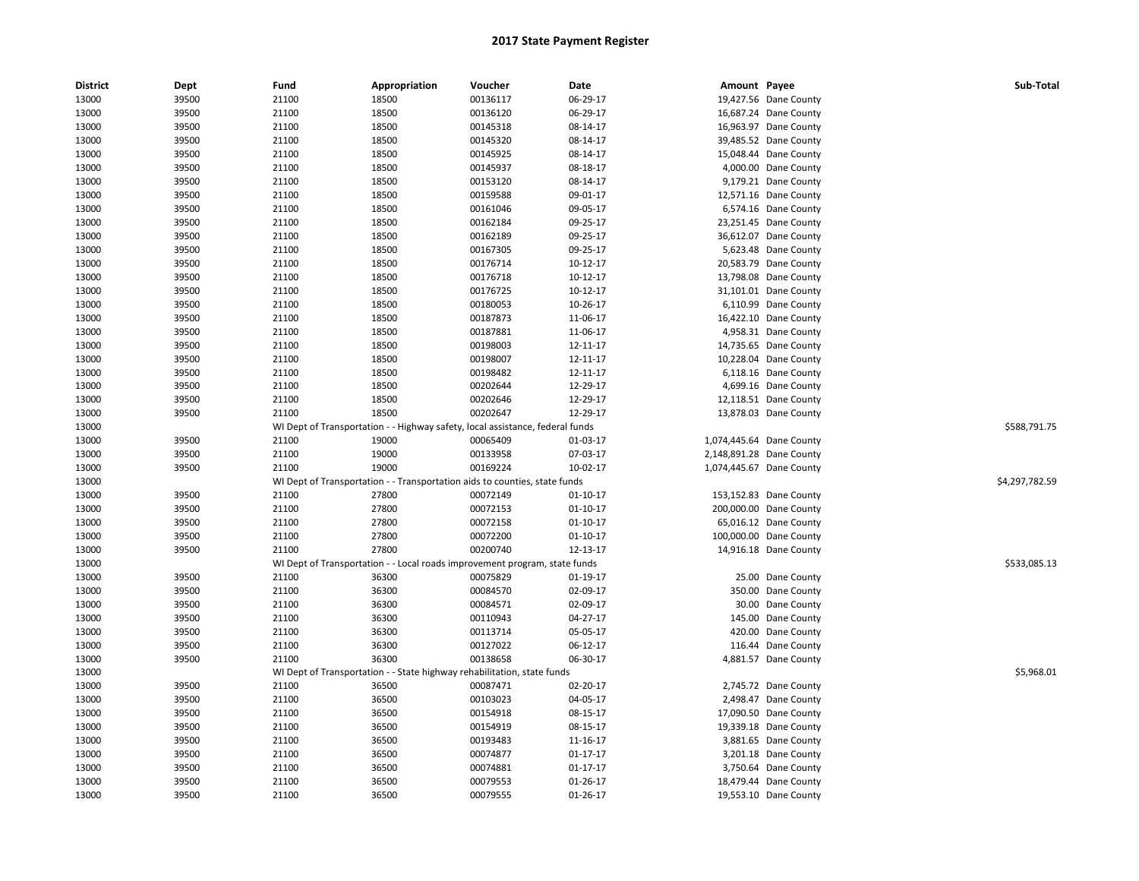| <b>District</b> | Dept  | Fund  | Appropriation                                                                 | Voucher  | Date           | Amount Payee |                          | Sub-Total      |
|-----------------|-------|-------|-------------------------------------------------------------------------------|----------|----------------|--------------|--------------------------|----------------|
| 13000           | 39500 | 21100 | 18500                                                                         | 00136117 | 06-29-17       |              | 19,427.56 Dane County    |                |
| 13000           | 39500 | 21100 | 18500                                                                         | 00136120 | 06-29-17       |              | 16,687.24 Dane County    |                |
| 13000           | 39500 | 21100 | 18500                                                                         | 00145318 | 08-14-17       |              | 16,963.97 Dane County    |                |
| 13000           | 39500 | 21100 | 18500                                                                         | 00145320 | 08-14-17       |              | 39,485.52 Dane County    |                |
| 13000           | 39500 | 21100 | 18500                                                                         | 00145925 | 08-14-17       |              | 15,048.44 Dane County    |                |
| 13000           | 39500 | 21100 | 18500                                                                         | 00145937 | 08-18-17       |              | 4,000.00 Dane County     |                |
| 13000           | 39500 | 21100 | 18500                                                                         | 00153120 | 08-14-17       |              | 9,179.21 Dane County     |                |
| 13000           | 39500 | 21100 | 18500                                                                         | 00159588 | 09-01-17       |              | 12,571.16 Dane County    |                |
| 13000           | 39500 | 21100 | 18500                                                                         | 00161046 | 09-05-17       |              | 6,574.16 Dane County     |                |
| 13000           | 39500 | 21100 | 18500                                                                         | 00162184 | 09-25-17       |              | 23,251.45 Dane County    |                |
| 13000           | 39500 | 21100 | 18500                                                                         | 00162189 | 09-25-17       |              | 36,612.07 Dane County    |                |
| 13000           | 39500 | 21100 | 18500                                                                         | 00167305 | 09-25-17       |              | 5,623.48 Dane County     |                |
| 13000           | 39500 | 21100 | 18500                                                                         | 00176714 | 10-12-17       |              | 20,583.79 Dane County    |                |
| 13000           | 39500 | 21100 | 18500                                                                         | 00176718 | 10-12-17       |              | 13,798.08 Dane County    |                |
| 13000           | 39500 | 21100 | 18500                                                                         | 00176725 | 10-12-17       |              | 31,101.01 Dane County    |                |
| 13000           | 39500 | 21100 | 18500                                                                         | 00180053 | 10-26-17       |              | 6,110.99 Dane County     |                |
| 13000           | 39500 | 21100 | 18500                                                                         | 00187873 | 11-06-17       |              | 16,422.10 Dane County    |                |
| 13000           | 39500 | 21100 | 18500                                                                         | 00187881 | 11-06-17       |              | 4,958.31 Dane County     |                |
| 13000           | 39500 | 21100 | 18500                                                                         | 00198003 | 12-11-17       |              | 14,735.65 Dane County    |                |
| 13000           | 39500 | 21100 | 18500                                                                         | 00198007 | 12-11-17       |              | 10,228.04 Dane County    |                |
| 13000           | 39500 | 21100 | 18500                                                                         | 00198482 | 12-11-17       |              | 6,118.16 Dane County     |                |
| 13000           | 39500 | 21100 | 18500                                                                         | 00202644 | 12-29-17       |              | 4,699.16 Dane County     |                |
| 13000           | 39500 | 21100 | 18500                                                                         | 00202646 | 12-29-17       |              | 12,118.51 Dane County    |                |
| 13000           | 39500 | 21100 | 18500                                                                         | 00202647 | 12-29-17       |              | 13,878.03 Dane County    |                |
| 13000           |       |       | WI Dept of Transportation - - Highway safety, local assistance, federal funds |          |                |              |                          | \$588,791.75   |
| 13000           | 39500 | 21100 | 19000                                                                         | 00065409 | 01-03-17       |              | 1,074,445.64 Dane County |                |
| 13000           | 39500 | 21100 | 19000                                                                         | 00133958 | 07-03-17       |              | 2,148,891.28 Dane County |                |
| 13000           | 39500 | 21100 | 19000                                                                         | 00169224 | 10-02-17       |              | 1,074,445.67 Dane County |                |
| 13000           |       |       | WI Dept of Transportation - - Transportation aids to counties, state funds    |          |                |              |                          | \$4,297,782.59 |
| 13000           | 39500 | 21100 | 27800                                                                         | 00072149 | $01-10-17$     |              | 153,152.83 Dane County   |                |
| 13000           | 39500 | 21100 | 27800                                                                         | 00072153 | $01-10-17$     |              | 200,000.00 Dane County   |                |
| 13000           | 39500 | 21100 | 27800                                                                         | 00072158 | $01-10-17$     |              | 65,016.12 Dane County    |                |
| 13000           | 39500 | 21100 | 27800                                                                         | 00072200 | 01-10-17       |              | 100,000.00 Dane County   |                |
| 13000           | 39500 | 21100 | 27800                                                                         | 00200740 | 12-13-17       |              | 14,916.18 Dane County    |                |
| 13000           |       |       | WI Dept of Transportation - - Local roads improvement program, state funds    |          |                |              |                          | \$533,085.13   |
| 13000           | 39500 | 21100 | 36300                                                                         | 00075829 | 01-19-17       |              | 25.00 Dane County        |                |
| 13000           | 39500 | 21100 | 36300                                                                         | 00084570 | 02-09-17       |              | 350.00 Dane County       |                |
| 13000           | 39500 | 21100 | 36300                                                                         | 00084571 | 02-09-17       |              | 30.00 Dane County        |                |
| 13000           | 39500 | 21100 | 36300                                                                         | 00110943 | 04-27-17       |              | 145.00 Dane County       |                |
| 13000           | 39500 | 21100 | 36300                                                                         | 00113714 | 05-05-17       |              | 420.00 Dane County       |                |
| 13000           | 39500 | 21100 | 36300                                                                         | 00127022 | 06-12-17       |              | 116.44 Dane County       |                |
| 13000           | 39500 | 21100 | 36300                                                                         | 00138658 | 06-30-17       |              | 4,881.57 Dane County     |                |
| 13000           |       |       | WI Dept of Transportation - - State highway rehabilitation, state funds       |          |                |              |                          | \$5,968.01     |
| 13000           | 39500 | 21100 | 36500                                                                         | 00087471 | 02-20-17       |              | 2,745.72 Dane County     |                |
| 13000           | 39500 | 21100 | 36500                                                                         | 00103023 | 04-05-17       |              | 2,498.47 Dane County     |                |
| 13000           | 39500 | 21100 | 36500                                                                         | 00154918 | 08-15-17       |              | 17,090.50 Dane County    |                |
| 13000           | 39500 | 21100 | 36500                                                                         | 00154919 | 08-15-17       |              | 19,339.18 Dane County    |                |
| 13000           | 39500 | 21100 | 36500                                                                         | 00193483 | 11-16-17       |              | 3,881.65 Dane County     |                |
| 13000           | 39500 | 21100 | 36500                                                                         | 00074877 | $01 - 17 - 17$ |              | 3,201.18 Dane County     |                |
| 13000           | 39500 | 21100 | 36500                                                                         | 00074881 | 01-17-17       |              | 3,750.64 Dane County     |                |
| 13000           | 39500 | 21100 | 36500                                                                         | 00079553 | 01-26-17       |              | 18,479.44 Dane County    |                |
|                 |       | 21100 |                                                                               | 00079555 |                |              |                          |                |
| 13000           | 39500 |       | 36500                                                                         |          | 01-26-17       |              | 19,553.10 Dane County    |                |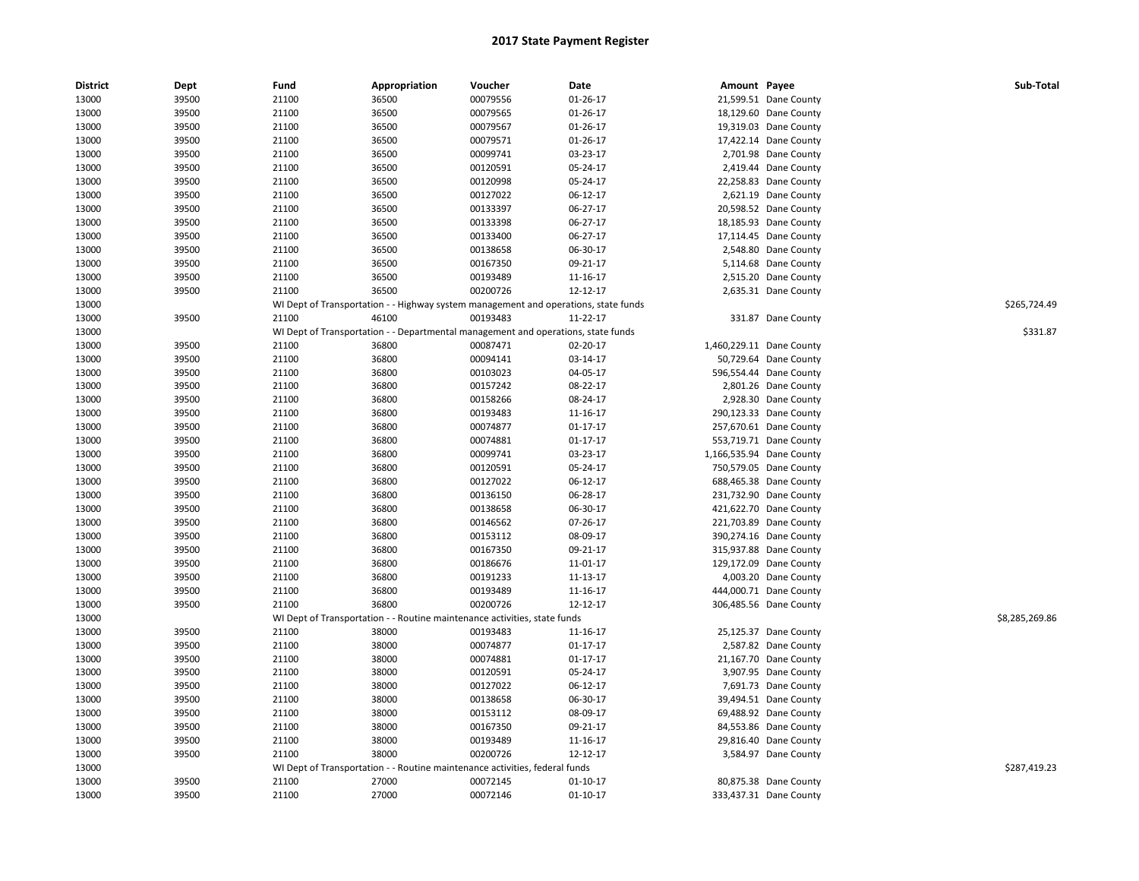| <b>District</b> | Dept           | Fund  | Appropriation  | Voucher                                                                             | Date           | Amount Payee |                          | Sub-Total      |
|-----------------|----------------|-------|----------------|-------------------------------------------------------------------------------------|----------------|--------------|--------------------------|----------------|
| 13000           | 39500          | 21100 | 36500          | 00079556                                                                            | 01-26-17       |              | 21,599.51 Dane County    |                |
| 13000           | 39500          | 21100 | 36500          | 00079565                                                                            | 01-26-17       |              | 18,129.60 Dane County    |                |
| 13000           | 39500          | 21100 | 36500          | 00079567                                                                            | 01-26-17       |              | 19,319.03 Dane County    |                |
| 13000           | 39500          | 21100 | 36500          | 00079571                                                                            | 01-26-17       |              | 17,422.14 Dane County    |                |
| 13000           | 39500          | 21100 | 36500          | 00099741                                                                            | 03-23-17       |              | 2,701.98 Dane County     |                |
| 13000           | 39500          | 21100 | 36500          | 00120591                                                                            | 05-24-17       |              | 2,419.44 Dane County     |                |
| 13000           | 39500          | 21100 | 36500          | 00120998                                                                            | 05-24-17       |              | 22,258.83 Dane County    |                |
| 13000           | 39500          | 21100 | 36500          | 00127022                                                                            | 06-12-17       |              | 2,621.19 Dane County     |                |
| 13000           | 39500          | 21100 | 36500          | 00133397                                                                            | 06-27-17       |              | 20,598.52 Dane County    |                |
| 13000           | 39500          | 21100 | 36500          | 00133398                                                                            | 06-27-17       |              | 18,185.93 Dane County    |                |
| 13000           | 39500          | 21100 | 36500          | 00133400                                                                            | 06-27-17       |              | 17,114.45 Dane County    |                |
| 13000           | 39500          | 21100 | 36500          | 00138658                                                                            | 06-30-17       |              | 2,548.80 Dane County     |                |
| 13000           | 39500          | 21100 | 36500          | 00167350                                                                            | 09-21-17       |              | 5,114.68 Dane County     |                |
| 13000           | 39500          | 21100 | 36500          | 00193489                                                                            | 11-16-17       |              | 2,515.20 Dane County     |                |
| 13000           | 39500          | 21100 | 36500          | 00200726                                                                            | 12-12-17       |              | 2,635.31 Dane County     |                |
| 13000           |                |       |                | WI Dept of Transportation - - Highway system management and operations, state funds |                |              |                          | \$265,724.49   |
| 13000           | 39500          | 21100 | 46100          | 00193483                                                                            | 11-22-17       |              | 331.87 Dane County       |                |
| 13000           |                |       |                | WI Dept of Transportation - - Departmental management and operations, state funds   |                |              |                          | \$331.87       |
| 13000           | 39500          | 21100 | 36800          | 00087471                                                                            | 02-20-17       |              | 1,460,229.11 Dane County |                |
| 13000           | 39500          | 21100 | 36800          | 00094141                                                                            | 03-14-17       |              | 50,729.64 Dane County    |                |
| 13000           | 39500          | 21100 | 36800          | 00103023                                                                            | 04-05-17       |              | 596,554.44 Dane County   |                |
| 13000           | 39500          | 21100 | 36800          | 00157242                                                                            | 08-22-17       |              | 2,801.26 Dane County     |                |
| 13000           | 39500          | 21100 | 36800          | 00158266                                                                            | 08-24-17       |              | 2,928.30 Dane County     |                |
| 13000           | 39500          | 21100 | 36800          | 00193483                                                                            | 11-16-17       |              | 290,123.33 Dane County   |                |
| 13000           | 39500          | 21100 | 36800          | 00074877                                                                            | $01 - 17 - 17$ |              | 257,670.61 Dane County   |                |
| 13000           | 39500          | 21100 | 36800          | 00074881                                                                            | $01 - 17 - 17$ |              | 553,719.71 Dane County   |                |
| 13000           | 39500          | 21100 | 36800          | 00099741                                                                            | 03-23-17       |              | 1,166,535.94 Dane County |                |
| 13000           | 39500          | 21100 | 36800          | 00120591                                                                            | 05-24-17       |              | 750,579.05 Dane County   |                |
| 13000           | 39500          | 21100 | 36800          | 00127022                                                                            | 06-12-17       |              | 688,465.38 Dane County   |                |
| 13000           | 39500          | 21100 | 36800          | 00136150                                                                            | 06-28-17       |              | 231,732.90 Dane County   |                |
| 13000           | 39500          | 21100 | 36800          | 00138658                                                                            | 06-30-17       |              | 421,622.70 Dane County   |                |
| 13000           | 39500          | 21100 | 36800          | 00146562                                                                            | 07-26-17       |              | 221,703.89 Dane County   |                |
| 13000           | 39500          | 21100 | 36800          | 00153112                                                                            | 08-09-17       |              | 390,274.16 Dane County   |                |
| 13000           | 39500          | 21100 | 36800          | 00167350                                                                            | 09-21-17       |              | 315,937.88 Dane County   |                |
| 13000           | 39500          | 21100 | 36800          | 00186676                                                                            | 11-01-17       |              | 129,172.09 Dane County   |                |
| 13000           | 39500          | 21100 | 36800          | 00191233                                                                            | 11-13-17       |              | 4,003.20 Dane County     |                |
| 13000           | 39500          | 21100 | 36800          | 00193489                                                                            | 11-16-17       |              | 444,000.71 Dane County   |                |
| 13000           | 39500          | 21100 | 36800          | 00200726                                                                            | 12-12-17       |              | 306,485.56 Dane County   |                |
| 13000           |                |       |                | WI Dept of Transportation - - Routine maintenance activities, state funds           |                |              |                          | \$8,285,269.86 |
| 13000           | 39500          | 21100 | 38000          | 00193483                                                                            | 11-16-17       |              | 25,125.37 Dane County    |                |
| 13000           | 39500          | 21100 | 38000          | 00074877                                                                            | $01 - 17 - 17$ |              | 2,587.82 Dane County     |                |
| 13000           | 39500          | 21100 | 38000          | 00074881                                                                            | $01 - 17 - 17$ |              | 21,167.70 Dane County    |                |
| 13000           | 39500          | 21100 | 38000          | 00120591                                                                            | 05-24-17       |              | 3,907.95 Dane County     |                |
| 13000           | 39500          | 21100 | 38000          | 00127022                                                                            | 06-12-17       |              | 7,691.73 Dane County     |                |
|                 |                |       |                |                                                                                     |                |              |                          |                |
| 13000           | 39500          | 21100 | 38000          | 00138658                                                                            | 06-30-17       |              | 39,494.51 Dane County    |                |
| 13000<br>13000  | 39500<br>39500 | 21100 | 38000<br>38000 | 00153112<br>00167350                                                                | 08-09-17       |              | 69,488.92 Dane County    |                |
|                 |                | 21100 |                |                                                                                     | 09-21-17       |              | 84,553.86 Dane County    |                |
| 13000           | 39500          | 21100 | 38000          | 00193489                                                                            | 11-16-17       |              | 29,816.40 Dane County    |                |
| 13000           | 39500          | 21100 | 38000          | 00200726                                                                            | 12-12-17       |              | 3,584.97 Dane County     |                |
| 13000           |                |       |                | WI Dept of Transportation - - Routine maintenance activities, federal funds         |                |              |                          | \$287,419.23   |
| 13000           | 39500          | 21100 | 27000          | 00072145                                                                            | $01 - 10 - 17$ |              | 80,875.38 Dane County    |                |
| 13000           | 39500          | 21100 | 27000          | 00072146                                                                            | $01-10-17$     |              | 333,437.31 Dane County   |                |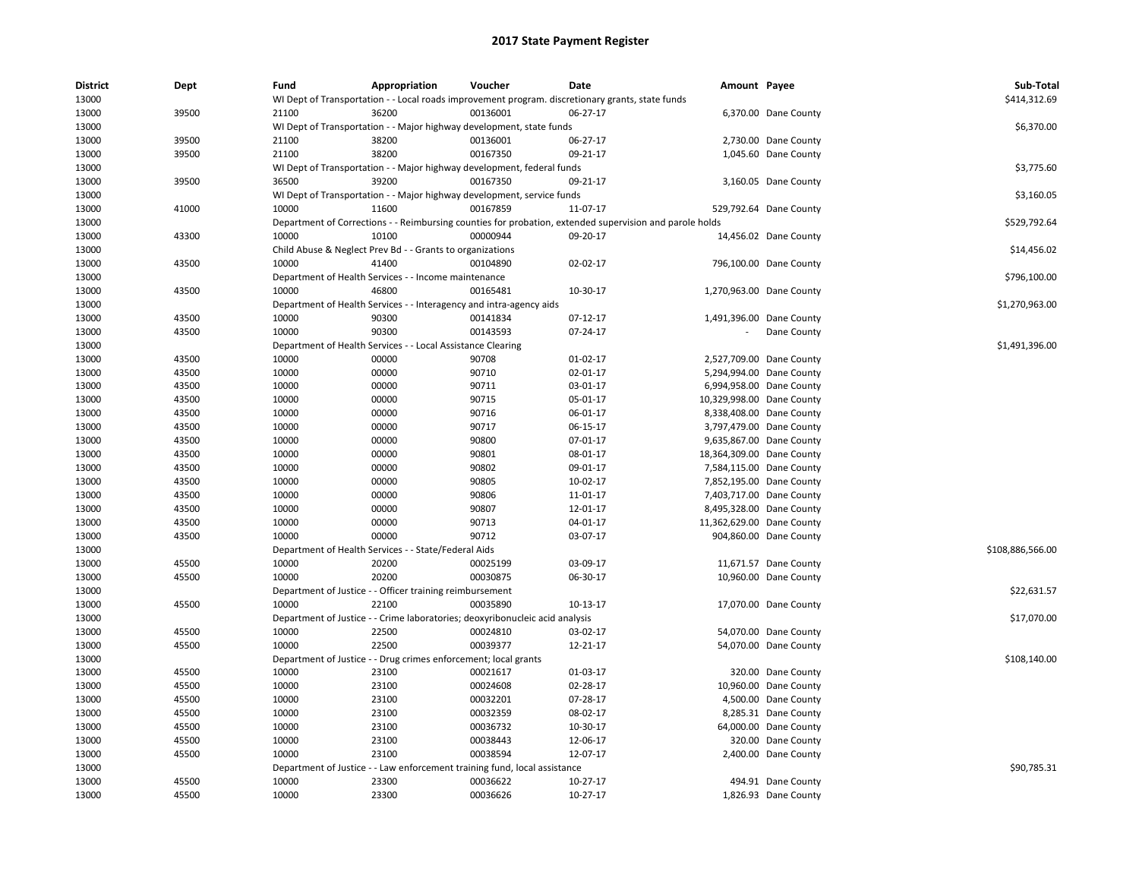| <b>District</b><br>13000 | Dept  | Fund           | Appropriation                                                                | Voucher  | Date<br>WI Dept of Transportation - - Local roads improvement program. discretionary grants, state funds | Amount Payee              |                          | Sub-Total<br>\$414,312.69 |
|--------------------------|-------|----------------|------------------------------------------------------------------------------|----------|----------------------------------------------------------------------------------------------------------|---------------------------|--------------------------|---------------------------|
| 13000                    | 39500 | 21100          | 36200                                                                        | 00136001 | 06-27-17                                                                                                 |                           | 6,370.00 Dane County     |                           |
| 13000                    |       |                | WI Dept of Transportation - - Major highway development, state funds         |          |                                                                                                          |                           |                          | \$6,370.00                |
| 13000                    | 39500 | 21100          | 38200                                                                        | 00136001 | 06-27-17                                                                                                 |                           | 2,730.00 Dane County     |                           |
| 13000                    | 39500 | 21100          | 38200                                                                        | 00167350 | 09-21-17                                                                                                 |                           | 1,045.60 Dane County     |                           |
| 13000                    |       |                | WI Dept of Transportation - - Major highway development, federal funds       |          |                                                                                                          |                           |                          | \$3,775.60                |
| 13000                    | 39500 | 36500          | 39200                                                                        | 00167350 | 09-21-17                                                                                                 |                           | 3,160.05 Dane County     |                           |
| 13000                    |       |                | WI Dept of Transportation - - Major highway development, service funds       |          |                                                                                                          |                           |                          | \$3,160.05                |
| 13000                    | 41000 | 10000          | 11600                                                                        | 00167859 | 11-07-17                                                                                                 |                           | 529,792.64 Dane County   |                           |
| 13000                    |       |                |                                                                              |          | Department of Corrections - - Reimbursing counties for probation, extended supervision and parole holds  |                           |                          | \$529,792.64              |
| 13000                    | 43300 | 10000          | 10100                                                                        | 00000944 | 09-20-17                                                                                                 |                           | 14,456.02 Dane County    |                           |
| 13000                    |       |                | Child Abuse & Neglect Prev Bd - - Grants to organizations                    |          |                                                                                                          |                           |                          | \$14,456.02               |
| 13000                    | 43500 | 10000          | 41400                                                                        | 00104890 | 02-02-17                                                                                                 |                           | 796,100.00 Dane County   |                           |
| 13000                    |       |                | Department of Health Services - - Income maintenance                         |          |                                                                                                          |                           |                          | \$796,100.00              |
| 13000                    | 43500 | 10000          | 46800                                                                        | 00165481 | 10-30-17                                                                                                 |                           | 1,270,963.00 Dane County |                           |
| 13000                    |       |                | Department of Health Services - - Interagency and intra-agency aids          |          |                                                                                                          |                           |                          | \$1,270,963.00            |
| 13000                    | 43500 | 10000          | 90300                                                                        | 00141834 | 07-12-17                                                                                                 |                           | 1,491,396.00 Dane County |                           |
| 13000                    | 43500 | 10000          | 90300                                                                        | 00143593 | 07-24-17                                                                                                 |                           | Dane County              |                           |
| 13000                    |       |                | Department of Health Services - - Local Assistance Clearing                  |          |                                                                                                          |                           |                          | \$1,491,396.00            |
| 13000                    | 43500 | 10000          | 00000                                                                        | 90708    | 01-02-17                                                                                                 |                           | 2,527,709.00 Dane County |                           |
| 13000                    | 43500 | 10000          | 00000                                                                        | 90710    | 02-01-17                                                                                                 |                           | 5,294,994.00 Dane County |                           |
| 13000                    | 43500 | 10000          | 00000                                                                        | 90711    | 03-01-17                                                                                                 |                           | 6,994,958.00 Dane County |                           |
| 13000                    | 43500 | 10000          | 00000                                                                        | 90715    | 05-01-17                                                                                                 | 10,329,998.00 Dane County |                          |                           |
| 13000                    | 43500 | 10000          | 00000                                                                        | 90716    | 06-01-17                                                                                                 |                           | 8,338,408.00 Dane County |                           |
| 13000                    | 43500 | 10000          | 00000                                                                        | 90717    | 06-15-17                                                                                                 |                           | 3,797,479.00 Dane County |                           |
| 13000                    | 43500 | 10000          | 00000                                                                        | 90800    | 07-01-17                                                                                                 |                           | 9,635,867.00 Dane County |                           |
| 13000                    | 43500 | 10000          | 00000                                                                        | 90801    | 08-01-17                                                                                                 | 18,364,309.00 Dane County |                          |                           |
| 13000                    | 43500 | 10000          | 00000                                                                        | 90802    | 09-01-17                                                                                                 |                           | 7,584,115.00 Dane County |                           |
| 13000                    | 43500 | 10000          | 00000                                                                        | 90805    | 10-02-17                                                                                                 |                           | 7,852,195.00 Dane County |                           |
| 13000                    | 43500 | 10000          | 00000                                                                        | 90806    | 11-01-17                                                                                                 |                           | 7,403,717.00 Dane County |                           |
| 13000                    | 43500 | 10000          | 00000                                                                        | 90807    | 12-01-17                                                                                                 |                           | 8,495,328.00 Dane County |                           |
| 13000                    | 43500 | 10000          | 00000                                                                        | 90713    | 04-01-17                                                                                                 | 11,362,629.00 Dane County |                          |                           |
| 13000                    | 43500 | 10000          | 00000                                                                        | 90712    | 03-07-17                                                                                                 |                           | 904,860.00 Dane County   |                           |
| 13000                    |       |                | Department of Health Services - - State/Federal Aids                         |          |                                                                                                          |                           |                          | \$108,886,566.00          |
| 13000                    | 45500 | 10000          | 20200                                                                        | 00025199 | 03-09-17                                                                                                 |                           | 11,671.57 Dane County    |                           |
| 13000                    | 45500 | 10000          | 20200                                                                        | 00030875 | 06-30-17                                                                                                 |                           | 10,960.00 Dane County    |                           |
| 13000                    |       |                | Department of Justice - - Officer training reimbursement                     |          |                                                                                                          |                           |                          | \$22,631.57               |
| 13000                    | 45500 | 10000          | 22100                                                                        | 00035890 | 10-13-17                                                                                                 |                           | 17,070.00 Dane County    |                           |
| 13000                    |       |                | Department of Justice - - Crime laboratories; deoxyribonucleic acid analysis |          |                                                                                                          |                           |                          | \$17,070.00               |
| 13000                    | 45500 | 10000          | 22500                                                                        | 00024810 | 03-02-17                                                                                                 |                           | 54,070.00 Dane County    |                           |
|                          |       |                |                                                                              |          |                                                                                                          |                           |                          |                           |
| 13000                    | 45500 | 10000          | 22500                                                                        | 00039377 | 12-21-17                                                                                                 |                           | 54,070.00 Dane County    |                           |
| 13000                    | 45500 |                | Department of Justice - - Drug crimes enforcement; local grants<br>23100     | 00021617 |                                                                                                          |                           |                          | \$108,140.00              |
| 13000<br>13000           | 45500 | 10000<br>10000 | 23100                                                                        | 00024608 | 01-03-17<br>02-28-17                                                                                     |                           | 320.00 Dane County       |                           |
|                          |       |                |                                                                              |          |                                                                                                          |                           | 10,960.00 Dane County    |                           |
| 13000                    | 45500 | 10000          | 23100                                                                        | 00032201 | 07-28-17                                                                                                 |                           | 4,500.00 Dane County     |                           |
| 13000                    | 45500 | 10000          | 23100                                                                        | 00032359 | 08-02-17                                                                                                 |                           | 8,285.31 Dane County     |                           |
| 13000                    | 45500 | 10000          | 23100                                                                        | 00036732 | 10-30-17                                                                                                 |                           | 64,000.00 Dane County    |                           |
| 13000                    | 45500 | 10000          | 23100                                                                        | 00038443 | 12-06-17                                                                                                 |                           | 320.00 Dane County       |                           |
| 13000                    | 45500 | 10000          | 23100                                                                        | 00038594 | 12-07-17                                                                                                 | 2,400.00                  | Dane County              |                           |
| 13000                    |       |                | Department of Justice - - Law enforcement training fund, local assistance    |          |                                                                                                          |                           |                          | \$90,785.31               |
| 13000                    | 45500 | 10000          | 23300                                                                        | 00036622 | 10-27-17                                                                                                 |                           | 494.91 Dane County       |                           |
| 13000                    | 45500 | 10000          | 23300                                                                        | 00036626 | $10-27-17$                                                                                               |                           | 1,826.93 Dane County     |                           |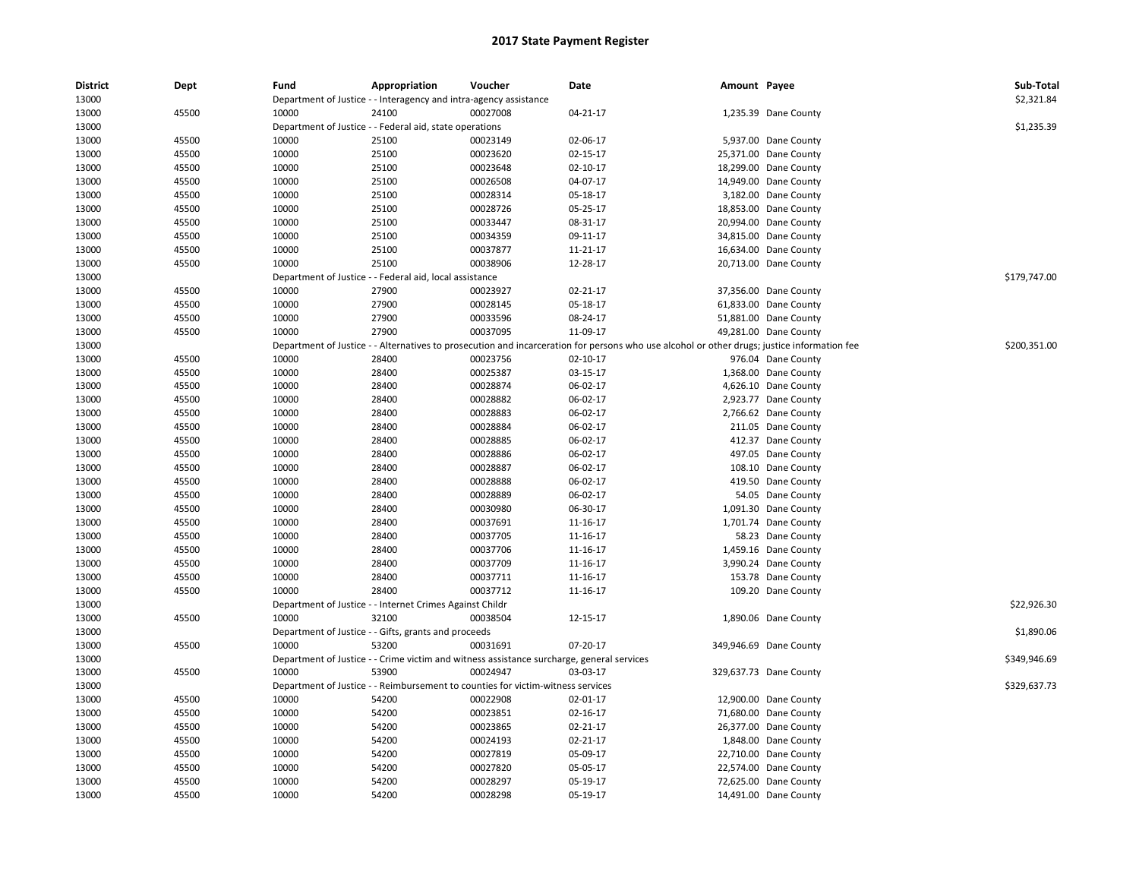| <b>District</b> | Dept  | Fund  | Appropriation                                                     | Voucher                                                                                   | Date                                                                                                                                        | Amount Payee |                        | Sub-Total    |
|-----------------|-------|-------|-------------------------------------------------------------------|-------------------------------------------------------------------------------------------|---------------------------------------------------------------------------------------------------------------------------------------------|--------------|------------------------|--------------|
| 13000           |       |       | Department of Justice - - Interagency and intra-agency assistance |                                                                                           |                                                                                                                                             |              |                        | \$2,321.84   |
| 13000           | 45500 | 10000 | 24100                                                             | 00027008                                                                                  | 04-21-17                                                                                                                                    |              | 1,235.39 Dane County   |              |
| 13000           |       |       | Department of Justice - - Federal aid, state operations           |                                                                                           |                                                                                                                                             |              |                        | \$1,235.39   |
| 13000           | 45500 | 10000 | 25100                                                             | 00023149                                                                                  | 02-06-17                                                                                                                                    |              | 5,937.00 Dane County   |              |
| 13000           | 45500 | 10000 | 25100                                                             | 00023620                                                                                  | 02-15-17                                                                                                                                    |              | 25,371.00 Dane County  |              |
| 13000           | 45500 | 10000 | 25100                                                             | 00023648                                                                                  | $02 - 10 - 17$                                                                                                                              |              | 18,299.00 Dane County  |              |
| 13000           | 45500 | 10000 | 25100                                                             | 00026508                                                                                  | 04-07-17                                                                                                                                    |              | 14,949.00 Dane County  |              |
| 13000           | 45500 | 10000 | 25100                                                             | 00028314                                                                                  | 05-18-17                                                                                                                                    |              | 3,182.00 Dane County   |              |
| 13000           | 45500 | 10000 | 25100                                                             | 00028726                                                                                  | 05-25-17                                                                                                                                    |              | 18,853.00 Dane County  |              |
| 13000           | 45500 | 10000 | 25100                                                             | 00033447                                                                                  | 08-31-17                                                                                                                                    |              | 20,994.00 Dane County  |              |
| 13000           | 45500 | 10000 | 25100                                                             | 00034359                                                                                  | 09-11-17                                                                                                                                    |              | 34,815.00 Dane County  |              |
| 13000           | 45500 | 10000 | 25100                                                             | 00037877                                                                                  | 11-21-17                                                                                                                                    |              | 16,634.00 Dane County  |              |
| 13000           | 45500 | 10000 | 25100                                                             | 00038906                                                                                  | 12-28-17                                                                                                                                    |              | 20,713.00 Dane County  |              |
| 13000           |       |       | Department of Justice - - Federal aid, local assistance           |                                                                                           |                                                                                                                                             |              |                        | \$179,747.00 |
| 13000           | 45500 | 10000 | 27900                                                             | 00023927                                                                                  | 02-21-17                                                                                                                                    |              | 37,356.00 Dane County  |              |
| 13000           | 45500 | 10000 | 27900                                                             | 00028145                                                                                  | 05-18-17                                                                                                                                    |              | 61,833.00 Dane County  |              |
| 13000           | 45500 | 10000 | 27900                                                             | 00033596                                                                                  | 08-24-17                                                                                                                                    |              | 51,881.00 Dane County  |              |
| 13000           | 45500 | 10000 | 27900                                                             | 00037095                                                                                  | 11-09-17                                                                                                                                    |              | 49,281.00 Dane County  |              |
| 13000           |       |       |                                                                   |                                                                                           | Department of Justice - - Alternatives to prosecution and incarceration for persons who use alcohol or other drugs; justice information fee |              |                        | \$200,351.00 |
| 13000           | 45500 | 10000 | 28400                                                             | 00023756                                                                                  | 02-10-17                                                                                                                                    |              | 976.04 Dane County     |              |
| 13000           | 45500 | 10000 | 28400                                                             | 00025387                                                                                  | 03-15-17                                                                                                                                    |              | 1,368.00 Dane County   |              |
| 13000           | 45500 | 10000 | 28400                                                             | 00028874                                                                                  | 06-02-17                                                                                                                                    |              | 4,626.10 Dane County   |              |
| 13000           | 45500 | 10000 | 28400                                                             | 00028882                                                                                  | 06-02-17                                                                                                                                    |              | 2,923.77 Dane County   |              |
| 13000           | 45500 | 10000 | 28400                                                             | 00028883                                                                                  | 06-02-17                                                                                                                                    |              | 2,766.62 Dane County   |              |
| 13000           | 45500 | 10000 | 28400                                                             | 00028884                                                                                  | 06-02-17                                                                                                                                    |              | 211.05 Dane County     |              |
| 13000           | 45500 | 10000 | 28400                                                             | 00028885                                                                                  | 06-02-17                                                                                                                                    |              | 412.37 Dane County     |              |
| 13000           | 45500 | 10000 | 28400                                                             | 00028886                                                                                  | 06-02-17                                                                                                                                    |              | 497.05 Dane County     |              |
| 13000           | 45500 | 10000 | 28400                                                             | 00028887                                                                                  | 06-02-17                                                                                                                                    |              | 108.10 Dane County     |              |
| 13000           | 45500 | 10000 | 28400                                                             | 00028888                                                                                  | 06-02-17                                                                                                                                    |              | 419.50 Dane County     |              |
| 13000           | 45500 | 10000 | 28400                                                             | 00028889                                                                                  | 06-02-17                                                                                                                                    |              | 54.05 Dane County      |              |
| 13000           | 45500 | 10000 | 28400                                                             | 00030980                                                                                  | 06-30-17                                                                                                                                    |              | 1,091.30 Dane County   |              |
| 13000           | 45500 | 10000 | 28400                                                             | 00037691                                                                                  | 11-16-17                                                                                                                                    |              | 1,701.74 Dane County   |              |
| 13000           | 45500 | 10000 | 28400                                                             | 00037705                                                                                  | 11-16-17                                                                                                                                    |              | 58.23 Dane County      |              |
| 13000           | 45500 | 10000 | 28400                                                             | 00037706                                                                                  | 11-16-17                                                                                                                                    |              | 1,459.16 Dane County   |              |
| 13000           | 45500 | 10000 | 28400                                                             | 00037709                                                                                  | 11-16-17                                                                                                                                    |              | 3,990.24 Dane County   |              |
| 13000           | 45500 | 10000 | 28400                                                             | 00037711                                                                                  | 11-16-17                                                                                                                                    |              | 153.78 Dane County     |              |
| 13000           | 45500 | 10000 | 28400                                                             | 00037712                                                                                  | 11-16-17                                                                                                                                    |              | 109.20 Dane County     |              |
| 13000           |       |       | Department of Justice - - Internet Crimes Against Childr          |                                                                                           |                                                                                                                                             |              |                        | \$22,926.30  |
| 13000           | 45500 | 10000 | 32100                                                             | 00038504                                                                                  | 12-15-17                                                                                                                                    |              | 1,890.06 Dane County   |              |
| 13000           |       |       | Department of Justice - - Gifts, grants and proceeds              |                                                                                           |                                                                                                                                             |              |                        | \$1,890.06   |
| 13000           | 45500 | 10000 | 53200                                                             | 00031691                                                                                  | 07-20-17                                                                                                                                    |              | 349,946.69 Dane County |              |
| 13000           |       |       |                                                                   | Department of Justice - - Crime victim and witness assistance surcharge, general services |                                                                                                                                             |              |                        | \$349.946.69 |
| 13000           | 45500 | 10000 | 53900                                                             | 00024947                                                                                  | 03-03-17                                                                                                                                    |              | 329,637.73 Dane County |              |
| 13000           |       |       |                                                                   | Department of Justice - - Reimbursement to counties for victim-witness services           |                                                                                                                                             |              |                        | \$329,637.73 |
| 13000           | 45500 | 10000 | 54200                                                             | 00022908                                                                                  | 02-01-17                                                                                                                                    |              | 12,900.00 Dane County  |              |
| 13000           | 45500 | 10000 | 54200                                                             | 00023851                                                                                  | 02-16-17                                                                                                                                    |              | 71,680.00 Dane County  |              |
| 13000           | 45500 | 10000 | 54200                                                             | 00023865                                                                                  | 02-21-17                                                                                                                                    |              | 26,377.00 Dane County  |              |
| 13000           | 45500 | 10000 | 54200                                                             | 00024193                                                                                  | 02-21-17                                                                                                                                    |              | 1,848.00 Dane County   |              |
| 13000           | 45500 | 10000 | 54200                                                             | 00027819                                                                                  | 05-09-17                                                                                                                                    |              | 22,710.00 Dane County  |              |
| 13000           | 45500 | 10000 | 54200                                                             | 00027820                                                                                  | 05-05-17                                                                                                                                    |              | 22,574.00 Dane County  |              |
| 13000           | 45500 | 10000 | 54200                                                             | 00028297                                                                                  | 05-19-17                                                                                                                                    |              | 72,625.00 Dane County  |              |
| 13000           | 45500 | 10000 | 54200                                                             | 00028298                                                                                  | 05-19-17                                                                                                                                    |              | 14,491.00 Dane County  |              |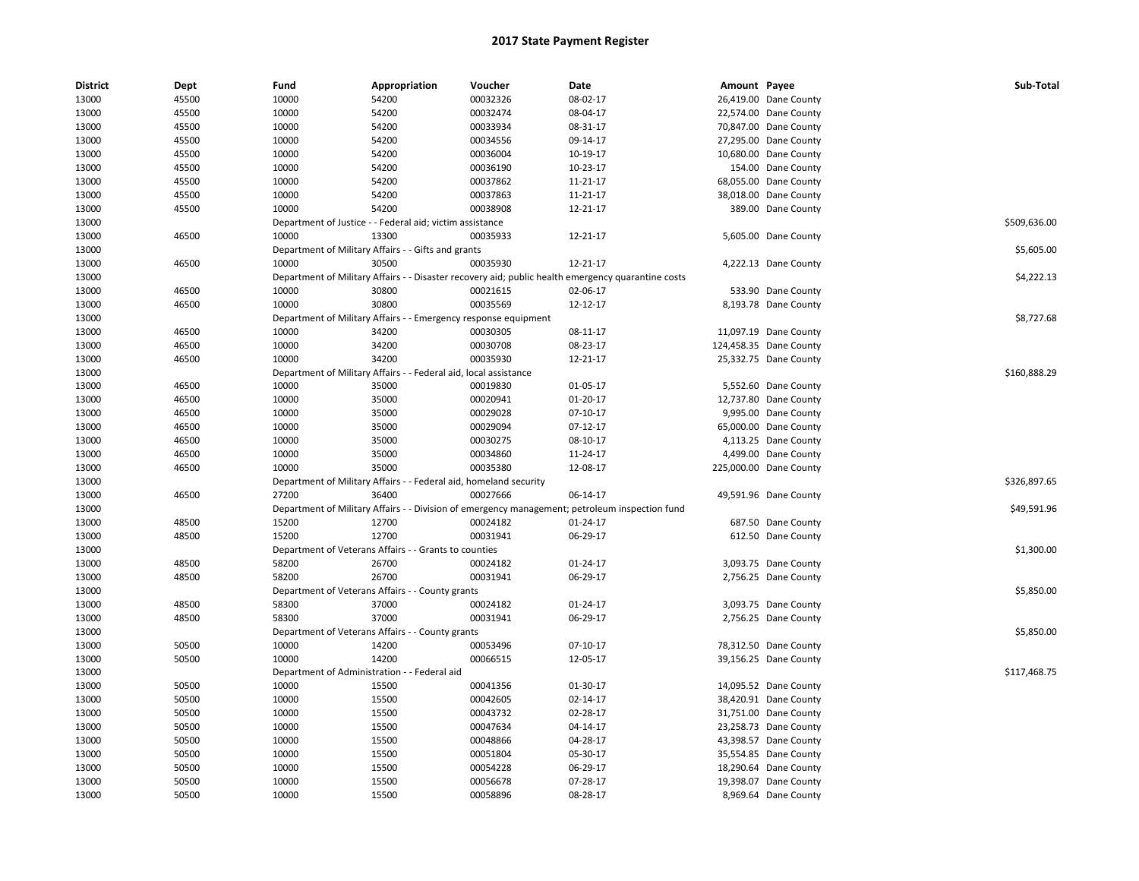| <b>District</b> | Dept  | Fund  | Appropriation                                                     | Voucher  | Date                                                                                               | Amount Payee |                        | Sub-Total    |
|-----------------|-------|-------|-------------------------------------------------------------------|----------|----------------------------------------------------------------------------------------------------|--------------|------------------------|--------------|
| 13000           | 45500 | 10000 | 54200                                                             | 00032326 | 08-02-17                                                                                           |              | 26,419.00 Dane County  |              |
| 13000           | 45500 | 10000 | 54200                                                             | 00032474 | 08-04-17                                                                                           |              | 22,574.00 Dane County  |              |
| 13000           | 45500 | 10000 | 54200                                                             | 00033934 | 08-31-17                                                                                           |              | 70,847.00 Dane County  |              |
| 13000           | 45500 | 10000 | 54200                                                             | 00034556 | 09-14-17                                                                                           |              | 27,295.00 Dane County  |              |
| 13000           | 45500 | 10000 | 54200                                                             | 00036004 | 10-19-17                                                                                           |              | 10,680.00 Dane County  |              |
| 13000           | 45500 | 10000 | 54200                                                             | 00036190 | 10-23-17                                                                                           |              | 154.00 Dane County     |              |
| 13000           | 45500 | 10000 | 54200                                                             | 00037862 | 11-21-17                                                                                           |              | 68,055.00 Dane County  |              |
| 13000           | 45500 | 10000 | 54200                                                             | 00037863 | 11-21-17                                                                                           |              | 38,018.00 Dane County  |              |
| 13000           | 45500 | 10000 | 54200                                                             | 00038908 | 12-21-17                                                                                           |              | 389.00 Dane County     |              |
| 13000           |       |       | Department of Justice - - Federal aid; victim assistance          |          |                                                                                                    |              |                        | \$509,636.00 |
| 13000           | 46500 | 10000 | 13300                                                             | 00035933 | 12-21-17                                                                                           |              | 5,605.00 Dane County   |              |
| 13000           |       |       | Department of Military Affairs - - Gifts and grants               |          |                                                                                                    |              |                        | \$5,605.00   |
| 13000           | 46500 | 10000 | 30500                                                             | 00035930 | 12-21-17                                                                                           |              | 4,222.13 Dane County   |              |
| 13000           |       |       |                                                                   |          | Department of Military Affairs - - Disaster recovery aid; public health emergency quarantine costs |              |                        | \$4,222.13   |
| 13000           | 46500 | 10000 | 30800                                                             | 00021615 | 02-06-17                                                                                           |              | 533.90 Dane County     |              |
| 13000           | 46500 | 10000 | 30800                                                             | 00035569 | 12-12-17                                                                                           |              | 8,193.78 Dane County   |              |
| 13000           |       |       | Department of Military Affairs - - Emergency response equipment   |          |                                                                                                    |              |                        | \$8,727.68   |
| 13000           | 46500 | 10000 | 34200                                                             | 00030305 | 08-11-17                                                                                           |              | 11,097.19 Dane County  |              |
| 13000           | 46500 | 10000 | 34200                                                             | 00030708 | 08-23-17                                                                                           |              | 124,458.35 Dane County |              |
| 13000           | 46500 | 10000 | 34200                                                             | 00035930 | 12-21-17                                                                                           |              | 25,332.75 Dane County  |              |
| 13000           |       |       | Department of Military Affairs - - Federal aid, local assistance  |          |                                                                                                    |              |                        | \$160,888.29 |
| 13000           | 46500 | 10000 | 35000                                                             | 00019830 | 01-05-17                                                                                           |              | 5,552.60 Dane County   |              |
| 13000           | 46500 | 10000 | 35000                                                             | 00020941 | 01-20-17                                                                                           |              | 12,737.80 Dane County  |              |
| 13000           | 46500 | 10000 | 35000                                                             | 00029028 | 07-10-17                                                                                           |              | 9,995.00 Dane County   |              |
| 13000           | 46500 | 10000 | 35000                                                             | 00029094 | $07-12-17$                                                                                         |              | 65,000.00 Dane County  |              |
| 13000           | 46500 | 10000 | 35000                                                             | 00030275 | 08-10-17                                                                                           |              | 4,113.25 Dane County   |              |
| 13000           | 46500 | 10000 | 35000                                                             | 00034860 | 11-24-17                                                                                           |              | 4,499.00 Dane County   |              |
| 13000           | 46500 | 10000 | 35000                                                             | 00035380 | 12-08-17                                                                                           |              | 225,000.00 Dane County |              |
| 13000           |       |       | Department of Military Affairs - - Federal aid, homeland security |          |                                                                                                    |              |                        | \$326,897.65 |
| 13000           | 46500 | 27200 | 36400                                                             | 00027666 | 06-14-17                                                                                           |              | 49,591.96 Dane County  |              |
| 13000           |       |       |                                                                   |          | Department of Military Affairs - - Division of emergency management; petroleum inspection fund     |              |                        | \$49,591.96  |
| 13000           | 48500 | 15200 | 12700                                                             | 00024182 | 01-24-17                                                                                           |              | 687.50 Dane County     |              |
| 13000           | 48500 | 15200 | 12700                                                             | 00031941 | 06-29-17                                                                                           |              | 612.50 Dane County     |              |
| 13000           |       |       | Department of Veterans Affairs - - Grants to counties             |          |                                                                                                    |              |                        | \$1,300.00   |
| 13000           | 48500 | 58200 | 26700                                                             | 00024182 | 01-24-17                                                                                           |              | 3,093.75 Dane County   |              |
| 13000           | 48500 | 58200 | 26700                                                             | 00031941 | 06-29-17                                                                                           |              | 2,756.25 Dane County   |              |
| 13000           |       |       | Department of Veterans Affairs - - County grants                  |          |                                                                                                    |              |                        | \$5,850.00   |
| 13000           | 48500 | 58300 | 37000                                                             | 00024182 | $01 - 24 - 17$                                                                                     |              | 3,093.75 Dane County   |              |
| 13000           | 48500 | 58300 | 37000                                                             | 00031941 | 06-29-17                                                                                           |              | 2,756.25 Dane County   |              |
| 13000           |       |       | Department of Veterans Affairs - - County grants                  |          |                                                                                                    |              |                        | \$5,850.00   |
| 13000           | 50500 | 10000 | 14200                                                             | 00053496 | $07-10-17$                                                                                         |              | 78,312.50 Dane County  |              |
| 13000           | 50500 | 10000 | 14200                                                             | 00066515 | 12-05-17                                                                                           |              | 39,156.25 Dane County  |              |
| 13000           |       |       | Department of Administration - - Federal aid                      |          |                                                                                                    |              |                        | \$117,468.75 |
| 13000           | 50500 | 10000 | 15500                                                             | 00041356 | 01-30-17                                                                                           |              | 14,095.52 Dane County  |              |
| 13000           | 50500 | 10000 | 15500                                                             | 00042605 | 02-14-17                                                                                           |              | 38,420.91 Dane County  |              |
| 13000           | 50500 | 10000 | 15500                                                             | 00043732 | 02-28-17                                                                                           |              | 31,751.00 Dane County  |              |
| 13000           | 50500 | 10000 | 15500                                                             | 00047634 | 04-14-17                                                                                           |              | 23,258.73 Dane County  |              |
| 13000           | 50500 | 10000 | 15500                                                             | 00048866 | 04-28-17                                                                                           |              | 43,398.57 Dane County  |              |
| 13000           | 50500 | 10000 | 15500                                                             | 00051804 | 05-30-17                                                                                           |              | 35,554.85 Dane County  |              |
| 13000           | 50500 | 10000 | 15500                                                             | 00054228 | 06-29-17                                                                                           |              | 18,290.64 Dane County  |              |
| 13000           | 50500 | 10000 | 15500                                                             | 00056678 | 07-28-17                                                                                           |              | 19,398.07 Dane County  |              |
| 13000           | 50500 | 10000 | 15500                                                             | 00058896 | 08-28-17                                                                                           |              | 8,969.64 Dane County   |              |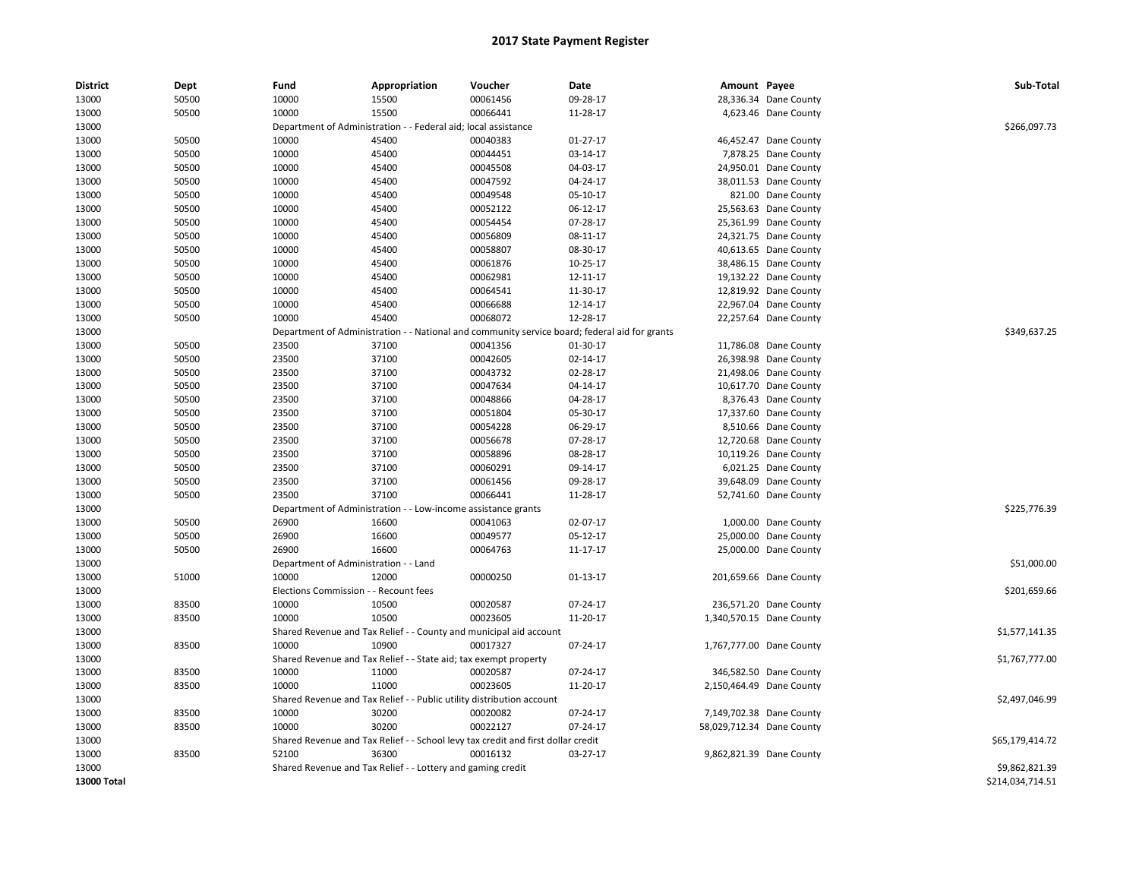| <b>District</b> | Dept  | Fund                                  | Appropriation                                                         | Voucher                                                                          | Date                                                         | Amount Payee |                           | Sub-Total        |
|-----------------|-------|---------------------------------------|-----------------------------------------------------------------------|----------------------------------------------------------------------------------|--------------------------------------------------------------|--------------|---------------------------|------------------|
| 13000           | 50500 | 10000                                 | 15500                                                                 | 00061456                                                                         | 09-28-17                                                     |              | 28,336.34 Dane County     |                  |
| 13000           | 50500 | 10000                                 | 15500                                                                 | 00066441                                                                         | 11-28-17                                                     |              | 4,623.46 Dane County      |                  |
| 13000           |       |                                       | Department of Administration - - Federal aid; local assistance        |                                                                                  |                                                              |              |                           | \$266,097.73     |
| 13000           | 50500 | 10000                                 | 45400                                                                 | 00040383                                                                         | $01 - 27 - 17$                                               |              | 46,452.47 Dane County     |                  |
| 13000           | 50500 | 10000                                 | 45400                                                                 | 00044451                                                                         | 03-14-17                                                     |              | 7,878.25 Dane County      |                  |
| 13000           | 50500 | 10000                                 | 45400                                                                 | 00045508                                                                         | 04-03-17                                                     |              | 24,950.01 Dane County     |                  |
| 13000           | 50500 | 10000                                 | 45400                                                                 | 00047592                                                                         | 04-24-17                                                     |              | 38,011.53 Dane County     |                  |
| 13000           | 50500 | 10000                                 | 45400                                                                 | 00049548                                                                         | 05-10-17                                                     |              | 821.00 Dane County        |                  |
| 13000           | 50500 | 10000                                 | 45400                                                                 | 00052122                                                                         | 06-12-17                                                     |              | 25,563.63 Dane County     |                  |
| 13000           | 50500 | 10000                                 | 45400                                                                 | 00054454                                                                         | 07-28-17                                                     |              | 25,361.99 Dane County     |                  |
| 13000           | 50500 | 10000                                 | 45400                                                                 | 00056809                                                                         | 08-11-17                                                     |              | 24,321.75 Dane County     |                  |
| 13000           | 50500 | 10000                                 | 45400                                                                 | 00058807                                                                         | 08-30-17                                                     |              | 40,613.65 Dane County     |                  |
| 13000           | 50500 | 10000                                 | 45400                                                                 | 00061876                                                                         | 10-25-17                                                     |              | 38,486.15 Dane County     |                  |
| 13000           | 50500 | 10000                                 | 45400                                                                 | 00062981                                                                         | 12-11-17                                                     |              | 19,132.22 Dane County     |                  |
| 13000           | 50500 | 10000                                 | 45400                                                                 | 00064541                                                                         | 11-30-17                                                     |              | 12,819.92 Dane County     |                  |
| 13000           | 50500 | 10000                                 | 45400                                                                 | 00066688                                                                         | 12-14-17                                                     |              | 22,967.04 Dane County     |                  |
| 13000           | 50500 | 10000                                 | 45400                                                                 | 00068072                                                                         | 12-28-17                                                     |              | 22,257.64 Dane County     |                  |
| 13000           |       | Department of Administration          |                                                                       |                                                                                  | National and community service board; federal aid for grants |              |                           | \$349,637.25     |
| 13000           | 50500 | 23500                                 | 37100                                                                 | 00041356                                                                         | 01-30-17                                                     |              | 11,786.08 Dane County     |                  |
| 13000           | 50500 | 23500                                 | 37100                                                                 | 00042605                                                                         | 02-14-17                                                     |              | 26,398.98 Dane County     |                  |
| 13000           | 50500 | 23500                                 | 37100                                                                 | 00043732                                                                         | 02-28-17                                                     |              | 21,498.06 Dane County     |                  |
| 13000           | 50500 | 23500                                 | 37100                                                                 | 00047634                                                                         | 04-14-17                                                     |              | 10,617.70 Dane County     |                  |
| 13000           | 50500 | 23500                                 | 37100                                                                 | 00048866                                                                         | 04-28-17                                                     |              | 8,376.43 Dane County      |                  |
| 13000           | 50500 | 23500                                 | 37100                                                                 | 00051804                                                                         | 05-30-17                                                     |              | 17,337.60 Dane County     |                  |
| 13000           | 50500 | 23500                                 | 37100                                                                 | 00054228                                                                         | 06-29-17                                                     |              | 8,510.66 Dane County      |                  |
| 13000           | 50500 | 23500                                 | 37100                                                                 | 00056678                                                                         | 07-28-17                                                     |              | 12,720.68 Dane County     |                  |
| 13000           | 50500 | 23500                                 | 37100                                                                 | 00058896                                                                         | 08-28-17                                                     |              | 10,119.26 Dane County     |                  |
| 13000           | 50500 | 23500                                 | 37100                                                                 | 00060291                                                                         | 09-14-17                                                     |              | 6,021.25 Dane County      |                  |
| 13000           | 50500 | 23500                                 | 37100                                                                 | 00061456                                                                         | 09-28-17                                                     |              | 39,648.09 Dane County     |                  |
| 13000           | 50500 | 23500                                 | 37100                                                                 | 00066441                                                                         | 11-28-17                                                     |              | 52,741.60 Dane County     |                  |
| 13000           |       |                                       | Department of Administration - - Low-income assistance grants         |                                                                                  |                                                              |              |                           | \$225,776.39     |
| 13000           | 50500 | 26900                                 | 16600                                                                 | 00041063                                                                         | 02-07-17                                                     |              | 1,000.00 Dane County      |                  |
| 13000           | 50500 | 26900                                 | 16600                                                                 | 00049577                                                                         | 05-12-17                                                     |              | 25,000.00 Dane County     |                  |
| 13000           | 50500 | 26900                                 | 16600                                                                 | 00064763                                                                         | 11-17-17                                                     |              | 25,000.00 Dane County     |                  |
| 13000           |       | Department of Administration - - Land |                                                                       |                                                                                  |                                                              |              |                           | \$51,000.00      |
| 13000           | 51000 | 10000                                 | 12000                                                                 | 00000250                                                                         | 01-13-17                                                     |              | 201,659.66 Dane County    |                  |
| 13000           |       | Elections Commission - - Recount fees |                                                                       |                                                                                  |                                                              |              |                           | \$201,659.66     |
| 13000           | 83500 | 10000                                 | 10500                                                                 | 00020587                                                                         | 07-24-17                                                     |              | 236,571.20 Dane County    |                  |
| 13000           | 83500 | 10000                                 | 10500                                                                 | 00023605                                                                         | 11-20-17                                                     |              | 1,340,570.15 Dane County  |                  |
| 13000           |       |                                       |                                                                       | Shared Revenue and Tax Relief - - County and municipal aid account               |                                                              |              |                           | \$1,577,141.35   |
| 13000           | 83500 | 10000                                 | 10900                                                                 | 00017327                                                                         | 07-24-17                                                     |              | 1,767,777.00 Dane County  |                  |
| 13000           |       |                                       | Shared Revenue and Tax Relief - - State aid; tax exempt property      |                                                                                  |                                                              |              |                           | \$1,767,777.00   |
| 13000           | 83500 | 10000                                 | 11000                                                                 | 00020587                                                                         | 07-24-17                                                     |              | 346,582.50 Dane County    |                  |
| 13000           | 83500 | 10000                                 | 11000                                                                 | 00023605                                                                         | 11-20-17                                                     |              | 2,150,464.49 Dane County  |                  |
| 13000           |       |                                       | Shared Revenue and Tax Relief - - Public utility distribution account |                                                                                  |                                                              |              |                           | \$2,497,046.99   |
| 13000           | 83500 | 10000                                 | 30200                                                                 | 00020082                                                                         | 07-24-17                                                     |              | 7,149,702.38 Dane County  |                  |
| 13000           | 83500 | 10000                                 | 30200                                                                 | 00022127                                                                         | 07-24-17                                                     |              | 58,029,712.34 Dane County |                  |
| 13000           |       |                                       |                                                                       | Shared Revenue and Tax Relief - - School levy tax credit and first dollar credit |                                                              |              |                           | \$65,179,414.72  |
| 13000           | 83500 | 52100                                 | 36300                                                                 | 00016132                                                                         | 03-27-17                                                     |              | 9,862,821.39 Dane County  |                  |
| 13000           |       |                                       | Shared Revenue and Tax Relief - - Lottery and gaming credit           |                                                                                  |                                                              |              |                           | \$9,862,821.39   |
| 13000 Total     |       |                                       |                                                                       |                                                                                  |                                                              |              |                           | \$214,034,714.51 |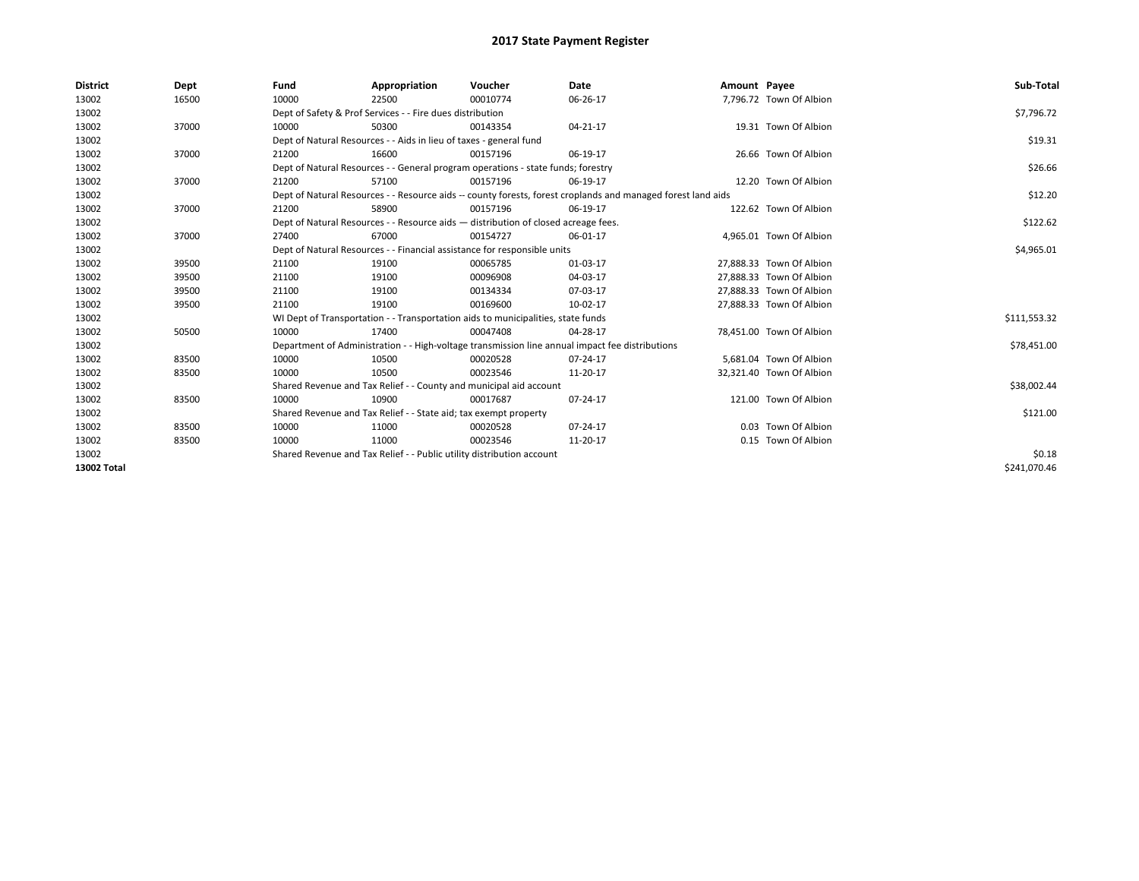| <b>District</b> | Dept  | Fund  | Appropriation                                                                                                | Voucher  | Date       | Amount Payee |                          | Sub-Total    |
|-----------------|-------|-------|--------------------------------------------------------------------------------------------------------------|----------|------------|--------------|--------------------------|--------------|
| 13002           | 16500 | 10000 | 22500                                                                                                        | 00010774 | 06-26-17   |              | 7,796.72 Town Of Albion  |              |
| 13002           |       |       | Dept of Safety & Prof Services - - Fire dues distribution                                                    |          |            |              |                          | \$7,796.72   |
| 13002           | 37000 | 10000 | 50300                                                                                                        | 00143354 | 04-21-17   |              | 19.31 Town Of Albion     |              |
| 13002           |       |       | Dept of Natural Resources - - Aids in lieu of taxes - general fund                                           |          |            |              |                          | \$19.31      |
| 13002           | 37000 | 21200 | 16600                                                                                                        | 00157196 | 06-19-17   |              | 26.66 Town Of Albion     |              |
| 13002           |       |       | Dept of Natural Resources - - General program operations - state funds; forestry                             |          |            |              |                          | \$26.66      |
| 13002           | 37000 | 21200 | 57100                                                                                                        | 00157196 | 06-19-17   |              | 12.20 Town Of Albion     |              |
| 13002           |       |       | Dept of Natural Resources - - Resource aids -- county forests, forest croplands and managed forest land aids |          |            |              |                          | \$12.20      |
| 13002           | 37000 | 21200 | 58900                                                                                                        | 00157196 | 06-19-17   |              | 122.62 Town Of Albion    |              |
| 13002           |       |       | Dept of Natural Resources - - Resource aids - distribution of closed acreage fees.                           |          | \$122.62   |              |                          |              |
| 13002           | 37000 | 27400 | 67000                                                                                                        | 00154727 | 06-01-17   |              | 4,965.01 Town Of Albion  |              |
| 13002           |       |       | Dept of Natural Resources - - Financial assistance for responsible units                                     |          | \$4,965.01 |              |                          |              |
| 13002           | 39500 | 21100 | 19100                                                                                                        | 00065785 | 01-03-17   |              | 27,888.33 Town Of Albion |              |
| 13002           | 39500 | 21100 | 19100                                                                                                        | 00096908 | 04-03-17   |              | 27,888.33 Town Of Albion |              |
| 13002           | 39500 | 21100 | 19100                                                                                                        | 00134334 | 07-03-17   |              | 27,888.33 Town Of Albion |              |
| 13002           | 39500 | 21100 | 19100                                                                                                        | 00169600 | 10-02-17   |              | 27,888.33 Town Of Albion |              |
| 13002           |       |       | WI Dept of Transportation - - Transportation aids to municipalities, state funds                             |          |            |              |                          | \$111,553.32 |
| 13002           | 50500 | 10000 | 17400                                                                                                        | 00047408 | 04-28-17   |              | 78,451.00 Town Of Albion |              |
| 13002           |       |       | Department of Administration - - High-voltage transmission line annual impact fee distributions              |          |            |              |                          | \$78,451.00  |
| 13002           | 83500 | 10000 | 10500                                                                                                        | 00020528 | 07-24-17   |              | 5,681.04 Town Of Albion  |              |
| 13002           | 83500 | 10000 | 10500                                                                                                        | 00023546 | 11-20-17   |              | 32,321.40 Town Of Albion |              |
| 13002           |       |       | Shared Revenue and Tax Relief - - County and municipal aid account                                           |          |            |              |                          | \$38,002.44  |
| 13002           | 83500 | 10000 | 10900                                                                                                        | 00017687 | 07-24-17   |              | 121.00 Town Of Albion    |              |
| 13002           |       |       | Shared Revenue and Tax Relief - - State aid; tax exempt property                                             |          |            |              |                          | \$121.00     |
| 13002           | 83500 | 10000 | 11000                                                                                                        | 00020528 | 07-24-17   |              | 0.03 Town Of Albion      |              |
| 13002           | 83500 | 10000 | 11000                                                                                                        | 00023546 | 11-20-17   |              | 0.15 Town Of Albion      |              |
| 13002           |       |       | Shared Revenue and Tax Relief - - Public utility distribution account                                        |          |            |              |                          | \$0.18       |
| 13002 Total     |       |       |                                                                                                              |          |            |              |                          | \$241.070.46 |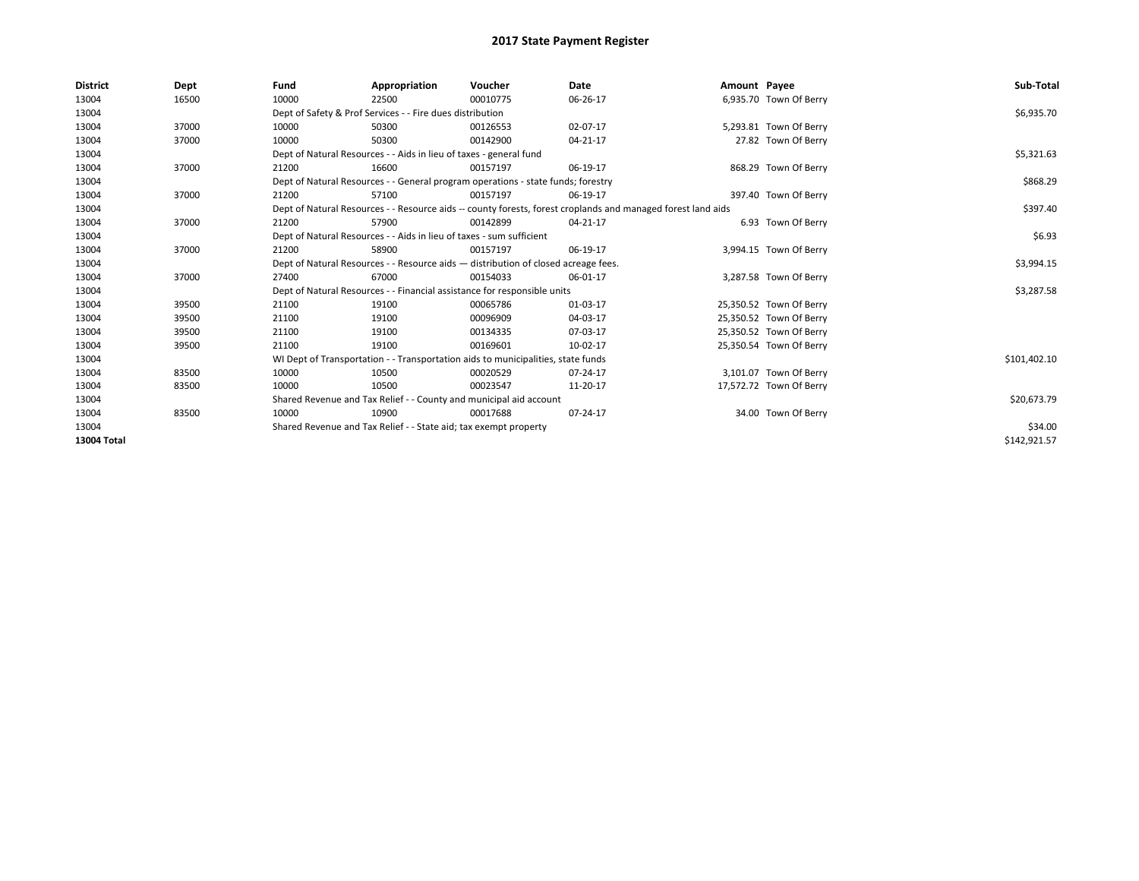| <b>District</b> | Dept  | Fund  | Appropriation                                                                                                | Voucher  | Date     | Amount Payee |                         | Sub-Total    |  |  |
|-----------------|-------|-------|--------------------------------------------------------------------------------------------------------------|----------|----------|--------------|-------------------------|--------------|--|--|
| 13004           | 16500 | 10000 | 22500                                                                                                        | 00010775 | 06-26-17 |              | 6,935.70 Town Of Berry  |              |  |  |
| 13004           |       |       | Dept of Safety & Prof Services - - Fire dues distribution                                                    |          |          |              |                         | \$6,935.70   |  |  |
| 13004           | 37000 | 10000 | 50300                                                                                                        | 00126553 | 02-07-17 |              | 5,293.81 Town Of Berry  |              |  |  |
| 13004           | 37000 | 10000 | 50300                                                                                                        | 00142900 | 04-21-17 |              | 27.82 Town Of Berry     |              |  |  |
| 13004           |       |       | Dept of Natural Resources - - Aids in lieu of taxes - general fund                                           |          |          |              |                         |              |  |  |
| 13004           | 37000 | 21200 | 16600                                                                                                        | 00157197 | 06-19-17 |              | 868.29 Town Of Berry    |              |  |  |
| 13004           |       |       | Dept of Natural Resources - - General program operations - state funds; forestry                             |          |          |              |                         | \$868.29     |  |  |
| 13004           | 37000 | 21200 | 57100                                                                                                        | 00157197 | 06-19-17 |              | 397.40 Town Of Berry    |              |  |  |
| 13004           |       |       | Dept of Natural Resources - - Resource aids -- county forests, forest croplands and managed forest land aids |          | \$397.40 |              |                         |              |  |  |
| 13004           | 37000 | 21200 | 57900                                                                                                        | 00142899 | 04-21-17 |              | 6.93 Town Of Berry      |              |  |  |
| 13004           |       |       | Dept of Natural Resources - - Aids in lieu of taxes - sum sufficient                                         |          | \$6.93   |              |                         |              |  |  |
| 13004           | 37000 | 21200 | 58900                                                                                                        | 00157197 | 06-19-17 |              | 3,994.15 Town Of Berry  |              |  |  |
| 13004           |       |       | Dept of Natural Resources - - Resource aids - distribution of closed acreage fees.                           |          |          |              |                         |              |  |  |
| 13004           | 37000 | 27400 | 67000                                                                                                        | 00154033 | 06-01-17 |              | 3,287.58 Town Of Berry  |              |  |  |
| 13004           |       |       | Dept of Natural Resources - - Financial assistance for responsible units                                     |          |          |              |                         | \$3,287.58   |  |  |
| 13004           | 39500 | 21100 | 19100                                                                                                        | 00065786 | 01-03-17 |              | 25,350.52 Town Of Berry |              |  |  |
| 13004           | 39500 | 21100 | 19100                                                                                                        | 00096909 | 04-03-17 |              | 25,350.52 Town Of Berry |              |  |  |
| 13004           | 39500 | 21100 | 19100                                                                                                        | 00134335 | 07-03-17 |              | 25,350.52 Town Of Berry |              |  |  |
| 13004           | 39500 | 21100 | 19100                                                                                                        | 00169601 | 10-02-17 |              | 25,350.54 Town Of Berry |              |  |  |
| 13004           |       |       | WI Dept of Transportation - - Transportation aids to municipalities, state funds                             |          |          |              |                         | \$101,402.10 |  |  |
| 13004           | 83500 | 10000 | 10500                                                                                                        | 00020529 | 07-24-17 |              | 3,101.07 Town Of Berry  |              |  |  |
| 13004           | 83500 | 10000 | 10500                                                                                                        | 00023547 | 11-20-17 |              | 17,572.72 Town Of Berry |              |  |  |
| 13004           |       |       | Shared Revenue and Tax Relief - - County and municipal aid account                                           |          |          |              |                         |              |  |  |
| 13004           | 83500 | 10000 | 10900                                                                                                        | 00017688 | 07-24-17 |              | 34.00 Town Of Berry     |              |  |  |
| 13004           |       |       | Shared Revenue and Tax Relief - - State aid; tax exempt property                                             |          |          |              |                         |              |  |  |
| 13004 Total     |       |       |                                                                                                              |          |          |              |                         | \$142,921.57 |  |  |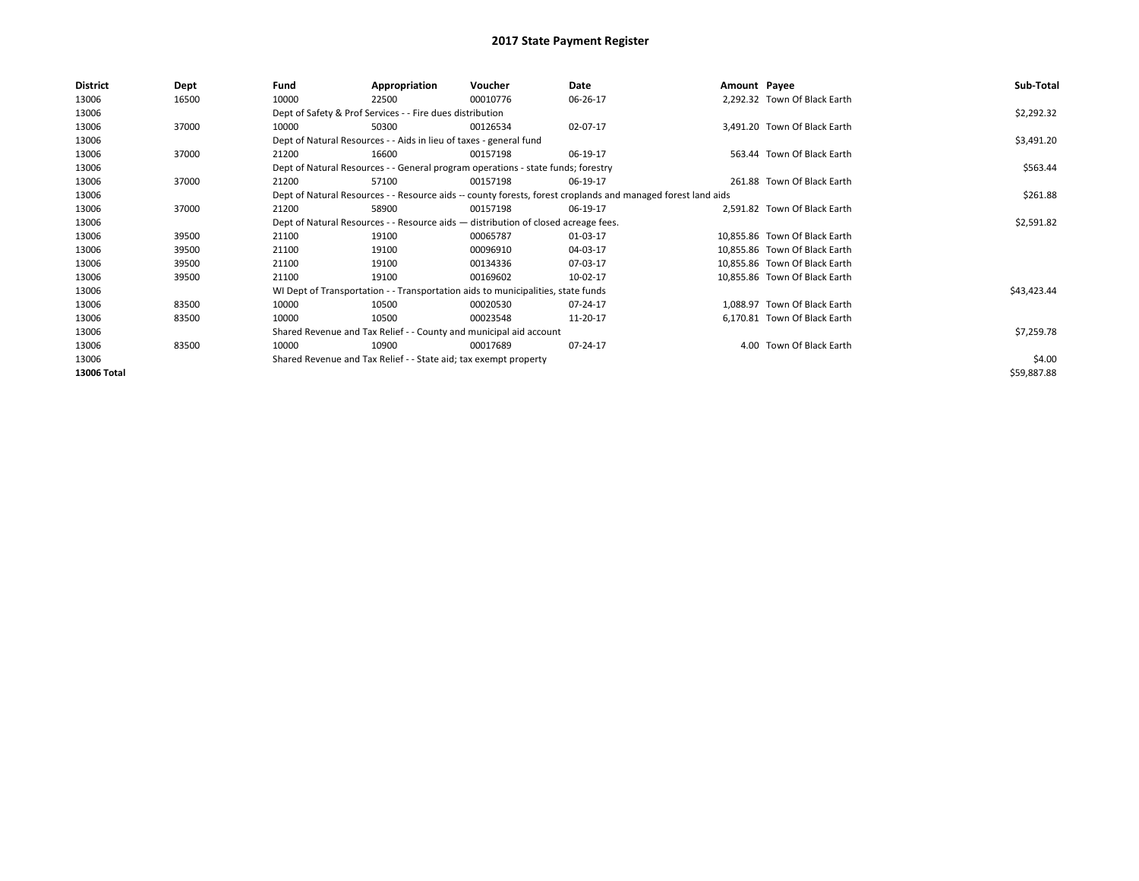| <b>District</b> | Dept  | Fund  | Appropriation                                                                                                | Voucher  | Date       | Amount Payee |                               | Sub-Total   |
|-----------------|-------|-------|--------------------------------------------------------------------------------------------------------------|----------|------------|--------------|-------------------------------|-------------|
| 13006           | 16500 | 10000 | 22500                                                                                                        | 00010776 | 06-26-17   |              | 2,292.32 Town Of Black Earth  |             |
| 13006           |       |       | Dept of Safety & Prof Services - - Fire dues distribution                                                    |          |            |              |                               | \$2,292.32  |
| 13006           | 37000 | 10000 | 50300                                                                                                        | 00126534 | 02-07-17   |              | 3,491.20 Town Of Black Earth  |             |
| 13006           |       |       | Dept of Natural Resources - - Aids in lieu of taxes - general fund                                           |          |            |              |                               | \$3,491.20  |
| 13006           | 37000 | 21200 | 16600                                                                                                        | 00157198 | 06-19-17   |              | 563.44 Town Of Black Earth    |             |
| 13006           |       |       | Dept of Natural Resources - - General program operations - state funds; forestry                             |          |            |              |                               | \$563.44    |
| 13006           | 37000 | 21200 | 57100                                                                                                        | 00157198 | 06-19-17   |              | 261.88 Town Of Black Earth    |             |
| 13006           |       |       | Dept of Natural Resources - - Resource aids -- county forests, forest croplands and managed forest land aids |          | \$261.88   |              |                               |             |
| 13006           | 37000 | 21200 | 58900                                                                                                        | 00157198 | 06-19-17   |              | 2,591.82 Town Of Black Earth  |             |
| 13006           |       |       | Dept of Natural Resources - - Resource aids - distribution of closed acreage fees.                           |          | \$2,591.82 |              |                               |             |
| 13006           | 39500 | 21100 | 19100                                                                                                        | 00065787 | 01-03-17   |              | 10,855.86 Town Of Black Earth |             |
| 13006           | 39500 | 21100 | 19100                                                                                                        | 00096910 | 04-03-17   |              | 10,855.86 Town Of Black Earth |             |
| 13006           | 39500 | 21100 | 19100                                                                                                        | 00134336 | 07-03-17   |              | 10,855.86 Town Of Black Earth |             |
| 13006           | 39500 | 21100 | 19100                                                                                                        | 00169602 | 10-02-17   |              | 10,855.86 Town Of Black Earth |             |
| 13006           |       |       | WI Dept of Transportation - - Transportation aids to municipalities, state funds                             |          |            |              |                               | \$43,423.44 |
| 13006           | 83500 | 10000 | 10500                                                                                                        | 00020530 | 07-24-17   |              | 1.088.97 Town Of Black Earth  |             |
| 13006           | 83500 | 10000 | 10500                                                                                                        | 00023548 | 11-20-17   |              | 6,170.81 Town Of Black Earth  |             |
| 13006           |       |       | Shared Revenue and Tax Relief - - County and municipal aid account                                           |          |            |              |                               | \$7,259.78  |
| 13006           | 83500 | 10000 | 10900                                                                                                        | 00017689 | 07-24-17   |              | 4.00 Town Of Black Earth      |             |
| 13006           |       |       | Shared Revenue and Tax Relief - - State aid; tax exempt property                                             |          |            |              |                               | \$4.00      |
| 13006 Total     |       |       |                                                                                                              |          |            |              |                               | \$59,887.88 |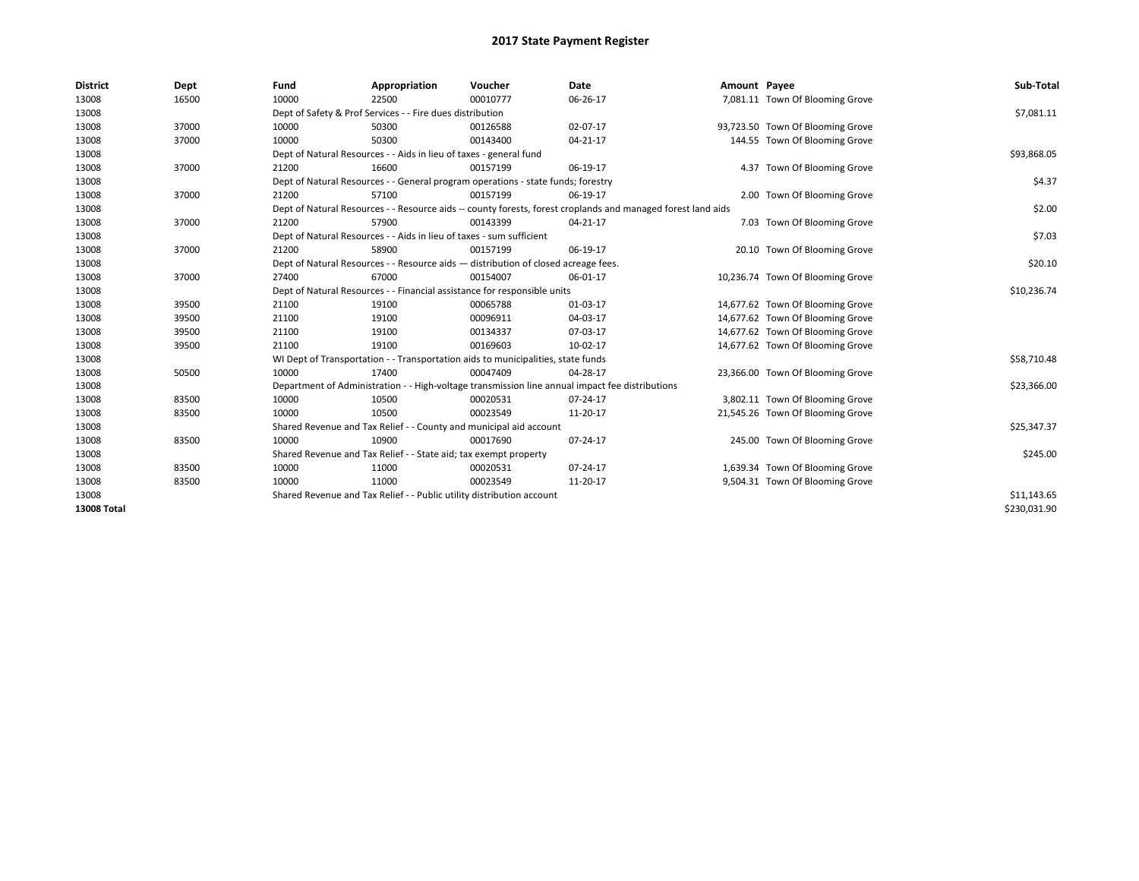| <b>District</b>    | Dept  | Fund  | Appropriation                                                                      | Voucher  | Date                                                                                                         | Amount Payee |                                  | Sub-Total    |  |  |  |
|--------------------|-------|-------|------------------------------------------------------------------------------------|----------|--------------------------------------------------------------------------------------------------------------|--------------|----------------------------------|--------------|--|--|--|
| 13008              | 16500 | 10000 | 22500                                                                              | 00010777 | 06-26-17                                                                                                     |              | 7,081.11 Town Of Blooming Grove  |              |  |  |  |
| 13008              |       |       | Dept of Safety & Prof Services - - Fire dues distribution                          |          |                                                                                                              |              |                                  | \$7,081.11   |  |  |  |
| 13008              | 37000 | 10000 | 50300                                                                              | 00126588 | 02-07-17                                                                                                     |              | 93,723.50 Town Of Blooming Grove |              |  |  |  |
| 13008              | 37000 | 10000 | 50300                                                                              | 00143400 | $04 - 21 - 17$                                                                                               |              | 144.55 Town Of Blooming Grove    |              |  |  |  |
| 13008              |       |       | Dept of Natural Resources - - Aids in lieu of taxes - general fund                 |          |                                                                                                              |              |                                  | \$93,868.05  |  |  |  |
| 13008              | 37000 | 21200 | 16600                                                                              | 00157199 | 06-19-17                                                                                                     |              | 4.37 Town Of Blooming Grove      |              |  |  |  |
| 13008              |       |       | Dept of Natural Resources - - General program operations - state funds; forestry   |          |                                                                                                              |              |                                  | \$4.37       |  |  |  |
| 13008              | 37000 | 21200 | 57100                                                                              | 00157199 | 06-19-17                                                                                                     |              | 2.00 Town Of Blooming Grove      |              |  |  |  |
| 13008              |       |       |                                                                                    |          | Dept of Natural Resources - - Resource aids -- county forests, forest croplands and managed forest land aids |              |                                  | \$2.00       |  |  |  |
| 13008              | 37000 | 21200 | 57900                                                                              | 00143399 | 04-21-17                                                                                                     |              | 7.03 Town Of Blooming Grove      |              |  |  |  |
| 13008              |       |       | Dept of Natural Resources - - Aids in lieu of taxes - sum sufficient               |          |                                                                                                              |              |                                  | \$7.03       |  |  |  |
| 13008              | 37000 | 21200 | 58900                                                                              | 00157199 | 06-19-17                                                                                                     |              | 20.10 Town Of Blooming Grove     |              |  |  |  |
| 13008              |       |       | Dept of Natural Resources - - Resource aids - distribution of closed acreage fees. |          |                                                                                                              |              |                                  |              |  |  |  |
| 13008              | 37000 | 27400 | 67000                                                                              | 00154007 | 06-01-17                                                                                                     |              | 10,236.74 Town Of Blooming Grove |              |  |  |  |
| 13008              |       |       | Dept of Natural Resources - - Financial assistance for responsible units           |          |                                                                                                              |              |                                  |              |  |  |  |
| 13008              | 39500 | 21100 | 19100                                                                              | 00065788 | 01-03-17                                                                                                     |              | 14,677.62 Town Of Blooming Grove |              |  |  |  |
| 13008              | 39500 | 21100 | 19100                                                                              | 00096911 | 04-03-17                                                                                                     |              | 14,677.62 Town Of Blooming Grove |              |  |  |  |
| 13008              | 39500 | 21100 | 19100                                                                              | 00134337 | 07-03-17                                                                                                     |              | 14,677.62 Town Of Blooming Grove |              |  |  |  |
| 13008              | 39500 | 21100 | 19100                                                                              | 00169603 | 10-02-17                                                                                                     |              | 14,677.62 Town Of Blooming Grove |              |  |  |  |
| 13008              |       |       | WI Dept of Transportation - - Transportation aids to municipalities, state funds   |          |                                                                                                              |              |                                  | \$58,710.48  |  |  |  |
| 13008              | 50500 | 10000 | 17400                                                                              | 00047409 | 04-28-17                                                                                                     |              | 23,366.00 Town Of Blooming Grove |              |  |  |  |
| 13008              |       |       |                                                                                    |          | Department of Administration - - High-voltage transmission line annual impact fee distributions              |              |                                  | \$23,366.00  |  |  |  |
| 13008              | 83500 | 10000 | 10500                                                                              | 00020531 | 07-24-17                                                                                                     |              | 3,802.11 Town Of Blooming Grove  |              |  |  |  |
| 13008              | 83500 | 10000 | 10500                                                                              | 00023549 | 11-20-17                                                                                                     |              | 21,545.26 Town Of Blooming Grove |              |  |  |  |
| 13008              |       |       | Shared Revenue and Tax Relief - - County and municipal aid account                 |          |                                                                                                              |              |                                  | \$25,347.37  |  |  |  |
| 13008              | 83500 | 10000 | 10900                                                                              | 00017690 | 07-24-17                                                                                                     |              | 245.00 Town Of Blooming Grove    |              |  |  |  |
| 13008              |       |       | Shared Revenue and Tax Relief - - State aid; tax exempt property                   |          |                                                                                                              |              |                                  | \$245.00     |  |  |  |
| 13008              | 83500 | 10000 | 11000                                                                              | 00020531 | 07-24-17                                                                                                     |              | 1,639.34 Town Of Blooming Grove  |              |  |  |  |
| 13008              | 83500 | 10000 | 11000                                                                              | 00023549 | 11-20-17                                                                                                     |              | 9,504.31 Town Of Blooming Grove  |              |  |  |  |
| 13008              |       |       | Shared Revenue and Tax Relief - - Public utility distribution account              |          |                                                                                                              |              |                                  |              |  |  |  |
| <b>13008 Total</b> |       |       |                                                                                    |          |                                                                                                              |              |                                  | \$230,031.90 |  |  |  |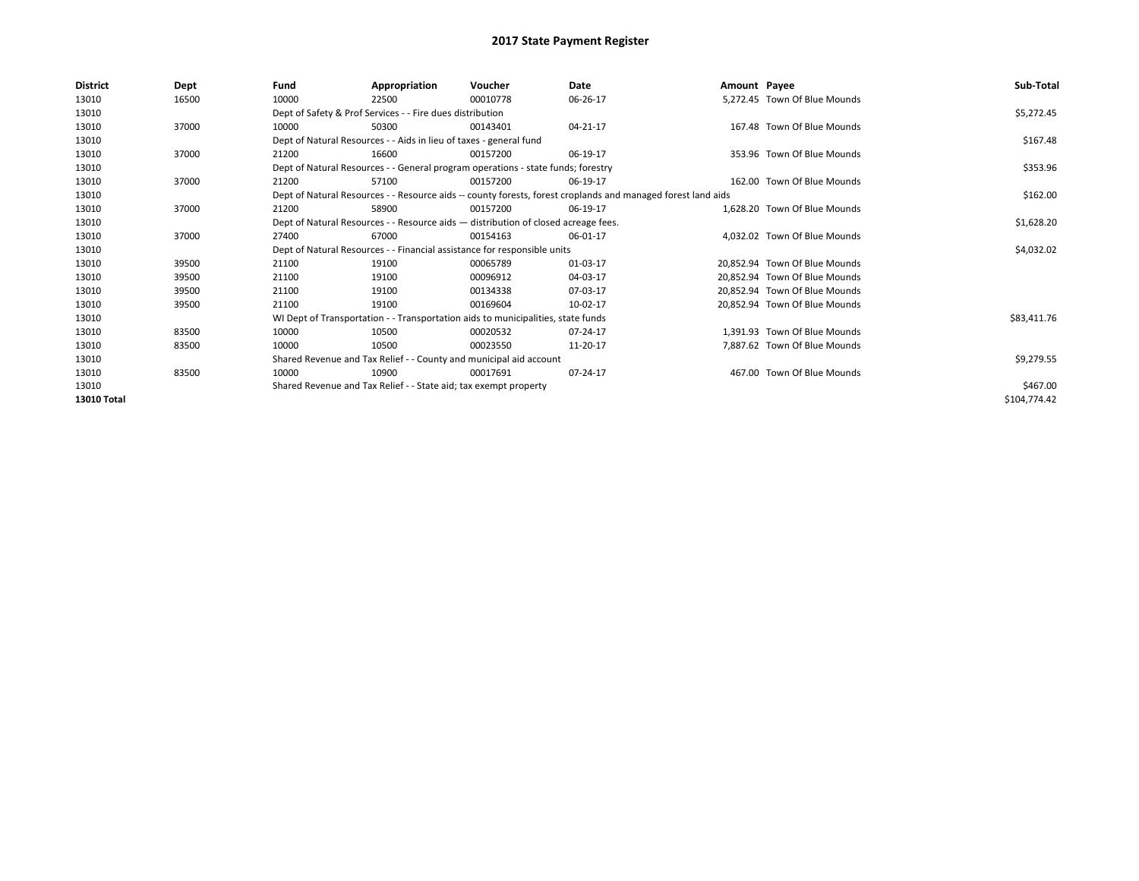| <b>District</b> | Dept  | Fund  | Appropriation                                                                      | Voucher  | Date                                                                                                         | Amount Payee |                               | Sub-Total    |
|-----------------|-------|-------|------------------------------------------------------------------------------------|----------|--------------------------------------------------------------------------------------------------------------|--------------|-------------------------------|--------------|
| 13010           | 16500 | 10000 | 22500                                                                              | 00010778 | 06-26-17                                                                                                     |              | 5,272.45 Town Of Blue Mounds  |              |
| 13010           |       |       | Dept of Safety & Prof Services - - Fire dues distribution                          |          |                                                                                                              |              |                               | \$5,272.45   |
| 13010           | 37000 | 10000 | 50300                                                                              | 00143401 | 04-21-17                                                                                                     |              | 167.48 Town Of Blue Mounds    |              |
| 13010           |       |       | Dept of Natural Resources - - Aids in lieu of taxes - general fund                 |          |                                                                                                              |              |                               | \$167.48     |
| 13010           | 37000 | 21200 | 16600                                                                              | 00157200 | 06-19-17                                                                                                     |              | 353.96 Town Of Blue Mounds    |              |
| 13010           |       |       | Dept of Natural Resources - - General program operations - state funds; forestry   |          |                                                                                                              |              |                               | \$353.96     |
| 13010           | 37000 | 21200 | 57100                                                                              | 00157200 | 06-19-17                                                                                                     |              | 162.00 Town Of Blue Mounds    |              |
| 13010           |       |       |                                                                                    |          | Dept of Natural Resources - - Resource aids -- county forests, forest croplands and managed forest land aids |              |                               | \$162.00     |
| 13010           | 37000 | 21200 | 58900                                                                              | 00157200 | 06-19-17                                                                                                     |              | 1.628.20 Town Of Blue Mounds  |              |
| 13010           |       |       | Dept of Natural Resources - - Resource aids - distribution of closed acreage fees. |          | \$1,628.20                                                                                                   |              |                               |              |
| 13010           | 37000 | 27400 | 67000                                                                              | 00154163 | 06-01-17                                                                                                     |              | 4.032.02 Town Of Blue Mounds  |              |
| 13010           |       |       | Dept of Natural Resources - - Financial assistance for responsible units           |          |                                                                                                              |              |                               | \$4,032.02   |
| 13010           | 39500 | 21100 | 19100                                                                              | 00065789 | 01-03-17                                                                                                     |              | 20.852.94 Town Of Blue Mounds |              |
| 13010           | 39500 | 21100 | 19100                                                                              | 00096912 | 04-03-17                                                                                                     |              | 20.852.94 Town Of Blue Mounds |              |
| 13010           | 39500 | 21100 | 19100                                                                              | 00134338 | 07-03-17                                                                                                     |              | 20.852.94 Town Of Blue Mounds |              |
| 13010           | 39500 | 21100 | 19100                                                                              | 00169604 | 10-02-17                                                                                                     |              | 20,852.94 Town Of Blue Mounds |              |
| 13010           |       |       | WI Dept of Transportation - - Transportation aids to municipalities, state funds   |          |                                                                                                              |              |                               | \$83,411.76  |
| 13010           | 83500 | 10000 | 10500                                                                              | 00020532 | 07-24-17                                                                                                     |              | 1.391.93 Town Of Blue Mounds  |              |
| 13010           | 83500 | 10000 | 10500                                                                              | 00023550 | 11-20-17                                                                                                     |              | 7,887.62 Town Of Blue Mounds  |              |
| 13010           |       |       | Shared Revenue and Tax Relief - - County and municipal aid account                 |          |                                                                                                              |              |                               | \$9,279.55   |
| 13010           | 83500 | 10000 | 10900                                                                              | 00017691 | 07-24-17                                                                                                     |              | 467.00 Town Of Blue Mounds    |              |
| 13010           |       |       | Shared Revenue and Tax Relief - - State aid; tax exempt property                   |          |                                                                                                              |              |                               | \$467.00     |
| 13010 Total     |       |       |                                                                                    |          |                                                                                                              |              |                               | \$104,774.42 |
|                 |       |       |                                                                                    |          |                                                                                                              |              |                               |              |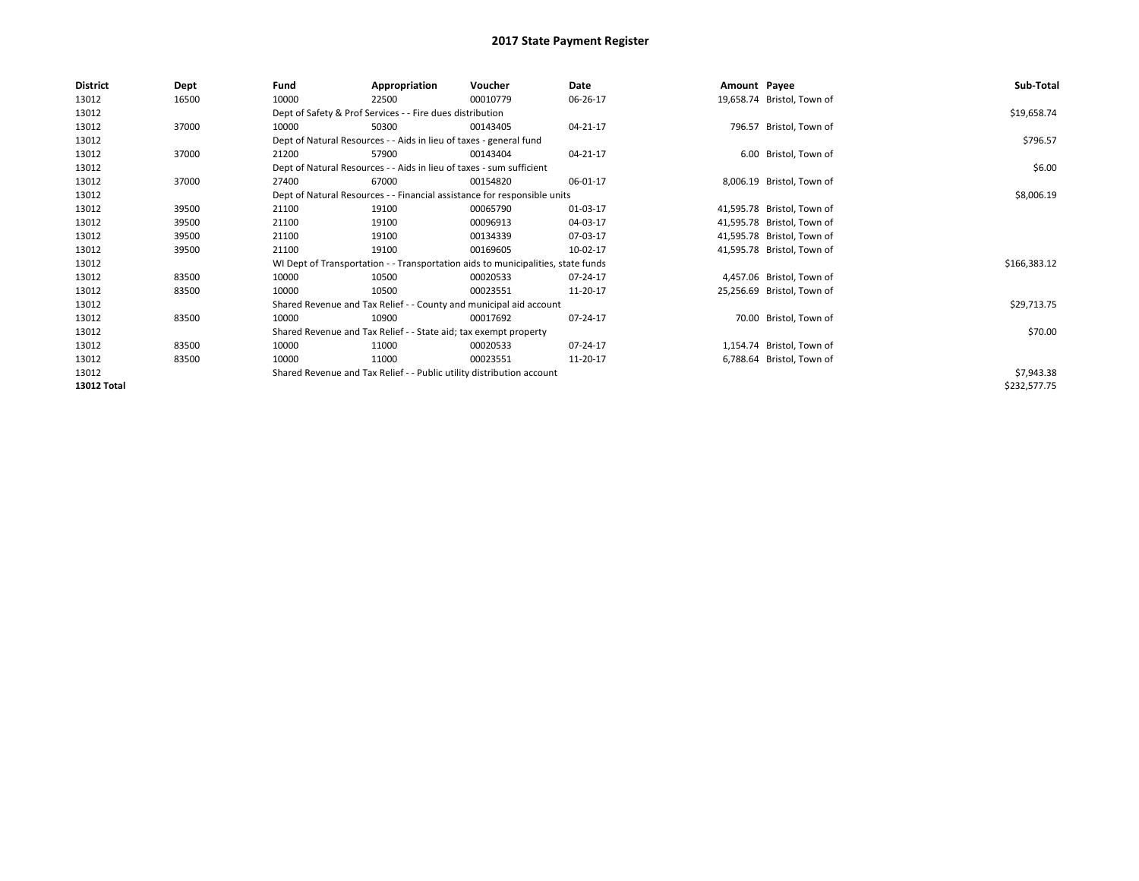| District           | Dept  | Fund  | Appropriation                                                                    | Voucher  | Date       | Amount Payee |                            | Sub-Total    |
|--------------------|-------|-------|----------------------------------------------------------------------------------|----------|------------|--------------|----------------------------|--------------|
| 13012              | 16500 | 10000 | 22500                                                                            | 00010779 | 06-26-17   |              | 19,658.74 Bristol, Town of |              |
| 13012              |       |       | Dept of Safety & Prof Services - - Fire dues distribution                        |          |            |              |                            | \$19,658.74  |
| 13012              | 37000 | 10000 | 50300                                                                            | 00143405 | 04-21-17   |              | 796.57 Bristol, Town of    |              |
| 13012              |       |       | Dept of Natural Resources - - Aids in lieu of taxes - general fund               |          |            |              |                            | \$796.57     |
| 13012              | 37000 | 21200 | 57900                                                                            | 00143404 | 04-21-17   |              | 6.00 Bristol, Town of      |              |
| 13012              |       |       | Dept of Natural Resources - - Aids in lieu of taxes - sum sufficient             |          |            |              |                            | \$6.00       |
| 13012              | 37000 | 27400 | 67000                                                                            | 00154820 | 06-01-17   |              | 8,006.19 Bristol, Town of  |              |
| 13012              |       |       | Dept of Natural Resources - - Financial assistance for responsible units         |          | \$8,006.19 |              |                            |              |
| 13012              | 39500 | 21100 | 19100                                                                            | 00065790 | 01-03-17   |              | 41,595.78 Bristol, Town of |              |
| 13012              | 39500 | 21100 | 19100                                                                            | 00096913 | 04-03-17   |              | 41,595.78 Bristol, Town of |              |
| 13012              | 39500 | 21100 | 19100                                                                            | 00134339 | 07-03-17   |              | 41,595.78 Bristol, Town of |              |
| 13012              | 39500 | 21100 | 19100                                                                            | 00169605 | 10-02-17   |              | 41,595.78 Bristol, Town of |              |
| 13012              |       |       | WI Dept of Transportation - - Transportation aids to municipalities, state funds |          |            |              |                            | \$166,383.12 |
| 13012              | 83500 | 10000 | 10500                                                                            | 00020533 | 07-24-17   |              | 4,457.06 Bristol, Town of  |              |
| 13012              | 83500 | 10000 | 10500                                                                            | 00023551 | 11-20-17   |              | 25,256.69 Bristol, Town of |              |
| 13012              |       |       | Shared Revenue and Tax Relief - - County and municipal aid account               |          |            |              |                            | \$29,713.75  |
| 13012              | 83500 | 10000 | 10900                                                                            | 00017692 | 07-24-17   |              | 70.00 Bristol, Town of     |              |
| 13012              |       |       | Shared Revenue and Tax Relief - - State aid; tax exempt property                 |          |            |              |                            | \$70.00      |
| 13012              | 83500 | 10000 | 11000                                                                            | 00020533 | 07-24-17   |              | 1,154.74 Bristol, Town of  |              |
| 13012              | 83500 | 10000 | 11000                                                                            | 00023551 | 11-20-17   |              | 6,788.64 Bristol, Town of  |              |
| 13012              |       |       | Shared Revenue and Tax Relief - - Public utility distribution account            |          |            |              |                            | \$7,943.38   |
| <b>13012 Total</b> |       |       |                                                                                  |          |            |              |                            | \$232,577.75 |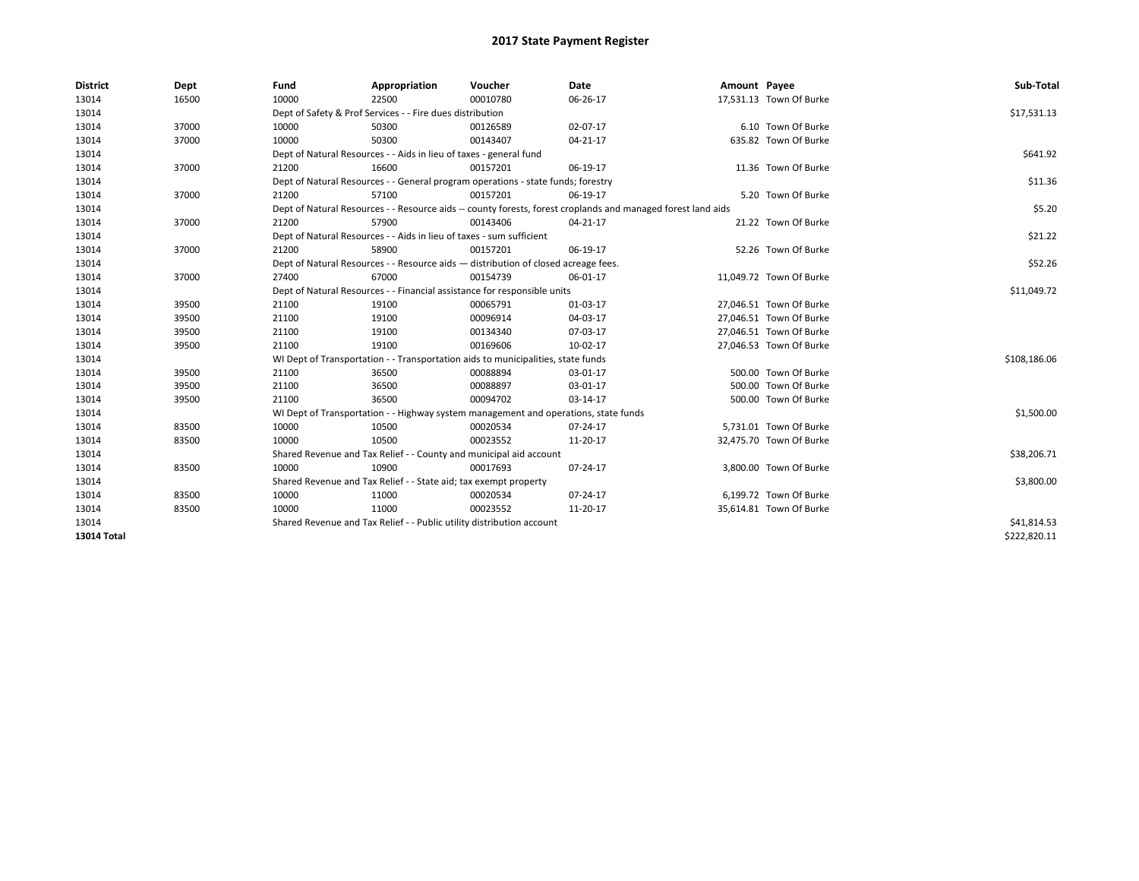| <b>District</b> | Dept  | Fund  | Appropriation                                                                                                | Voucher  | Date        | Amount Payee |                         | Sub-Total    |
|-----------------|-------|-------|--------------------------------------------------------------------------------------------------------------|----------|-------------|--------------|-------------------------|--------------|
| 13014           | 16500 | 10000 | 22500                                                                                                        | 00010780 | 06-26-17    |              | 17,531.13 Town Of Burke |              |
| 13014           |       |       | Dept of Safety & Prof Services - - Fire dues distribution                                                    |          |             |              |                         | \$17,531.13  |
| 13014           | 37000 | 10000 | 50300                                                                                                        | 00126589 | 02-07-17    |              | 6.10 Town Of Burke      |              |
| 13014           | 37000 | 10000 | 50300                                                                                                        | 00143407 | 04-21-17    |              | 635.82 Town Of Burke    |              |
| 13014           |       |       | Dept of Natural Resources - - Aids in lieu of taxes - general fund                                           |          |             |              |                         | \$641.92     |
| 13014           | 37000 | 21200 | 16600                                                                                                        | 00157201 | 06-19-17    |              | 11.36 Town Of Burke     |              |
| 13014           |       |       | Dept of Natural Resources - - General program operations - state funds; forestry                             |          |             |              |                         | \$11.36      |
| 13014           | 37000 | 21200 | 57100                                                                                                        | 00157201 | 06-19-17    |              | 5.20 Town Of Burke      |              |
| 13014           |       |       | Dept of Natural Resources - - Resource aids -- county forests, forest croplands and managed forest land aids |          |             |              |                         | \$5.20       |
| 13014           | 37000 | 21200 | 57900                                                                                                        | 00143406 | 04-21-17    |              | 21.22 Town Of Burke     |              |
| 13014           |       |       | Dept of Natural Resources - - Aids in lieu of taxes - sum sufficient                                         |          |             |              |                         | \$21.22      |
| 13014           | 37000 | 21200 | 58900                                                                                                        | 00157201 | 06-19-17    |              | 52.26 Town Of Burke     |              |
| 13014           |       |       | Dept of Natural Resources - - Resource aids - distribution of closed acreage fees.                           |          |             |              |                         | \$52.26      |
| 13014           | 37000 | 27400 | 67000                                                                                                        | 00154739 | 06-01-17    |              | 11,049.72 Town Of Burke |              |
| 13014           |       |       | Dept of Natural Resources - - Financial assistance for responsible units                                     |          | \$11,049.72 |              |                         |              |
| 13014           | 39500 | 21100 | 19100                                                                                                        | 00065791 | 01-03-17    |              | 27,046.51 Town Of Burke |              |
| 13014           | 39500 | 21100 | 19100                                                                                                        | 00096914 | 04-03-17    |              | 27,046.51 Town Of Burke |              |
| 13014           | 39500 | 21100 | 19100                                                                                                        | 00134340 | 07-03-17    |              | 27,046.51 Town Of Burke |              |
| 13014           | 39500 | 21100 | 19100                                                                                                        | 00169606 | 10-02-17    |              | 27,046.53 Town Of Burke |              |
| 13014           |       |       | WI Dept of Transportation - - Transportation aids to municipalities, state funds                             |          |             |              |                         | \$108,186.06 |
| 13014           | 39500 | 21100 | 36500                                                                                                        | 00088894 | 03-01-17    |              | 500.00 Town Of Burke    |              |
| 13014           | 39500 | 21100 | 36500                                                                                                        | 00088897 | 03-01-17    |              | 500.00 Town Of Burke    |              |
| 13014           | 39500 | 21100 | 36500                                                                                                        | 00094702 | 03-14-17    |              | 500.00 Town Of Burke    |              |
| 13014           |       |       | WI Dept of Transportation - - Highway system management and operations, state funds                          |          |             |              |                         | \$1,500.00   |
| 13014           | 83500 | 10000 | 10500                                                                                                        | 00020534 | 07-24-17    |              | 5,731.01 Town Of Burke  |              |
| 13014           | 83500 | 10000 | 10500                                                                                                        | 00023552 | 11-20-17    |              | 32,475.70 Town Of Burke |              |
| 13014           |       |       | Shared Revenue and Tax Relief - - County and municipal aid account                                           |          |             |              |                         | \$38,206.71  |
| 13014           | 83500 | 10000 | 10900                                                                                                        | 00017693 | 07-24-17    |              | 3,800.00 Town Of Burke  |              |
| 13014           |       |       | Shared Revenue and Tax Relief - - State aid; tax exempt property                                             |          |             |              |                         | \$3,800.00   |
| 13014           | 83500 | 10000 | 11000                                                                                                        | 00020534 | 07-24-17    |              | 6.199.72 Town Of Burke  |              |
| 13014           | 83500 | 10000 | 11000                                                                                                        | 00023552 | 11-20-17    |              | 35,614.81 Town Of Burke |              |
| 13014           |       |       | Shared Revenue and Tax Relief - - Public utility distribution account                                        |          |             |              |                         | \$41,814.53  |
| 13014 Total     |       |       |                                                                                                              |          |             |              |                         | \$222,820.11 |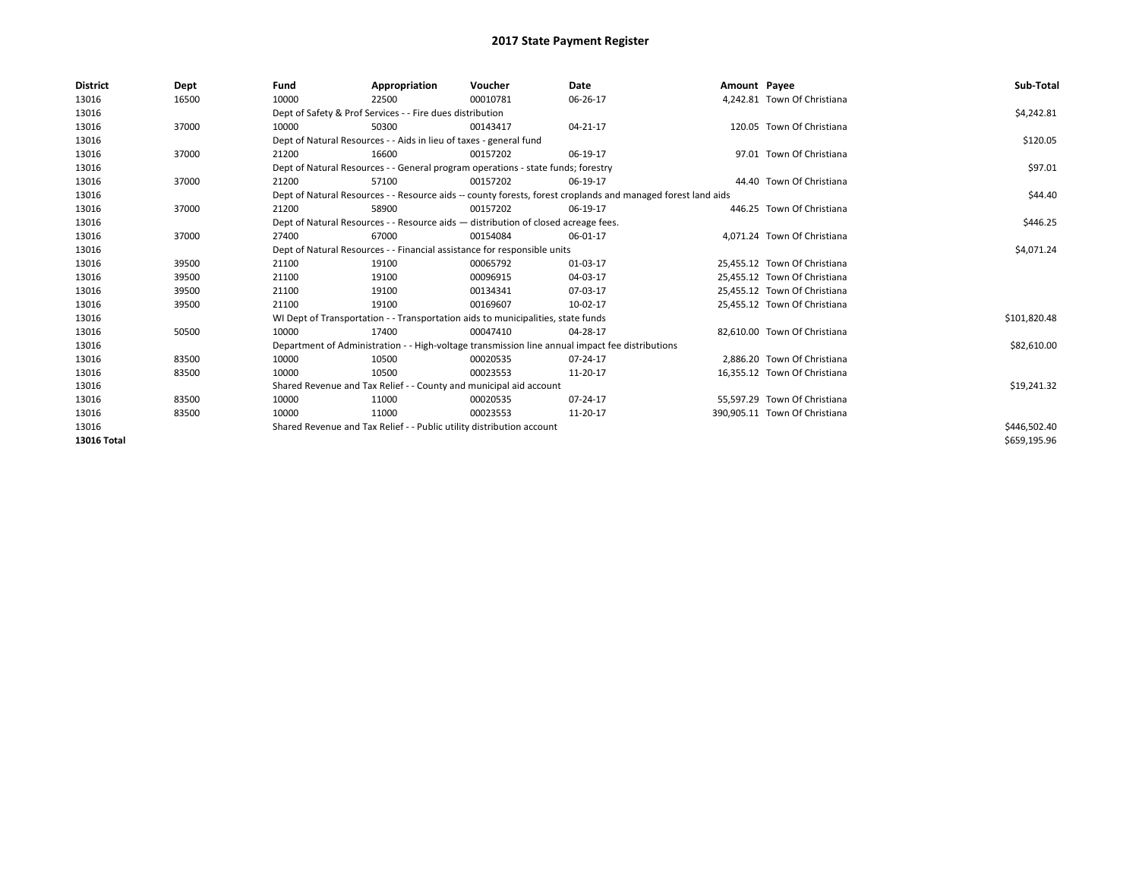| <b>District</b> | Dept  | Fund  | Appropriation                                                                                                | Voucher  | Date           | Amount Payee |                               | Sub-Total    |
|-----------------|-------|-------|--------------------------------------------------------------------------------------------------------------|----------|----------------|--------------|-------------------------------|--------------|
| 13016           | 16500 | 10000 | 22500                                                                                                        | 00010781 | 06-26-17       |              | 4,242.81 Town Of Christiana   |              |
| 13016           |       |       | Dept of Safety & Prof Services - - Fire dues distribution                                                    |          |                |              |                               | \$4,242.81   |
| 13016           | 37000 | 10000 | 50300                                                                                                        | 00143417 | $04 - 21 - 17$ |              | 120.05 Town Of Christiana     |              |
| 13016           |       |       | Dept of Natural Resources - - Aids in lieu of taxes - general fund                                           |          |                |              |                               | \$120.05     |
| 13016           | 37000 | 21200 | 16600                                                                                                        | 00157202 | 06-19-17       |              | 97.01 Town Of Christiana      |              |
| 13016           |       |       | Dept of Natural Resources - - General program operations - state funds; forestry                             |          |                |              |                               | \$97.01      |
| 13016           | 37000 | 21200 | 57100                                                                                                        | 00157202 | 06-19-17       |              | 44.40 Town Of Christiana      |              |
| 13016           |       |       | Dept of Natural Resources - - Resource aids -- county forests, forest croplands and managed forest land aids |          |                |              |                               | \$44.40      |
| 13016           | 37000 | 21200 | 58900                                                                                                        | 00157202 | 06-19-17       |              | 446.25 Town Of Christiana     |              |
| 13016           |       |       | Dept of Natural Resources - - Resource aids - distribution of closed acreage fees.                           |          |                |              |                               | \$446.25     |
| 13016           | 37000 | 27400 | 67000                                                                                                        | 00154084 | 06-01-17       |              | 4.071.24 Town Of Christiana   |              |
| 13016           |       |       | Dept of Natural Resources - - Financial assistance for responsible units                                     |          | \$4,071.24     |              |                               |              |
| 13016           | 39500 | 21100 | 19100                                                                                                        | 00065792 | 01-03-17       |              | 25,455.12 Town Of Christiana  |              |
| 13016           | 39500 | 21100 | 19100                                                                                                        | 00096915 | 04-03-17       |              | 25,455.12 Town Of Christiana  |              |
| 13016           | 39500 | 21100 | 19100                                                                                                        | 00134341 | 07-03-17       |              | 25,455.12 Town Of Christiana  |              |
| 13016           | 39500 | 21100 | 19100                                                                                                        | 00169607 | 10-02-17       |              | 25,455.12 Town Of Christiana  |              |
| 13016           |       |       | WI Dept of Transportation - - Transportation aids to municipalities, state funds                             |          |                |              |                               | \$101,820.48 |
| 13016           | 50500 | 10000 | 17400                                                                                                        | 00047410 | 04-28-17       |              | 82,610.00 Town Of Christiana  |              |
| 13016           |       |       | Department of Administration - - High-voltage transmission line annual impact fee distributions              |          |                |              |                               | \$82,610.00  |
| 13016           | 83500 | 10000 | 10500                                                                                                        | 00020535 | 07-24-17       |              | 2.886.20 Town Of Christiana   |              |
| 13016           | 83500 | 10000 | 10500                                                                                                        | 00023553 | 11-20-17       |              | 16,355.12 Town Of Christiana  |              |
| 13016           |       |       | Shared Revenue and Tax Relief - - County and municipal aid account                                           |          |                |              |                               | \$19,241.32  |
| 13016           | 83500 | 10000 | 11000                                                                                                        | 00020535 | 07-24-17       |              | 55.597.29 Town Of Christiana  |              |
| 13016           | 83500 | 10000 | 11000                                                                                                        | 00023553 | 11-20-17       |              | 390,905.11 Town Of Christiana |              |
| 13016           |       |       | Shared Revenue and Tax Relief - - Public utility distribution account                                        |          |                |              |                               | \$446,502.40 |
| 13016 Total     |       |       |                                                                                                              |          |                |              |                               | \$659,195.96 |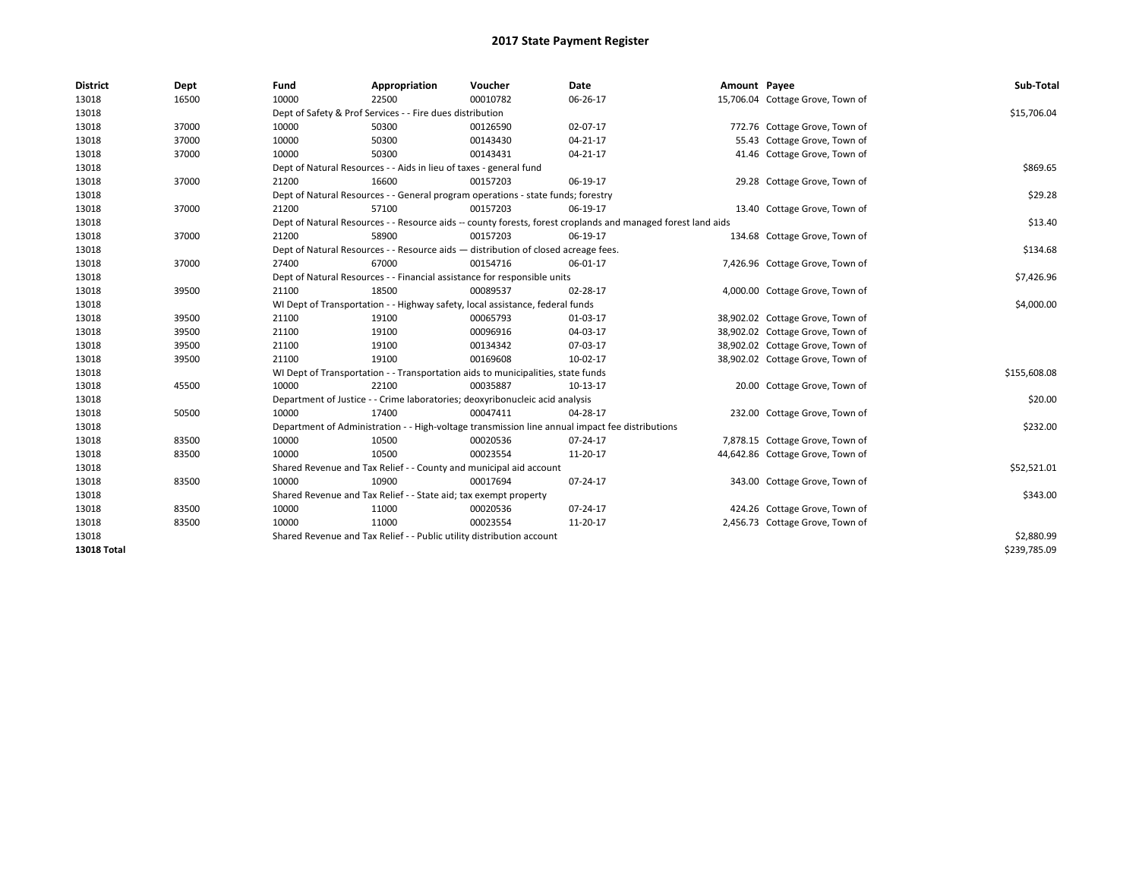| <b>District</b>    | Dept  | Fund                                                                          | Appropriation                                                                      | Voucher    | <b>Date</b>                                                                                                  | Amount Payee |                                  | Sub-Total    |
|--------------------|-------|-------------------------------------------------------------------------------|------------------------------------------------------------------------------------|------------|--------------------------------------------------------------------------------------------------------------|--------------|----------------------------------|--------------|
| 13018              | 16500 | 10000                                                                         | 22500                                                                              | 00010782   | 06-26-17                                                                                                     |              | 15,706.04 Cottage Grove, Town of |              |
| 13018              |       |                                                                               | Dept of Safety & Prof Services - - Fire dues distribution                          |            |                                                                                                              |              |                                  | \$15,706.04  |
| 13018              | 37000 | 10000                                                                         | 50300                                                                              | 00126590   | 02-07-17                                                                                                     |              | 772.76 Cottage Grove, Town of    |              |
| 13018              | 37000 | 10000                                                                         | 50300                                                                              | 00143430   | 04-21-17                                                                                                     |              | 55.43 Cottage Grove, Town of     |              |
| 13018              | 37000 | 10000                                                                         | 50300                                                                              | 00143431   | 04-21-17                                                                                                     |              | 41.46 Cottage Grove, Town of     |              |
| 13018              |       |                                                                               | Dept of Natural Resources - - Aids in lieu of taxes - general fund                 |            |                                                                                                              |              |                                  | \$869.65     |
| 13018              | 37000 | 21200                                                                         | 16600                                                                              | 00157203   | 06-19-17                                                                                                     |              | 29.28 Cottage Grove, Town of     |              |
| 13018              |       |                                                                               | Dept of Natural Resources - - General program operations - state funds; forestry   |            |                                                                                                              |              |                                  | \$29.28      |
| 13018              | 37000 | 21200                                                                         | 57100                                                                              | 00157203   | 06-19-17                                                                                                     |              | 13.40 Cottage Grove, Town of     |              |
| 13018              |       |                                                                               |                                                                                    |            | Dept of Natural Resources - - Resource aids -- county forests, forest croplands and managed forest land aids |              |                                  | \$13.40      |
| 13018              | 37000 | 21200                                                                         | 58900                                                                              | 00157203   | 06-19-17                                                                                                     |              | 134.68 Cottage Grove, Town of    |              |
| 13018              |       |                                                                               | Dept of Natural Resources - - Resource aids - distribution of closed acreage fees. |            |                                                                                                              |              |                                  | \$134.68     |
| 13018              | 37000 | 27400                                                                         | 67000                                                                              | 00154716   | 06-01-17                                                                                                     |              | 7,426.96 Cottage Grove, Town of  |              |
| 13018              |       |                                                                               | Dept of Natural Resources - - Financial assistance for responsible units           |            |                                                                                                              |              |                                  | \$7,426.96   |
| 13018              | 39500 | 21100                                                                         | 18500                                                                              | 00089537   | 02-28-17                                                                                                     |              | 4,000.00 Cottage Grove, Town of  |              |
| 13018              |       | WI Dept of Transportation - - Highway safety, local assistance, federal funds |                                                                                    | \$4,000.00 |                                                                                                              |              |                                  |              |
| 13018              | 39500 | 21100                                                                         | 19100                                                                              | 00065793   | 01-03-17                                                                                                     |              | 38,902.02 Cottage Grove, Town of |              |
| 13018              | 39500 | 21100                                                                         | 19100                                                                              | 00096916   | 04-03-17                                                                                                     |              | 38,902.02 Cottage Grove, Town of |              |
| 13018              | 39500 | 21100                                                                         | 19100                                                                              | 00134342   | 07-03-17                                                                                                     |              | 38,902.02 Cottage Grove, Town of |              |
| 13018              | 39500 | 21100                                                                         | 19100                                                                              | 00169608   | 10-02-17                                                                                                     |              | 38,902.02 Cottage Grove, Town of |              |
| 13018              |       |                                                                               | WI Dept of Transportation - - Transportation aids to municipalities, state funds   |            |                                                                                                              |              |                                  | \$155,608.08 |
| 13018              | 45500 | 10000                                                                         | 22100                                                                              | 00035887   | 10-13-17                                                                                                     |              | 20.00 Cottage Grove, Town of     |              |
| 13018              |       |                                                                               | Department of Justice - - Crime laboratories; deoxyribonucleic acid analysis       |            |                                                                                                              |              |                                  | \$20.00      |
| 13018              | 50500 | 10000                                                                         | 17400                                                                              | 00047411   | 04-28-17                                                                                                     |              | 232.00 Cottage Grove, Town of    |              |
| 13018              |       |                                                                               |                                                                                    |            | Department of Administration - - High-voltage transmission line annual impact fee distributions              |              |                                  | \$232.00     |
| 13018              | 83500 | 10000                                                                         | 10500                                                                              | 00020536   | 07-24-17                                                                                                     |              | 7,878.15 Cottage Grove, Town of  |              |
| 13018              | 83500 | 10000                                                                         | 10500                                                                              | 00023554   | 11-20-17                                                                                                     |              | 44,642.86 Cottage Grove, Town of |              |
| 13018              |       |                                                                               | Shared Revenue and Tax Relief - - County and municipal aid account                 |            |                                                                                                              |              |                                  | \$52,521.01  |
| 13018              | 83500 | 10000                                                                         | 10900                                                                              | 00017694   | 07-24-17                                                                                                     |              | 343.00 Cottage Grove, Town of    |              |
| 13018              |       |                                                                               | Shared Revenue and Tax Relief - - State aid; tax exempt property                   |            |                                                                                                              |              |                                  | \$343.00     |
| 13018              | 83500 | 10000                                                                         | 11000                                                                              | 00020536   | 07-24-17                                                                                                     |              | 424.26 Cottage Grove, Town of    |              |
| 13018              | 83500 | 10000                                                                         | 11000                                                                              | 00023554   | 11-20-17                                                                                                     |              | 2,456.73 Cottage Grove, Town of  |              |
| 13018              |       |                                                                               | Shared Revenue and Tax Relief - - Public utility distribution account              |            |                                                                                                              |              |                                  | \$2,880.99   |
| <b>13018 Total</b> |       |                                                                               |                                                                                    |            |                                                                                                              |              |                                  | \$239,785.09 |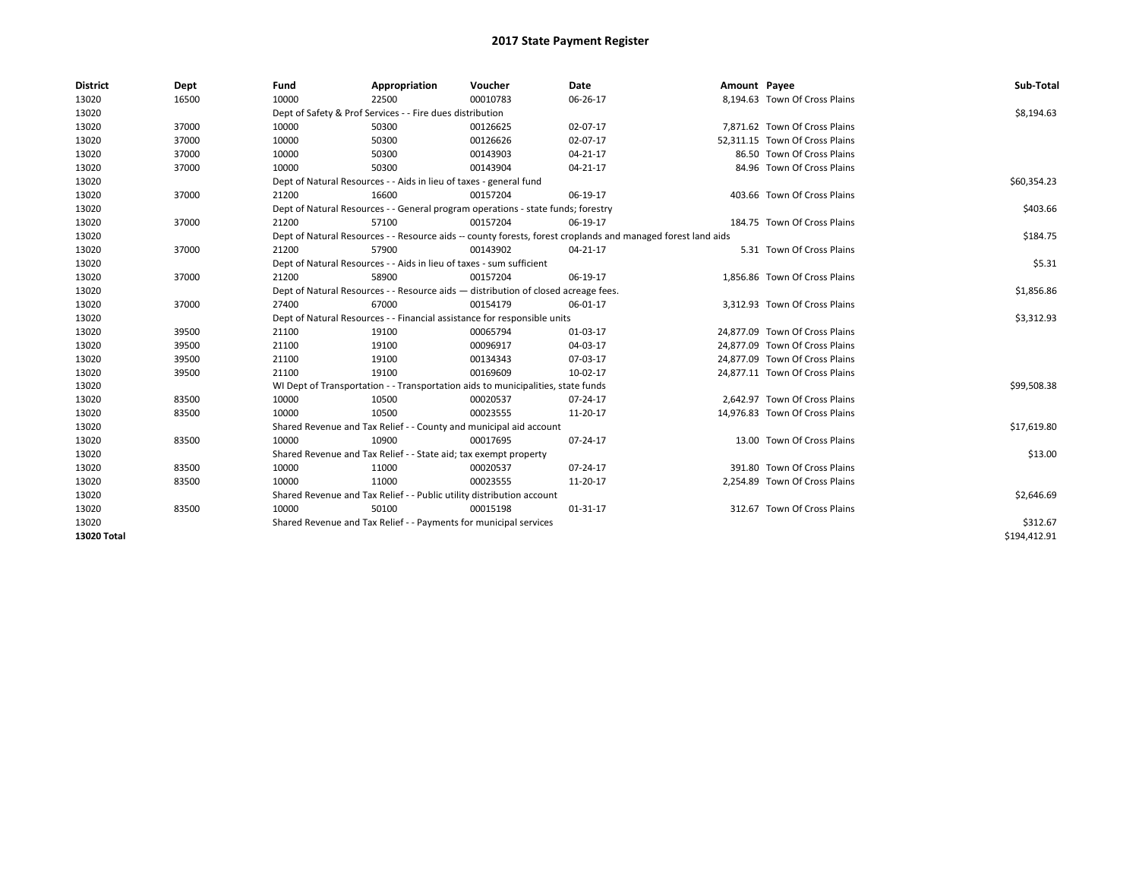| <b>District</b> | Dept  | Fund                                                                               | Appropriation                                                                                                | Voucher                                                                          | <b>Date</b> | Amount Payee |                                | Sub-Total    |  |  |
|-----------------|-------|------------------------------------------------------------------------------------|--------------------------------------------------------------------------------------------------------------|----------------------------------------------------------------------------------|-------------|--------------|--------------------------------|--------------|--|--|
| 13020           | 16500 | 10000                                                                              | 22500                                                                                                        | 00010783                                                                         | 06-26-17    |              | 8,194.63 Town Of Cross Plains  |              |  |  |
| 13020           |       |                                                                                    | Dept of Safety & Prof Services - - Fire dues distribution                                                    |                                                                                  |             |              |                                | \$8,194.63   |  |  |
| 13020           | 37000 | 10000                                                                              | 50300                                                                                                        | 00126625                                                                         | 02-07-17    |              | 7,871.62 Town Of Cross Plains  |              |  |  |
| 13020           | 37000 | 10000                                                                              | 50300                                                                                                        | 00126626                                                                         | 02-07-17    |              | 52,311.15 Town Of Cross Plains |              |  |  |
| 13020           | 37000 | 10000                                                                              | 50300                                                                                                        | 00143903                                                                         | 04-21-17    |              | 86.50 Town Of Cross Plains     |              |  |  |
| 13020           | 37000 | 10000                                                                              | 50300                                                                                                        | 00143904                                                                         | 04-21-17    |              | 84.96 Town Of Cross Plains     |              |  |  |
| 13020           |       |                                                                                    | Dept of Natural Resources - - Aids in lieu of taxes - general fund                                           |                                                                                  |             |              |                                | \$60,354.23  |  |  |
| 13020           | 37000 | 21200                                                                              | 16600                                                                                                        | 00157204                                                                         | 06-19-17    |              | 403.66 Town Of Cross Plains    |              |  |  |
| 13020           |       |                                                                                    |                                                                                                              | Dept of Natural Resources - - General program operations - state funds; forestry |             |              |                                | \$403.66     |  |  |
| 13020           | 37000 | 21200                                                                              | 57100                                                                                                        | 00157204                                                                         | 06-19-17    |              | 184.75 Town Of Cross Plains    |              |  |  |
| 13020           |       |                                                                                    | Dept of Natural Resources - - Resource aids -- county forests, forest croplands and managed forest land aids |                                                                                  |             |              |                                |              |  |  |
| 13020           | 37000 | 21200                                                                              | 57900                                                                                                        | 00143902                                                                         | 04-21-17    |              | 5.31 Town Of Cross Plains      |              |  |  |
| 13020           |       |                                                                                    | Dept of Natural Resources - - Aids in lieu of taxes - sum sufficient                                         |                                                                                  |             |              |                                | \$5.31       |  |  |
| 13020           | 37000 | 21200                                                                              | 58900                                                                                                        | 00157204                                                                         | 06-19-17    |              | 1,856.86 Town Of Cross Plains  |              |  |  |
| 13020           |       | Dept of Natural Resources - - Resource aids - distribution of closed acreage fees. |                                                                                                              | \$1,856.86                                                                       |             |              |                                |              |  |  |
| 13020           | 37000 | 27400                                                                              | 67000                                                                                                        | 00154179                                                                         | 06-01-17    |              | 3,312.93 Town Of Cross Plains  |              |  |  |
| 13020           |       | Dept of Natural Resources - - Financial assistance for responsible units           |                                                                                                              | \$3,312.93                                                                       |             |              |                                |              |  |  |
| 13020           | 39500 | 21100                                                                              | 19100                                                                                                        | 00065794                                                                         | 01-03-17    |              | 24,877.09 Town Of Cross Plains |              |  |  |
| 13020           | 39500 | 21100                                                                              | 19100                                                                                                        | 00096917                                                                         | 04-03-17    |              | 24,877.09 Town Of Cross Plains |              |  |  |
| 13020           | 39500 | 21100                                                                              | 19100                                                                                                        | 00134343                                                                         | 07-03-17    |              | 24,877.09 Town Of Cross Plains |              |  |  |
| 13020           | 39500 | 21100                                                                              | 19100                                                                                                        | 00169609                                                                         | 10-02-17    |              | 24,877.11 Town Of Cross Plains |              |  |  |
| 13020           |       |                                                                                    |                                                                                                              | WI Dept of Transportation - - Transportation aids to municipalities, state funds |             |              |                                | \$99,508.38  |  |  |
| 13020           | 83500 | 10000                                                                              | 10500                                                                                                        | 00020537                                                                         | 07-24-17    |              | 2,642.97 Town Of Cross Plains  |              |  |  |
| 13020           | 83500 | 10000                                                                              | 10500                                                                                                        | 00023555                                                                         | 11-20-17    |              | 14,976.83 Town Of Cross Plains |              |  |  |
| 13020           |       |                                                                                    |                                                                                                              | Shared Revenue and Tax Relief - - County and municipal aid account               |             |              |                                | \$17,619.80  |  |  |
| 13020           | 83500 | 10000                                                                              | 10900                                                                                                        | 00017695                                                                         | 07-24-17    |              | 13.00 Town Of Cross Plains     |              |  |  |
| 13020           |       |                                                                                    | Shared Revenue and Tax Relief - - State aid; tax exempt property                                             |                                                                                  |             |              |                                | \$13.00      |  |  |
| 13020           | 83500 | 10000                                                                              | 11000                                                                                                        | 00020537                                                                         | 07-24-17    |              | 391.80 Town Of Cross Plains    |              |  |  |
| 13020           | 83500 | 10000                                                                              | 11000                                                                                                        | 00023555                                                                         | 11-20-17    |              | 2,254.89 Town Of Cross Plains  |              |  |  |
| 13020           |       |                                                                                    | Shared Revenue and Tax Relief - - Public utility distribution account                                        |                                                                                  |             |              |                                | \$2,646.69   |  |  |
| 13020           | 83500 | 10000                                                                              | 50100                                                                                                        | 00015198                                                                         | 01-31-17    |              | 312.67 Town Of Cross Plains    |              |  |  |
| 13020           |       |                                                                                    | Shared Revenue and Tax Relief - - Payments for municipal services                                            |                                                                                  |             |              |                                | \$312.67     |  |  |
| 13020 Total     |       |                                                                                    |                                                                                                              |                                                                                  |             |              |                                | \$194,412.91 |  |  |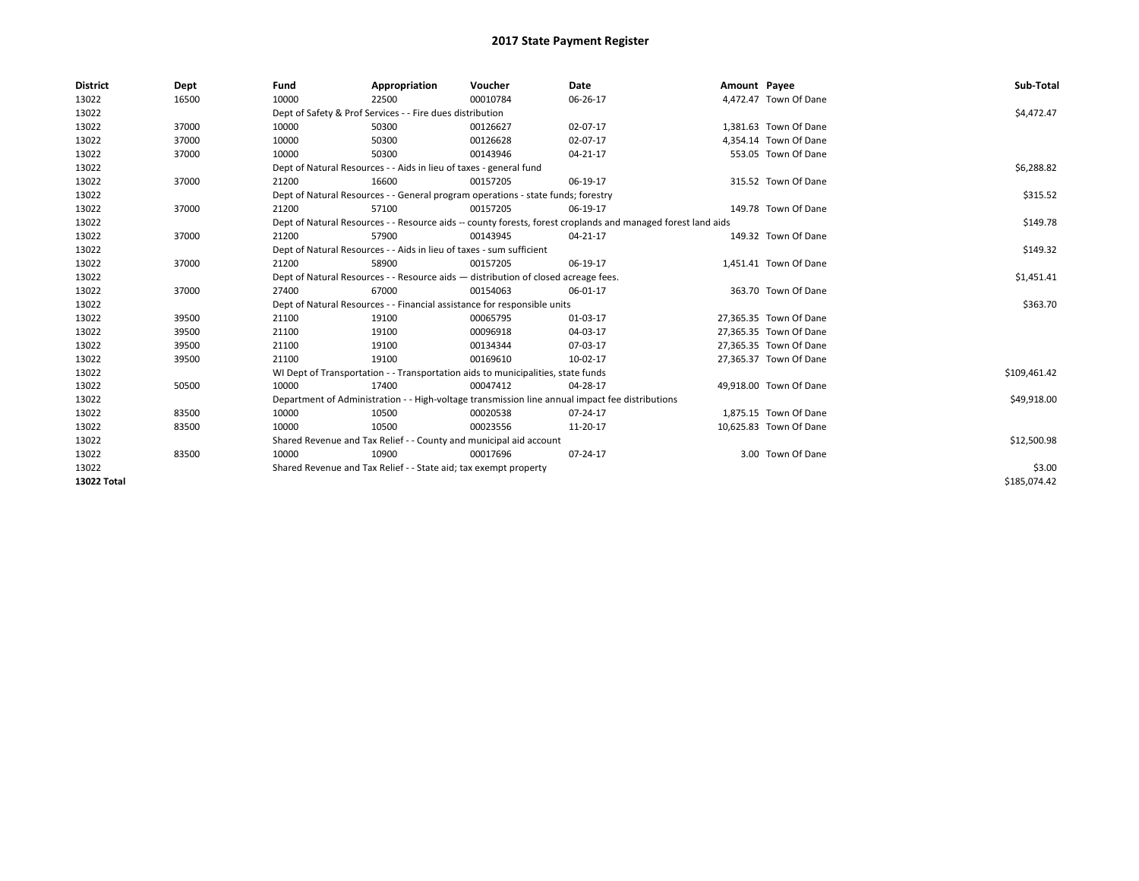| <b>District</b> | Dept  | Fund                                                                               | Appropriation                                                                                                | Voucher    | Date                                                                                            | Amount Payee |                        | Sub-Total    |
|-----------------|-------|------------------------------------------------------------------------------------|--------------------------------------------------------------------------------------------------------------|------------|-------------------------------------------------------------------------------------------------|--------------|------------------------|--------------|
| 13022           | 16500 | 10000                                                                              | 22500                                                                                                        | 00010784   | 06-26-17                                                                                        |              | 4,472.47 Town Of Dane  |              |
| 13022           |       |                                                                                    | Dept of Safety & Prof Services - - Fire dues distribution                                                    |            |                                                                                                 |              |                        | \$4,472.47   |
| 13022           | 37000 | 10000                                                                              | 50300                                                                                                        | 00126627   | 02-07-17                                                                                        |              | 1,381.63 Town Of Dane  |              |
| 13022           | 37000 | 10000                                                                              | 50300                                                                                                        | 00126628   | 02-07-17                                                                                        |              | 4.354.14 Town Of Dane  |              |
| 13022           | 37000 | 10000                                                                              | 50300                                                                                                        | 00143946   | 04-21-17                                                                                        |              | 553.05 Town Of Dane    |              |
| 13022           |       |                                                                                    | Dept of Natural Resources - - Aids in lieu of taxes - general fund                                           |            |                                                                                                 |              |                        | \$6,288.82   |
| 13022           | 37000 | 21200                                                                              | 16600                                                                                                        | 00157205   | 06-19-17                                                                                        |              | 315.52 Town Of Dane    |              |
| 13022           |       |                                                                                    | Dept of Natural Resources - - General program operations - state funds; forestry                             |            |                                                                                                 |              |                        | \$315.52     |
| 13022           | 37000 | 21200                                                                              | 57100                                                                                                        | 00157205   | 06-19-17                                                                                        |              | 149.78 Town Of Dane    |              |
| 13022           |       |                                                                                    | Dept of Natural Resources - - Resource aids -- county forests, forest croplands and managed forest land aids |            | \$149.78                                                                                        |              |                        |              |
| 13022           | 37000 | 21200                                                                              | 57900                                                                                                        | 00143945   | 04-21-17                                                                                        |              | 149.32 Town Of Dane    |              |
| 13022           |       |                                                                                    | Dept of Natural Resources - - Aids in lieu of taxes - sum sufficient                                         |            |                                                                                                 |              |                        | \$149.32     |
| 13022           | 37000 | 21200                                                                              | 58900                                                                                                        | 00157205   | 06-19-17                                                                                        |              | 1,451.41 Town Of Dane  |              |
| 13022           |       | Dept of Natural Resources - - Resource aids - distribution of closed acreage fees. |                                                                                                              | \$1,451.41 |                                                                                                 |              |                        |              |
| 13022           | 37000 | 27400                                                                              | 67000                                                                                                        | 00154063   | 06-01-17                                                                                        |              | 363.70 Town Of Dane    |              |
| 13022           |       |                                                                                    | Dept of Natural Resources - - Financial assistance for responsible units                                     |            |                                                                                                 |              |                        | \$363.70     |
| 13022           | 39500 | 21100                                                                              | 19100                                                                                                        | 00065795   | 01-03-17                                                                                        |              | 27,365.35 Town Of Dane |              |
| 13022           | 39500 | 21100                                                                              | 19100                                                                                                        | 00096918   | 04-03-17                                                                                        |              | 27,365.35 Town Of Dane |              |
| 13022           | 39500 | 21100                                                                              | 19100                                                                                                        | 00134344   | 07-03-17                                                                                        |              | 27,365.35 Town Of Dane |              |
| 13022           | 39500 | 21100                                                                              | 19100                                                                                                        | 00169610   | 10-02-17                                                                                        |              | 27,365.37 Town Of Dane |              |
| 13022           |       |                                                                                    | WI Dept of Transportation - - Transportation aids to municipalities, state funds                             |            |                                                                                                 |              |                        | \$109,461.42 |
| 13022           | 50500 | 10000                                                                              | 17400                                                                                                        | 00047412   | 04-28-17                                                                                        |              | 49,918.00 Town Of Dane |              |
| 13022           |       |                                                                                    |                                                                                                              |            | Department of Administration - - High-voltage transmission line annual impact fee distributions |              |                        | \$49,918.00  |
| 13022           | 83500 | 10000                                                                              | 10500                                                                                                        | 00020538   | 07-24-17                                                                                        |              | 1.875.15 Town Of Dane  |              |
| 13022           | 83500 | 10000                                                                              | 10500                                                                                                        | 00023556   | 11-20-17                                                                                        |              | 10,625.83 Town Of Dane |              |
| 13022           |       |                                                                                    | Shared Revenue and Tax Relief - - County and municipal aid account                                           |            |                                                                                                 |              |                        | \$12,500.98  |
| 13022           | 83500 | 10000                                                                              | 10900                                                                                                        | 00017696   | 07-24-17                                                                                        |              | 3.00 Town Of Dane      |              |
| 13022           |       |                                                                                    | Shared Revenue and Tax Relief - - State aid; tax exempt property                                             |            |                                                                                                 |              |                        | \$3.00       |
| 13022 Total     |       |                                                                                    |                                                                                                              |            |                                                                                                 |              |                        | \$185,074.42 |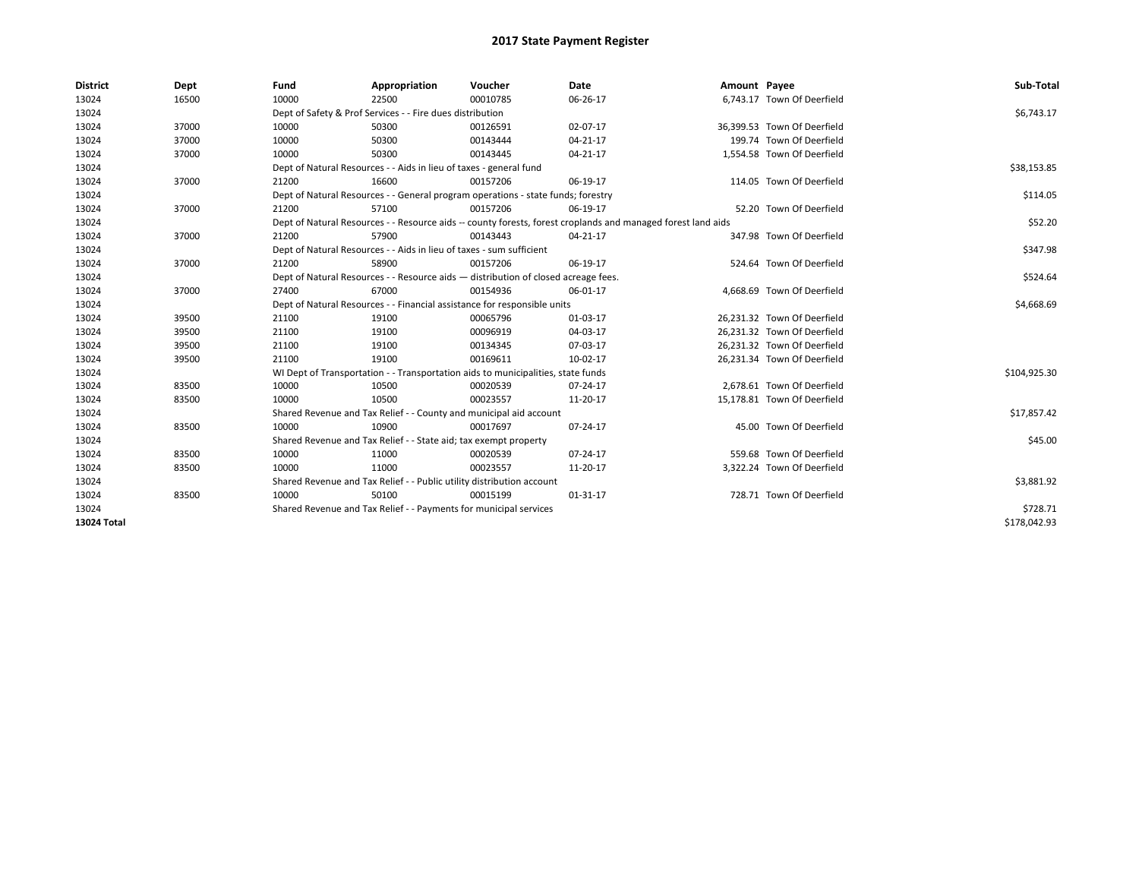| <b>District</b> | Dept  | Fund                                                                     | Appropriation                                                                      | Voucher    | <b>Date</b>                                                                                                  | Amount Payee |                             | Sub-Total    |  |  |
|-----------------|-------|--------------------------------------------------------------------------|------------------------------------------------------------------------------------|------------|--------------------------------------------------------------------------------------------------------------|--------------|-----------------------------|--------------|--|--|
| 13024           | 16500 | 10000                                                                    | 22500                                                                              | 00010785   | 06-26-17                                                                                                     |              | 6,743.17 Town Of Deerfield  |              |  |  |
| 13024           |       |                                                                          | Dept of Safety & Prof Services - - Fire dues distribution                          |            |                                                                                                              |              |                             | \$6,743.17   |  |  |
| 13024           | 37000 | 10000                                                                    | 50300                                                                              | 00126591   | 02-07-17                                                                                                     |              | 36.399.53 Town Of Deerfield |              |  |  |
| 13024           | 37000 | 10000                                                                    | 50300                                                                              | 00143444   | 04-21-17                                                                                                     |              | 199.74 Town Of Deerfield    |              |  |  |
| 13024           | 37000 | 10000                                                                    | 50300                                                                              | 00143445   | 04-21-17                                                                                                     |              | 1,554.58 Town Of Deerfield  |              |  |  |
| 13024           |       |                                                                          | Dept of Natural Resources - - Aids in lieu of taxes - general fund                 |            |                                                                                                              |              |                             | \$38,153.85  |  |  |
| 13024           | 37000 | 21200                                                                    | 16600                                                                              | 00157206   | 06-19-17                                                                                                     |              | 114.05 Town Of Deerfield    |              |  |  |
| 13024           |       |                                                                          | Dept of Natural Resources - - General program operations - state funds; forestry   |            |                                                                                                              |              |                             | \$114.05     |  |  |
| 13024           | 37000 | 21200                                                                    | 57100                                                                              | 00157206   | 06-19-17                                                                                                     |              | 52.20 Town Of Deerfield     |              |  |  |
| 13024           |       |                                                                          |                                                                                    |            | Dept of Natural Resources - - Resource aids -- county forests, forest croplands and managed forest land aids |              |                             | \$52.20      |  |  |
| 13024           | 37000 | 21200                                                                    | 57900                                                                              | 00143443   | 04-21-17                                                                                                     |              | 347.98 Town Of Deerfield    |              |  |  |
| 13024           |       |                                                                          | Dept of Natural Resources - - Aids in lieu of taxes - sum sufficient               |            |                                                                                                              |              |                             | \$347.98     |  |  |
| 13024           | 37000 | 21200                                                                    | 58900                                                                              | 00157206   | 06-19-17                                                                                                     |              | 524.64 Town Of Deerfield    |              |  |  |
| 13024           |       |                                                                          | Dept of Natural Resources - - Resource aids - distribution of closed acreage fees. |            |                                                                                                              |              |                             |              |  |  |
| 13024           | 37000 | 27400                                                                    | 67000                                                                              | 00154936   | 06-01-17                                                                                                     |              | 4.668.69 Town Of Deerfield  |              |  |  |
| 13024           |       | Dept of Natural Resources - - Financial assistance for responsible units |                                                                                    | \$4,668.69 |                                                                                                              |              |                             |              |  |  |
| 13024           | 39500 | 21100                                                                    | 19100                                                                              | 00065796   | 01-03-17                                                                                                     |              | 26.231.32 Town Of Deerfield |              |  |  |
| 13024           | 39500 | 21100                                                                    | 19100                                                                              | 00096919   | 04-03-17                                                                                                     |              | 26,231.32 Town Of Deerfield |              |  |  |
| 13024           | 39500 | 21100                                                                    | 19100                                                                              | 00134345   | 07-03-17                                                                                                     |              | 26,231.32 Town Of Deerfield |              |  |  |
| 13024           | 39500 | 21100                                                                    | 19100                                                                              | 00169611   | 10-02-17                                                                                                     |              | 26,231.34 Town Of Deerfield |              |  |  |
| 13024           |       |                                                                          | WI Dept of Transportation - - Transportation aids to municipalities, state funds   |            |                                                                                                              |              |                             | \$104,925.30 |  |  |
| 13024           | 83500 | 10000                                                                    | 10500                                                                              | 00020539   | 07-24-17                                                                                                     |              | 2.678.61 Town Of Deerfield  |              |  |  |
| 13024           | 83500 | 10000                                                                    | 10500                                                                              | 00023557   | 11-20-17                                                                                                     |              | 15,178.81 Town Of Deerfield |              |  |  |
| 13024           |       |                                                                          | Shared Revenue and Tax Relief - - County and municipal aid account                 |            |                                                                                                              |              |                             | \$17,857.42  |  |  |
| 13024           | 83500 | 10000                                                                    | 10900                                                                              | 00017697   | 07-24-17                                                                                                     |              | 45.00 Town Of Deerfield     |              |  |  |
| 13024           |       |                                                                          | Shared Revenue and Tax Relief - - State aid; tax exempt property                   |            |                                                                                                              |              |                             | \$45.00      |  |  |
| 13024           | 83500 | 10000                                                                    | 11000                                                                              | 00020539   | 07-24-17                                                                                                     |              | 559.68 Town Of Deerfield    |              |  |  |
| 13024           | 83500 | 10000                                                                    | 11000                                                                              | 00023557   | 11-20-17                                                                                                     |              | 3,322.24 Town Of Deerfield  |              |  |  |
| 13024           |       |                                                                          | Shared Revenue and Tax Relief - - Public utility distribution account              |            |                                                                                                              |              |                             | \$3,881.92   |  |  |
| 13024           | 83500 | 10000                                                                    | 50100                                                                              | 00015199   | 01-31-17                                                                                                     |              | 728.71 Town Of Deerfield    |              |  |  |
| 13024           |       |                                                                          | Shared Revenue and Tax Relief - - Payments for municipal services                  |            |                                                                                                              |              |                             | \$728.71     |  |  |
| 13024 Total     |       |                                                                          |                                                                                    |            |                                                                                                              |              |                             | \$178,042.93 |  |  |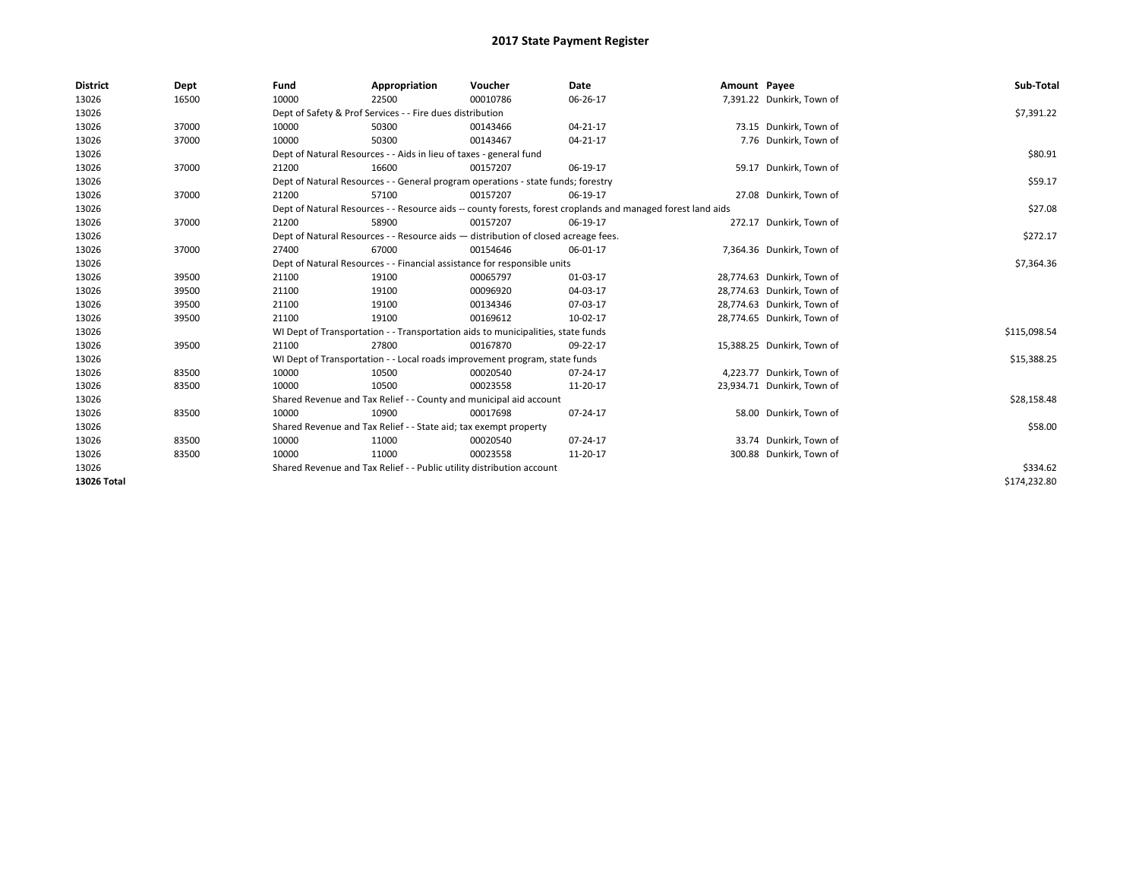| <b>District</b> | Dept  | Fund  | Appropriation                                                                                                | Voucher  | Date     | Amount Payee |                            | Sub-Total    |  |  |  |
|-----------------|-------|-------|--------------------------------------------------------------------------------------------------------------|----------|----------|--------------|----------------------------|--------------|--|--|--|
| 13026           | 16500 | 10000 | 22500                                                                                                        | 00010786 | 06-26-17 |              | 7,391.22 Dunkirk, Town of  |              |  |  |  |
| 13026           |       |       | Dept of Safety & Prof Services - - Fire dues distribution                                                    |          |          |              |                            | \$7,391.22   |  |  |  |
| 13026           | 37000 | 10000 | 50300                                                                                                        | 00143466 | 04-21-17 |              | 73.15 Dunkirk, Town of     |              |  |  |  |
| 13026           | 37000 | 10000 | 50300                                                                                                        | 00143467 | 04-21-17 |              | 7.76 Dunkirk, Town of      |              |  |  |  |
| 13026           |       |       | Dept of Natural Resources - - Aids in lieu of taxes - general fund                                           |          |          |              |                            | \$80.91      |  |  |  |
| 13026           | 37000 | 21200 | 16600                                                                                                        | 00157207 | 06-19-17 |              | 59.17 Dunkirk, Town of     |              |  |  |  |
| 13026           |       |       | Dept of Natural Resources - - General program operations - state funds; forestry                             |          |          |              |                            | \$59.17      |  |  |  |
| 13026           | 37000 | 21200 | 57100                                                                                                        | 00157207 | 06-19-17 |              | 27.08 Dunkirk, Town of     |              |  |  |  |
| 13026           |       |       | Dept of Natural Resources - - Resource aids -- county forests, forest croplands and managed forest land aids |          | \$27.08  |              |                            |              |  |  |  |
| 13026           | 37000 | 21200 | 58900                                                                                                        | 00157207 | 06-19-17 |              | 272.17 Dunkirk, Town of    |              |  |  |  |
| 13026           |       |       | Dept of Natural Resources - - Resource aids - distribution of closed acreage fees.                           |          |          |              |                            | \$272.17     |  |  |  |
| 13026           | 37000 | 27400 | 67000                                                                                                        | 00154646 | 06-01-17 |              | 7,364.36 Dunkirk, Town of  |              |  |  |  |
| 13026           |       |       | Dept of Natural Resources - - Financial assistance for responsible units                                     |          |          |              |                            |              |  |  |  |
| 13026           | 39500 | 21100 | 19100                                                                                                        | 00065797 | 01-03-17 |              | 28,774.63 Dunkirk, Town of |              |  |  |  |
| 13026           | 39500 | 21100 | 19100                                                                                                        | 00096920 | 04-03-17 |              | 28,774.63 Dunkirk, Town of |              |  |  |  |
| 13026           | 39500 | 21100 | 19100                                                                                                        | 00134346 | 07-03-17 |              | 28,774.63 Dunkirk, Town of |              |  |  |  |
| 13026           | 39500 | 21100 | 19100                                                                                                        | 00169612 | 10-02-17 |              | 28,774.65 Dunkirk, Town of |              |  |  |  |
| 13026           |       |       | WI Dept of Transportation - - Transportation aids to municipalities, state funds                             |          |          |              |                            | \$115,098.54 |  |  |  |
| 13026           | 39500 | 21100 | 27800                                                                                                        | 00167870 | 09-22-17 |              | 15,388.25 Dunkirk, Town of |              |  |  |  |
| 13026           |       |       | WI Dept of Transportation - - Local roads improvement program, state funds                                   |          |          |              |                            | \$15,388.25  |  |  |  |
| 13026           | 83500 | 10000 | 10500                                                                                                        | 00020540 | 07-24-17 |              | 4,223.77 Dunkirk, Town of  |              |  |  |  |
| 13026           | 83500 | 10000 | 10500                                                                                                        | 00023558 | 11-20-17 |              | 23,934.71 Dunkirk, Town of |              |  |  |  |
| 13026           |       |       | Shared Revenue and Tax Relief - - County and municipal aid account                                           |          |          |              |                            | \$28,158.48  |  |  |  |
| 13026           | 83500 | 10000 | 10900                                                                                                        | 00017698 | 07-24-17 |              | 58.00 Dunkirk, Town of     |              |  |  |  |
| 13026           |       |       | Shared Revenue and Tax Relief - - State aid; tax exempt property                                             |          |          |              |                            | \$58.00      |  |  |  |
| 13026           | 83500 | 10000 | 11000                                                                                                        | 00020540 | 07-24-17 |              | 33.74 Dunkirk, Town of     |              |  |  |  |
| 13026           | 83500 | 10000 | 11000                                                                                                        | 00023558 | 11-20-17 |              | 300.88 Dunkirk, Town of    |              |  |  |  |
| 13026           |       |       | Shared Revenue and Tax Relief - - Public utility distribution account                                        |          |          |              |                            | \$334.62     |  |  |  |
| 13026 Total     |       |       |                                                                                                              |          |          |              |                            | \$174,232.80 |  |  |  |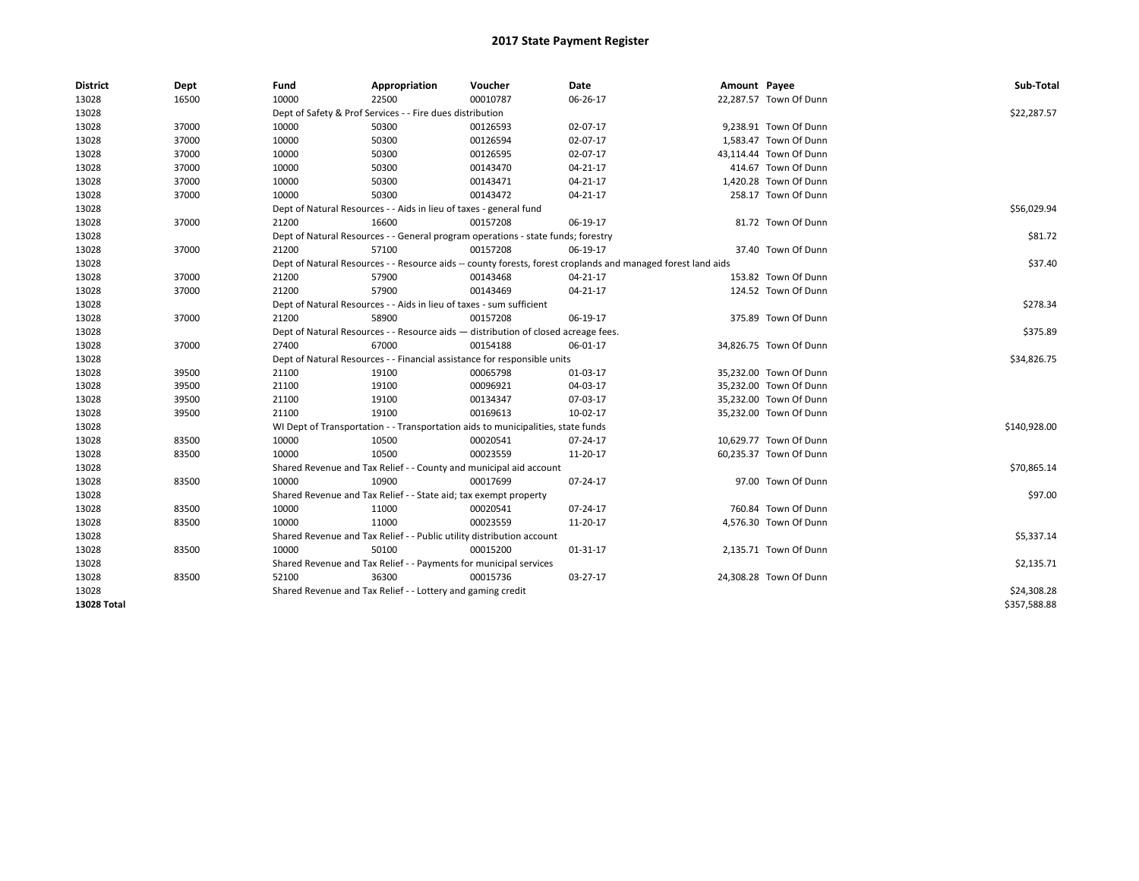| <b>District</b>    | Dept  | Fund  | Appropriation                                                                                                | Voucher  | Date           | Amount Payee |                        | Sub-Total    |  |  |
|--------------------|-------|-------|--------------------------------------------------------------------------------------------------------------|----------|----------------|--------------|------------------------|--------------|--|--|
| 13028              | 16500 | 10000 | 22500                                                                                                        | 00010787 | 06-26-17       |              | 22,287.57 Town Of Dunn |              |  |  |
| 13028              |       |       | Dept of Safety & Prof Services - - Fire dues distribution                                                    |          |                |              |                        | \$22,287.57  |  |  |
| 13028              | 37000 | 10000 | 50300                                                                                                        | 00126593 | 02-07-17       |              | 9,238.91 Town Of Dunn  |              |  |  |
| 13028              | 37000 | 10000 | 50300                                                                                                        | 00126594 | 02-07-17       |              | 1,583.47 Town Of Dunn  |              |  |  |
| 13028              | 37000 | 10000 | 50300                                                                                                        | 00126595 | 02-07-17       |              | 43,114.44 Town Of Dunn |              |  |  |
| 13028              | 37000 | 10000 | 50300                                                                                                        | 00143470 | $04 - 21 - 17$ |              | 414.67 Town Of Dunn    |              |  |  |
| 13028              | 37000 | 10000 | 50300                                                                                                        | 00143471 | 04-21-17       |              | 1,420.28 Town Of Dunn  |              |  |  |
| 13028              | 37000 | 10000 | 50300                                                                                                        | 00143472 | $04 - 21 - 17$ |              | 258.17 Town Of Dunn    |              |  |  |
| 13028              |       |       | Dept of Natural Resources - - Aids in lieu of taxes - general fund                                           |          |                |              |                        | \$56,029.94  |  |  |
| 13028              | 37000 | 21200 | 16600                                                                                                        | 00157208 | 06-19-17       |              | 81.72 Town Of Dunn     |              |  |  |
| 13028              |       |       | Dept of Natural Resources - - General program operations - state funds; forestry                             |          |                |              |                        | \$81.72      |  |  |
| 13028              | 37000 | 21200 | 57100                                                                                                        | 00157208 | 06-19-17       |              | 37.40 Town Of Dunn     |              |  |  |
| 13028              |       |       | Dept of Natural Resources - - Resource aids -- county forests, forest croplands and managed forest land aids |          | \$37.40        |              |                        |              |  |  |
| 13028              | 37000 | 21200 | 57900                                                                                                        | 00143468 | 04-21-17       |              | 153.82 Town Of Dunn    |              |  |  |
| 13028              | 37000 | 21200 | 57900                                                                                                        | 00143469 | $04 - 21 - 17$ |              | 124.52 Town Of Dunn    |              |  |  |
| 13028              |       |       | Dept of Natural Resources - - Aids in lieu of taxes - sum sufficient                                         |          | \$278.34       |              |                        |              |  |  |
| 13028              | 37000 | 21200 | 58900                                                                                                        | 00157208 | 06-19-17       |              | 375.89 Town Of Dunn    |              |  |  |
| 13028              |       |       | Dept of Natural Resources - - Resource aids - distribution of closed acreage fees.                           |          |                |              |                        |              |  |  |
| 13028              | 37000 | 27400 | 67000                                                                                                        | 00154188 | 06-01-17       |              | 34,826.75 Town Of Dunn |              |  |  |
| 13028              |       |       | Dept of Natural Resources - - Financial assistance for responsible units                                     |          |                |              |                        | \$34,826.75  |  |  |
| 13028              | 39500 | 21100 | 19100                                                                                                        | 00065798 | 01-03-17       |              | 35,232.00 Town Of Dunn |              |  |  |
| 13028              | 39500 | 21100 | 19100                                                                                                        | 00096921 | 04-03-17       |              | 35,232.00 Town Of Dunn |              |  |  |
| 13028              | 39500 | 21100 | 19100                                                                                                        | 00134347 | 07-03-17       |              | 35,232.00 Town Of Dunn |              |  |  |
| 13028              | 39500 | 21100 | 19100                                                                                                        | 00169613 | 10-02-17       |              | 35,232.00 Town Of Dunn |              |  |  |
| 13028              |       |       | WI Dept of Transportation - - Transportation aids to municipalities, state funds                             |          |                |              |                        | \$140,928.00 |  |  |
| 13028              | 83500 | 10000 | 10500                                                                                                        | 00020541 | 07-24-17       |              | 10,629.77 Town Of Dunn |              |  |  |
| 13028              | 83500 | 10000 | 10500                                                                                                        | 00023559 | 11-20-17       |              | 60,235.37 Town Of Dunn |              |  |  |
| 13028              |       |       | Shared Revenue and Tax Relief - - County and municipal aid account                                           |          |                |              |                        | \$70,865.14  |  |  |
| 13028              | 83500 | 10000 | 10900                                                                                                        | 00017699 | 07-24-17       |              | 97.00 Town Of Dunn     |              |  |  |
| 13028              |       |       | Shared Revenue and Tax Relief - - State aid; tax exempt property                                             |          |                |              |                        | \$97.00      |  |  |
| 13028              | 83500 | 10000 | 11000                                                                                                        | 00020541 | 07-24-17       |              | 760.84 Town Of Dunn    |              |  |  |
| 13028              | 83500 | 10000 | 11000                                                                                                        | 00023559 | 11-20-17       |              | 4,576.30 Town Of Dunn  |              |  |  |
| 13028              |       |       | Shared Revenue and Tax Relief - - Public utility distribution account                                        |          |                |              |                        | \$5,337.14   |  |  |
| 13028              | 83500 | 10000 | 50100                                                                                                        | 00015200 | 01-31-17       |              | 2,135.71 Town Of Dunn  |              |  |  |
| 13028              |       |       | Shared Revenue and Tax Relief - - Payments for municipal services                                            |          |                |              |                        | \$2,135.71   |  |  |
| 13028              | 83500 | 52100 | 36300                                                                                                        | 00015736 | 03-27-17       |              | 24,308.28 Town Of Dunn |              |  |  |
| 13028              |       |       | Shared Revenue and Tax Relief - - Lottery and gaming credit                                                  |          |                |              |                        | \$24,308.28  |  |  |
| <b>13028 Total</b> |       |       |                                                                                                              |          |                |              |                        | \$357.588.88 |  |  |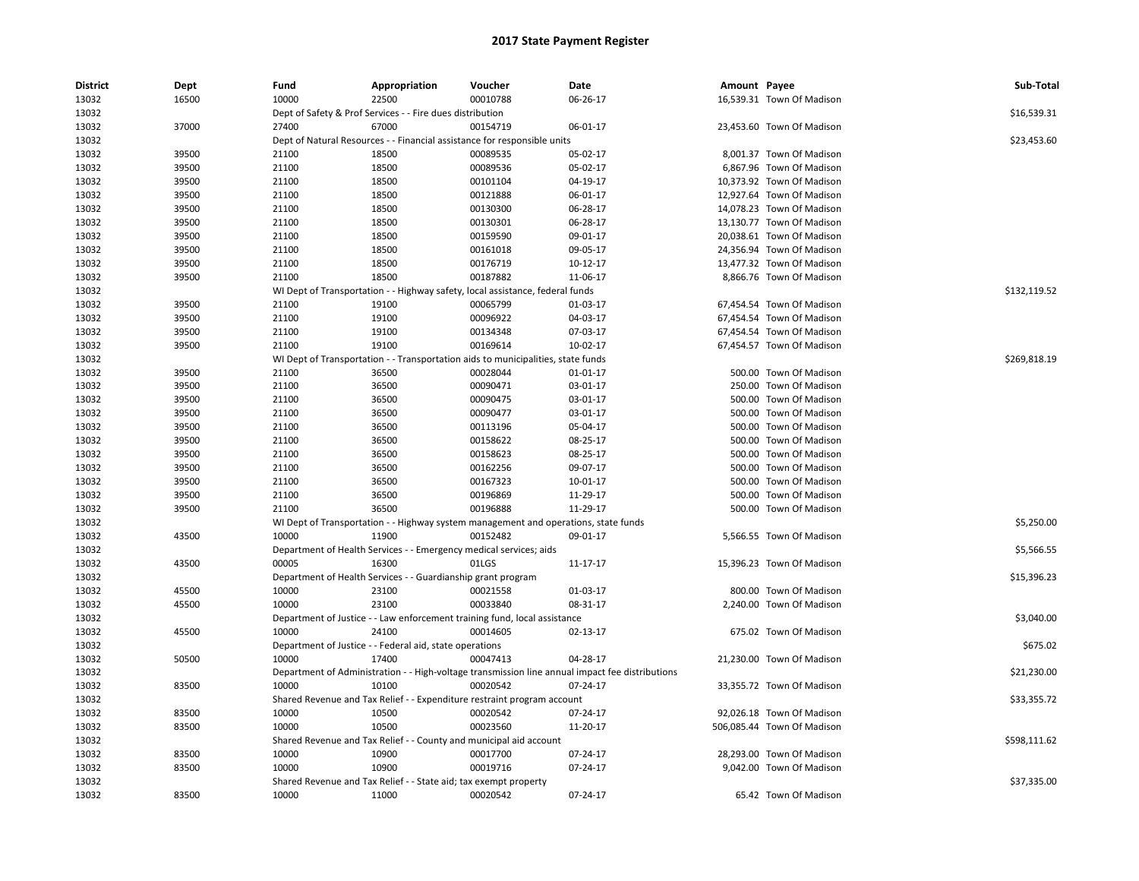| <b>District</b> | Dept           | Fund           | Appropriation                                                      | Voucher                                                                             | Date                                                                                            | Amount Payee |                                                  | Sub-Total    |
|-----------------|----------------|----------------|--------------------------------------------------------------------|-------------------------------------------------------------------------------------|-------------------------------------------------------------------------------------------------|--------------|--------------------------------------------------|--------------|
| 13032           | 16500          | 10000          | 22500                                                              | 00010788                                                                            | 06-26-17                                                                                        |              | 16,539.31 Town Of Madison                        |              |
| 13032           |                |                | Dept of Safety & Prof Services - - Fire dues distribution          |                                                                                     |                                                                                                 |              |                                                  | \$16,539.31  |
| 13032           | 37000          | 27400          | 67000                                                              | 00154719                                                                            | 06-01-17                                                                                        |              | 23,453.60 Town Of Madison                        |              |
| 13032           |                |                |                                                                    | Dept of Natural Resources - - Financial assistance for responsible units            |                                                                                                 |              |                                                  | \$23,453.60  |
| 13032           | 39500          | 21100          | 18500                                                              | 00089535                                                                            | 05-02-17                                                                                        |              | 8,001.37 Town Of Madison                         |              |
| 13032           | 39500          | 21100          | 18500                                                              | 00089536                                                                            | 05-02-17                                                                                        |              | 6,867.96 Town Of Madison                         |              |
| 13032           | 39500          | 21100          | 18500                                                              | 00101104                                                                            | 04-19-17                                                                                        |              | 10,373.92 Town Of Madison                        |              |
| 13032           | 39500          | 21100          | 18500                                                              | 00121888                                                                            | 06-01-17                                                                                        |              | 12,927.64 Town Of Madison                        |              |
| 13032           | 39500          | 21100          | 18500                                                              | 00130300                                                                            | 06-28-17                                                                                        |              | 14,078.23 Town Of Madison                        |              |
| 13032           | 39500          | 21100          | 18500                                                              | 00130301                                                                            | 06-28-17                                                                                        |              | 13,130.77 Town Of Madison                        |              |
| 13032           | 39500          | 21100          | 18500                                                              | 00159590                                                                            | 09-01-17                                                                                        |              | 20,038.61 Town Of Madison                        |              |
| 13032           | 39500          | 21100          | 18500                                                              | 00161018                                                                            | 09-05-17                                                                                        |              | 24,356.94 Town Of Madison                        |              |
| 13032           | 39500          | 21100          | 18500                                                              | 00176719                                                                            | 10-12-17                                                                                        |              | 13,477.32 Town Of Madison                        |              |
| 13032           | 39500          | 21100          | 18500                                                              | 00187882                                                                            | 11-06-17                                                                                        |              | 8,866.76 Town Of Madison                         |              |
| 13032           |                |                |                                                                    | WI Dept of Transportation - - Highway safety, local assistance, federal funds       |                                                                                                 |              |                                                  | \$132,119.52 |
| 13032           | 39500          | 21100          | 19100                                                              | 00065799                                                                            | 01-03-17                                                                                        |              | 67,454.54 Town Of Madison                        |              |
| 13032           | 39500          | 21100          | 19100                                                              | 00096922                                                                            | 04-03-17                                                                                        |              | 67,454.54 Town Of Madison                        |              |
| 13032           | 39500          | 21100          | 19100                                                              | 00134348                                                                            | 07-03-17                                                                                        |              | 67,454.54 Town Of Madison                        |              |
| 13032           | 39500          | 21100          | 19100                                                              | 00169614                                                                            | 10-02-17                                                                                        |              | 67,454.57 Town Of Madison                        |              |
| 13032           |                |                |                                                                    | WI Dept of Transportation - - Transportation aids to municipalities, state funds    |                                                                                                 |              |                                                  | \$269,818.19 |
| 13032           | 39500          | 21100          | 36500                                                              | 00028044                                                                            | $01 - 01 - 17$                                                                                  |              | 500.00 Town Of Madison                           |              |
| 13032           | 39500          | 21100          | 36500                                                              | 00090471                                                                            | 03-01-17                                                                                        |              | 250.00 Town Of Madison                           |              |
| 13032           | 39500          | 21100          | 36500                                                              | 00090475                                                                            | 03-01-17                                                                                        |              | 500.00 Town Of Madison                           |              |
| 13032           | 39500          | 21100          | 36500                                                              | 00090477                                                                            | 03-01-17                                                                                        |              | 500.00 Town Of Madison                           |              |
| 13032           | 39500          | 21100          | 36500                                                              | 00113196                                                                            | 05-04-17                                                                                        |              | 500.00 Town Of Madison                           |              |
| 13032           | 39500          | 21100          | 36500                                                              | 00158622                                                                            | 08-25-17                                                                                        |              | 500.00 Town Of Madison                           |              |
|                 |                |                |                                                                    |                                                                                     |                                                                                                 |              |                                                  |              |
| 13032           | 39500          | 21100          | 36500                                                              | 00158623<br>00162256                                                                | 08-25-17                                                                                        |              | 500.00 Town Of Madison                           |              |
| 13032           | 39500<br>39500 | 21100<br>21100 | 36500<br>36500                                                     | 00167323                                                                            | 09-07-17<br>10-01-17                                                                            |              | 500.00 Town Of Madison<br>500.00 Town Of Madison |              |
| 13032           |                |                |                                                                    |                                                                                     |                                                                                                 |              | 500.00 Town Of Madison                           |              |
| 13032           | 39500          | 21100          | 36500                                                              | 00196869                                                                            | 11-29-17                                                                                        |              |                                                  |              |
| 13032           | 39500          | 21100          | 36500                                                              | 00196888                                                                            | 11-29-17                                                                                        |              | 500.00 Town Of Madison                           |              |
| 13032           |                |                |                                                                    | WI Dept of Transportation - - Highway system management and operations, state funds |                                                                                                 |              |                                                  | \$5,250.00   |
| 13032           | 43500          | 10000          | 11900                                                              | 00152482                                                                            | 09-01-17                                                                                        |              | 5,566.55 Town Of Madison                         |              |
| 13032           |                |                | Department of Health Services - - Emergency medical services; aids |                                                                                     |                                                                                                 |              |                                                  | \$5,566.55   |
| 13032           | 43500          | 00005          | 16300                                                              | 01LGS                                                                               | 11-17-17                                                                                        |              | 15,396.23 Town Of Madison                        |              |
| 13032           |                |                | Department of Health Services - - Guardianship grant program       |                                                                                     |                                                                                                 |              |                                                  | \$15,396.23  |
| 13032           | 45500          | 10000          | 23100                                                              | 00021558                                                                            | 01-03-17                                                                                        |              | 800.00 Town Of Madison                           |              |
| 13032           | 45500          | 10000          | 23100                                                              | 00033840                                                                            | 08-31-17                                                                                        |              | 2,240.00 Town Of Madison                         |              |
| 13032           |                |                |                                                                    | Department of Justice - - Law enforcement training fund, local assistance           |                                                                                                 |              |                                                  | \$3,040.00   |
| 13032           | 45500          | 10000          | 24100                                                              | 00014605                                                                            | 02-13-17                                                                                        |              | 675.02 Town Of Madison                           |              |
| 13032           |                |                | Department of Justice - - Federal aid, state operations            |                                                                                     |                                                                                                 |              |                                                  | \$675.02     |
| 13032           | 50500          | 10000          | 17400                                                              | 00047413                                                                            | 04-28-17                                                                                        |              | 21,230.00 Town Of Madison                        |              |
| 13032           |                |                |                                                                    |                                                                                     | Department of Administration - - High-voltage transmission line annual impact fee distributions |              |                                                  | \$21,230.00  |
| 13032           | 83500          | 10000          | 10100                                                              | 00020542                                                                            | 07-24-17                                                                                        |              | 33,355.72 Town Of Madison                        |              |
| 13032           |                |                |                                                                    | Shared Revenue and Tax Relief - - Expenditure restraint program account             |                                                                                                 |              |                                                  | \$33,355.72  |
| 13032           | 83500          | 10000          | 10500                                                              | 00020542                                                                            | 07-24-17                                                                                        |              | 92,026.18 Town Of Madison                        |              |
| 13032           | 83500          | 10000          | 10500                                                              | 00023560                                                                            | 11-20-17                                                                                        |              | 506,085.44 Town Of Madison                       |              |
| 13032           |                |                |                                                                    | Shared Revenue and Tax Relief - - County and municipal aid account                  |                                                                                                 |              |                                                  | \$598,111.62 |
| 13032           | 83500          | 10000          | 10900                                                              | 00017700                                                                            | 07-24-17                                                                                        |              | 28,293.00 Town Of Madison                        |              |
| 13032           | 83500          | 10000          | 10900                                                              | 00019716                                                                            | 07-24-17                                                                                        |              | 9.042.00 Town Of Madison                         |              |
| 13032           |                |                | Shared Revenue and Tax Relief - - State aid; tax exempt property   |                                                                                     |                                                                                                 |              |                                                  | \$37,335.00  |
| 13032           | 83500          | 10000          | 11000                                                              | 00020542                                                                            | 07-24-17                                                                                        |              | 65.42 Town Of Madison                            |              |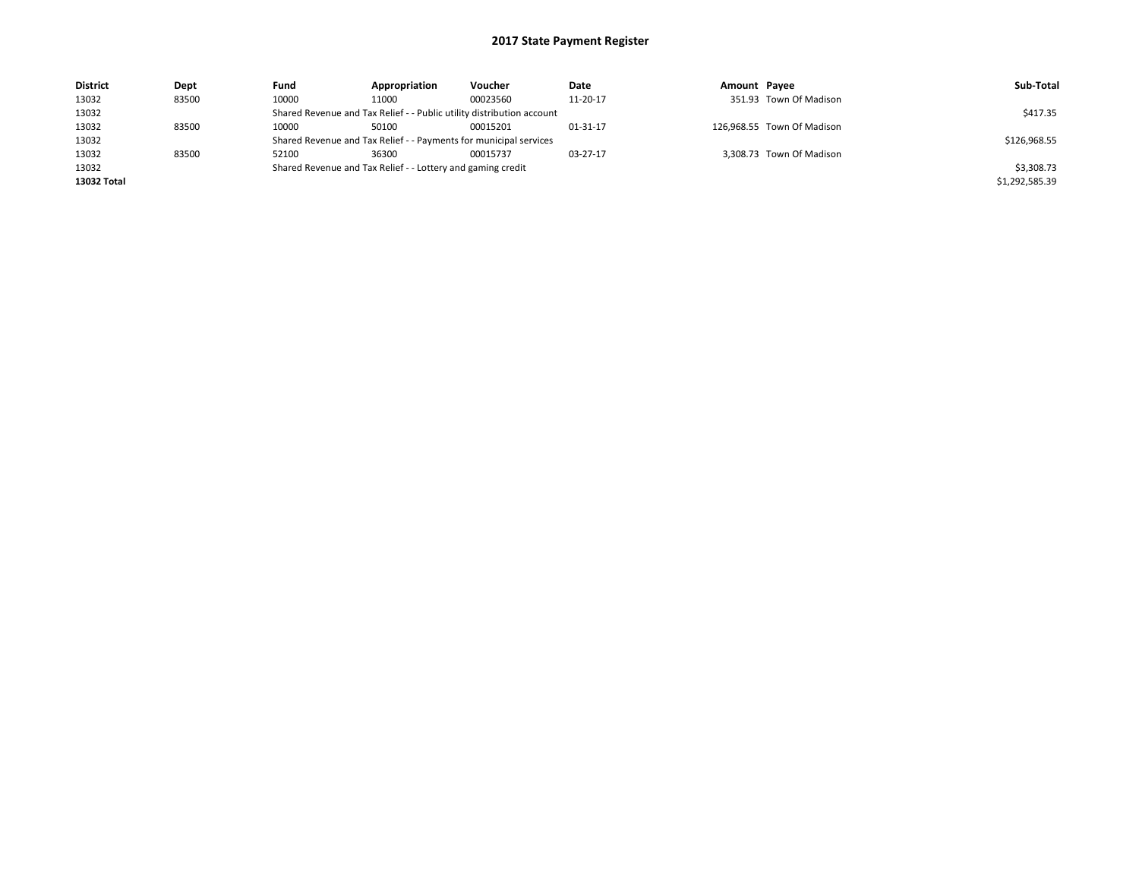| <b>District</b> | Dept  | Fund  | Appropriation                                                         | <b>Voucher</b> | Date     | Amount Pavee |                            | Sub-Total      |
|-----------------|-------|-------|-----------------------------------------------------------------------|----------------|----------|--------------|----------------------------|----------------|
| 13032           | 83500 | 10000 | 11000                                                                 | 00023560       | 11-20-17 |              | 351.93 Town Of Madison     |                |
| 13032           |       |       | Shared Revenue and Tax Relief - - Public utility distribution account |                |          |              |                            | \$417.35       |
| 13032           | 83500 | 10000 | 50100                                                                 | 00015201       | 01-31-17 |              | 126,968.55 Town Of Madison |                |
| 13032           |       |       | Shared Revenue and Tax Relief - - Payments for municipal services     |                |          |              |                            | \$126,968.55   |
| 13032           | 83500 | 52100 | 36300                                                                 | 00015737       | 03-27-17 |              | 3,308.73 Town Of Madison   |                |
| 13032           |       |       | Shared Revenue and Tax Relief - - Lottery and gaming credit           |                |          |              |                            | \$3,308.73     |
| 13032 Total     |       |       |                                                                       |                |          |              |                            | \$1,292,585.39 |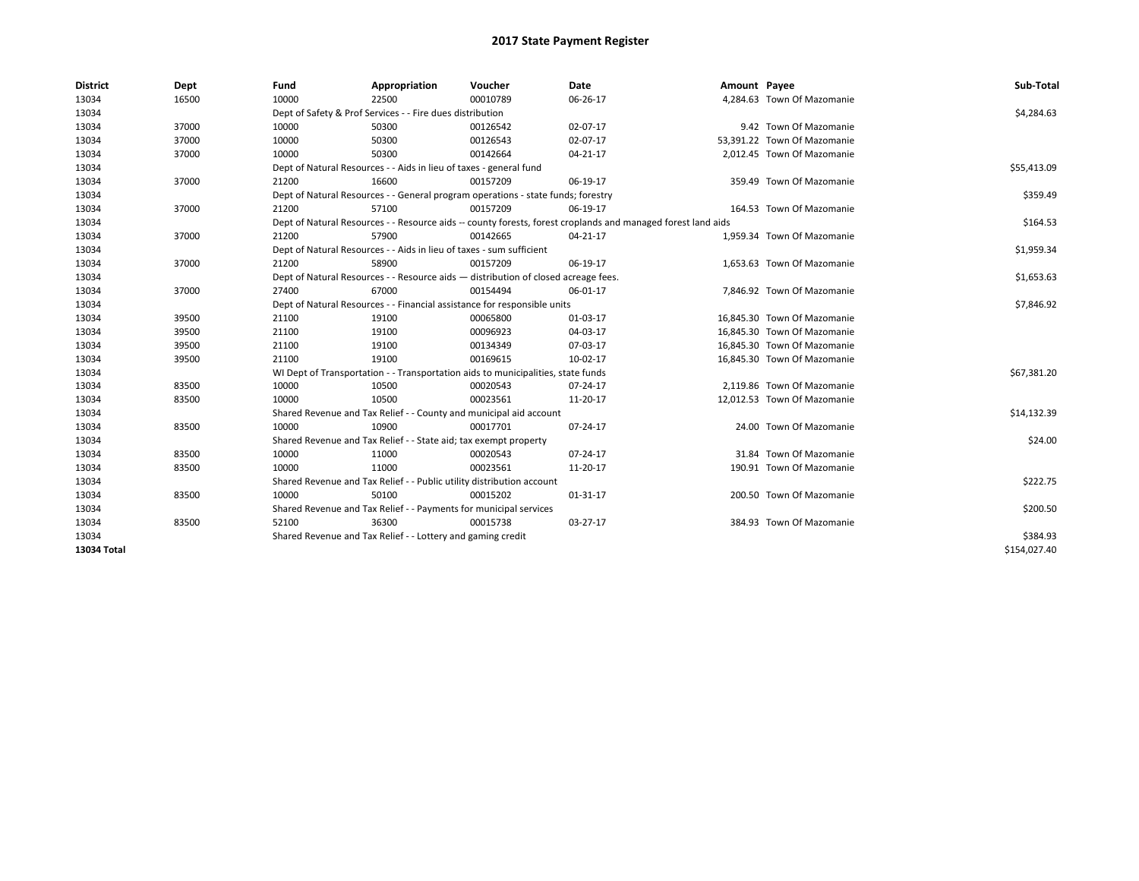| <b>District</b> | Dept  | Fund                                                                     | Appropriation                                                         | Voucher                                                                            | <b>Date</b>                                                                                                  | Amount Payee |                             | Sub-Total    |
|-----------------|-------|--------------------------------------------------------------------------|-----------------------------------------------------------------------|------------------------------------------------------------------------------------|--------------------------------------------------------------------------------------------------------------|--------------|-----------------------------|--------------|
| 13034           | 16500 | 10000                                                                    | 22500                                                                 | 00010789                                                                           | 06-26-17                                                                                                     |              | 4,284.63 Town Of Mazomanie  |              |
| 13034           |       |                                                                          | Dept of Safety & Prof Services - - Fire dues distribution             |                                                                                    |                                                                                                              |              |                             | \$4,284.63   |
| 13034           | 37000 | 10000                                                                    | 50300                                                                 | 00126542                                                                           | 02-07-17                                                                                                     |              | 9.42 Town Of Mazomanie      |              |
| 13034           | 37000 | 10000                                                                    | 50300                                                                 | 00126543                                                                           | 02-07-17                                                                                                     |              | 53.391.22 Town Of Mazomanie |              |
| 13034           | 37000 | 10000                                                                    | 50300                                                                 | 00142664                                                                           | $04 - 21 - 17$                                                                                               |              | 2.012.45 Town Of Mazomanie  |              |
| 13034           |       | Dept of Natural Resources - - Aids in lieu of taxes - general fund       |                                                                       | \$55,413.09                                                                        |                                                                                                              |              |                             |              |
| 13034           | 37000 | 21200                                                                    | 16600                                                                 | 00157209                                                                           | 06-19-17                                                                                                     |              | 359.49 Town Of Mazomanie    |              |
| 13034           |       |                                                                          |                                                                       | Dept of Natural Resources - - General program operations - state funds; forestry   |                                                                                                              |              |                             | \$359.49     |
| 13034           | 37000 | 21200                                                                    | 57100                                                                 | 00157209                                                                           | 06-19-17                                                                                                     |              | 164.53 Town Of Mazomanie    |              |
| 13034           |       |                                                                          |                                                                       |                                                                                    | Dept of Natural Resources - - Resource aids -- county forests, forest croplands and managed forest land aids |              |                             | \$164.53     |
| 13034           | 37000 | 21200                                                                    | 57900                                                                 | 00142665                                                                           | 04-21-17                                                                                                     |              | 1,959.34 Town Of Mazomanie  |              |
| 13034           |       |                                                                          | Dept of Natural Resources - - Aids in lieu of taxes - sum sufficient  |                                                                                    |                                                                                                              |              |                             | \$1,959.34   |
| 13034           | 37000 | 21200                                                                    | 58900                                                                 | 00157209                                                                           | 06-19-17                                                                                                     |              | 1,653.63 Town Of Mazomanie  |              |
| 13034           |       |                                                                          |                                                                       | Dept of Natural Resources - - Resource aids - distribution of closed acreage fees. |                                                                                                              |              |                             | \$1,653.63   |
| 13034           | 37000 | 27400                                                                    | 67000                                                                 | 00154494                                                                           | 06-01-17                                                                                                     |              | 7,846.92 Town Of Mazomanie  |              |
| 13034           |       | Dept of Natural Resources - - Financial assistance for responsible units |                                                                       | \$7,846.92                                                                         |                                                                                                              |              |                             |              |
| 13034           | 39500 | 21100                                                                    | 19100                                                                 | 00065800                                                                           | 01-03-17                                                                                                     |              | 16,845.30 Town Of Mazomanie |              |
| 13034           | 39500 | 21100                                                                    | 19100                                                                 | 00096923                                                                           | 04-03-17                                                                                                     |              | 16.845.30 Town Of Mazomanie |              |
| 13034           | 39500 | 21100                                                                    | 19100                                                                 | 00134349                                                                           | 07-03-17                                                                                                     |              | 16,845.30 Town Of Mazomanie |              |
| 13034           | 39500 | 21100                                                                    | 19100                                                                 | 00169615                                                                           | 10-02-17                                                                                                     |              | 16,845.30 Town Of Mazomanie |              |
| 13034           |       |                                                                          |                                                                       | WI Dept of Transportation - - Transportation aids to municipalities, state funds   |                                                                                                              |              |                             | \$67,381.20  |
| 13034           | 83500 | 10000                                                                    | 10500                                                                 | 00020543                                                                           | 07-24-17                                                                                                     |              | 2,119.86 Town Of Mazomanie  |              |
| 13034           | 83500 | 10000                                                                    | 10500                                                                 | 00023561                                                                           | 11-20-17                                                                                                     |              | 12.012.53 Town Of Mazomanie |              |
| 13034           |       |                                                                          |                                                                       | Shared Revenue and Tax Relief - - County and municipal aid account                 |                                                                                                              |              |                             | \$14,132.39  |
| 13034           | 83500 | 10000                                                                    | 10900                                                                 | 00017701                                                                           | 07-24-17                                                                                                     |              | 24.00 Town Of Mazomanie     |              |
| 13034           |       |                                                                          | Shared Revenue and Tax Relief - - State aid; tax exempt property      |                                                                                    |                                                                                                              |              |                             | \$24.00      |
| 13034           | 83500 | 10000                                                                    | 11000                                                                 | 00020543                                                                           | 07-24-17                                                                                                     |              | 31.84 Town Of Mazomanie     |              |
| 13034           | 83500 | 10000                                                                    | 11000                                                                 | 00023561                                                                           | 11-20-17                                                                                                     |              | 190.91 Town Of Mazomanie    |              |
| 13034           |       |                                                                          | Shared Revenue and Tax Relief - - Public utility distribution account |                                                                                    |                                                                                                              |              |                             | \$222.75     |
| 13034           | 83500 | 10000                                                                    | 50100                                                                 | 00015202                                                                           | 01-31-17                                                                                                     |              | 200.50 Town Of Mazomanie    |              |
| 13034           |       |                                                                          | Shared Revenue and Tax Relief - - Payments for municipal services     |                                                                                    |                                                                                                              |              |                             | \$200.50     |
| 13034           | 83500 | 52100                                                                    | 36300                                                                 | 00015738                                                                           | 03-27-17                                                                                                     |              | 384.93 Town Of Mazomanie    |              |
| 13034           |       | Shared Revenue and Tax Relief - - Lottery and gaming credit              |                                                                       | \$384.93                                                                           |                                                                                                              |              |                             |              |
| 13034 Total     |       |                                                                          |                                                                       |                                                                                    |                                                                                                              |              |                             | \$154,027.40 |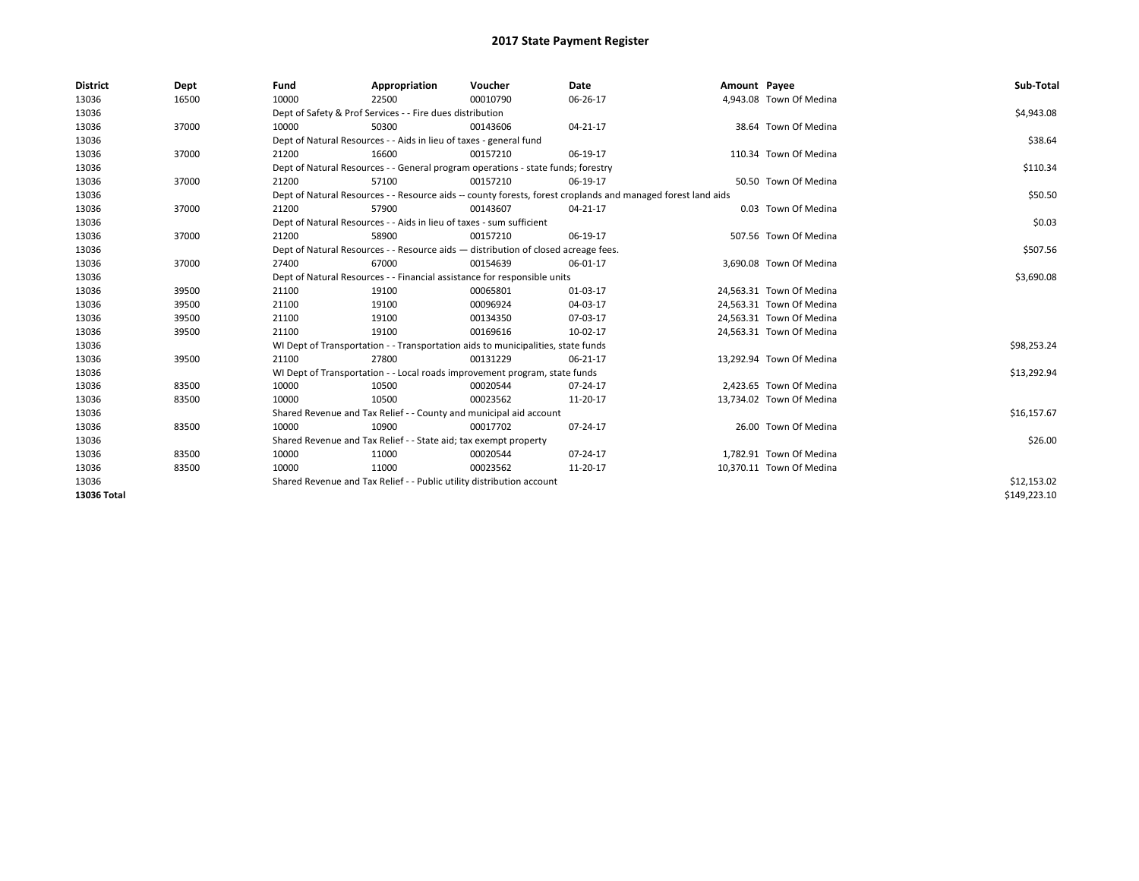| <b>District</b> | Dept  | Fund                                                                     | Appropriation                                                                                                | Voucher  | Date     | Amount Payee |                          | Sub-Total    |  |  |
|-----------------|-------|--------------------------------------------------------------------------|--------------------------------------------------------------------------------------------------------------|----------|----------|--------------|--------------------------|--------------|--|--|
| 13036           | 16500 | 10000                                                                    | 22500                                                                                                        | 00010790 | 06-26-17 |              | 4,943.08 Town Of Medina  |              |  |  |
| 13036           |       |                                                                          | Dept of Safety & Prof Services - - Fire dues distribution                                                    |          |          |              |                          | \$4,943.08   |  |  |
| 13036           | 37000 | 10000                                                                    | 50300                                                                                                        | 00143606 | 04-21-17 |              | 38.64 Town Of Medina     |              |  |  |
| 13036           |       |                                                                          | Dept of Natural Resources - - Aids in lieu of taxes - general fund                                           |          |          |              |                          | \$38.64      |  |  |
| 13036           | 37000 | 21200                                                                    | 16600                                                                                                        | 00157210 | 06-19-17 |              | 110.34 Town Of Medina    |              |  |  |
| 13036           |       |                                                                          | Dept of Natural Resources - - General program operations - state funds; forestry                             |          |          |              |                          |              |  |  |
| 13036           | 37000 | 21200                                                                    | 57100                                                                                                        | 00157210 | 06-19-17 |              | 50.50 Town Of Medina     |              |  |  |
| 13036           |       |                                                                          | Dept of Natural Resources - - Resource aids -- county forests, forest croplands and managed forest land aids |          |          |              |                          |              |  |  |
| 13036           | 37000 | 21200                                                                    | 57900                                                                                                        | 00143607 | 04-21-17 |              | 0.03 Town Of Medina      |              |  |  |
| 13036           |       |                                                                          | Dept of Natural Resources - - Aids in lieu of taxes - sum sufficient                                         |          |          |              |                          | \$0.03       |  |  |
| 13036           | 37000 | 21200                                                                    | 58900                                                                                                        | 00157210 | 06-19-17 |              | 507.56 Town Of Medina    |              |  |  |
| 13036           |       |                                                                          | Dept of Natural Resources - - Resource aids - distribution of closed acreage fees.                           |          |          |              |                          |              |  |  |
| 13036           | 37000 | 27400                                                                    | 67000                                                                                                        | 00154639 | 06-01-17 |              | 3,690.08 Town Of Medina  |              |  |  |
| 13036           |       | Dept of Natural Resources - - Financial assistance for responsible units | \$3,690.08                                                                                                   |          |          |              |                          |              |  |  |
| 13036           | 39500 | 21100                                                                    | 19100                                                                                                        | 00065801 | 01-03-17 |              | 24,563.31 Town Of Medina |              |  |  |
| 13036           | 39500 | 21100                                                                    | 19100                                                                                                        | 00096924 | 04-03-17 |              | 24,563.31 Town Of Medina |              |  |  |
| 13036           | 39500 | 21100                                                                    | 19100                                                                                                        | 00134350 | 07-03-17 |              | 24,563.31 Town Of Medina |              |  |  |
| 13036           | 39500 | 21100                                                                    | 19100                                                                                                        | 00169616 | 10-02-17 |              | 24,563.31 Town Of Medina |              |  |  |
| 13036           |       |                                                                          | WI Dept of Transportation - - Transportation aids to municipalities, state funds                             |          |          |              |                          | \$98,253.24  |  |  |
| 13036           | 39500 | 21100                                                                    | 27800                                                                                                        | 00131229 | 06-21-17 |              | 13.292.94 Town Of Medina |              |  |  |
| 13036           |       |                                                                          | WI Dept of Transportation - - Local roads improvement program, state funds                                   |          |          |              |                          | \$13,292.94  |  |  |
| 13036           | 83500 | 10000                                                                    | 10500                                                                                                        | 00020544 | 07-24-17 |              | 2,423.65 Town Of Medina  |              |  |  |
| 13036           | 83500 | 10000                                                                    | 10500                                                                                                        | 00023562 | 11-20-17 |              | 13,734.02 Town Of Medina |              |  |  |
| 13036           |       |                                                                          | Shared Revenue and Tax Relief - - County and municipal aid account                                           |          |          |              |                          | \$16,157.67  |  |  |
| 13036           | 83500 | 10000                                                                    | 10900                                                                                                        | 00017702 | 07-24-17 |              | 26.00 Town Of Medina     |              |  |  |
| 13036           |       | Shared Revenue and Tax Relief - - State aid; tax exempt property         | \$26.00                                                                                                      |          |          |              |                          |              |  |  |
| 13036           | 83500 | 10000                                                                    | 11000                                                                                                        | 00020544 | 07-24-17 |              | 1.782.91 Town Of Medina  |              |  |  |
| 13036           | 83500 | 10000                                                                    | 11000                                                                                                        | 00023562 | 11-20-17 |              | 10,370.11 Town Of Medina |              |  |  |
| 13036           |       |                                                                          | Shared Revenue and Tax Relief - - Public utility distribution account                                        |          |          |              |                          | \$12,153.02  |  |  |
| 13036 Total     |       |                                                                          |                                                                                                              |          |          |              |                          | \$149,223.10 |  |  |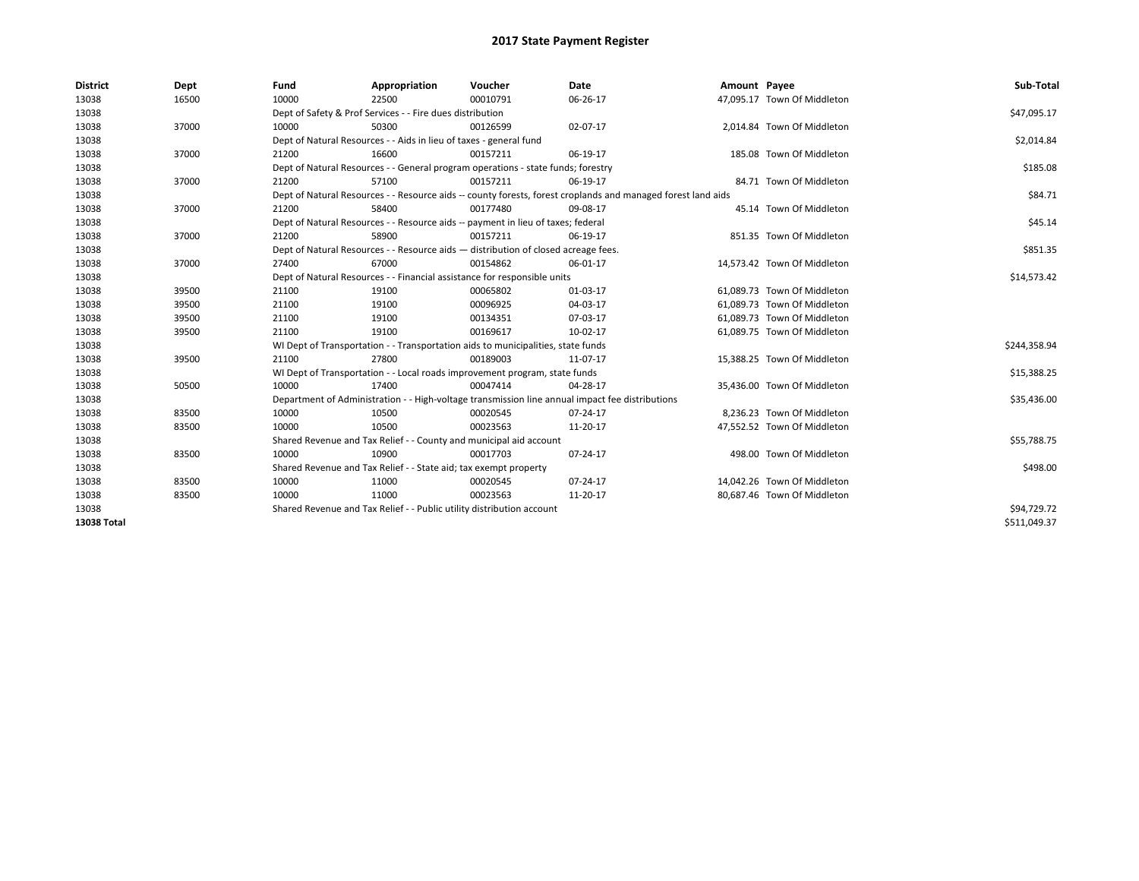| <b>District</b>    | Dept  | Fund                                                                     | Appropriation                                                                                                | Voucher     | <b>Date</b>                                                                                     | Amount Payee |                             | Sub-Total    |  |
|--------------------|-------|--------------------------------------------------------------------------|--------------------------------------------------------------------------------------------------------------|-------------|-------------------------------------------------------------------------------------------------|--------------|-----------------------------|--------------|--|
| 13038              | 16500 | 10000                                                                    | 22500                                                                                                        | 00010791    | 06-26-17                                                                                        |              | 47,095.17 Town Of Middleton |              |  |
| 13038              |       |                                                                          | Dept of Safety & Prof Services - - Fire dues distribution                                                    |             |                                                                                                 |              |                             | \$47,095.17  |  |
| 13038              | 37000 | 10000                                                                    | 50300                                                                                                        | 00126599    | 02-07-17                                                                                        |              | 2,014.84 Town Of Middleton  |              |  |
| 13038              |       |                                                                          | Dept of Natural Resources - - Aids in lieu of taxes - general fund                                           |             |                                                                                                 |              |                             | \$2,014.84   |  |
| 13038              | 37000 | 21200                                                                    | 16600                                                                                                        | 00157211    | 06-19-17                                                                                        |              | 185.08 Town Of Middleton    |              |  |
| 13038              |       |                                                                          | Dept of Natural Resources - - General program operations - state funds; forestry                             |             |                                                                                                 |              |                             |              |  |
| 13038              | 37000 | 21200                                                                    | 57100                                                                                                        | 00157211    | 06-19-17                                                                                        |              | 84.71 Town Of Middleton     |              |  |
| 13038              |       |                                                                          | Dept of Natural Resources - - Resource aids -- county forests, forest croplands and managed forest land aids |             |                                                                                                 |              |                             |              |  |
| 13038              | 37000 | 21200                                                                    | 58400                                                                                                        | 00177480    | 09-08-17                                                                                        |              | 45.14 Town Of Middleton     |              |  |
| 13038              |       |                                                                          | Dept of Natural Resources - - Resource aids -- payment in lieu of taxes; federal                             |             |                                                                                                 |              |                             | \$45.14      |  |
| 13038              | 37000 | 21200                                                                    | 58900                                                                                                        | 00157211    | 06-19-17                                                                                        |              | 851.35 Town Of Middleton    |              |  |
| 13038              |       |                                                                          | Dept of Natural Resources - - Resource aids - distribution of closed acreage fees.                           |             |                                                                                                 |              |                             |              |  |
| 13038              | 37000 | 27400                                                                    | 67000                                                                                                        | 00154862    | 06-01-17                                                                                        |              | 14,573.42 Town Of Middleton |              |  |
| 13038              |       | Dept of Natural Resources - - Financial assistance for responsible units |                                                                                                              | \$14,573.42 |                                                                                                 |              |                             |              |  |
| 13038              | 39500 | 21100                                                                    | 19100                                                                                                        | 00065802    | 01-03-17                                                                                        |              | 61.089.73 Town Of Middleton |              |  |
| 13038              | 39500 | 21100                                                                    | 19100                                                                                                        | 00096925    | 04-03-17                                                                                        |              | 61,089.73 Town Of Middleton |              |  |
| 13038              | 39500 | 21100                                                                    | 19100                                                                                                        | 00134351    | 07-03-17                                                                                        |              | 61,089.73 Town Of Middleton |              |  |
| 13038              | 39500 | 21100                                                                    | 19100                                                                                                        | 00169617    | 10-02-17                                                                                        |              | 61,089.75 Town Of Middleton |              |  |
| 13038              |       |                                                                          | WI Dept of Transportation - - Transportation aids to municipalities, state funds                             |             |                                                                                                 |              |                             | \$244,358.94 |  |
| 13038              | 39500 | 21100                                                                    | 27800                                                                                                        | 00189003    | 11-07-17                                                                                        |              | 15,388.25 Town Of Middleton |              |  |
| 13038              |       |                                                                          | WI Dept of Transportation - - Local roads improvement program, state funds                                   |             |                                                                                                 |              |                             | \$15,388.25  |  |
| 13038              | 50500 | 10000                                                                    | 17400                                                                                                        | 00047414    | 04-28-17                                                                                        |              | 35,436.00 Town Of Middleton |              |  |
| 13038              |       |                                                                          |                                                                                                              |             | Department of Administration - - High-voltage transmission line annual impact fee distributions |              |                             | \$35,436.00  |  |
| 13038              | 83500 | 10000                                                                    | 10500                                                                                                        | 00020545    | 07-24-17                                                                                        |              | 8,236.23 Town Of Middleton  |              |  |
| 13038              | 83500 | 10000                                                                    | 10500                                                                                                        | 00023563    | 11-20-17                                                                                        |              | 47,552.52 Town Of Middleton |              |  |
| 13038              |       |                                                                          | Shared Revenue and Tax Relief - - County and municipal aid account                                           |             |                                                                                                 |              |                             | \$55,788.75  |  |
| 13038              | 83500 | 10000                                                                    | 10900                                                                                                        | 00017703    | 07-24-17                                                                                        |              | 498.00 Town Of Middleton    |              |  |
| 13038              |       | Shared Revenue and Tax Relief - - State aid; tax exempt property         |                                                                                                              | \$498.00    |                                                                                                 |              |                             |              |  |
| 13038              | 83500 | 10000                                                                    | 11000                                                                                                        | 00020545    | 07-24-17                                                                                        |              | 14.042.26 Town Of Middleton |              |  |
| 13038              | 83500 | 10000                                                                    | 11000                                                                                                        | 00023563    | 11-20-17                                                                                        |              | 80,687.46 Town Of Middleton |              |  |
| 13038              |       |                                                                          | Shared Revenue and Tax Relief - - Public utility distribution account                                        |             |                                                                                                 |              |                             | \$94,729.72  |  |
| <b>13038 Total</b> |       |                                                                          |                                                                                                              |             |                                                                                                 |              |                             | \$511,049.37 |  |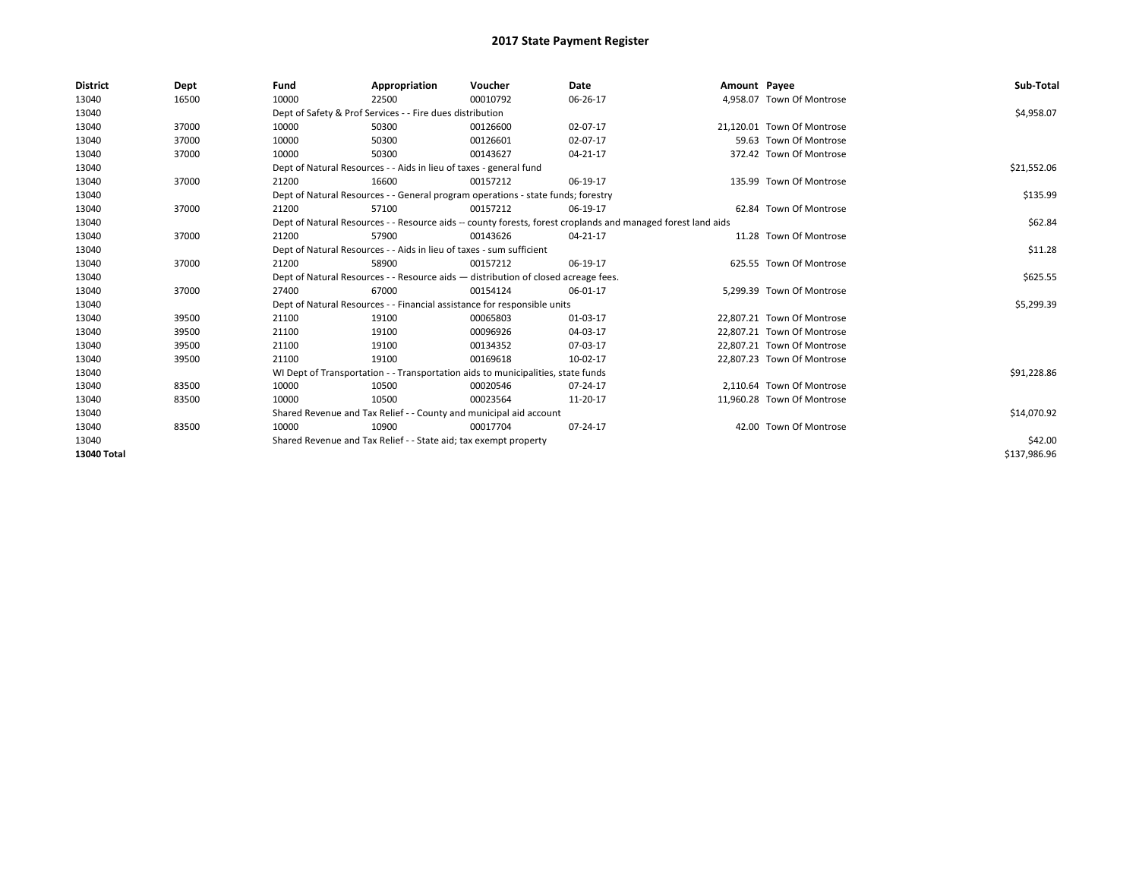| <b>District</b> | Dept  | Fund                                                                                                         | Appropriation                                                                      | Voucher  | Date     | Amount Payee |                            | Sub-Total    |
|-----------------|-------|--------------------------------------------------------------------------------------------------------------|------------------------------------------------------------------------------------|----------|----------|--------------|----------------------------|--------------|
| 13040           | 16500 | 10000                                                                                                        | 22500                                                                              | 00010792 | 06-26-17 |              | 4,958.07 Town Of Montrose  |              |
| 13040           |       |                                                                                                              | Dept of Safety & Prof Services - - Fire dues distribution                          |          |          |              |                            | \$4,958.07   |
| 13040           | 37000 | 10000                                                                                                        | 50300                                                                              | 00126600 | 02-07-17 |              | 21.120.01 Town Of Montrose |              |
| 13040           | 37000 | 10000                                                                                                        | 50300                                                                              | 00126601 | 02-07-17 |              | 59.63 Town Of Montrose     |              |
| 13040           | 37000 | 10000                                                                                                        | 50300                                                                              | 00143627 | 04-21-17 |              | 372.42 Town Of Montrose    |              |
| 13040           |       |                                                                                                              | Dept of Natural Resources - - Aids in lieu of taxes - general fund                 |          |          |              |                            | \$21,552.06  |
| 13040           | 37000 | 21200                                                                                                        | 16600                                                                              | 00157212 | 06-19-17 |              | 135.99 Town Of Montrose    |              |
| 13040           |       | Dept of Natural Resources - - General program operations - state funds; forestry                             |                                                                                    | \$135.99 |          |              |                            |              |
| 13040           | 37000 | 21200                                                                                                        | 57100                                                                              | 00157212 | 06-19-17 |              | 62.84 Town Of Montrose     |              |
| 13040           |       | Dept of Natural Resources - - Resource aids -- county forests, forest croplands and managed forest land aids |                                                                                    | \$62.84  |          |              |                            |              |
| 13040           | 37000 | 21200                                                                                                        | 57900                                                                              | 00143626 | 04-21-17 |              | 11.28 Town Of Montrose     |              |
| 13040           |       | Dept of Natural Resources - - Aids in lieu of taxes - sum sufficient                                         |                                                                                    | \$11.28  |          |              |                            |              |
| 13040           | 37000 | 21200                                                                                                        | 58900                                                                              | 00157212 | 06-19-17 |              | 625.55 Town Of Montrose    |              |
| 13040           |       |                                                                                                              | Dept of Natural Resources - - Resource aids - distribution of closed acreage fees. |          |          |              |                            | \$625.55     |
| 13040           | 37000 | 27400                                                                                                        | 67000                                                                              | 00154124 | 06-01-17 |              | 5.299.39 Town Of Montrose  |              |
| 13040           |       |                                                                                                              | Dept of Natural Resources - - Financial assistance for responsible units           |          |          |              |                            | \$5,299.39   |
| 13040           | 39500 | 21100                                                                                                        | 19100                                                                              | 00065803 | 01-03-17 |              | 22,807.21 Town Of Montrose |              |
| 13040           | 39500 | 21100                                                                                                        | 19100                                                                              | 00096926 | 04-03-17 |              | 22,807.21 Town Of Montrose |              |
| 13040           | 39500 | 21100                                                                                                        | 19100                                                                              | 00134352 | 07-03-17 |              | 22,807.21 Town Of Montrose |              |
| 13040           | 39500 | 21100                                                                                                        | 19100                                                                              | 00169618 | 10-02-17 |              | 22,807.23 Town Of Montrose |              |
| 13040           |       |                                                                                                              | WI Dept of Transportation - - Transportation aids to municipalities, state funds   |          |          |              |                            | \$91,228.86  |
| 13040           | 83500 | 10000                                                                                                        | 10500                                                                              | 00020546 | 07-24-17 |              | 2.110.64 Town Of Montrose  |              |
| 13040           | 83500 | 10000                                                                                                        | 10500                                                                              | 00023564 | 11-20-17 |              | 11,960.28 Town Of Montrose |              |
| 13040           |       |                                                                                                              | Shared Revenue and Tax Relief - - County and municipal aid account                 |          |          |              |                            | \$14,070.92  |
| 13040           | 83500 | 10000                                                                                                        | 10900                                                                              | 00017704 | 07-24-17 |              | 42.00 Town Of Montrose     |              |
| 13040           |       |                                                                                                              | Shared Revenue and Tax Relief - - State aid; tax exempt property                   |          |          |              |                            | \$42.00      |
| 13040 Total     |       |                                                                                                              |                                                                                    |          |          |              |                            | \$137,986.96 |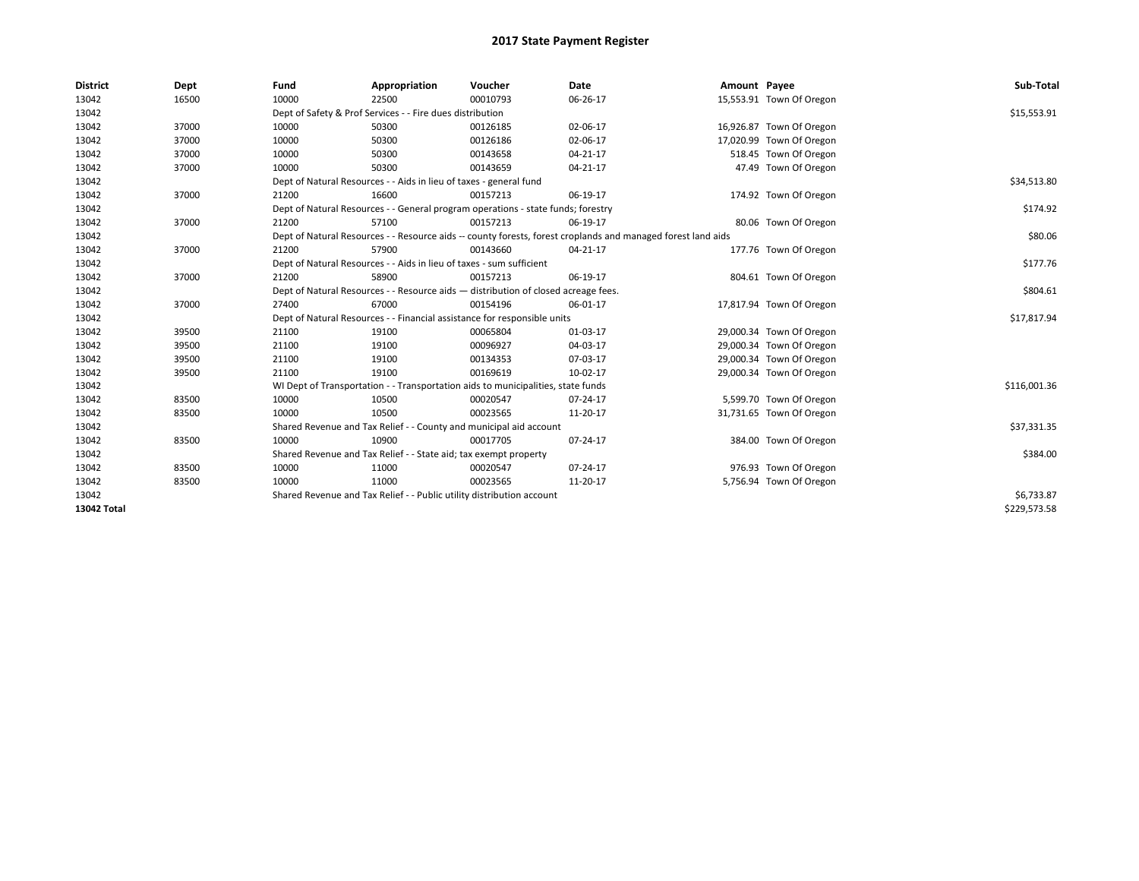| <b>District</b> | Dept  | Fund  | Appropriation                                                                                                | Voucher  | Date           | Amount Payee |                          | Sub-Total    |  |  |  |
|-----------------|-------|-------|--------------------------------------------------------------------------------------------------------------|----------|----------------|--------------|--------------------------|--------------|--|--|--|
| 13042           | 16500 | 10000 | 22500                                                                                                        | 00010793 | 06-26-17       |              | 15,553.91 Town Of Oregon |              |  |  |  |
| 13042           |       |       | Dept of Safety & Prof Services - - Fire dues distribution                                                    |          |                |              |                          | \$15,553.91  |  |  |  |
| 13042           | 37000 | 10000 | 50300                                                                                                        | 00126185 | 02-06-17       |              | 16,926.87 Town Of Oregon |              |  |  |  |
| 13042           | 37000 | 10000 | 50300                                                                                                        | 00126186 | 02-06-17       |              | 17,020.99 Town Of Oregon |              |  |  |  |
| 13042           | 37000 | 10000 | 50300                                                                                                        | 00143658 | $04 - 21 - 17$ |              | 518.45 Town Of Oregon    |              |  |  |  |
| 13042           | 37000 | 10000 | 50300                                                                                                        | 00143659 | $04 - 21 - 17$ |              | 47.49 Town Of Oregon     |              |  |  |  |
| 13042           |       |       | Dept of Natural Resources - - Aids in lieu of taxes - general fund                                           |          |                |              |                          |              |  |  |  |
| 13042           | 37000 | 21200 | 16600                                                                                                        | 00157213 | 06-19-17       |              | 174.92 Town Of Oregon    |              |  |  |  |
| 13042           |       |       | Dept of Natural Resources - - General program operations - state funds; forestry                             |          |                |              |                          | \$174.92     |  |  |  |
| 13042           | 37000 | 21200 | 57100                                                                                                        | 00157213 | 06-19-17       |              | 80.06 Town Of Oregon     |              |  |  |  |
| 13042           |       |       | Dept of Natural Resources - - Resource aids -- county forests, forest croplands and managed forest land aids |          |                |              |                          | \$80.06      |  |  |  |
| 13042           | 37000 | 21200 | 57900                                                                                                        | 00143660 | $04 - 21 - 17$ |              | 177.76 Town Of Oregon    |              |  |  |  |
| 13042           |       |       | Dept of Natural Resources - - Aids in lieu of taxes - sum sufficient                                         |          |                |              |                          |              |  |  |  |
| 13042           | 37000 | 21200 | 58900                                                                                                        | 00157213 | 06-19-17       |              | 804.61 Town Of Oregon    |              |  |  |  |
| 13042           |       |       | Dept of Natural Resources - - Resource aids - distribution of closed acreage fees.                           |          |                |              |                          |              |  |  |  |
| 13042           | 37000 | 27400 | 67000                                                                                                        | 00154196 | 06-01-17       |              | 17,817.94 Town Of Oregon |              |  |  |  |
| 13042           |       |       | Dept of Natural Resources - - Financial assistance for responsible units                                     |          |                |              |                          | \$17,817.94  |  |  |  |
| 13042           | 39500 | 21100 | 19100                                                                                                        | 00065804 | 01-03-17       |              | 29,000.34 Town Of Oregon |              |  |  |  |
| 13042           | 39500 | 21100 | 19100                                                                                                        | 00096927 | 04-03-17       |              | 29,000.34 Town Of Oregon |              |  |  |  |
| 13042           | 39500 | 21100 | 19100                                                                                                        | 00134353 | 07-03-17       |              | 29,000.34 Town Of Oregon |              |  |  |  |
| 13042           | 39500 | 21100 | 19100                                                                                                        | 00169619 | 10-02-17       |              | 29,000.34 Town Of Oregon |              |  |  |  |
| 13042           |       |       | WI Dept of Transportation - - Transportation aids to municipalities, state funds                             |          |                |              |                          | \$116,001.36 |  |  |  |
| 13042           | 83500 | 10000 | 10500                                                                                                        | 00020547 | 07-24-17       |              | 5,599.70 Town Of Oregon  |              |  |  |  |
| 13042           | 83500 | 10000 | 10500                                                                                                        | 00023565 | 11-20-17       |              | 31,731.65 Town Of Oregon |              |  |  |  |
| 13042           |       |       | Shared Revenue and Tax Relief - - County and municipal aid account                                           |          |                |              |                          | \$37,331.35  |  |  |  |
| 13042           | 83500 | 10000 | 10900                                                                                                        | 00017705 | 07-24-17       |              | 384.00 Town Of Oregon    |              |  |  |  |
| 13042           |       |       | Shared Revenue and Tax Relief - - State aid; tax exempt property                                             |          |                |              |                          |              |  |  |  |
| 13042           | 83500 | 10000 | 11000                                                                                                        | 00020547 | 07-24-17       |              | 976.93 Town Of Oregon    |              |  |  |  |
| 13042           | 83500 | 10000 | 11000                                                                                                        | 00023565 | 11-20-17       |              | 5,756.94 Town Of Oregon  |              |  |  |  |
| 13042           |       |       | Shared Revenue and Tax Relief - - Public utility distribution account                                        |          |                |              |                          | \$6,733.87   |  |  |  |
| 13042 Total     |       |       |                                                                                                              |          |                |              |                          | \$229,573.58 |  |  |  |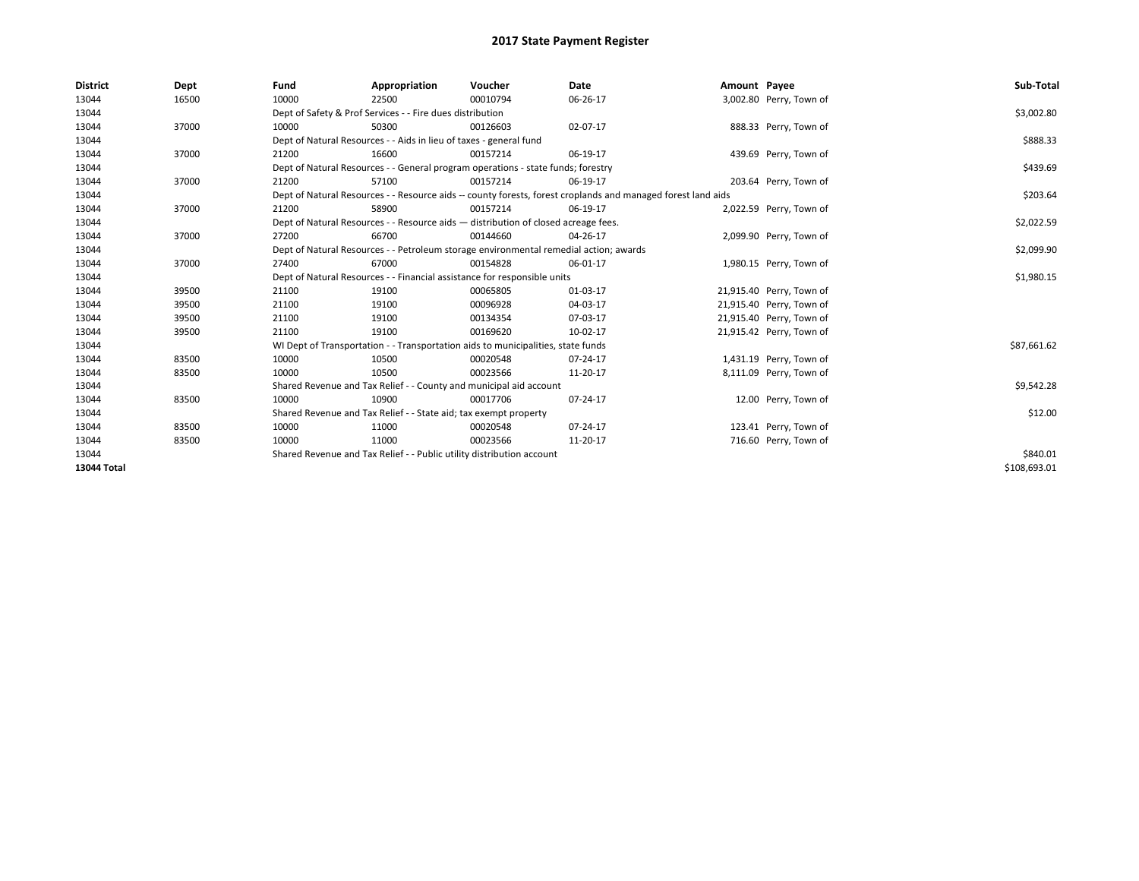| <b>District</b>    | Dept  | Fund                                                                     | Appropriation                                                                                                | Voucher  | Date     | Amount Payee |                          | Sub-Total    |  |  |  |
|--------------------|-------|--------------------------------------------------------------------------|--------------------------------------------------------------------------------------------------------------|----------|----------|--------------|--------------------------|--------------|--|--|--|
| 13044              | 16500 | 10000                                                                    | 22500                                                                                                        | 00010794 | 06-26-17 |              | 3,002.80 Perry, Town of  |              |  |  |  |
| 13044              |       |                                                                          | Dept of Safety & Prof Services - - Fire dues distribution                                                    |          |          |              |                          | \$3,002.80   |  |  |  |
| 13044              | 37000 | 10000                                                                    | 50300                                                                                                        | 00126603 | 02-07-17 |              | 888.33 Perry, Town of    |              |  |  |  |
| 13044              |       |                                                                          | Dept of Natural Resources - - Aids in lieu of taxes - general fund                                           |          |          |              |                          | \$888.33     |  |  |  |
| 13044              | 37000 | 21200                                                                    | 16600                                                                                                        | 00157214 | 06-19-17 |              | 439.69 Perry, Town of    |              |  |  |  |
| 13044              |       |                                                                          | Dept of Natural Resources - - General program operations - state funds; forestry                             |          |          |              |                          |              |  |  |  |
| 13044              | 37000 | 21200                                                                    | 57100                                                                                                        | 00157214 | 06-19-17 |              | 203.64 Perry, Town of    |              |  |  |  |
| 13044              |       |                                                                          | Dept of Natural Resources - - Resource aids -- county forests, forest croplands and managed forest land aids |          |          |              |                          |              |  |  |  |
| 13044              | 37000 | 21200                                                                    | 58900                                                                                                        | 00157214 | 06-19-17 |              | 2,022.59 Perry, Town of  |              |  |  |  |
| 13044              |       |                                                                          | Dept of Natural Resources - - Resource aids - distribution of closed acreage fees.                           |          |          |              |                          | \$2,022.59   |  |  |  |
| 13044              | 37000 | 27200                                                                    | 66700                                                                                                        | 00144660 | 04-26-17 |              | 2,099.90 Perry, Town of  |              |  |  |  |
| 13044              |       |                                                                          | Dept of Natural Resources - - Petroleum storage environmental remedial action; awards                        |          |          |              |                          |              |  |  |  |
| 13044              | 37000 | 27400                                                                    | 67000                                                                                                        | 00154828 | 06-01-17 |              | 1,980.15 Perry, Town of  |              |  |  |  |
| 13044              |       | Dept of Natural Resources - - Financial assistance for responsible units | \$1,980.15                                                                                                   |          |          |              |                          |              |  |  |  |
| 13044              | 39500 | 21100                                                                    | 19100                                                                                                        | 00065805 | 01-03-17 |              | 21,915.40 Perry, Town of |              |  |  |  |
| 13044              | 39500 | 21100                                                                    | 19100                                                                                                        | 00096928 | 04-03-17 |              | 21,915.40 Perry, Town of |              |  |  |  |
| 13044              | 39500 | 21100                                                                    | 19100                                                                                                        | 00134354 | 07-03-17 |              | 21,915.40 Perry, Town of |              |  |  |  |
| 13044              | 39500 | 21100                                                                    | 19100                                                                                                        | 00169620 | 10-02-17 |              | 21,915.42 Perry, Town of |              |  |  |  |
| 13044              |       |                                                                          | WI Dept of Transportation - - Transportation aids to municipalities, state funds                             |          |          |              |                          | \$87,661.62  |  |  |  |
| 13044              | 83500 | 10000                                                                    | 10500                                                                                                        | 00020548 | 07-24-17 |              | 1,431.19 Perry, Town of  |              |  |  |  |
| 13044              | 83500 | 10000                                                                    | 10500                                                                                                        | 00023566 | 11-20-17 |              | 8,111.09 Perry, Town of  |              |  |  |  |
| 13044              |       |                                                                          | Shared Revenue and Tax Relief - - County and municipal aid account                                           |          |          |              |                          | \$9,542.28   |  |  |  |
| 13044              | 83500 | 10000                                                                    | 10900                                                                                                        | 00017706 | 07-24-17 |              | 12.00 Perry, Town of     |              |  |  |  |
| 13044              |       |                                                                          | Shared Revenue and Tax Relief - - State aid; tax exempt property                                             |          |          |              |                          | \$12.00      |  |  |  |
| 13044              | 83500 | 10000                                                                    | 11000                                                                                                        | 00020548 | 07-24-17 |              | 123.41 Perry, Town of    |              |  |  |  |
| 13044              | 83500 | 10000                                                                    | 11000                                                                                                        | 00023566 | 11-20-17 |              | 716.60 Perry, Town of    |              |  |  |  |
| 13044              |       |                                                                          | Shared Revenue and Tax Relief - - Public utility distribution account                                        |          |          |              |                          | \$840.01     |  |  |  |
| <b>13044 Total</b> |       |                                                                          |                                                                                                              |          |          |              |                          | \$108.693.01 |  |  |  |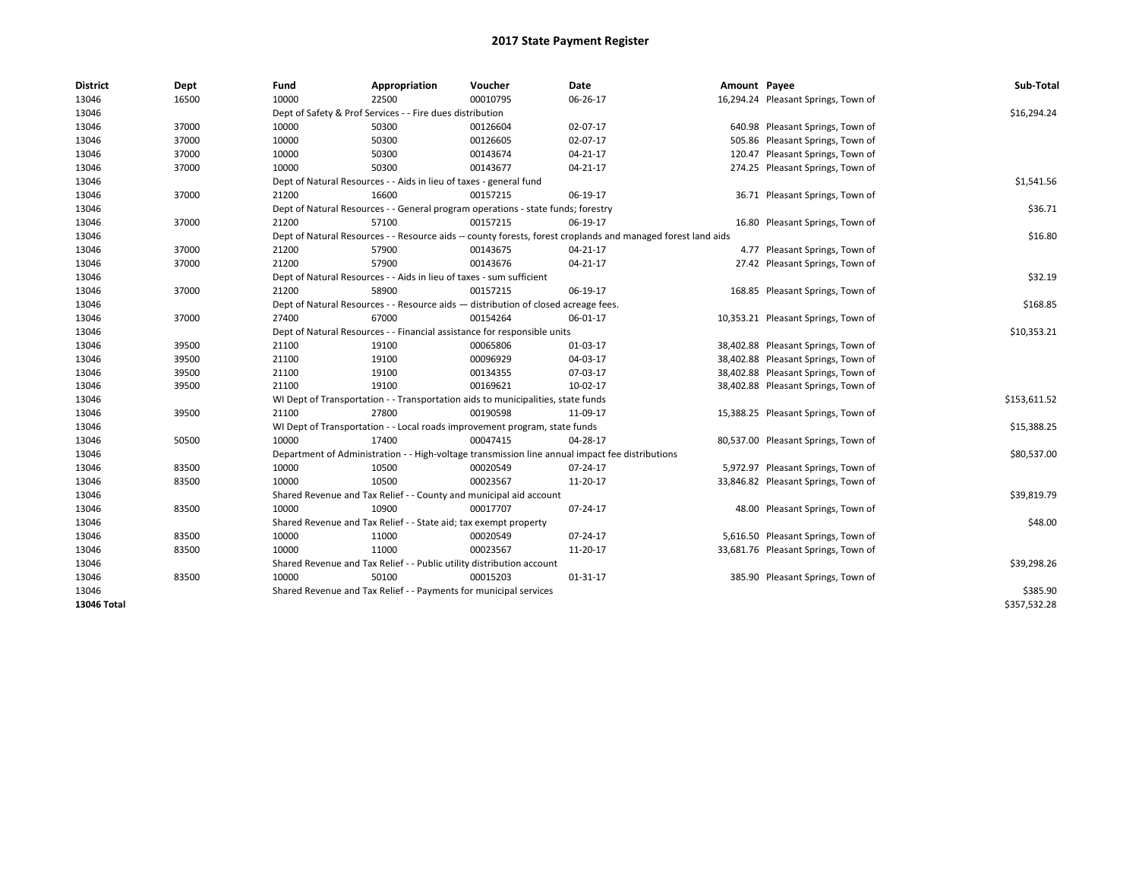| <b>District</b> | Dept  | Fund                                                                     | Appropriation                                                                      | Voucher  | Date                                                                                                         | Amount Payee |                                     | Sub-Total    |
|-----------------|-------|--------------------------------------------------------------------------|------------------------------------------------------------------------------------|----------|--------------------------------------------------------------------------------------------------------------|--------------|-------------------------------------|--------------|
| 13046           | 16500 | 10000                                                                    | 22500                                                                              | 00010795 | 06-26-17                                                                                                     |              | 16,294.24 Pleasant Springs, Town of |              |
| 13046           |       |                                                                          | Dept of Safety & Prof Services - - Fire dues distribution                          |          |                                                                                                              |              |                                     | \$16,294.24  |
| 13046           | 37000 | 10000                                                                    | 50300                                                                              | 00126604 | 02-07-17                                                                                                     |              | 640.98 Pleasant Springs, Town of    |              |
| 13046           | 37000 | 10000                                                                    | 50300                                                                              | 00126605 | 02-07-17                                                                                                     |              | 505.86 Pleasant Springs, Town of    |              |
| 13046           | 37000 | 10000                                                                    | 50300                                                                              | 00143674 | 04-21-17                                                                                                     |              | 120.47 Pleasant Springs, Town of    |              |
| 13046           | 37000 | 10000                                                                    | 50300                                                                              | 00143677 | 04-21-17                                                                                                     |              | 274.25 Pleasant Springs, Town of    |              |
| 13046           |       |                                                                          | Dept of Natural Resources - - Aids in lieu of taxes - general fund                 |          |                                                                                                              |              |                                     | \$1,541.56   |
| 13046           | 37000 | 21200                                                                    | 16600                                                                              | 00157215 | 06-19-17                                                                                                     |              | 36.71 Pleasant Springs, Town of     |              |
| 13046           |       |                                                                          | Dept of Natural Resources - - General program operations - state funds; forestry   |          |                                                                                                              |              |                                     | \$36.71      |
| 13046           | 37000 | 21200                                                                    | 57100                                                                              | 00157215 | 06-19-17                                                                                                     |              | 16.80 Pleasant Springs, Town of     |              |
| 13046           |       |                                                                          |                                                                                    |          | Dept of Natural Resources - - Resource aids -- county forests, forest croplands and managed forest land aids |              |                                     | \$16.80      |
| 13046           | 37000 | 21200                                                                    | 57900                                                                              | 00143675 | 04-21-17                                                                                                     |              | 4.77 Pleasant Springs, Town of      |              |
| 13046           | 37000 | 21200                                                                    | 57900                                                                              | 00143676 | $04 - 21 - 17$                                                                                               |              | 27.42 Pleasant Springs, Town of     |              |
| 13046           |       |                                                                          | Dept of Natural Resources - - Aids in lieu of taxes - sum sufficient               |          |                                                                                                              |              |                                     | \$32.19      |
| 13046           | 37000 | 21200                                                                    | 58900                                                                              | 00157215 | 06-19-17                                                                                                     |              | 168.85 Pleasant Springs, Town of    |              |
| 13046           |       |                                                                          | Dept of Natural Resources - - Resource aids - distribution of closed acreage fees. |          |                                                                                                              |              |                                     | \$168.85     |
| 13046           | 37000 | 27400                                                                    | 67000                                                                              | 00154264 | 06-01-17                                                                                                     |              | 10,353.21 Pleasant Springs, Town of |              |
| 13046           |       | Dept of Natural Resources - - Financial assistance for responsible units | \$10,353.21                                                                        |          |                                                                                                              |              |                                     |              |
| 13046           | 39500 | 21100                                                                    | 19100                                                                              | 00065806 | 01-03-17                                                                                                     |              | 38,402.88 Pleasant Springs, Town of |              |
| 13046           | 39500 | 21100                                                                    | 19100                                                                              | 00096929 | 04-03-17                                                                                                     |              | 38,402.88 Pleasant Springs, Town of |              |
| 13046           | 39500 | 21100                                                                    | 19100                                                                              | 00134355 | 07-03-17                                                                                                     |              | 38,402.88 Pleasant Springs, Town of |              |
| 13046           | 39500 | 21100                                                                    | 19100                                                                              | 00169621 | 10-02-17                                                                                                     |              | 38,402.88 Pleasant Springs, Town of |              |
| 13046           |       |                                                                          | WI Dept of Transportation - - Transportation aids to municipalities, state funds   |          |                                                                                                              |              |                                     | \$153,611.52 |
| 13046           | 39500 | 21100                                                                    | 27800                                                                              | 00190598 | 11-09-17                                                                                                     |              | 15,388.25 Pleasant Springs, Town of |              |
| 13046           |       |                                                                          | WI Dept of Transportation - - Local roads improvement program, state funds         |          |                                                                                                              |              |                                     | \$15,388.25  |
| 13046           | 50500 | 10000                                                                    | 17400                                                                              | 00047415 | 04-28-17                                                                                                     |              | 80,537.00 Pleasant Springs, Town of |              |
| 13046           |       |                                                                          |                                                                                    |          | Department of Administration - - High-voltage transmission line annual impact fee distributions              |              |                                     | \$80,537.00  |
| 13046           | 83500 | 10000                                                                    | 10500                                                                              | 00020549 | 07-24-17                                                                                                     |              | 5,972.97 Pleasant Springs, Town of  |              |
| 13046           | 83500 | 10000                                                                    | 10500                                                                              | 00023567 | 11-20-17                                                                                                     |              | 33,846.82 Pleasant Springs, Town of |              |
| 13046           |       |                                                                          | Shared Revenue and Tax Relief - - County and municipal aid account                 |          |                                                                                                              |              |                                     | \$39,819.79  |
| 13046           | 83500 | 10000                                                                    | 10900                                                                              | 00017707 | 07-24-17                                                                                                     |              | 48.00 Pleasant Springs, Town of     |              |
| 13046           |       |                                                                          | Shared Revenue and Tax Relief - - State aid; tax exempt property                   |          |                                                                                                              |              |                                     | \$48.00      |
| 13046           | 83500 | 10000                                                                    | 11000                                                                              | 00020549 | 07-24-17                                                                                                     |              | 5,616.50 Pleasant Springs, Town of  |              |
| 13046           | 83500 | 10000                                                                    | 11000                                                                              | 00023567 | 11-20-17                                                                                                     |              | 33,681.76 Pleasant Springs, Town of |              |
| 13046           |       |                                                                          | Shared Revenue and Tax Relief - - Public utility distribution account              |          |                                                                                                              |              |                                     | \$39,298.26  |
| 13046           | 83500 | 10000                                                                    | 50100                                                                              | 00015203 | 01-31-17                                                                                                     |              | 385.90 Pleasant Springs, Town of    |              |
| 13046           |       |                                                                          | Shared Revenue and Tax Relief - - Payments for municipal services                  |          |                                                                                                              |              |                                     | \$385.90     |
| 13046 Total     |       |                                                                          |                                                                                    |          |                                                                                                              |              |                                     | \$357,532.28 |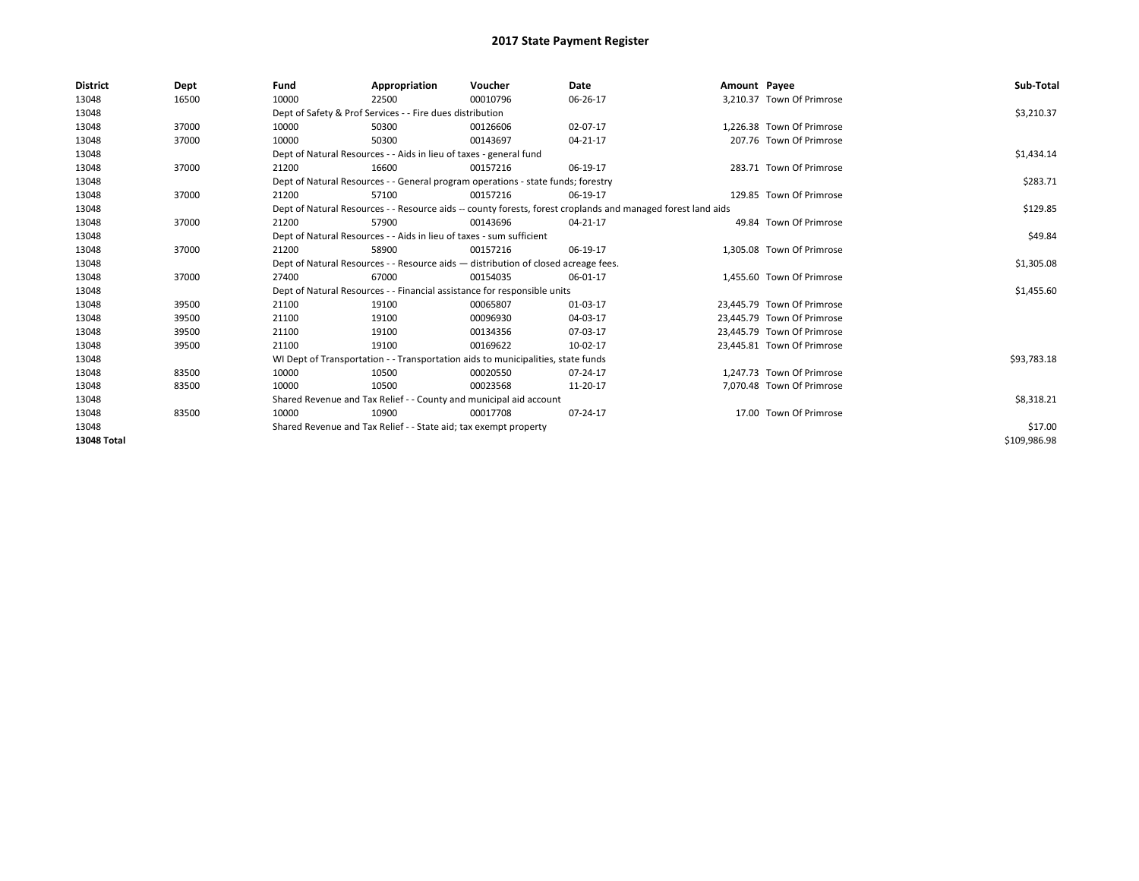| <b>District</b> | Dept  | Fund                                                                               | Appropriation                                                                                                | Voucher    | <b>Date</b> | Amount Payee |                            | Sub-Total    |  |  |  |
|-----------------|-------|------------------------------------------------------------------------------------|--------------------------------------------------------------------------------------------------------------|------------|-------------|--------------|----------------------------|--------------|--|--|--|
| 13048           | 16500 | 10000                                                                              | 22500                                                                                                        | 00010796   | 06-26-17    |              | 3,210.37 Town Of Primrose  |              |  |  |  |
| 13048           |       |                                                                                    | Dept of Safety & Prof Services - - Fire dues distribution                                                    |            |             |              |                            | \$3,210.37   |  |  |  |
| 13048           | 37000 | 10000                                                                              | 50300                                                                                                        | 00126606   | 02-07-17    |              | 1.226.38 Town Of Primrose  |              |  |  |  |
| 13048           | 37000 | 10000                                                                              | 50300                                                                                                        | 00143697   | 04-21-17    |              | 207.76 Town Of Primrose    |              |  |  |  |
| 13048           |       |                                                                                    | Dept of Natural Resources - - Aids in lieu of taxes - general fund                                           |            |             |              |                            |              |  |  |  |
| 13048           | 37000 | 21200                                                                              | 16600                                                                                                        | 00157216   | 06-19-17    |              | 283.71 Town Of Primrose    |              |  |  |  |
| 13048           |       |                                                                                    | Dept of Natural Resources - - General program operations - state funds; forestry                             |            |             |              |                            |              |  |  |  |
| 13048           | 37000 | 21200                                                                              | 57100                                                                                                        | 00157216   | 06-19-17    |              | 129.85 Town Of Primrose    |              |  |  |  |
| 13048           |       |                                                                                    | Dept of Natural Resources - - Resource aids -- county forests, forest croplands and managed forest land aids |            |             |              |                            |              |  |  |  |
| 13048           | 37000 | 21200                                                                              | 57900                                                                                                        | 00143696   | 04-21-17    |              | 49.84 Town Of Primrose     |              |  |  |  |
| 13048           |       |                                                                                    | Dept of Natural Resources - - Aids in lieu of taxes - sum sufficient                                         |            |             |              |                            |              |  |  |  |
| 13048           | 37000 | 21200                                                                              | 58900                                                                                                        | 00157216   | 06-19-17    |              | 1,305.08 Town Of Primrose  |              |  |  |  |
| 13048           |       | Dept of Natural Resources - - Resource aids - distribution of closed acreage fees. | \$1,305.08                                                                                                   |            |             |              |                            |              |  |  |  |
| 13048           | 37000 | 27400                                                                              | 67000                                                                                                        | 00154035   | 06-01-17    |              | 1,455.60 Town Of Primrose  |              |  |  |  |
| 13048           |       |                                                                                    | Dept of Natural Resources - - Financial assistance for responsible units                                     |            |             |              |                            | \$1,455.60   |  |  |  |
| 13048           | 39500 | 21100                                                                              | 19100                                                                                                        | 00065807   | 01-03-17    |              | 23.445.79 Town Of Primrose |              |  |  |  |
| 13048           | 39500 | 21100                                                                              | 19100                                                                                                        | 00096930   | 04-03-17    |              | 23.445.79 Town Of Primrose |              |  |  |  |
| 13048           | 39500 | 21100                                                                              | 19100                                                                                                        | 00134356   | 07-03-17    |              | 23.445.79 Town Of Primrose |              |  |  |  |
| 13048           | 39500 | 21100                                                                              | 19100                                                                                                        | 00169622   | 10-02-17    |              | 23,445.81 Town Of Primrose |              |  |  |  |
| 13048           |       |                                                                                    | WI Dept of Transportation - - Transportation aids to municipalities, state funds                             |            |             |              |                            | \$93,783.18  |  |  |  |
| 13048           | 83500 | 10000                                                                              | 10500                                                                                                        | 00020550   | 07-24-17    |              | 1.247.73 Town Of Primrose  |              |  |  |  |
| 13048           | 83500 | 10000                                                                              | 10500                                                                                                        | 00023568   | 11-20-17    |              | 7,070.48 Town Of Primrose  |              |  |  |  |
| 13048           |       | Shared Revenue and Tax Relief - - County and municipal aid account                 |                                                                                                              | \$8,318.21 |             |              |                            |              |  |  |  |
| 13048           | 83500 | 10000                                                                              | 10900                                                                                                        | 00017708   | 07-24-17    |              | 17.00 Town Of Primrose     |              |  |  |  |
| 13048           |       | Shared Revenue and Tax Relief - - State aid; tax exempt property                   |                                                                                                              | \$17.00    |             |              |                            |              |  |  |  |
| 13048 Total     |       |                                                                                    |                                                                                                              |            |             |              |                            | \$109,986.98 |  |  |  |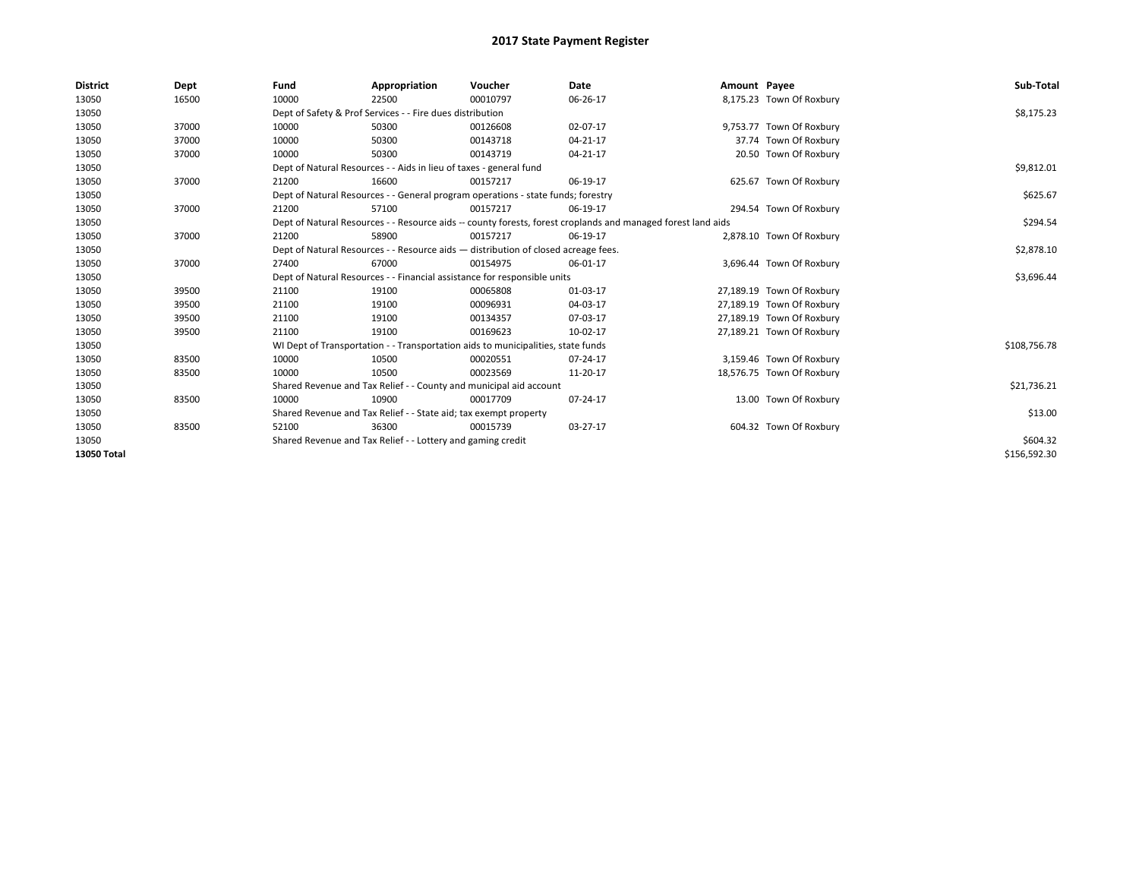| <b>District</b> | Dept  | Fund                                                                               | Appropriation                                                                    | Voucher    | Date                                                                                                         | Amount Payee |                           | Sub-Total    |
|-----------------|-------|------------------------------------------------------------------------------------|----------------------------------------------------------------------------------|------------|--------------------------------------------------------------------------------------------------------------|--------------|---------------------------|--------------|
| 13050           | 16500 | 10000                                                                              | 22500                                                                            | 00010797   | 06-26-17                                                                                                     |              | 8,175.23 Town Of Roxbury  |              |
| 13050           |       |                                                                                    | Dept of Safety & Prof Services - - Fire dues distribution                        |            |                                                                                                              |              |                           | \$8,175.23   |
| 13050           | 37000 | 10000                                                                              | 50300                                                                            | 00126608   | 02-07-17                                                                                                     |              | 9,753.77 Town Of Roxbury  |              |
| 13050           | 37000 | 10000                                                                              | 50300                                                                            | 00143718   | 04-21-17                                                                                                     |              | 37.74 Town Of Roxbury     |              |
| 13050           | 37000 | 10000                                                                              | 50300                                                                            | 00143719   | 04-21-17                                                                                                     |              | 20.50 Town Of Roxbury     |              |
| 13050           |       |                                                                                    | Dept of Natural Resources - - Aids in lieu of taxes - general fund               |            |                                                                                                              |              |                           | \$9,812.01   |
| 13050           | 37000 | 21200                                                                              | 16600                                                                            | 00157217   | 06-19-17                                                                                                     |              | 625.67 Town Of Roxbury    |              |
| 13050           |       |                                                                                    | Dept of Natural Resources - - General program operations - state funds; forestry |            |                                                                                                              |              |                           | \$625.67     |
| 13050           | 37000 | 21200                                                                              | 57100                                                                            | 00157217   | 06-19-17                                                                                                     |              | 294.54 Town Of Roxbury    |              |
| 13050           |       |                                                                                    |                                                                                  |            | Dept of Natural Resources - - Resource aids -- county forests, forest croplands and managed forest land aids |              |                           | \$294.54     |
| 13050           | 37000 | 21200                                                                              | 58900                                                                            | 00157217   | 06-19-17                                                                                                     |              | 2,878.10 Town Of Roxbury  |              |
| 13050           |       | Dept of Natural Resources - - Resource aids - distribution of closed acreage fees. |                                                                                  | \$2,878.10 |                                                                                                              |              |                           |              |
| 13050           | 37000 | 27400                                                                              | 67000                                                                            | 00154975   | 06-01-17                                                                                                     |              | 3,696.44 Town Of Roxbury  |              |
| 13050           |       |                                                                                    | Dept of Natural Resources - - Financial assistance for responsible units         |            |                                                                                                              |              |                           | \$3,696.44   |
| 13050           | 39500 | 21100                                                                              | 19100                                                                            | 00065808   | 01-03-17                                                                                                     |              | 27,189.19 Town Of Roxbury |              |
| 13050           | 39500 | 21100                                                                              | 19100                                                                            | 00096931   | 04-03-17                                                                                                     |              | 27,189.19 Town Of Roxbury |              |
| 13050           | 39500 | 21100                                                                              | 19100                                                                            | 00134357   | 07-03-17                                                                                                     |              | 27,189.19 Town Of Roxbury |              |
| 13050           | 39500 | 21100                                                                              | 19100                                                                            | 00169623   | 10-02-17                                                                                                     |              | 27,189.21 Town Of Roxbury |              |
| 13050           |       |                                                                                    | WI Dept of Transportation - - Transportation aids to municipalities, state funds |            |                                                                                                              |              |                           | \$108,756.78 |
| 13050           | 83500 | 10000                                                                              | 10500                                                                            | 00020551   | 07-24-17                                                                                                     |              | 3,159.46 Town Of Roxbury  |              |
| 13050           | 83500 | 10000                                                                              | 10500                                                                            | 00023569   | 11-20-17                                                                                                     |              | 18,576.75 Town Of Roxbury |              |
| 13050           |       |                                                                                    | Shared Revenue and Tax Relief - - County and municipal aid account               |            |                                                                                                              |              |                           | \$21,736.21  |
| 13050           | 83500 | 10000                                                                              | 10900                                                                            | 00017709   | 07-24-17                                                                                                     |              | 13.00 Town Of Roxbury     |              |
| 13050           |       |                                                                                    | Shared Revenue and Tax Relief - - State aid; tax exempt property                 |            |                                                                                                              |              |                           | \$13.00      |
| 13050           | 83500 | 52100                                                                              | 36300                                                                            | 00015739   | 03-27-17                                                                                                     |              | 604.32 Town Of Roxbury    |              |
| 13050           |       | Shared Revenue and Tax Relief - - Lottery and gaming credit                        |                                                                                  | \$604.32   |                                                                                                              |              |                           |              |
| 13050 Total     |       |                                                                                    |                                                                                  |            |                                                                                                              |              |                           | \$156,592.30 |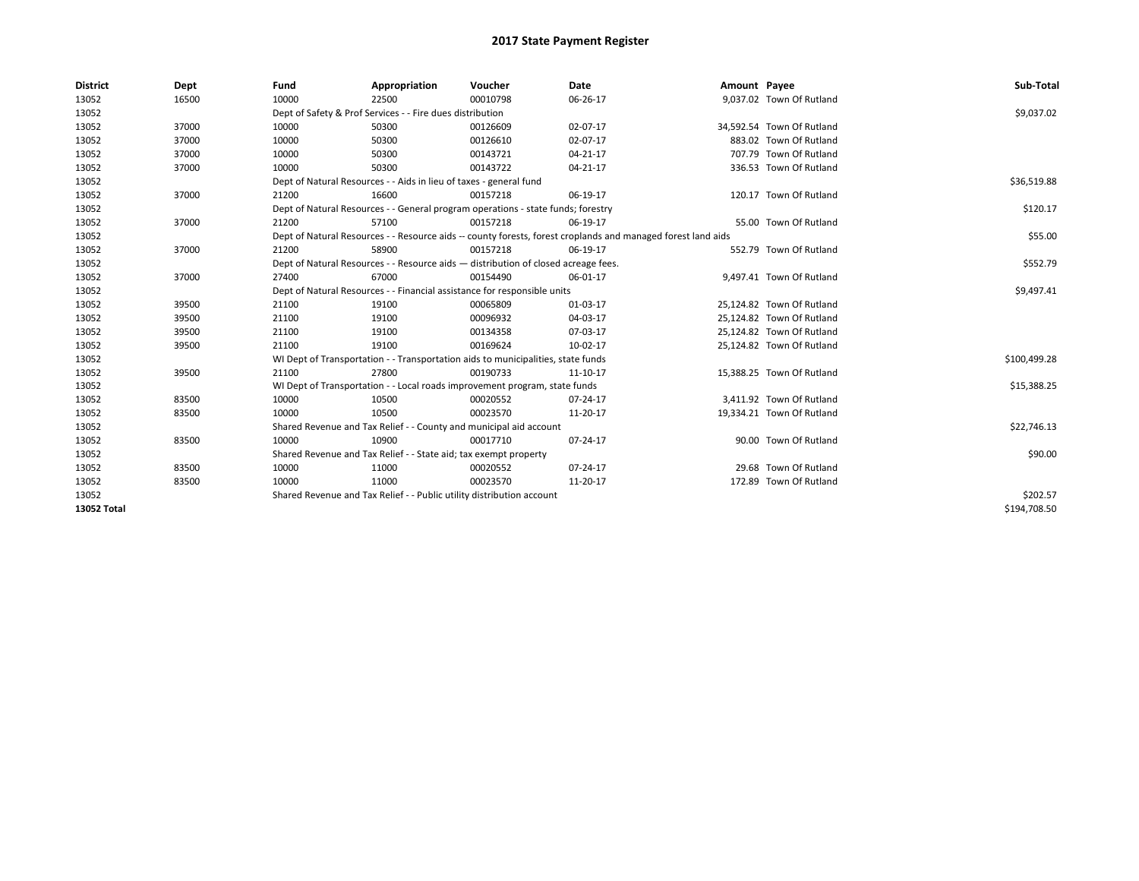| <b>District</b> | Dept  | Fund  | Appropriation                                                                      | Voucher  | Date                                                                                                         | Amount Payee |                           | Sub-Total    |  |  |  |
|-----------------|-------|-------|------------------------------------------------------------------------------------|----------|--------------------------------------------------------------------------------------------------------------|--------------|---------------------------|--------------|--|--|--|
| 13052           | 16500 | 10000 | 22500                                                                              | 00010798 | 06-26-17                                                                                                     |              | 9,037.02 Town Of Rutland  |              |  |  |  |
| 13052           |       |       | Dept of Safety & Prof Services - - Fire dues distribution                          |          |                                                                                                              |              |                           | \$9,037.02   |  |  |  |
| 13052           | 37000 | 10000 | 50300                                                                              | 00126609 | 02-07-17                                                                                                     |              | 34,592.54 Town Of Rutland |              |  |  |  |
| 13052           | 37000 | 10000 | 50300                                                                              | 00126610 | 02-07-17                                                                                                     |              | 883.02 Town Of Rutland    |              |  |  |  |
| 13052           | 37000 | 10000 | 50300                                                                              | 00143721 | 04-21-17                                                                                                     |              | 707.79 Town Of Rutland    |              |  |  |  |
| 13052           | 37000 | 10000 | 50300                                                                              | 00143722 | $04 - 21 - 17$                                                                                               |              | 336.53 Town Of Rutland    |              |  |  |  |
| 13052           |       |       | Dept of Natural Resources - - Aids in lieu of taxes - general fund                 |          |                                                                                                              |              |                           |              |  |  |  |
| 13052           | 37000 | 21200 | 16600                                                                              | 00157218 | 06-19-17                                                                                                     |              | 120.17 Town Of Rutland    |              |  |  |  |
| 13052           |       |       | Dept of Natural Resources - - General program operations - state funds; forestry   |          |                                                                                                              |              |                           | \$120.17     |  |  |  |
| 13052           | 37000 | 21200 | 57100                                                                              | 00157218 | 06-19-17                                                                                                     |              | 55.00 Town Of Rutland     |              |  |  |  |
| 13052           |       |       |                                                                                    |          | Dept of Natural Resources - - Resource aids -- county forests, forest croplands and managed forest land aids |              |                           | \$55.00      |  |  |  |
| 13052           | 37000 | 21200 | 58900                                                                              | 00157218 | 06-19-17                                                                                                     |              | 552.79 Town Of Rutland    |              |  |  |  |
| 13052           |       |       | Dept of Natural Resources - - Resource aids - distribution of closed acreage fees. |          |                                                                                                              |              |                           |              |  |  |  |
| 13052           | 37000 | 27400 | 67000                                                                              | 00154490 | 06-01-17                                                                                                     |              | 9,497.41 Town Of Rutland  |              |  |  |  |
| 13052           |       |       | Dept of Natural Resources - - Financial assistance for responsible units           |          |                                                                                                              |              |                           |              |  |  |  |
| 13052           | 39500 | 21100 | 19100                                                                              | 00065809 | 01-03-17                                                                                                     |              | 25,124.82 Town Of Rutland |              |  |  |  |
| 13052           | 39500 | 21100 | 19100                                                                              | 00096932 | 04-03-17                                                                                                     |              | 25,124.82 Town Of Rutland |              |  |  |  |
| 13052           | 39500 | 21100 | 19100                                                                              | 00134358 | 07-03-17                                                                                                     |              | 25,124.82 Town Of Rutland |              |  |  |  |
| 13052           | 39500 | 21100 | 19100                                                                              | 00169624 | 10-02-17                                                                                                     |              | 25,124.82 Town Of Rutland |              |  |  |  |
| 13052           |       |       | WI Dept of Transportation - - Transportation aids to municipalities, state funds   |          |                                                                                                              |              |                           | \$100,499.28 |  |  |  |
| 13052           | 39500 | 21100 | 27800                                                                              | 00190733 | 11-10-17                                                                                                     |              | 15,388.25 Town Of Rutland |              |  |  |  |
| 13052           |       |       | WI Dept of Transportation - - Local roads improvement program, state funds         |          |                                                                                                              |              |                           | \$15,388.25  |  |  |  |
| 13052           | 83500 | 10000 | 10500                                                                              | 00020552 | $07 - 24 - 17$                                                                                               |              | 3,411.92 Town Of Rutland  |              |  |  |  |
| 13052           | 83500 | 10000 | 10500                                                                              | 00023570 | 11-20-17                                                                                                     |              | 19,334.21 Town Of Rutland |              |  |  |  |
| 13052           |       |       | Shared Revenue and Tax Relief - - County and municipal aid account                 |          |                                                                                                              |              |                           | \$22,746.13  |  |  |  |
| 13052           | 83500 | 10000 | 10900                                                                              | 00017710 | 07-24-17                                                                                                     |              | 90.00 Town Of Rutland     |              |  |  |  |
| 13052           |       |       | Shared Revenue and Tax Relief - - State aid; tax exempt property                   |          |                                                                                                              |              |                           | \$90.00      |  |  |  |
| 13052           | 83500 | 10000 | 11000                                                                              | 00020552 | 07-24-17                                                                                                     |              | 29.68 Town Of Rutland     |              |  |  |  |
| 13052           | 83500 | 10000 | 11000                                                                              | 00023570 | 11-20-17                                                                                                     |              | 172.89 Town Of Rutland    |              |  |  |  |
| 13052           |       |       | Shared Revenue and Tax Relief - - Public utility distribution account              |          |                                                                                                              |              |                           | \$202.57     |  |  |  |
| 13052 Total     |       |       |                                                                                    |          |                                                                                                              |              |                           | \$194,708.50 |  |  |  |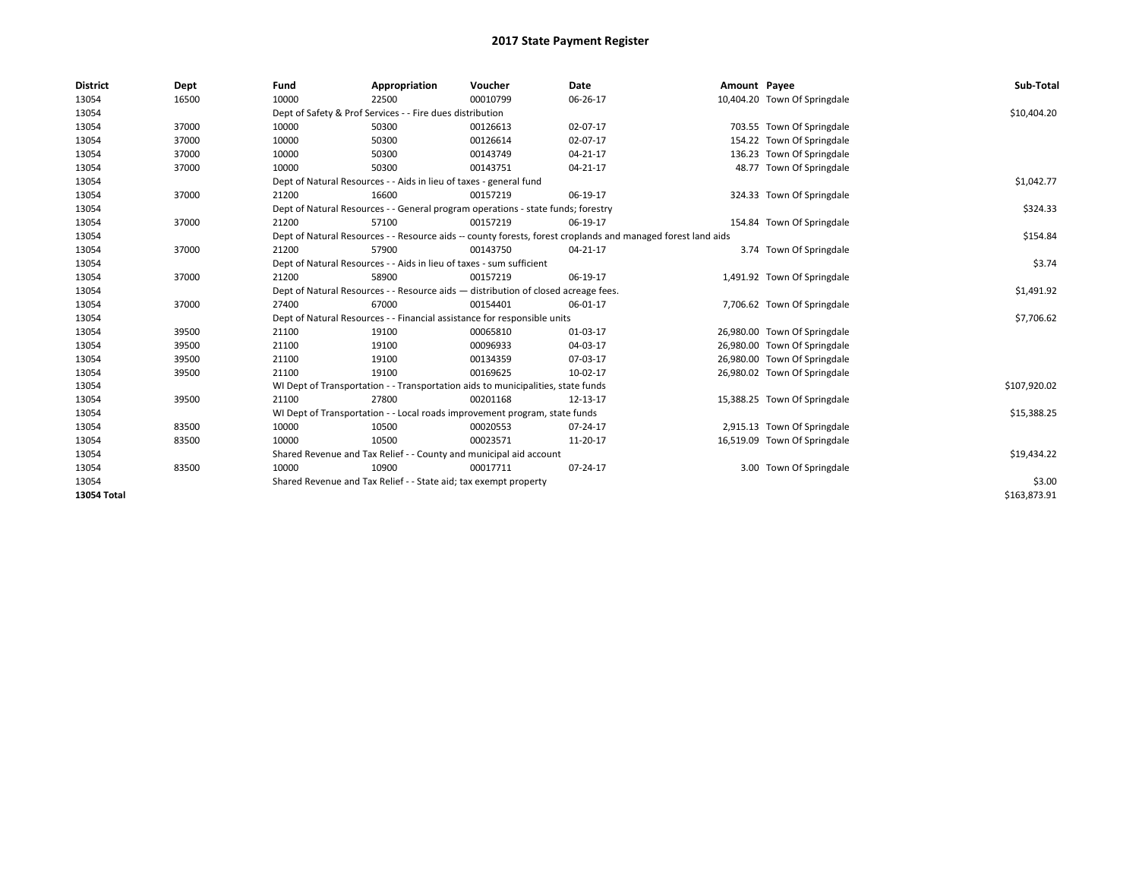| <b>District</b> | Dept  | Fund                                                                                                         | Appropriation                                                                    | Voucher    | <b>Date</b> | Amount Payee |                              | Sub-Total    |
|-----------------|-------|--------------------------------------------------------------------------------------------------------------|----------------------------------------------------------------------------------|------------|-------------|--------------|------------------------------|--------------|
| 13054           | 16500 | 10000                                                                                                        | 22500                                                                            | 00010799   | 06-26-17    |              | 10,404.20 Town Of Springdale |              |
| 13054           |       |                                                                                                              | Dept of Safety & Prof Services - - Fire dues distribution                        |            |             |              |                              | \$10,404.20  |
| 13054           | 37000 | 10000                                                                                                        | 50300                                                                            | 00126613   | 02-07-17    |              | 703.55 Town Of Springdale    |              |
| 13054           | 37000 | 10000                                                                                                        | 50300                                                                            | 00126614   | 02-07-17    |              | 154.22 Town Of Springdale    |              |
| 13054           | 37000 | 10000                                                                                                        | 50300                                                                            | 00143749   | 04-21-17    |              | 136.23 Town Of Springdale    |              |
| 13054           | 37000 | 10000                                                                                                        | 50300                                                                            | 00143751   | 04-21-17    |              | 48.77 Town Of Springdale     |              |
| 13054           |       | Dept of Natural Resources - - Aids in lieu of taxes - general fund                                           |                                                                                  | \$1,042.77 |             |              |                              |              |
| 13054           | 37000 | 21200                                                                                                        | 16600                                                                            | 00157219   | 06-19-17    |              | 324.33 Town Of Springdale    |              |
| 13054           |       |                                                                                                              | Dept of Natural Resources - - General program operations - state funds; forestry |            |             |              |                              | \$324.33     |
| 13054           | 37000 | 21200                                                                                                        | 57100                                                                            | 00157219   | 06-19-17    |              | 154.84 Town Of Springdale    |              |
| 13054           |       | Dept of Natural Resources - - Resource aids -- county forests, forest croplands and managed forest land aids |                                                                                  | \$154.84   |             |              |                              |              |
| 13054           | 37000 | 21200                                                                                                        | 57900                                                                            | 00143750   | 04-21-17    |              | 3.74 Town Of Springdale      |              |
| 13054           |       | Dept of Natural Resources - - Aids in lieu of taxes - sum sufficient                                         |                                                                                  | \$3.74     |             |              |                              |              |
| 13054           | 37000 | 21200                                                                                                        | 58900                                                                            | 00157219   | 06-19-17    |              | 1,491.92 Town Of Springdale  |              |
| 13054           |       | Dept of Natural Resources - - Resource aids - distribution of closed acreage fees.                           |                                                                                  | \$1,491.92 |             |              |                              |              |
| 13054           | 37000 | 27400                                                                                                        | 67000                                                                            | 00154401   | 06-01-17    |              | 7,706.62 Town Of Springdale  |              |
| 13054           |       |                                                                                                              | Dept of Natural Resources - - Financial assistance for responsible units         |            |             |              |                              | \$7,706.62   |
| 13054           | 39500 | 21100                                                                                                        | 19100                                                                            | 00065810   | 01-03-17    |              | 26,980.00 Town Of Springdale |              |
| 13054           | 39500 | 21100                                                                                                        | 19100                                                                            | 00096933   | 04-03-17    |              | 26,980.00 Town Of Springdale |              |
| 13054           | 39500 | 21100                                                                                                        | 19100                                                                            | 00134359   | 07-03-17    |              | 26,980.00 Town Of Springdale |              |
| 13054           | 39500 | 21100                                                                                                        | 19100                                                                            | 00169625   | 10-02-17    |              | 26,980.02 Town Of Springdale |              |
| 13054           |       |                                                                                                              | WI Dept of Transportation - - Transportation aids to municipalities, state funds |            |             |              |                              | \$107,920.02 |
| 13054           | 39500 | 21100                                                                                                        | 27800                                                                            | 00201168   | 12-13-17    |              | 15,388.25 Town Of Springdale |              |
| 13054           |       |                                                                                                              | WI Dept of Transportation - - Local roads improvement program, state funds       |            |             |              |                              | \$15,388.25  |
| 13054           | 83500 | 10000                                                                                                        | 10500                                                                            | 00020553   | 07-24-17    |              | 2,915.13 Town Of Springdale  |              |
| 13054           | 83500 | 10000                                                                                                        | 10500                                                                            | 00023571   | 11-20-17    |              | 16,519.09 Town Of Springdale |              |
| 13054           |       |                                                                                                              | Shared Revenue and Tax Relief - - County and municipal aid account               |            |             |              |                              | \$19,434.22  |
| 13054           | 83500 | 10000                                                                                                        | 10900                                                                            | 00017711   | 07-24-17    |              | 3.00 Town Of Springdale      |              |
| 13054           |       |                                                                                                              | Shared Revenue and Tax Relief - - State aid; tax exempt property                 |            |             |              |                              | \$3.00       |
| 13054 Total     |       |                                                                                                              |                                                                                  |            |             |              |                              | \$163,873.91 |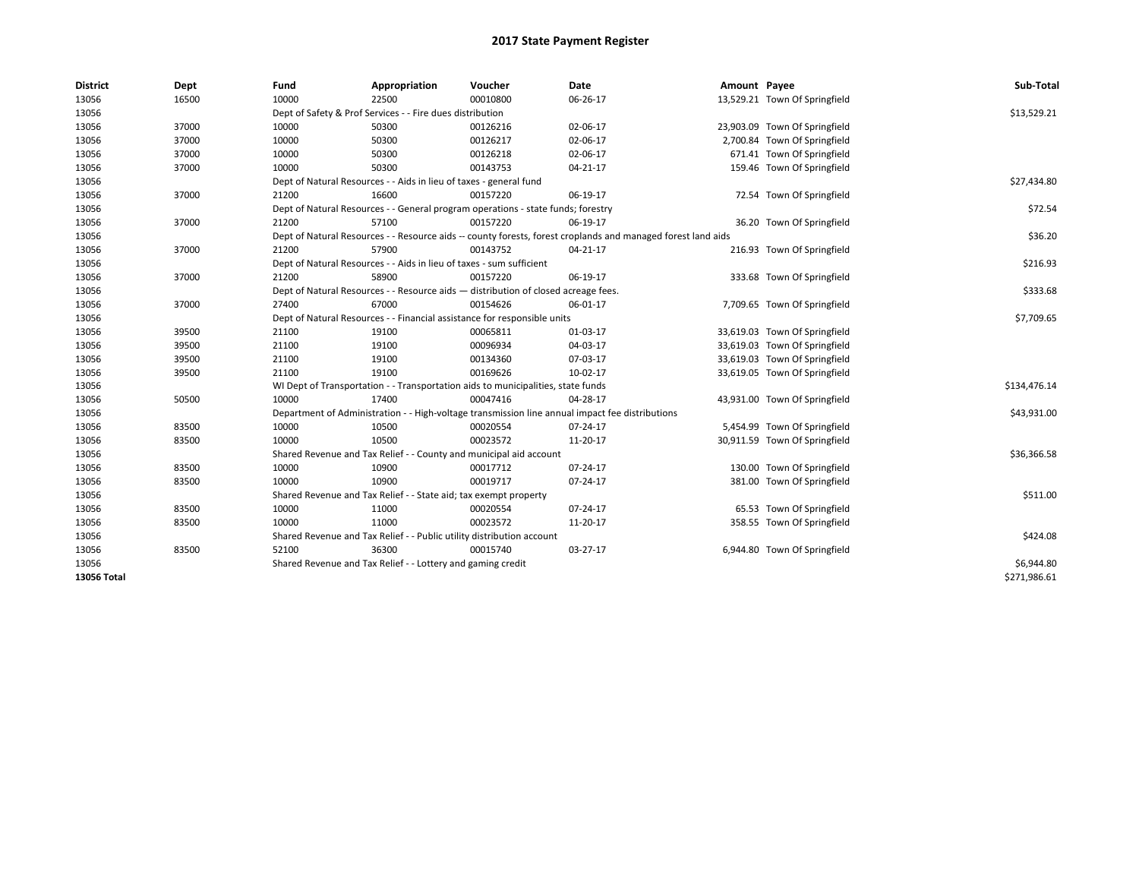| <b>District</b> | Dept  | Fund  | Appropriation                                                                      | Voucher  | Date                                                                                                         | Amount Payee |                               | Sub-Total    |  |  |  |
|-----------------|-------|-------|------------------------------------------------------------------------------------|----------|--------------------------------------------------------------------------------------------------------------|--------------|-------------------------------|--------------|--|--|--|
| 13056           | 16500 | 10000 | 22500                                                                              | 00010800 | 06-26-17                                                                                                     |              | 13,529.21 Town Of Springfield |              |  |  |  |
| 13056           |       |       | Dept of Safety & Prof Services - - Fire dues distribution                          |          |                                                                                                              |              |                               | \$13,529.21  |  |  |  |
| 13056           | 37000 | 10000 | 50300                                                                              | 00126216 | 02-06-17                                                                                                     |              | 23,903.09 Town Of Springfield |              |  |  |  |
| 13056           | 37000 | 10000 | 50300                                                                              | 00126217 | 02-06-17                                                                                                     |              | 2,700.84 Town Of Springfield  |              |  |  |  |
| 13056           | 37000 | 10000 | 50300                                                                              | 00126218 | 02-06-17                                                                                                     |              | 671.41 Town Of Springfield    |              |  |  |  |
| 13056           | 37000 | 10000 | 50300                                                                              | 00143753 | 04-21-17                                                                                                     |              | 159.46 Town Of Springfield    |              |  |  |  |
| 13056           |       |       | Dept of Natural Resources - - Aids in lieu of taxes - general fund                 |          |                                                                                                              |              |                               | \$27,434.80  |  |  |  |
| 13056           | 37000 | 21200 | 16600                                                                              | 00157220 | 06-19-17                                                                                                     |              | 72.54 Town Of Springfield     |              |  |  |  |
| 13056           |       |       | Dept of Natural Resources - - General program operations - state funds; forestry   |          |                                                                                                              |              |                               |              |  |  |  |
| 13056           | 37000 | 21200 | 57100                                                                              | 00157220 | 06-19-17                                                                                                     |              | 36.20 Town Of Springfield     |              |  |  |  |
| 13056           |       |       |                                                                                    |          | Dept of Natural Resources - - Resource aids -- county forests, forest croplands and managed forest land aids |              |                               | \$36.20      |  |  |  |
| 13056           | 37000 | 21200 | 57900                                                                              | 00143752 | 04-21-17                                                                                                     |              | 216.93 Town Of Springfield    |              |  |  |  |
| 13056           |       |       | Dept of Natural Resources - - Aids in lieu of taxes - sum sufficient               |          |                                                                                                              |              |                               | \$216.93     |  |  |  |
| 13056           | 37000 | 21200 | 58900                                                                              | 00157220 | 06-19-17                                                                                                     |              | 333.68 Town Of Springfield    |              |  |  |  |
| 13056           |       |       | Dept of Natural Resources - - Resource aids - distribution of closed acreage fees. |          |                                                                                                              |              |                               |              |  |  |  |
| 13056           | 37000 | 27400 | 67000                                                                              | 00154626 | 06-01-17                                                                                                     |              | 7,709.65 Town Of Springfield  |              |  |  |  |
| 13056           |       |       | Dept of Natural Resources - - Financial assistance for responsible units           |          |                                                                                                              |              |                               |              |  |  |  |
| 13056           | 39500 | 21100 | 19100                                                                              | 00065811 | 01-03-17                                                                                                     |              | 33,619.03 Town Of Springfield |              |  |  |  |
| 13056           | 39500 | 21100 | 19100                                                                              | 00096934 | 04-03-17                                                                                                     |              | 33,619.03 Town Of Springfield |              |  |  |  |
| 13056           | 39500 | 21100 | 19100                                                                              | 00134360 | 07-03-17                                                                                                     |              | 33,619.03 Town Of Springfield |              |  |  |  |
| 13056           | 39500 | 21100 | 19100                                                                              | 00169626 | 10-02-17                                                                                                     |              | 33,619.05 Town Of Springfield |              |  |  |  |
| 13056           |       |       | WI Dept of Transportation - - Transportation aids to municipalities, state funds   |          |                                                                                                              |              |                               | \$134,476.14 |  |  |  |
| 13056           | 50500 | 10000 | 17400                                                                              | 00047416 | 04-28-17                                                                                                     |              | 43,931.00 Town Of Springfield |              |  |  |  |
| 13056           |       |       |                                                                                    |          | Department of Administration - - High-voltage transmission line annual impact fee distributions              |              |                               | \$43,931.00  |  |  |  |
| 13056           | 83500 | 10000 | 10500                                                                              | 00020554 | 07-24-17                                                                                                     |              | 5,454.99 Town Of Springfield  |              |  |  |  |
| 13056           | 83500 | 10000 | 10500                                                                              | 00023572 | 11-20-17                                                                                                     |              | 30,911.59 Town Of Springfield |              |  |  |  |
| 13056           |       |       | Shared Revenue and Tax Relief - - County and municipal aid account                 |          |                                                                                                              |              |                               | \$36,366.58  |  |  |  |
| 13056           | 83500 | 10000 | 10900                                                                              | 00017712 | 07-24-17                                                                                                     |              | 130.00 Town Of Springfield    |              |  |  |  |
| 13056           | 83500 | 10000 | 10900                                                                              | 00019717 | 07-24-17                                                                                                     |              | 381.00 Town Of Springfield    |              |  |  |  |
| 13056           |       |       | Shared Revenue and Tax Relief - - State aid; tax exempt property                   |          |                                                                                                              |              |                               | \$511.00     |  |  |  |
| 13056           | 83500 | 10000 | 11000                                                                              | 00020554 | 07-24-17                                                                                                     |              | 65.53 Town Of Springfield     |              |  |  |  |
| 13056           | 83500 | 10000 | 11000                                                                              | 00023572 | 11-20-17                                                                                                     |              | 358.55 Town Of Springfield    |              |  |  |  |
| 13056           |       |       | Shared Revenue and Tax Relief - - Public utility distribution account              |          |                                                                                                              |              |                               | \$424.08     |  |  |  |
| 13056           | 83500 | 52100 | 36300                                                                              | 00015740 | 03-27-17                                                                                                     |              | 6,944.80 Town Of Springfield  |              |  |  |  |
| 13056           |       |       | Shared Revenue and Tax Relief - - Lottery and gaming credit                        |          |                                                                                                              |              |                               | \$6,944.80   |  |  |  |
| 13056 Total     |       |       |                                                                                    |          |                                                                                                              |              |                               | \$271,986.61 |  |  |  |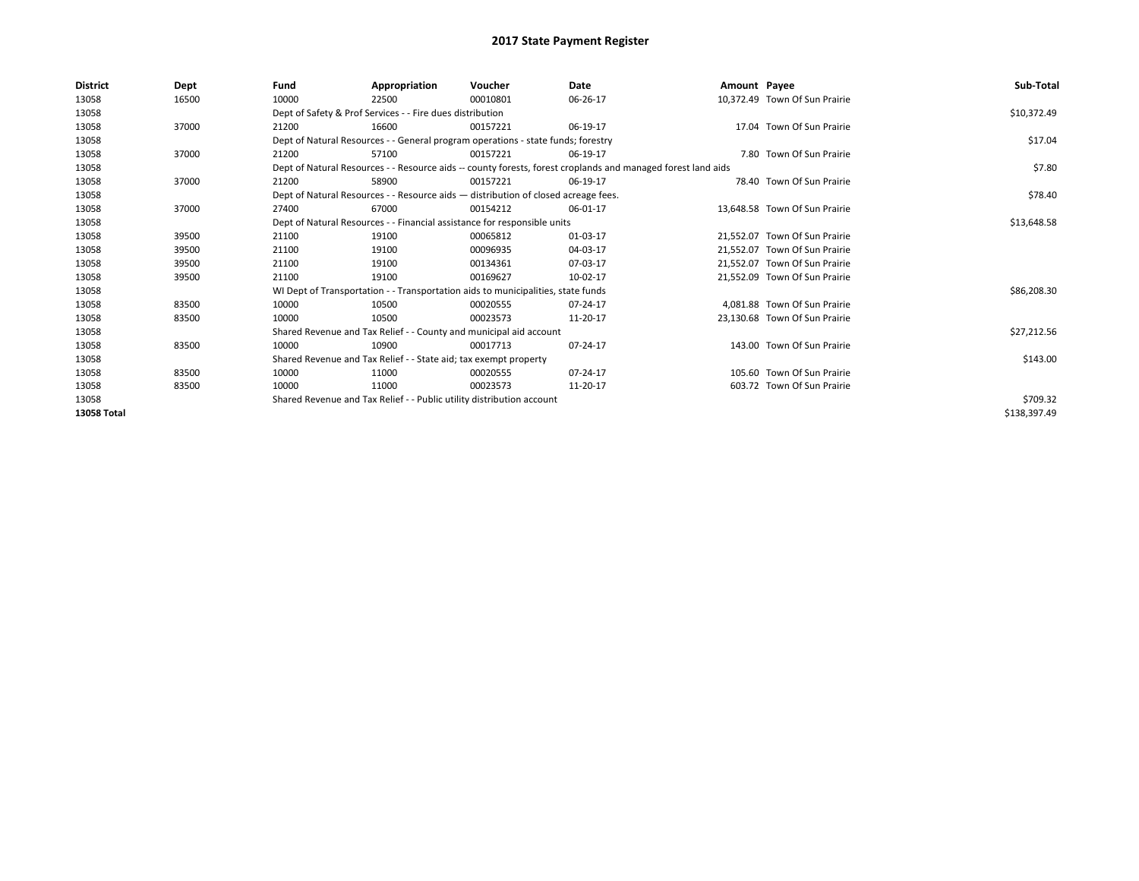| <b>District</b> | Dept  | Fund  | Appropriation                                                                      | Voucher  | Date                                                                                                         | Amount Payee |                               | Sub-Total    |
|-----------------|-------|-------|------------------------------------------------------------------------------------|----------|--------------------------------------------------------------------------------------------------------------|--------------|-------------------------------|--------------|
| 13058           | 16500 | 10000 | 22500                                                                              | 00010801 | 06-26-17                                                                                                     |              | 10,372.49 Town Of Sun Prairie |              |
| 13058           |       |       | Dept of Safety & Prof Services - - Fire dues distribution                          |          |                                                                                                              |              |                               | \$10,372.49  |
| 13058           | 37000 | 21200 | 16600                                                                              | 00157221 | 06-19-17                                                                                                     |              | 17.04 Town Of Sun Prairie     |              |
| 13058           |       |       | Dept of Natural Resources - - General program operations - state funds; forestry   |          |                                                                                                              |              |                               | \$17.04      |
| 13058           | 37000 | 21200 | 57100                                                                              | 00157221 | 06-19-17                                                                                                     |              | 7.80 Town Of Sun Prairie      |              |
| 13058           |       |       |                                                                                    |          | Dept of Natural Resources - - Resource aids -- county forests, forest croplands and managed forest land aids |              |                               | \$7.80       |
| 13058           | 37000 | 21200 | 58900                                                                              | 00157221 | 06-19-17                                                                                                     |              | 78.40 Town Of Sun Prairie     |              |
| 13058           |       |       | Dept of Natural Resources - - Resource aids - distribution of closed acreage fees. |          |                                                                                                              |              |                               | \$78.40      |
| 13058           | 37000 | 27400 | 67000                                                                              | 00154212 | 06-01-17                                                                                                     |              | 13,648.58 Town Of Sun Prairie |              |
| 13058           |       |       | Dept of Natural Resources - - Financial assistance for responsible units           |          |                                                                                                              |              |                               | \$13,648.58  |
| 13058           | 39500 | 21100 | 19100                                                                              | 00065812 | 01-03-17                                                                                                     |              | 21,552.07 Town Of Sun Prairie |              |
| 13058           | 39500 | 21100 | 19100                                                                              | 00096935 | 04-03-17                                                                                                     |              | 21,552.07 Town Of Sun Prairie |              |
| 13058           | 39500 | 21100 | 19100                                                                              | 00134361 | 07-03-17                                                                                                     |              | 21.552.07 Town Of Sun Prairie |              |
| 13058           | 39500 | 21100 | 19100                                                                              | 00169627 | 10-02-17                                                                                                     |              | 21,552.09 Town Of Sun Prairie |              |
| 13058           |       |       | WI Dept of Transportation - - Transportation aids to municipalities, state funds   |          |                                                                                                              |              |                               | \$86,208.30  |
| 13058           | 83500 | 10000 | 10500                                                                              | 00020555 | 07-24-17                                                                                                     |              | 4.081.88 Town Of Sun Prairie  |              |
| 13058           | 83500 | 10000 | 10500                                                                              | 00023573 | 11-20-17                                                                                                     |              | 23,130.68 Town Of Sun Prairie |              |
| 13058           |       |       | Shared Revenue and Tax Relief - - County and municipal aid account                 |          |                                                                                                              |              |                               | \$27,212.56  |
| 13058           | 83500 | 10000 | 10900                                                                              | 00017713 | 07-24-17                                                                                                     |              | 143.00 Town Of Sun Prairie    |              |
| 13058           |       |       | Shared Revenue and Tax Relief - - State aid; tax exempt property                   |          |                                                                                                              |              |                               | \$143.00     |
| 13058           | 83500 | 10000 | 11000                                                                              | 00020555 | 07-24-17                                                                                                     |              | 105.60 Town Of Sun Prairie    |              |
| 13058           | 83500 | 10000 | 11000                                                                              | 00023573 | 11-20-17                                                                                                     |              | 603.72 Town Of Sun Prairie    |              |
| 13058           |       |       | Shared Revenue and Tax Relief - - Public utility distribution account              |          |                                                                                                              |              |                               | \$709.32     |
| 13058 Total     |       |       |                                                                                    |          |                                                                                                              |              |                               | \$138,397.49 |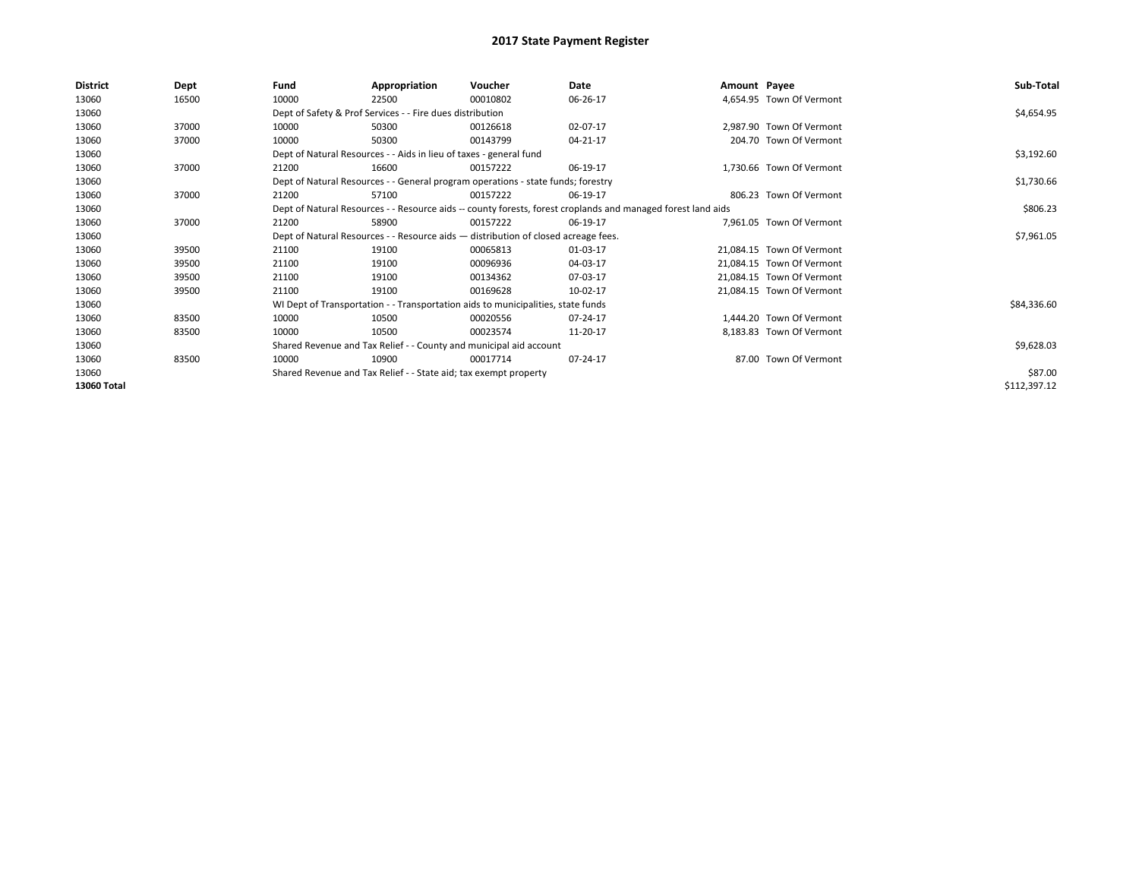| <b>District</b> | Dept  | Fund  | Appropriation                                                                                                | Voucher  | Date     | Amount Payee |                           | Sub-Total    |
|-----------------|-------|-------|--------------------------------------------------------------------------------------------------------------|----------|----------|--------------|---------------------------|--------------|
| 13060           | 16500 | 10000 | 22500                                                                                                        | 00010802 | 06-26-17 |              | 4,654.95 Town Of Vermont  |              |
| 13060           |       |       | Dept of Safety & Prof Services - - Fire dues distribution                                                    |          |          |              |                           | \$4,654.95   |
| 13060           | 37000 | 10000 | 50300                                                                                                        | 00126618 | 02-07-17 |              | 2,987.90 Town Of Vermont  |              |
| 13060           | 37000 | 10000 | 50300                                                                                                        | 00143799 | 04-21-17 |              | 204.70 Town Of Vermont    |              |
| 13060           |       |       | Dept of Natural Resources - - Aids in lieu of taxes - general fund                                           |          |          |              |                           | \$3,192.60   |
| 13060           | 37000 | 21200 | 16600                                                                                                        | 00157222 | 06-19-17 |              | 1,730.66 Town Of Vermont  |              |
| 13060           |       |       | Dept of Natural Resources - - General program operations - state funds; forestry                             |          |          |              |                           | \$1,730.66   |
| 13060           | 37000 | 21200 | 57100                                                                                                        | 00157222 | 06-19-17 |              | 806.23 Town Of Vermont    |              |
| 13060           |       |       | Dept of Natural Resources - - Resource aids -- county forests, forest croplands and managed forest land aids |          |          |              |                           | \$806.23     |
| 13060           | 37000 | 21200 | 58900                                                                                                        | 00157222 | 06-19-17 |              | 7.961.05 Town Of Vermont  |              |
| 13060           |       |       | Dept of Natural Resources - - Resource aids - distribution of closed acreage fees.                           |          |          |              |                           | \$7,961.05   |
| 13060           | 39500 | 21100 | 19100                                                                                                        | 00065813 | 01-03-17 |              | 21,084.15 Town Of Vermont |              |
| 13060           | 39500 | 21100 | 19100                                                                                                        | 00096936 | 04-03-17 |              | 21,084.15 Town Of Vermont |              |
| 13060           | 39500 | 21100 | 19100                                                                                                        | 00134362 | 07-03-17 |              | 21,084.15 Town Of Vermont |              |
| 13060           | 39500 | 21100 | 19100                                                                                                        | 00169628 | 10-02-17 |              | 21,084.15 Town Of Vermont |              |
| 13060           |       |       | WI Dept of Transportation - - Transportation aids to municipalities, state funds                             |          |          |              |                           | \$84,336.60  |
| 13060           | 83500 | 10000 | 10500                                                                                                        | 00020556 | 07-24-17 |              | 1,444.20 Town Of Vermont  |              |
| 13060           | 83500 | 10000 | 10500                                                                                                        | 00023574 | 11-20-17 |              | 8.183.83 Town Of Vermont  |              |
| 13060           |       |       | Shared Revenue and Tax Relief - - County and municipal aid account                                           |          |          |              |                           | \$9,628.03   |
| 13060           | 83500 | 10000 | 10900                                                                                                        | 00017714 | 07-24-17 |              | 87.00 Town Of Vermont     |              |
| 13060           |       |       | Shared Revenue and Tax Relief - - State aid; tax exempt property                                             |          |          |              |                           | \$87.00      |
| 13060 Total     |       |       |                                                                                                              |          |          |              |                           | \$112,397.12 |
|                 |       |       |                                                                                                              |          |          |              |                           |              |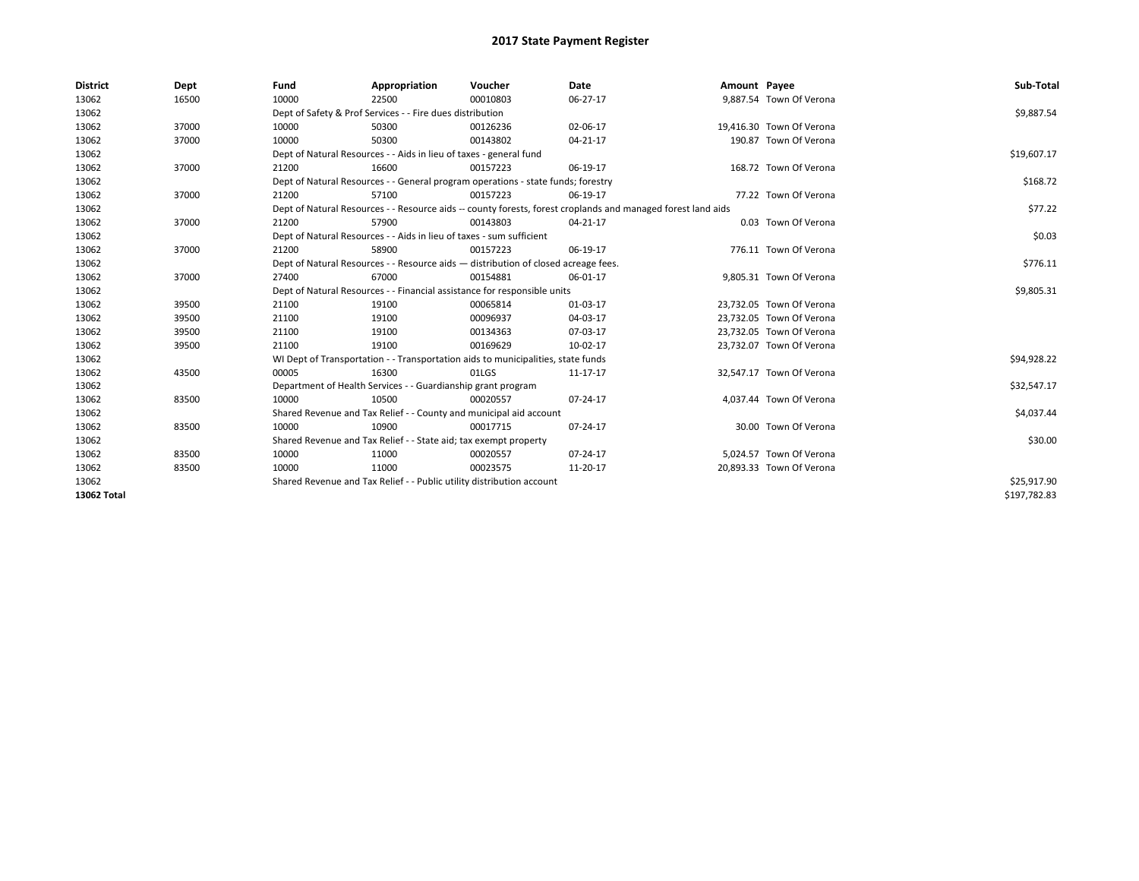| <b>District</b> | Dept  | Fund  | Appropriation                                                                      | Voucher  | Date                                                                                                         | Amount Payee |                          | Sub-Total    |  |
|-----------------|-------|-------|------------------------------------------------------------------------------------|----------|--------------------------------------------------------------------------------------------------------------|--------------|--------------------------|--------------|--|
| 13062           | 16500 | 10000 | 22500                                                                              | 00010803 | 06-27-17                                                                                                     |              | 9,887.54 Town Of Verona  |              |  |
| 13062           |       |       | Dept of Safety & Prof Services - - Fire dues distribution                          |          |                                                                                                              |              |                          | \$9,887.54   |  |
| 13062           | 37000 | 10000 | 50300                                                                              | 00126236 | 02-06-17                                                                                                     |              | 19,416.30 Town Of Verona |              |  |
| 13062           | 37000 | 10000 | 50300                                                                              | 00143802 | 04-21-17                                                                                                     |              | 190.87 Town Of Verona    |              |  |
| 13062           |       |       | Dept of Natural Resources - - Aids in lieu of taxes - general fund                 |          |                                                                                                              |              |                          | \$19,607.17  |  |
| 13062           | 37000 | 21200 | 16600                                                                              | 00157223 | 06-19-17                                                                                                     |              | 168.72 Town Of Verona    |              |  |
| 13062           |       |       | Dept of Natural Resources - - General program operations - state funds; forestry   |          |                                                                                                              |              |                          |              |  |
| 13062           | 37000 | 21200 | 57100                                                                              | 00157223 | 06-19-17                                                                                                     |              | 77.22 Town Of Verona     |              |  |
| 13062           |       |       |                                                                                    |          | Dept of Natural Resources - - Resource aids -- county forests, forest croplands and managed forest land aids |              |                          | \$77.22      |  |
| 13062           | 37000 | 21200 | 57900                                                                              | 00143803 | 04-21-17                                                                                                     |              | 0.03 Town Of Verona      |              |  |
| 13062           |       |       | Dept of Natural Resources - - Aids in lieu of taxes - sum sufficient               |          |                                                                                                              |              |                          | \$0.03       |  |
| 13062           | 37000 | 21200 | 58900                                                                              | 00157223 | 06-19-17                                                                                                     |              | 776.11 Town Of Verona    |              |  |
| 13062           |       |       | Dept of Natural Resources - - Resource aids - distribution of closed acreage fees. |          |                                                                                                              |              |                          | \$776.11     |  |
| 13062           | 37000 | 27400 | 67000                                                                              | 00154881 | 06-01-17                                                                                                     |              | 9,805.31 Town Of Verona  |              |  |
| 13062           |       |       | Dept of Natural Resources - - Financial assistance for responsible units           |          |                                                                                                              |              |                          | \$9,805.31   |  |
| 13062           | 39500 | 21100 | 19100                                                                              | 00065814 | 01-03-17                                                                                                     |              | 23,732.05 Town Of Verona |              |  |
| 13062           | 39500 | 21100 | 19100                                                                              | 00096937 | 04-03-17                                                                                                     |              | 23,732.05 Town Of Verona |              |  |
| 13062           | 39500 | 21100 | 19100                                                                              | 00134363 | 07-03-17                                                                                                     |              | 23,732.05 Town Of Verona |              |  |
| 13062           | 39500 | 21100 | 19100                                                                              | 00169629 | 10-02-17                                                                                                     |              | 23,732.07 Town Of Verona |              |  |
| 13062           |       |       | WI Dept of Transportation - - Transportation aids to municipalities, state funds   |          |                                                                                                              |              |                          | \$94,928.22  |  |
| 13062           | 43500 | 00005 | 16300                                                                              | 01LGS    | 11-17-17                                                                                                     |              | 32,547.17 Town Of Verona |              |  |
| 13062           |       |       | Department of Health Services - - Guardianship grant program                       |          |                                                                                                              |              |                          | \$32,547.17  |  |
| 13062           | 83500 | 10000 | 10500                                                                              | 00020557 | 07-24-17                                                                                                     |              | 4,037.44 Town Of Verona  |              |  |
| 13062           |       |       | Shared Revenue and Tax Relief - - County and municipal aid account                 |          |                                                                                                              |              |                          | \$4,037.44   |  |
| 13062           | 83500 | 10000 | 10900                                                                              | 00017715 | 07-24-17                                                                                                     |              | 30.00 Town Of Verona     |              |  |
| 13062           |       |       | Shared Revenue and Tax Relief - - State aid; tax exempt property                   |          |                                                                                                              |              |                          | \$30.00      |  |
| 13062           | 83500 | 10000 | 11000                                                                              | 00020557 | 07-24-17                                                                                                     |              | 5.024.57 Town Of Verona  |              |  |
| 13062           | 83500 | 10000 | 11000                                                                              | 00023575 | 11-20-17                                                                                                     |              | 20,893.33 Town Of Verona |              |  |
| 13062           |       |       | Shared Revenue and Tax Relief - - Public utility distribution account              |          |                                                                                                              |              |                          |              |  |
| 13062 Total     |       |       |                                                                                    |          |                                                                                                              |              |                          | \$197,782.83 |  |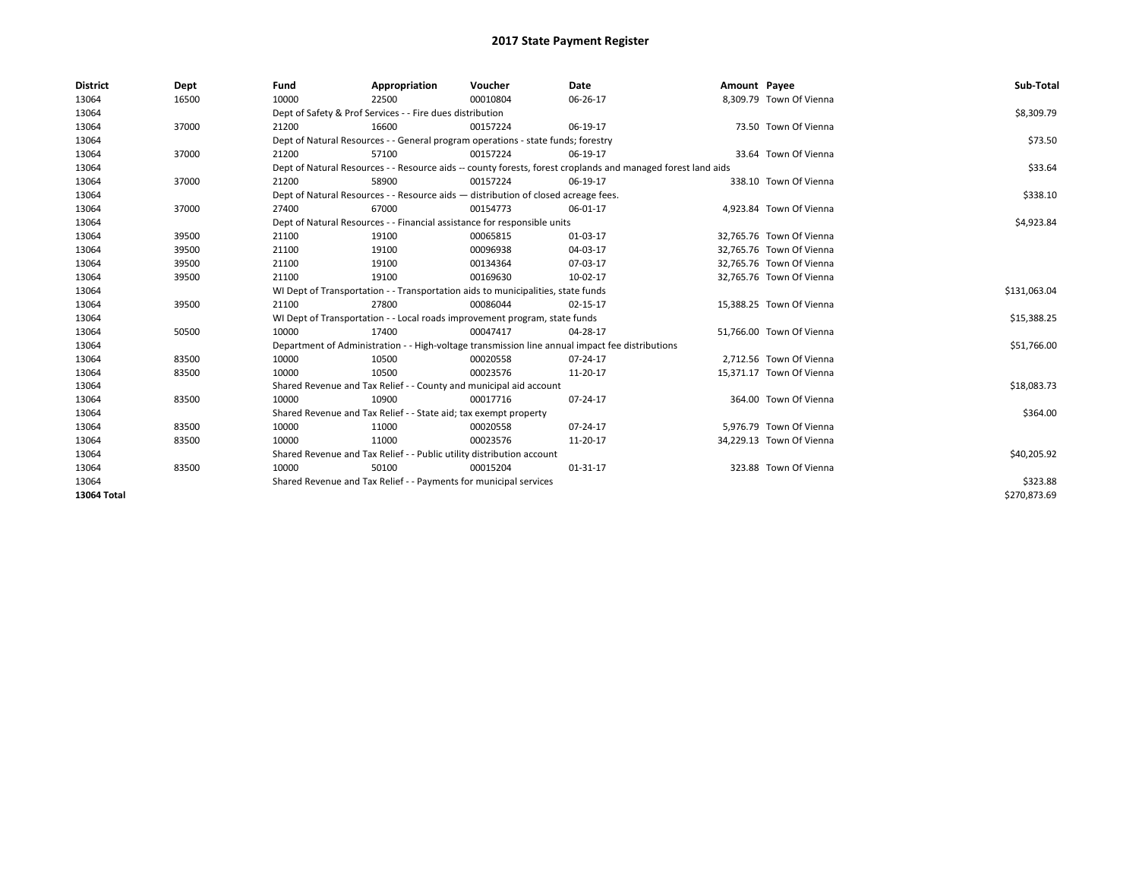| <b>District</b> | Dept  | Fund                                                                             | Appropriation                                                                      | Voucher      | Date                                                                                                         | Amount Payee |                          | Sub-Total    |
|-----------------|-------|----------------------------------------------------------------------------------|------------------------------------------------------------------------------------|--------------|--------------------------------------------------------------------------------------------------------------|--------------|--------------------------|--------------|
| 13064           | 16500 | 10000                                                                            | 22500                                                                              | 00010804     | 06-26-17                                                                                                     |              | 8,309.79 Town Of Vienna  |              |
| 13064           |       |                                                                                  | Dept of Safety & Prof Services - - Fire dues distribution                          |              |                                                                                                              |              |                          | \$8,309.79   |
| 13064           | 37000 | 21200                                                                            | 16600                                                                              | 00157224     | 06-19-17                                                                                                     |              | 73.50 Town Of Vienna     |              |
| 13064           |       |                                                                                  | Dept of Natural Resources - - General program operations - state funds; forestry   |              |                                                                                                              |              |                          | \$73.50      |
| 13064           | 37000 | 21200                                                                            | 57100                                                                              | 00157224     | 06-19-17                                                                                                     |              | 33.64 Town Of Vienna     |              |
| 13064           |       |                                                                                  |                                                                                    |              | Dept of Natural Resources - - Resource aids -- county forests, forest croplands and managed forest land aids |              |                          | \$33.64      |
| 13064           | 37000 | 21200                                                                            | 58900                                                                              | 00157224     | 06-19-17                                                                                                     |              | 338.10 Town Of Vienna    |              |
| 13064           |       |                                                                                  | Dept of Natural Resources - - Resource aids - distribution of closed acreage fees. |              |                                                                                                              |              |                          | \$338.10     |
| 13064           | 37000 | 27400                                                                            | 67000                                                                              | 00154773     | 06-01-17                                                                                                     |              | 4,923.84 Town Of Vienna  |              |
| 13064           |       |                                                                                  | Dept of Natural Resources - - Financial assistance for responsible units           |              |                                                                                                              |              |                          | \$4,923.84   |
| 13064           | 39500 | 21100                                                                            | 19100                                                                              | 00065815     | 01-03-17                                                                                                     |              | 32,765.76 Town Of Vienna |              |
| 13064           | 39500 | 21100                                                                            | 19100                                                                              | 00096938     | 04-03-17                                                                                                     |              | 32,765.76 Town Of Vienna |              |
| 13064           | 39500 | 21100                                                                            | 19100                                                                              | 00134364     | 07-03-17                                                                                                     |              | 32.765.76 Town Of Vienna |              |
| 13064           | 39500 | 21100                                                                            | 19100                                                                              | 00169630     | 10-02-17                                                                                                     |              | 32,765.76 Town Of Vienna |              |
| 13064           |       | WI Dept of Transportation - - Transportation aids to municipalities, state funds |                                                                                    | \$131,063.04 |                                                                                                              |              |                          |              |
| 13064           | 39500 | 21100                                                                            | 27800                                                                              | 00086044     | 02-15-17                                                                                                     |              | 15,388.25 Town Of Vienna |              |
| 13064           |       |                                                                                  | WI Dept of Transportation - - Local roads improvement program, state funds         |              |                                                                                                              |              |                          | \$15,388.25  |
| 13064           | 50500 | 10000                                                                            | 17400                                                                              | 00047417     | 04-28-17                                                                                                     |              | 51,766.00 Town Of Vienna |              |
| 13064           |       |                                                                                  |                                                                                    |              | Department of Administration - - High-voltage transmission line annual impact fee distributions              |              |                          | \$51,766.00  |
| 13064           | 83500 | 10000                                                                            | 10500                                                                              | 00020558     | 07-24-17                                                                                                     |              | 2.712.56 Town Of Vienna  |              |
| 13064           | 83500 | 10000                                                                            | 10500                                                                              | 00023576     | 11-20-17                                                                                                     |              | 15,371.17 Town Of Vienna |              |
| 13064           |       |                                                                                  | Shared Revenue and Tax Relief - - County and municipal aid account                 |              |                                                                                                              |              |                          | \$18,083.73  |
| 13064           | 83500 | 10000                                                                            | 10900                                                                              | 00017716     | 07-24-17                                                                                                     |              | 364.00 Town Of Vienna    |              |
| 13064           |       |                                                                                  | Shared Revenue and Tax Relief - - State aid; tax exempt property                   |              |                                                                                                              |              |                          | \$364.00     |
| 13064           | 83500 | 10000                                                                            | 11000                                                                              | 00020558     | 07-24-17                                                                                                     |              | 5.976.79 Town Of Vienna  |              |
| 13064           | 83500 | 10000                                                                            | 11000                                                                              | 00023576     | 11-20-17                                                                                                     |              | 34,229.13 Town Of Vienna |              |
| 13064           |       |                                                                                  | Shared Revenue and Tax Relief - - Public utility distribution account              |              |                                                                                                              |              |                          | \$40,205.92  |
| 13064           | 83500 | 10000                                                                            | 50100                                                                              | 00015204     | 01-31-17                                                                                                     |              | 323.88 Town Of Vienna    |              |
| 13064           |       | Shared Revenue and Tax Relief - - Payments for municipal services                |                                                                                    | \$323.88     |                                                                                                              |              |                          |              |
| 13064 Total     |       |                                                                                  |                                                                                    |              |                                                                                                              |              |                          | \$270,873.69 |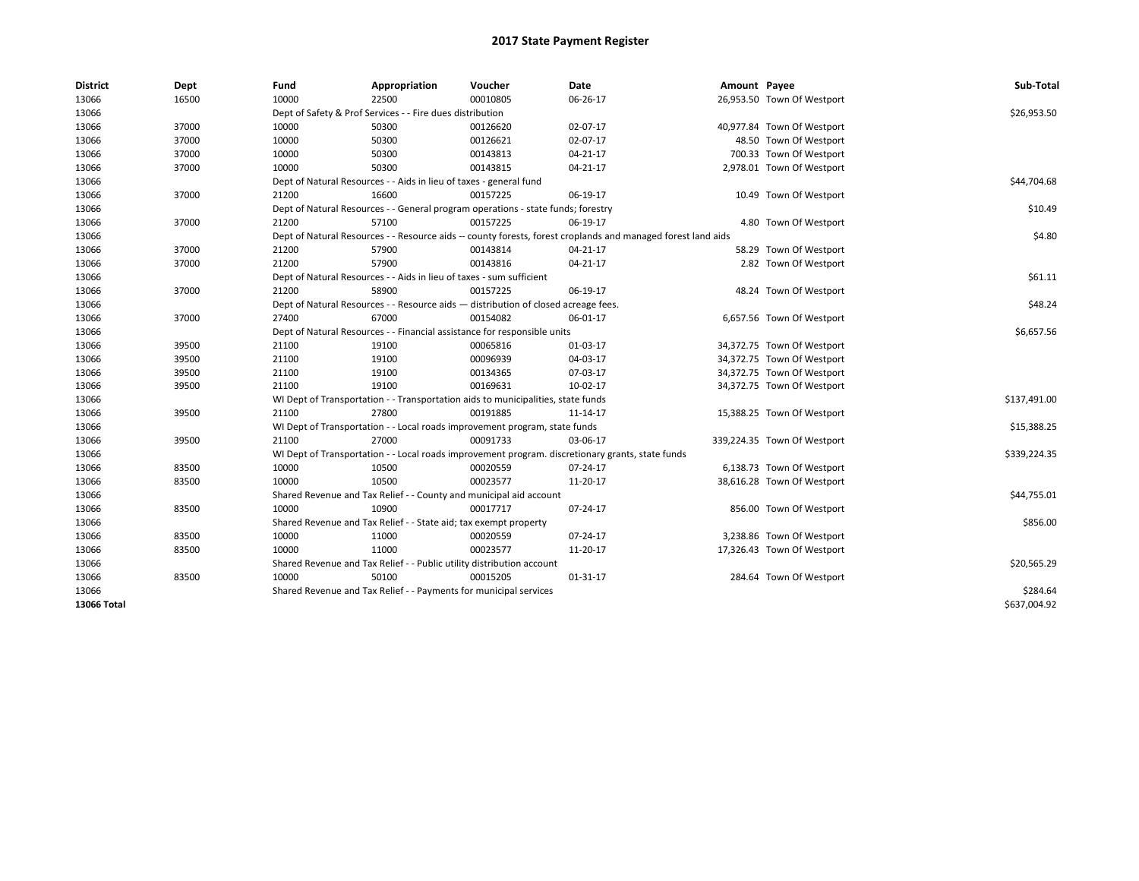| <b>District</b> | Dept  | Fund  | Appropriation                                                                                                | Voucher  | Date     | Amount Payee |                             | Sub-Total    |  |  |
|-----------------|-------|-------|--------------------------------------------------------------------------------------------------------------|----------|----------|--------------|-----------------------------|--------------|--|--|
| 13066           | 16500 | 10000 | 22500                                                                                                        | 00010805 | 06-26-17 |              | 26,953.50 Town Of Westport  |              |  |  |
| 13066           |       |       | Dept of Safety & Prof Services - - Fire dues distribution                                                    |          |          |              |                             | \$26,953.50  |  |  |
| 13066           | 37000 | 10000 | 50300                                                                                                        | 00126620 | 02-07-17 |              | 40,977.84 Town Of Westport  |              |  |  |
| 13066           | 37000 | 10000 | 50300                                                                                                        | 00126621 | 02-07-17 |              | 48.50 Town Of Westport      |              |  |  |
| 13066           | 37000 | 10000 | 50300                                                                                                        | 00143813 | 04-21-17 |              | 700.33 Town Of Westport     |              |  |  |
| 13066           | 37000 | 10000 | 50300                                                                                                        | 00143815 | 04-21-17 |              | 2,978.01 Town Of Westport   |              |  |  |
| 13066           |       |       | Dept of Natural Resources - - Aids in lieu of taxes - general fund                                           |          |          |              |                             | \$44,704.68  |  |  |
| 13066           | 37000 | 21200 | 16600                                                                                                        | 00157225 | 06-19-17 |              | 10.49 Town Of Westport      |              |  |  |
| 13066           |       |       | Dept of Natural Resources - - General program operations - state funds; forestry                             |          |          |              |                             | \$10.49      |  |  |
| 13066           | 37000 | 21200 | 57100                                                                                                        | 00157225 | 06-19-17 |              | 4.80 Town Of Westport       |              |  |  |
| 13066           |       |       | Dept of Natural Resources - - Resource aids -- county forests, forest croplands and managed forest land aids |          |          |              |                             | \$4.80       |  |  |
| 13066           | 37000 | 21200 | 57900                                                                                                        | 00143814 | 04-21-17 |              | 58.29 Town Of Westport      |              |  |  |
| 13066           | 37000 | 21200 | 57900                                                                                                        | 00143816 | 04-21-17 |              | 2.82 Town Of Westport       |              |  |  |
| 13066           |       |       | Dept of Natural Resources - - Aids in lieu of taxes - sum sufficient                                         |          |          |              |                             | \$61.11      |  |  |
| 13066           | 37000 | 21200 | 58900                                                                                                        | 00157225 | 06-19-17 |              | 48.24 Town Of Westport      |              |  |  |
| 13066           |       |       | Dept of Natural Resources - - Resource aids - distribution of closed acreage fees.                           |          |          |              |                             | \$48.24      |  |  |
| 13066           | 37000 | 27400 | 67000                                                                                                        | 00154082 | 06-01-17 |              | 6,657.56 Town Of Westport   |              |  |  |
| 13066           |       |       | Dept of Natural Resources - - Financial assistance for responsible units                                     |          |          |              |                             |              |  |  |
| 13066           | 39500 | 21100 | 19100                                                                                                        | 00065816 | 01-03-17 |              | 34,372.75 Town Of Westport  |              |  |  |
| 13066           | 39500 | 21100 | 19100                                                                                                        | 00096939 | 04-03-17 |              | 34,372.75 Town Of Westport  |              |  |  |
| 13066           | 39500 | 21100 | 19100                                                                                                        | 00134365 | 07-03-17 |              | 34,372.75 Town Of Westport  |              |  |  |
| 13066           | 39500 | 21100 | 19100                                                                                                        | 00169631 | 10-02-17 |              | 34,372.75 Town Of Westport  |              |  |  |
| 13066           |       |       | WI Dept of Transportation - - Transportation aids to municipalities, state funds                             |          |          |              |                             | \$137,491.00 |  |  |
| 13066           | 39500 | 21100 | 27800                                                                                                        | 00191885 | 11-14-17 |              | 15,388.25 Town Of Westport  |              |  |  |
| 13066           |       |       | WI Dept of Transportation - - Local roads improvement program, state funds                                   |          |          |              |                             | \$15,388.25  |  |  |
| 13066           | 39500 | 21100 | 27000                                                                                                        | 00091733 | 03-06-17 |              | 339,224.35 Town Of Westport |              |  |  |
| 13066           |       |       | WI Dept of Transportation - - Local roads improvement program. discretionary grants, state funds             |          |          |              |                             | \$339,224.35 |  |  |
| 13066           | 83500 | 10000 | 10500                                                                                                        | 00020559 | 07-24-17 |              | 6,138.73 Town Of Westport   |              |  |  |
| 13066           | 83500 | 10000 | 10500                                                                                                        | 00023577 | 11-20-17 |              | 38,616.28 Town Of Westport  |              |  |  |
| 13066           |       |       | Shared Revenue and Tax Relief - - County and municipal aid account                                           |          |          |              |                             | \$44,755.01  |  |  |
| 13066           | 83500 | 10000 | 10900                                                                                                        | 00017717 | 07-24-17 |              | 856.00 Town Of Westport     |              |  |  |
| 13066           |       |       | Shared Revenue and Tax Relief - - State aid; tax exempt property                                             |          |          |              |                             | \$856.00     |  |  |
| 13066           | 83500 | 10000 | 11000                                                                                                        | 00020559 | 07-24-17 |              | 3,238.86 Town Of Westport   |              |  |  |
| 13066           | 83500 | 10000 | 11000                                                                                                        | 00023577 | 11-20-17 |              | 17,326.43 Town Of Westport  |              |  |  |
| 13066           |       |       | Shared Revenue and Tax Relief - - Public utility distribution account                                        |          |          |              |                             | \$20,565.29  |  |  |
| 13066           | 83500 | 10000 | 50100                                                                                                        | 00015205 | 01-31-17 |              | 284.64 Town Of Westport     |              |  |  |
| 13066           |       |       | Shared Revenue and Tax Relief - - Payments for municipal services                                            |          |          |              |                             | \$284.64     |  |  |
| 13066 Total     |       |       |                                                                                                              |          |          |              |                             | \$637,004.92 |  |  |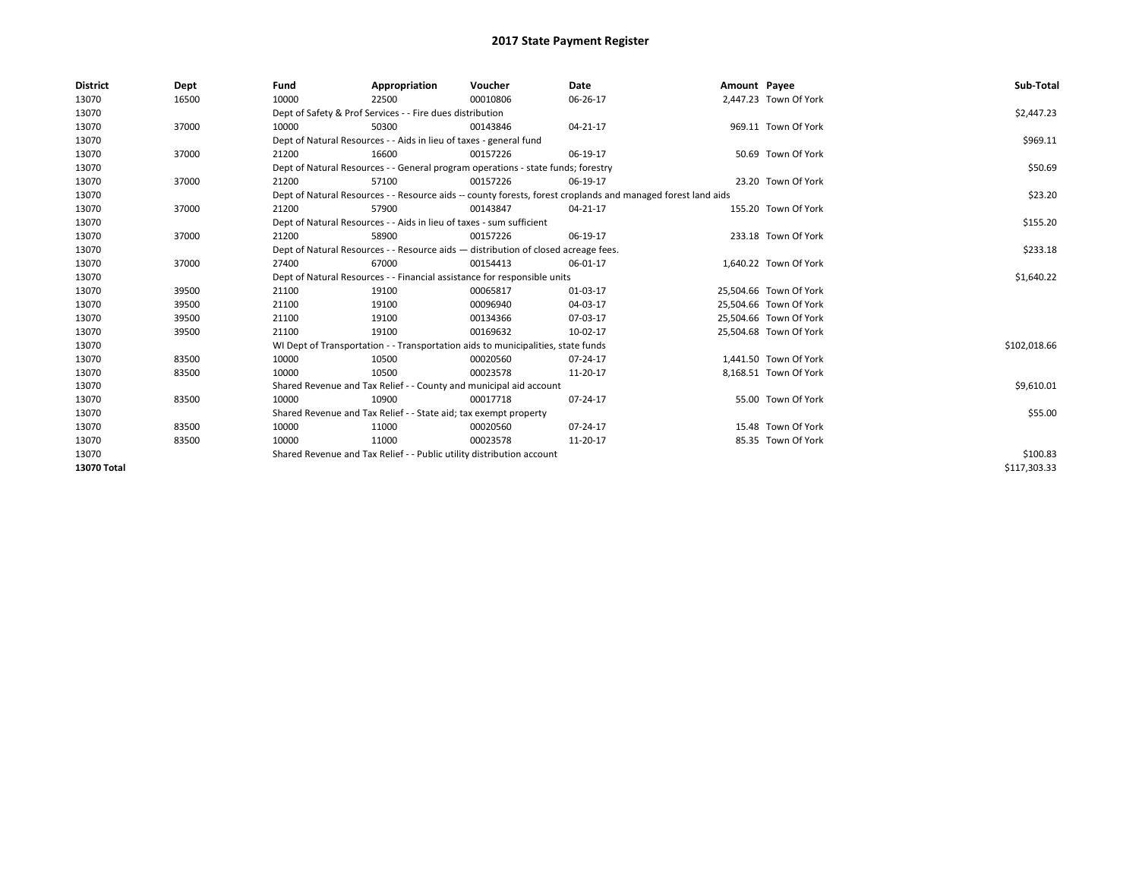| <b>District</b> | Dept  | Fund  | Appropriation                                                                                                | Voucher  | Date     | Amount Payee |                        | Sub-Total    |
|-----------------|-------|-------|--------------------------------------------------------------------------------------------------------------|----------|----------|--------------|------------------------|--------------|
| 13070           | 16500 | 10000 | 22500                                                                                                        | 00010806 | 06-26-17 |              | 2,447.23 Town Of York  |              |
| 13070           |       |       | Dept of Safety & Prof Services - - Fire dues distribution                                                    |          |          |              |                        | \$2,447.23   |
| 13070           | 37000 | 10000 | 50300                                                                                                        | 00143846 | 04-21-17 |              | 969.11 Town Of York    |              |
| 13070           |       |       | Dept of Natural Resources - - Aids in lieu of taxes - general fund                                           |          |          |              |                        | \$969.11     |
| 13070           | 37000 | 21200 | 16600                                                                                                        | 00157226 | 06-19-17 |              | 50.69 Town Of York     |              |
| 13070           |       |       | Dept of Natural Resources - - General program operations - state funds; forestry                             |          |          |              |                        | \$50.69      |
| 13070           | 37000 | 21200 | 57100                                                                                                        | 00157226 | 06-19-17 |              | 23.20 Town Of York     |              |
| 13070           |       |       | Dept of Natural Resources - - Resource aids -- county forests, forest croplands and managed forest land aids |          |          |              |                        | \$23.20      |
| 13070           | 37000 | 21200 | 57900                                                                                                        | 00143847 | 04-21-17 |              | 155.20 Town Of York    |              |
| 13070           |       |       | Dept of Natural Resources - - Aids in lieu of taxes - sum sufficient                                         |          |          |              |                        | \$155.20     |
| 13070           | 37000 | 21200 | 58900                                                                                                        | 00157226 | 06-19-17 |              | 233.18 Town Of York    |              |
| 13070           |       |       | Dept of Natural Resources - - Resource aids - distribution of closed acreage fees.                           |          |          |              |                        | \$233.18     |
| 13070           | 37000 | 27400 | 67000                                                                                                        | 00154413 | 06-01-17 |              | 1,640.22 Town Of York  |              |
| 13070           |       |       | Dept of Natural Resources - - Financial assistance for responsible units                                     |          |          |              |                        | \$1,640.22   |
| 13070           | 39500 | 21100 | 19100                                                                                                        | 00065817 | 01-03-17 |              | 25,504.66 Town Of York |              |
| 13070           | 39500 | 21100 | 19100                                                                                                        | 00096940 | 04-03-17 |              | 25,504.66 Town Of York |              |
| 13070           | 39500 | 21100 | 19100                                                                                                        | 00134366 | 07-03-17 |              | 25,504.66 Town Of York |              |
| 13070           | 39500 | 21100 | 19100                                                                                                        | 00169632 | 10-02-17 |              | 25,504.68 Town Of York |              |
| 13070           |       |       | WI Dept of Transportation - - Transportation aids to municipalities, state funds                             |          |          |              |                        | \$102,018.66 |
| 13070           | 83500 | 10000 | 10500                                                                                                        | 00020560 | 07-24-17 |              | 1,441.50 Town Of York  |              |
| 13070           | 83500 | 10000 | 10500                                                                                                        | 00023578 | 11-20-17 |              | 8,168.51 Town Of York  |              |
| 13070           |       |       | Shared Revenue and Tax Relief - - County and municipal aid account                                           |          |          |              |                        | \$9,610.01   |
| 13070           | 83500 | 10000 | 10900                                                                                                        | 00017718 | 07-24-17 |              | 55.00 Town Of York     |              |
| 13070           |       |       | Shared Revenue and Tax Relief - - State aid; tax exempt property                                             |          |          |              |                        | \$55.00      |
| 13070           | 83500 | 10000 | 11000                                                                                                        | 00020560 | 07-24-17 |              | 15.48 Town Of York     |              |
| 13070           | 83500 | 10000 | 11000                                                                                                        | 00023578 | 11-20-17 |              | 85.35 Town Of York     |              |
| 13070           |       |       | Shared Revenue and Tax Relief - - Public utility distribution account                                        |          |          |              |                        | \$100.83     |
| 13070 Total     |       |       |                                                                                                              |          |          |              |                        | \$117.303.33 |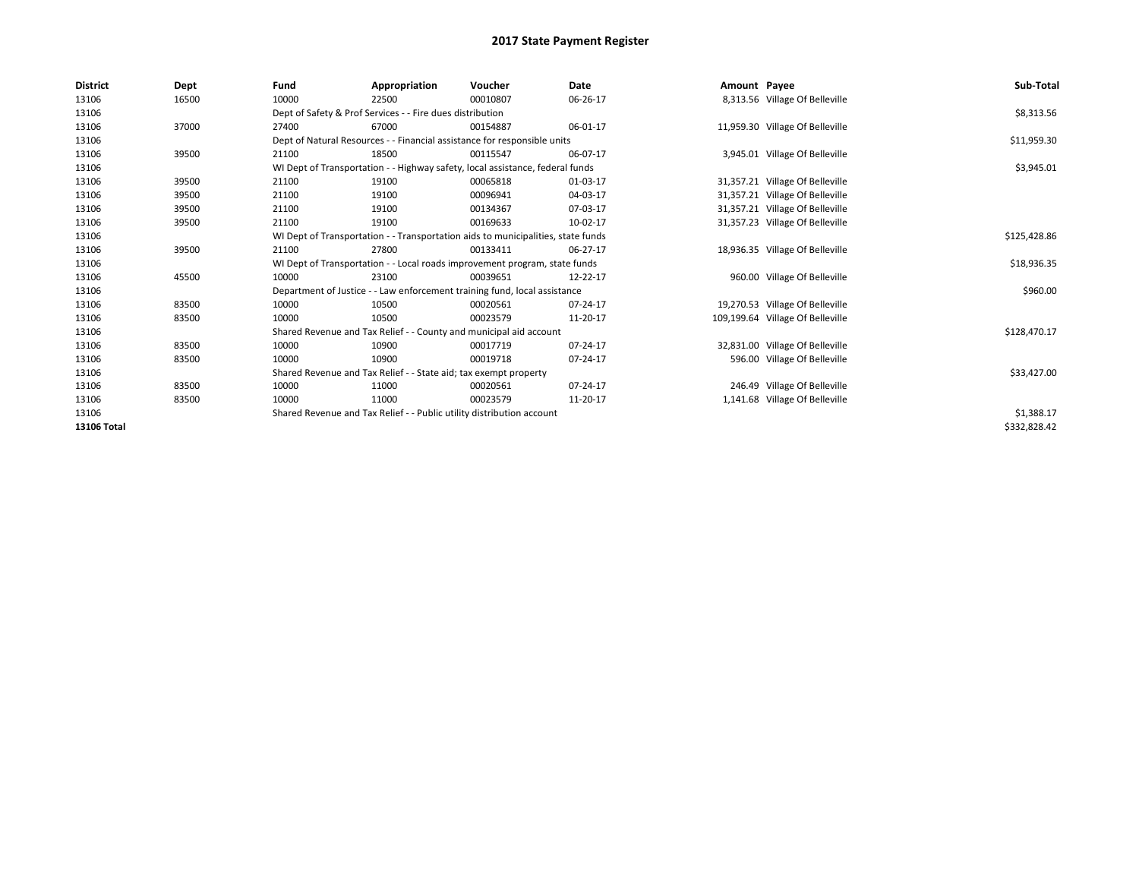| <b>District</b> | Dept  | Fund  | Appropriation                                                                    | Voucher  | <b>Date</b> | Amount Payee |                                  | Sub-Total    |  |  |
|-----------------|-------|-------|----------------------------------------------------------------------------------|----------|-------------|--------------|----------------------------------|--------------|--|--|
| 13106           | 16500 | 10000 | 22500                                                                            | 00010807 | 06-26-17    |              | 8,313.56 Village Of Belleville   |              |  |  |
| 13106           |       |       | Dept of Safety & Prof Services - - Fire dues distribution                        |          |             |              |                                  | \$8,313.56   |  |  |
| 13106           | 37000 | 27400 | 67000                                                                            | 00154887 | 06-01-17    |              | 11,959.30 Village Of Belleville  |              |  |  |
| 13106           |       |       | Dept of Natural Resources - - Financial assistance for responsible units         |          |             |              |                                  | \$11,959.30  |  |  |
| 13106           | 39500 | 21100 | 18500                                                                            | 00115547 | 06-07-17    |              | 3,945.01 Village Of Belleville   |              |  |  |
| 13106           |       |       | WI Dept of Transportation - - Highway safety, local assistance, federal funds    |          |             |              |                                  | \$3,945.01   |  |  |
| 13106           | 39500 | 21100 | 19100                                                                            | 00065818 | 01-03-17    |              | 31,357.21 Village Of Belleville  |              |  |  |
| 13106           | 39500 | 21100 | 19100                                                                            | 00096941 | 04-03-17    |              | 31,357.21 Village Of Belleville  |              |  |  |
| 13106           | 39500 | 21100 | 19100                                                                            | 00134367 | 07-03-17    |              | 31,357.21 Village Of Belleville  |              |  |  |
| 13106           | 39500 | 21100 | 19100                                                                            | 00169633 | 10-02-17    |              | 31,357.23 Village Of Belleville  |              |  |  |
| 13106           |       |       | WI Dept of Transportation - - Transportation aids to municipalities, state funds |          |             |              |                                  |              |  |  |
| 13106           | 39500 | 21100 | 27800                                                                            | 00133411 | 06-27-17    |              | 18,936.35 Village Of Belleville  |              |  |  |
| 13106           |       |       | WI Dept of Transportation - - Local roads improvement program, state funds       |          |             |              |                                  | \$18,936.35  |  |  |
| 13106           | 45500 | 10000 | 23100                                                                            | 00039651 | 12-22-17    |              | 960.00 Village Of Belleville     |              |  |  |
| 13106           |       |       | Department of Justice - - Law enforcement training fund, local assistance        |          |             |              |                                  | \$960.00     |  |  |
| 13106           | 83500 | 10000 | 10500                                                                            | 00020561 | 07-24-17    |              | 19,270.53 Village Of Belleville  |              |  |  |
| 13106           | 83500 | 10000 | 10500                                                                            | 00023579 | 11-20-17    |              | 109,199.64 Village Of Belleville |              |  |  |
| 13106           |       |       | Shared Revenue and Tax Relief - - County and municipal aid account               |          |             |              |                                  | \$128,470.17 |  |  |
| 13106           | 83500 | 10000 | 10900                                                                            | 00017719 | 07-24-17    |              | 32,831.00 Village Of Belleville  |              |  |  |
| 13106           | 83500 | 10000 | 10900                                                                            | 00019718 | 07-24-17    |              | 596.00 Village Of Belleville     |              |  |  |
| 13106           |       |       | Shared Revenue and Tax Relief - - State aid; tax exempt property                 |          |             |              |                                  | \$33,427.00  |  |  |
| 13106           | 83500 | 10000 | 11000                                                                            | 00020561 | 07-24-17    |              | 246.49 Village Of Belleville     |              |  |  |
| 13106           | 83500 | 10000 | 11000                                                                            | 00023579 | 11-20-17    |              | 1,141.68 Village Of Belleville   |              |  |  |
| 13106           |       |       | Shared Revenue and Tax Relief - - Public utility distribution account            |          |             |              |                                  |              |  |  |
| 13106 Total     |       |       |                                                                                  |          |             |              |                                  | \$332,828.42 |  |  |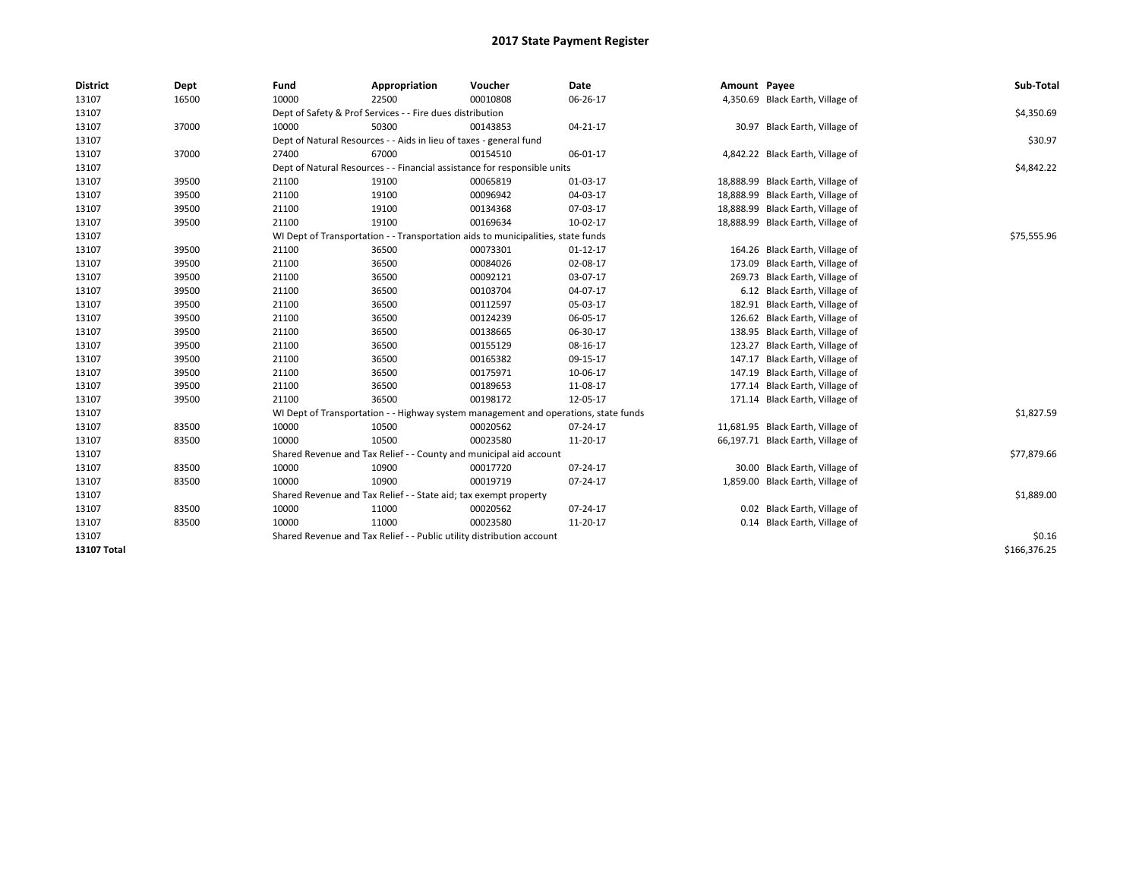| <b>District</b>    | Dept  | Fund  | Appropriation                                                                       | Voucher  | Date     | Amount Payee |                                   | Sub-Total    |
|--------------------|-------|-------|-------------------------------------------------------------------------------------|----------|----------|--------------|-----------------------------------|--------------|
| 13107              | 16500 | 10000 | 22500                                                                               | 00010808 | 06-26-17 |              | 4,350.69 Black Earth, Village of  |              |
| 13107              |       |       | Dept of Safety & Prof Services - - Fire dues distribution                           |          |          |              |                                   | \$4,350.69   |
| 13107              | 37000 | 10000 | 50300                                                                               | 00143853 | 04-21-17 |              | 30.97 Black Earth, Village of     |              |
| 13107              |       |       | Dept of Natural Resources - - Aids in lieu of taxes - general fund                  |          |          |              |                                   | \$30.97      |
| 13107              | 37000 | 27400 | 67000                                                                               | 00154510 | 06-01-17 |              | 4,842.22 Black Earth, Village of  |              |
| 13107              |       |       | Dept of Natural Resources - - Financial assistance for responsible units            |          |          |              |                                   | \$4,842.22   |
| 13107              | 39500 | 21100 | 19100                                                                               | 00065819 | 01-03-17 |              | 18,888.99 Black Earth, Village of |              |
| 13107              | 39500 | 21100 | 19100                                                                               | 00096942 | 04-03-17 |              | 18,888.99 Black Earth, Village of |              |
| 13107              | 39500 | 21100 | 19100                                                                               | 00134368 | 07-03-17 |              | 18,888.99 Black Earth, Village of |              |
| 13107              | 39500 | 21100 | 19100                                                                               | 00169634 | 10-02-17 |              | 18,888.99 Black Earth, Village of |              |
| 13107              |       |       | WI Dept of Transportation - - Transportation aids to municipalities, state funds    |          |          |              |                                   | \$75,555.96  |
| 13107              | 39500 | 21100 | 36500                                                                               | 00073301 | 01-12-17 |              | 164.26 Black Earth, Village of    |              |
| 13107              | 39500 | 21100 | 36500                                                                               | 00084026 | 02-08-17 |              | 173.09 Black Earth, Village of    |              |
| 13107              | 39500 | 21100 | 36500                                                                               | 00092121 | 03-07-17 |              | 269.73 Black Earth, Village of    |              |
| 13107              | 39500 | 21100 | 36500                                                                               | 00103704 | 04-07-17 |              | 6.12 Black Earth, Village of      |              |
| 13107              | 39500 | 21100 | 36500                                                                               | 00112597 | 05-03-17 |              | 182.91 Black Earth, Village of    |              |
| 13107              | 39500 | 21100 | 36500                                                                               | 00124239 | 06-05-17 |              | 126.62 Black Earth, Village of    |              |
| 13107              | 39500 | 21100 | 36500                                                                               | 00138665 | 06-30-17 |              | 138.95 Black Earth, Village of    |              |
| 13107              | 39500 | 21100 | 36500                                                                               | 00155129 | 08-16-17 |              | 123.27 Black Earth, Village of    |              |
| 13107              | 39500 | 21100 | 36500                                                                               | 00165382 | 09-15-17 | 147.17       | Black Earth, Village of           |              |
| 13107              | 39500 | 21100 | 36500                                                                               | 00175971 | 10-06-17 |              | 147.19 Black Earth, Village of    |              |
| 13107              | 39500 | 21100 | 36500                                                                               | 00189653 | 11-08-17 |              | 177.14 Black Earth, Village of    |              |
| 13107              | 39500 | 21100 | 36500                                                                               | 00198172 | 12-05-17 |              | 171.14 Black Earth, Village of    |              |
| 13107              |       |       | WI Dept of Transportation - - Highway system management and operations, state funds |          |          |              |                                   | \$1,827.59   |
| 13107              | 83500 | 10000 | 10500                                                                               | 00020562 | 07-24-17 |              | 11,681.95 Black Earth, Village of |              |
| 13107              | 83500 | 10000 | 10500                                                                               | 00023580 | 11-20-17 |              | 66,197.71 Black Earth, Village of |              |
| 13107              |       |       | Shared Revenue and Tax Relief - - County and municipal aid account                  |          |          |              |                                   | \$77,879.66  |
| 13107              | 83500 | 10000 | 10900                                                                               | 00017720 | 07-24-17 |              | 30.00 Black Earth, Village of     |              |
| 13107              | 83500 | 10000 | 10900                                                                               | 00019719 | 07-24-17 |              | 1,859.00 Black Earth, Village of  |              |
| 13107              |       |       | Shared Revenue and Tax Relief - - State aid; tax exempt property                    |          |          |              |                                   | \$1,889.00   |
| 13107              | 83500 | 10000 | 11000                                                                               | 00020562 | 07-24-17 |              | 0.02 Black Earth, Village of      |              |
| 13107              | 83500 | 10000 | 11000                                                                               | 00023580 | 11-20-17 |              | 0.14 Black Earth, Village of      |              |
| 13107              |       |       | Shared Revenue and Tax Relief - - Public utility distribution account               |          |          |              |                                   | \$0.16       |
| <b>13107 Total</b> |       |       |                                                                                     |          |          |              |                                   | \$166,376.25 |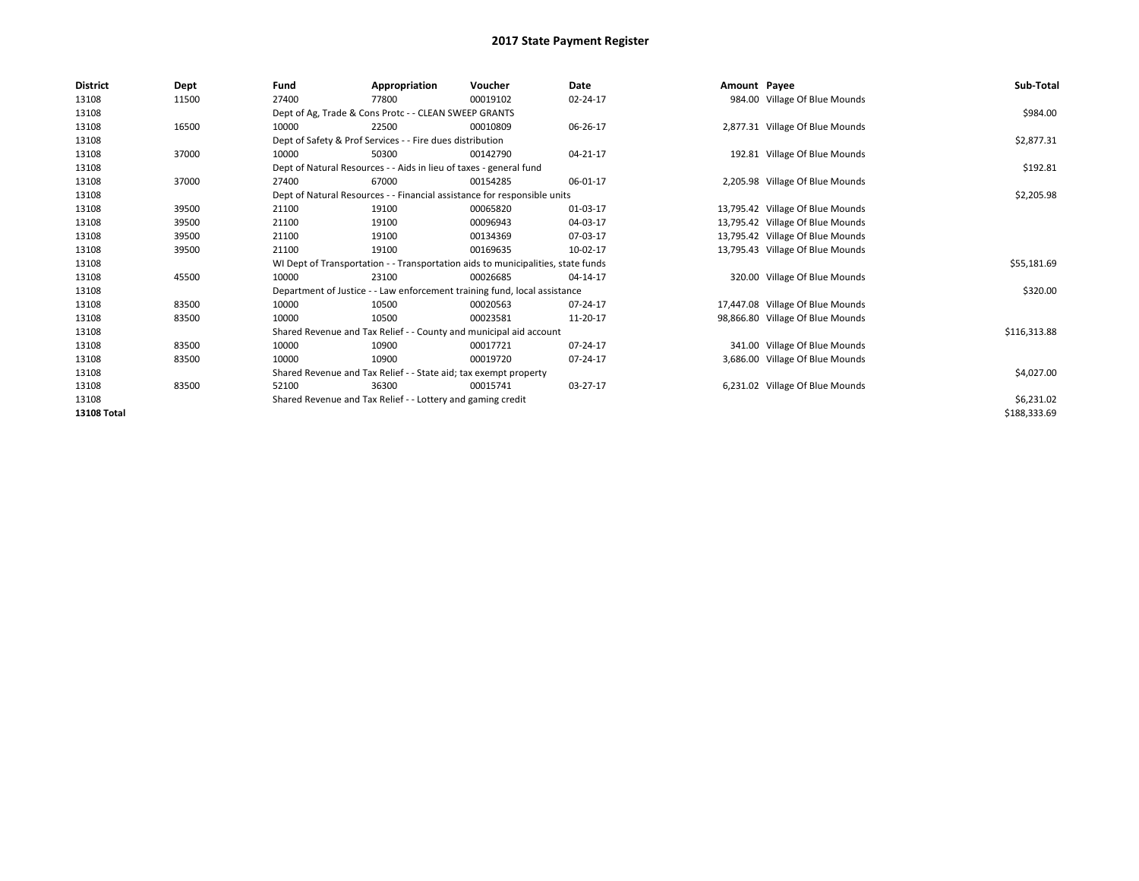| <b>District</b>    | Dept  | Fund  | Appropriation                                                                    | Voucher  | <b>Date</b> | Amount Payee |                                  | Sub-Total    |
|--------------------|-------|-------|----------------------------------------------------------------------------------|----------|-------------|--------------|----------------------------------|--------------|
| 13108              | 11500 | 27400 | 77800                                                                            | 00019102 | 02-24-17    |              | 984.00 Village Of Blue Mounds    |              |
| 13108              |       |       | Dept of Ag, Trade & Cons Protc - - CLEAN SWEEP GRANTS                            |          |             |              |                                  | \$984.00     |
| 13108              | 16500 | 10000 | 22500                                                                            | 00010809 | 06-26-17    |              | 2,877.31 Village Of Blue Mounds  |              |
| 13108              |       |       | Dept of Safety & Prof Services - - Fire dues distribution                        |          |             |              |                                  | \$2,877.31   |
| 13108              | 37000 | 10000 | 50300                                                                            | 00142790 | 04-21-17    |              | 192.81 Village Of Blue Mounds    |              |
| 13108              |       |       | Dept of Natural Resources - - Aids in lieu of taxes - general fund               |          |             |              |                                  | \$192.81     |
| 13108              | 37000 | 27400 | 67000                                                                            | 00154285 | 06-01-17    |              | 2,205.98 Village Of Blue Mounds  |              |
| 13108              |       |       | Dept of Natural Resources - - Financial assistance for responsible units         |          |             |              |                                  | \$2,205.98   |
| 13108              | 39500 | 21100 | 19100                                                                            | 00065820 | 01-03-17    |              | 13,795.42 Village Of Blue Mounds |              |
| 13108              | 39500 | 21100 | 19100                                                                            | 00096943 | 04-03-17    |              | 13,795.42 Village Of Blue Mounds |              |
| 13108              | 39500 | 21100 | 19100                                                                            | 00134369 | 07-03-17    |              | 13,795.42 Village Of Blue Mounds |              |
| 13108              | 39500 | 21100 | 19100                                                                            | 00169635 | 10-02-17    |              | 13,795.43 Village Of Blue Mounds |              |
| 13108              |       |       | WI Dept of Transportation - - Transportation aids to municipalities, state funds |          |             |              |                                  | \$55,181.69  |
| 13108              | 45500 | 10000 | 23100                                                                            | 00026685 | 04-14-17    |              | 320.00 Village Of Blue Mounds    |              |
| 13108              |       |       | Department of Justice - - Law enforcement training fund, local assistance        |          |             |              |                                  | \$320.00     |
| 13108              | 83500 | 10000 | 10500                                                                            | 00020563 | 07-24-17    |              | 17,447.08 Village Of Blue Mounds |              |
| 13108              | 83500 | 10000 | 10500                                                                            | 00023581 | 11-20-17    |              | 98,866.80 Village Of Blue Mounds |              |
| 13108              |       |       | Shared Revenue and Tax Relief - - County and municipal aid account               |          |             |              |                                  | \$116,313.88 |
| 13108              | 83500 | 10000 | 10900                                                                            | 00017721 | 07-24-17    |              | 341.00 Village Of Blue Mounds    |              |
| 13108              | 83500 | 10000 | 10900                                                                            | 00019720 | 07-24-17    |              | 3,686.00 Village Of Blue Mounds  |              |
| 13108              |       |       | Shared Revenue and Tax Relief - - State aid; tax exempt property                 |          |             |              |                                  | \$4,027.00   |
| 13108              | 83500 | 52100 | 36300                                                                            | 00015741 | 03-27-17    |              | 6,231.02 Village Of Blue Mounds  |              |
| 13108              |       |       | Shared Revenue and Tax Relief - - Lottery and gaming credit                      |          |             |              |                                  | \$6,231.02   |
| <b>13108 Total</b> |       |       |                                                                                  |          |             |              |                                  | \$188,333.69 |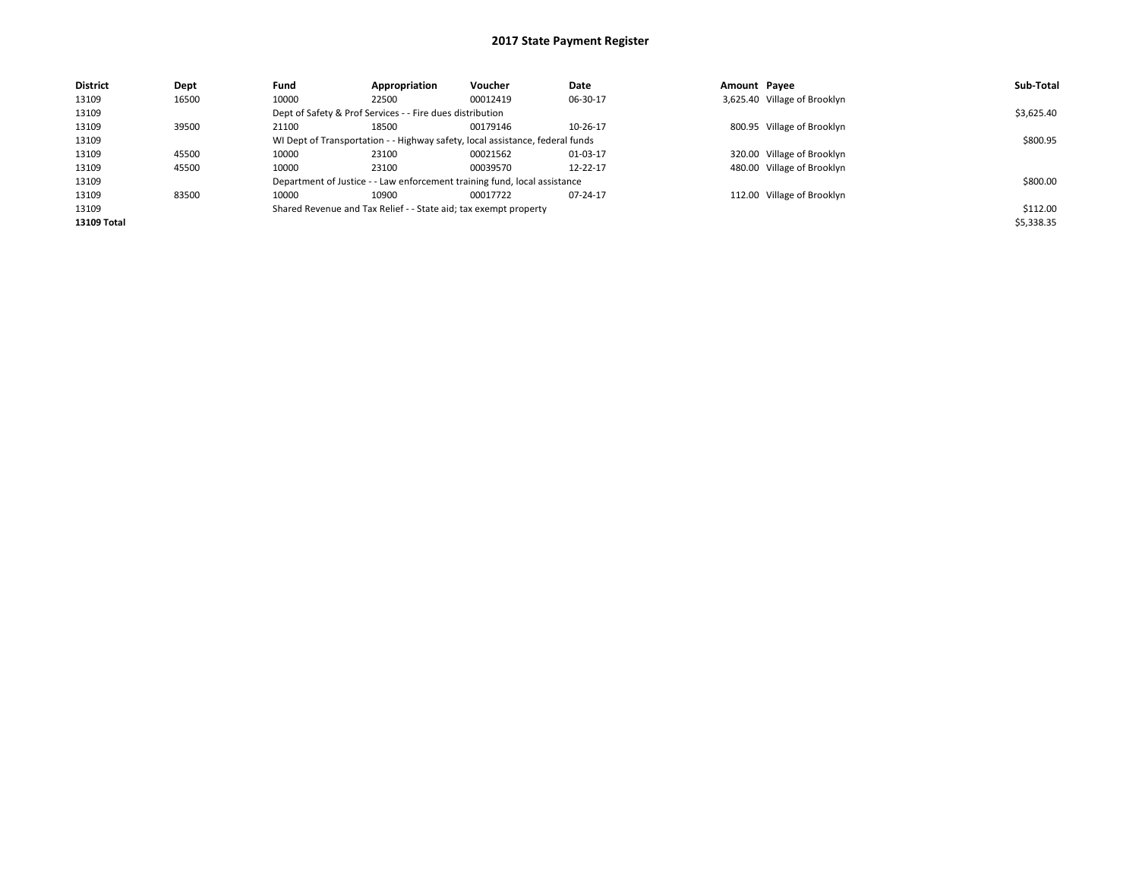| <b>District</b> | Dept  | Fund  | Appropriation                                                                 | Voucher  | Date     | Amount Payee |                              | Sub-Total  |
|-----------------|-------|-------|-------------------------------------------------------------------------------|----------|----------|--------------|------------------------------|------------|
| 13109           | 16500 | 10000 | 22500                                                                         | 00012419 | 06-30-17 |              | 3,625.40 Village of Brooklyn |            |
| 13109           |       |       | Dept of Safety & Prof Services - - Fire dues distribution                     |          |          |              |                              | \$3,625.40 |
| 13109           | 39500 | 21100 | 18500                                                                         | 00179146 | 10-26-17 |              | 800.95 Village of Brooklyn   |            |
| 13109           |       |       | WI Dept of Transportation - - Highway safety, local assistance, federal funds |          |          |              |                              | \$800.95   |
| 13109           | 45500 | 10000 | 23100                                                                         | 00021562 | 01-03-17 |              | 320.00 Village of Brooklyn   |            |
| 13109           | 45500 | 10000 | 23100                                                                         | 00039570 | 12-22-17 |              | 480.00 Village of Brooklyn   |            |
| 13109           |       |       | Department of Justice - - Law enforcement training fund, local assistance     |          |          |              |                              | \$800.00   |
| 13109           | 83500 | 10000 | 10900                                                                         | 00017722 | 07-24-17 |              | 112.00 Village of Brooklyn   |            |
| 13109           |       |       | Shared Revenue and Tax Relief - - State aid; tax exempt property              |          |          |              |                              | \$112.00   |
| 13109 Total     |       |       |                                                                               |          |          |              |                              | \$5,338.35 |
|                 |       |       |                                                                               |          |          |              |                              |            |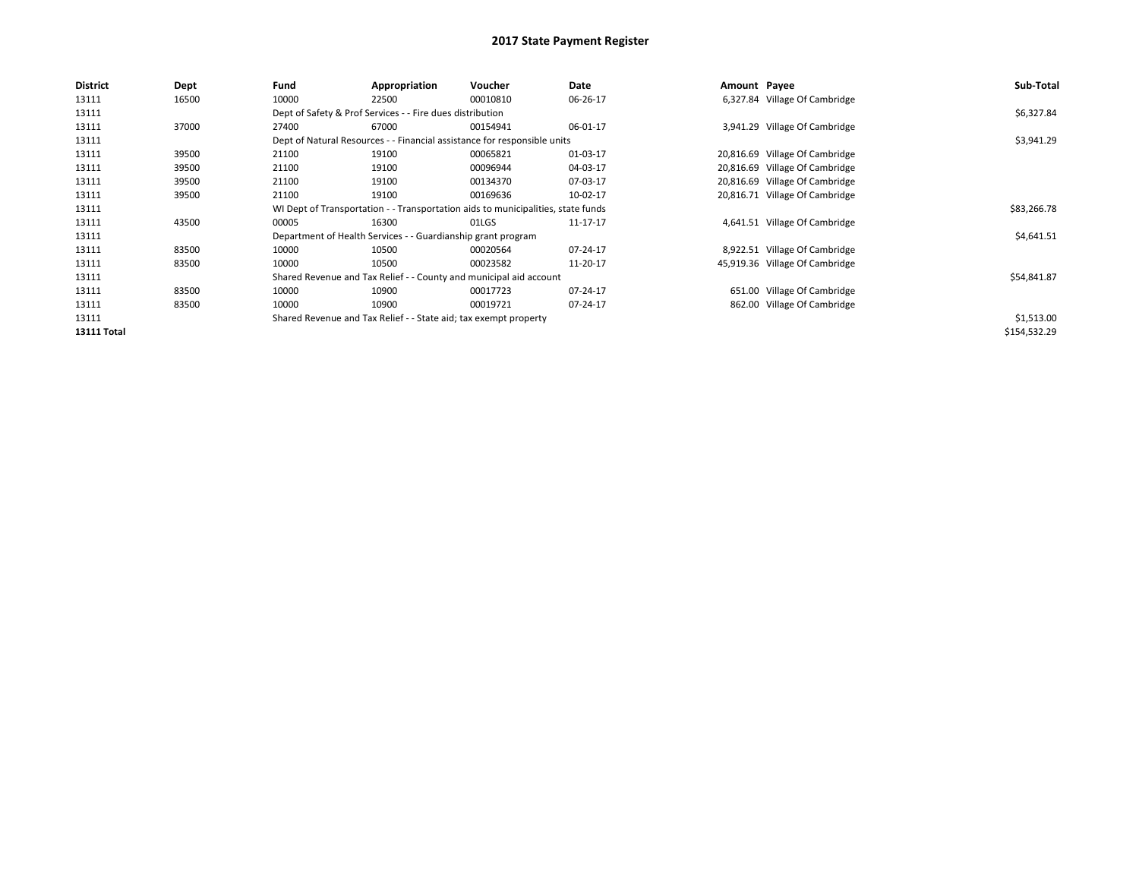| <b>District</b>    | <b>Dept</b> | Fund                                                                     | Appropriation                                                    | <b>Voucher</b>                                                                   | Date     | Amount Payee |                                | Sub-Total    |
|--------------------|-------------|--------------------------------------------------------------------------|------------------------------------------------------------------|----------------------------------------------------------------------------------|----------|--------------|--------------------------------|--------------|
| 13111              | 16500       | 10000                                                                    | 22500                                                            | 00010810                                                                         | 06-26-17 |              | 6,327.84 Village Of Cambridge  |              |
| 13111              |             |                                                                          | Dept of Safety & Prof Services - - Fire dues distribution        |                                                                                  |          |              |                                | \$6,327.84   |
| 13111              | 37000       | 27400                                                                    | 67000                                                            | 00154941                                                                         | 06-01-17 |              | 3,941.29 Village Of Cambridge  |              |
| 13111              |             | Dept of Natural Resources - - Financial assistance for responsible units |                                                                  | \$3,941.29                                                                       |          |              |                                |              |
| 13111              | 39500       | 21100                                                                    | 19100                                                            | 00065821                                                                         | 01-03-17 |              | 20,816.69 Village Of Cambridge |              |
| 13111              | 39500       | 21100                                                                    | 19100                                                            | 00096944                                                                         | 04-03-17 |              | 20,816.69 Village Of Cambridge |              |
| 13111              | 39500       | 21100                                                                    | 19100                                                            | 00134370                                                                         | 07-03-17 |              | 20,816.69 Village Of Cambridge |              |
| 13111              | 39500       | 21100                                                                    | 19100                                                            | 00169636                                                                         | 10-02-17 |              | 20,816.71 Village Of Cambridge |              |
| 13111              |             |                                                                          |                                                                  | WI Dept of Transportation - - Transportation aids to municipalities, state funds |          |              |                                | \$83,266.78  |
| 13111              | 43500       | 00005                                                                    | 16300                                                            | 01LGS                                                                            | 11-17-17 |              | 4,641.51 Village Of Cambridge  |              |
| 13111              |             |                                                                          | Department of Health Services - - Guardianship grant program     |                                                                                  |          |              |                                | \$4,641.51   |
| 13111              | 83500       | 10000                                                                    | 10500                                                            | 00020564                                                                         | 07-24-17 |              | 8,922.51 Village Of Cambridge  |              |
| 13111              | 83500       | 10000                                                                    | 10500                                                            | 00023582                                                                         | 11-20-17 |              | 45,919.36 Village Of Cambridge |              |
| 13111              |             |                                                                          |                                                                  | Shared Revenue and Tax Relief - - County and municipal aid account               |          |              |                                | \$54,841.87  |
| 13111              | 83500       | 10000                                                                    | 10900                                                            | 00017723                                                                         | 07-24-17 |              | 651.00 Village Of Cambridge    |              |
| 13111              | 83500       | 10000                                                                    | 10900                                                            | 00019721                                                                         | 07-24-17 |              | 862.00 Village Of Cambridge    |              |
| 13111              |             |                                                                          | Shared Revenue and Tax Relief - - State aid; tax exempt property |                                                                                  |          |              |                                | \$1,513.00   |
| <b>13111 Total</b> |             |                                                                          |                                                                  |                                                                                  |          |              |                                | \$154,532.29 |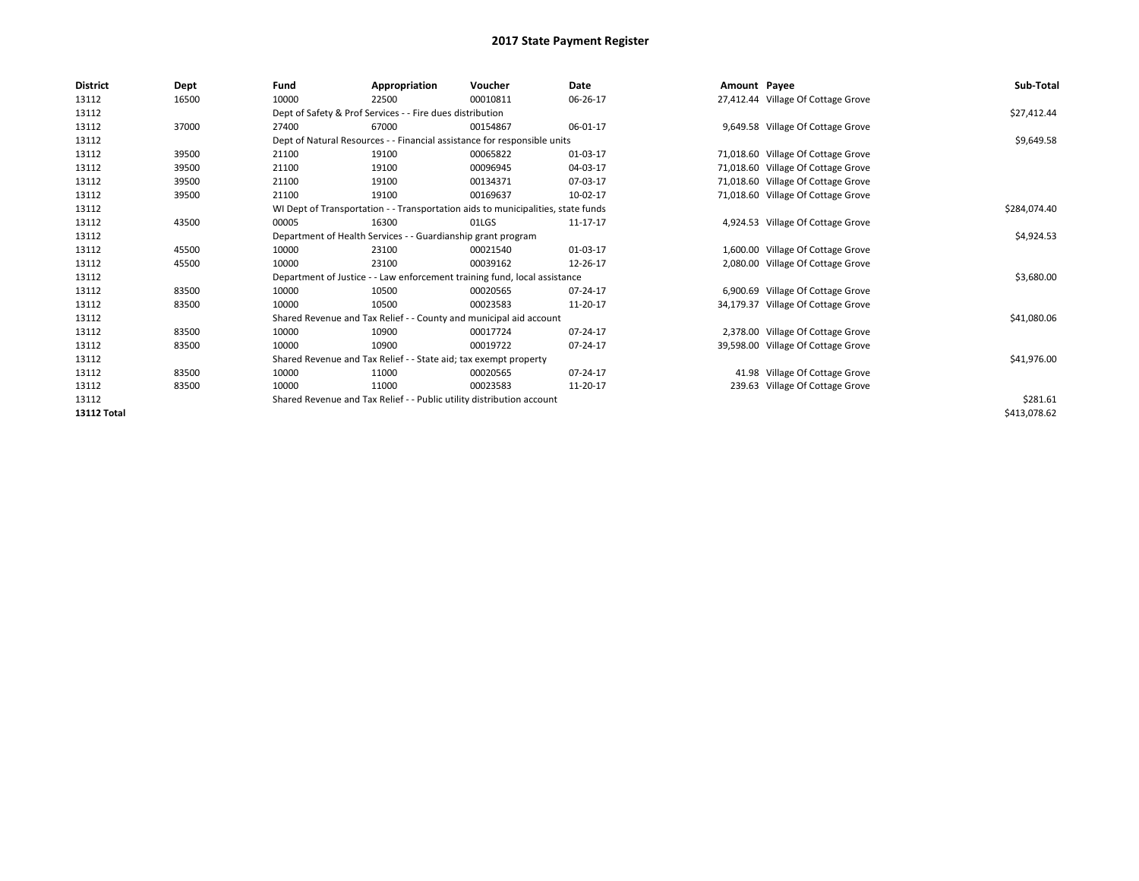| <b>District</b>    | Dept  | Fund  | Appropriation                                                                    | Voucher  | Date     | Amount Payee |                                    | Sub-Total    |  |
|--------------------|-------|-------|----------------------------------------------------------------------------------|----------|----------|--------------|------------------------------------|--------------|--|
| 13112              | 16500 | 10000 | 22500                                                                            | 00010811 | 06-26-17 |              | 27,412.44 Village Of Cottage Grove |              |  |
| 13112              |       |       | Dept of Safety & Prof Services - - Fire dues distribution                        |          |          |              |                                    | \$27,412.44  |  |
| 13112              | 37000 | 27400 | 67000                                                                            | 00154867 | 06-01-17 |              | 9,649.58 Village Of Cottage Grove  |              |  |
| 13112              |       |       | Dept of Natural Resources - - Financial assistance for responsible units         |          |          |              |                                    | \$9,649.58   |  |
| 13112              | 39500 | 21100 | 19100                                                                            | 00065822 | 01-03-17 |              | 71,018.60 Village Of Cottage Grove |              |  |
| 13112              | 39500 | 21100 | 19100                                                                            | 00096945 | 04-03-17 |              | 71,018.60 Village Of Cottage Grove |              |  |
| 13112              | 39500 | 21100 | 19100                                                                            | 00134371 | 07-03-17 |              | 71,018.60 Village Of Cottage Grove |              |  |
| 13112              | 39500 | 21100 | 19100                                                                            | 00169637 | 10-02-17 |              | 71,018.60 Village Of Cottage Grove |              |  |
| 13112              |       |       | WI Dept of Transportation - - Transportation aids to municipalities, state funds |          |          |              |                                    | \$284,074.40 |  |
| 13112              | 43500 | 00005 | 16300                                                                            | 01LGS    | 11-17-17 |              | 4,924.53 Village Of Cottage Grove  |              |  |
| 13112              |       |       | Department of Health Services - - Guardianship grant program                     |          |          |              |                                    |              |  |
| 13112              | 45500 | 10000 | 23100                                                                            | 00021540 | 01-03-17 |              | 1,600.00 Village Of Cottage Grove  |              |  |
| 13112              | 45500 | 10000 | 23100                                                                            | 00039162 | 12-26-17 |              | 2,080.00 Village Of Cottage Grove  |              |  |
| 13112              |       |       | Department of Justice - - Law enforcement training fund, local assistance        |          |          |              |                                    | \$3,680.00   |  |
| 13112              | 83500 | 10000 | 10500                                                                            | 00020565 | 07-24-17 |              | 6,900.69 Village Of Cottage Grove  |              |  |
| 13112              | 83500 | 10000 | 10500                                                                            | 00023583 | 11-20-17 |              | 34,179.37 Village Of Cottage Grove |              |  |
| 13112              |       |       | Shared Revenue and Tax Relief - - County and municipal aid account               |          |          |              |                                    | \$41,080.06  |  |
| 13112              | 83500 | 10000 | 10900                                                                            | 00017724 | 07-24-17 |              | 2,378.00 Village Of Cottage Grove  |              |  |
| 13112              | 83500 | 10000 | 10900                                                                            | 00019722 | 07-24-17 |              | 39,598.00 Village Of Cottage Grove |              |  |
| 13112              |       |       | Shared Revenue and Tax Relief - - State aid; tax exempt property                 |          |          |              |                                    | \$41,976.00  |  |
| 13112              | 83500 | 10000 | 11000                                                                            | 00020565 | 07-24-17 |              | 41.98 Village Of Cottage Grove     |              |  |
| 13112              | 83500 | 10000 | 11000                                                                            | 00023583 | 11-20-17 |              | 239.63 Village Of Cottage Grove    |              |  |
| 13112              |       |       | Shared Revenue and Tax Relief - - Public utility distribution account            |          |          |              |                                    | \$281.61     |  |
| <b>13112 Total</b> |       |       |                                                                                  |          |          |              |                                    | \$413,078.62 |  |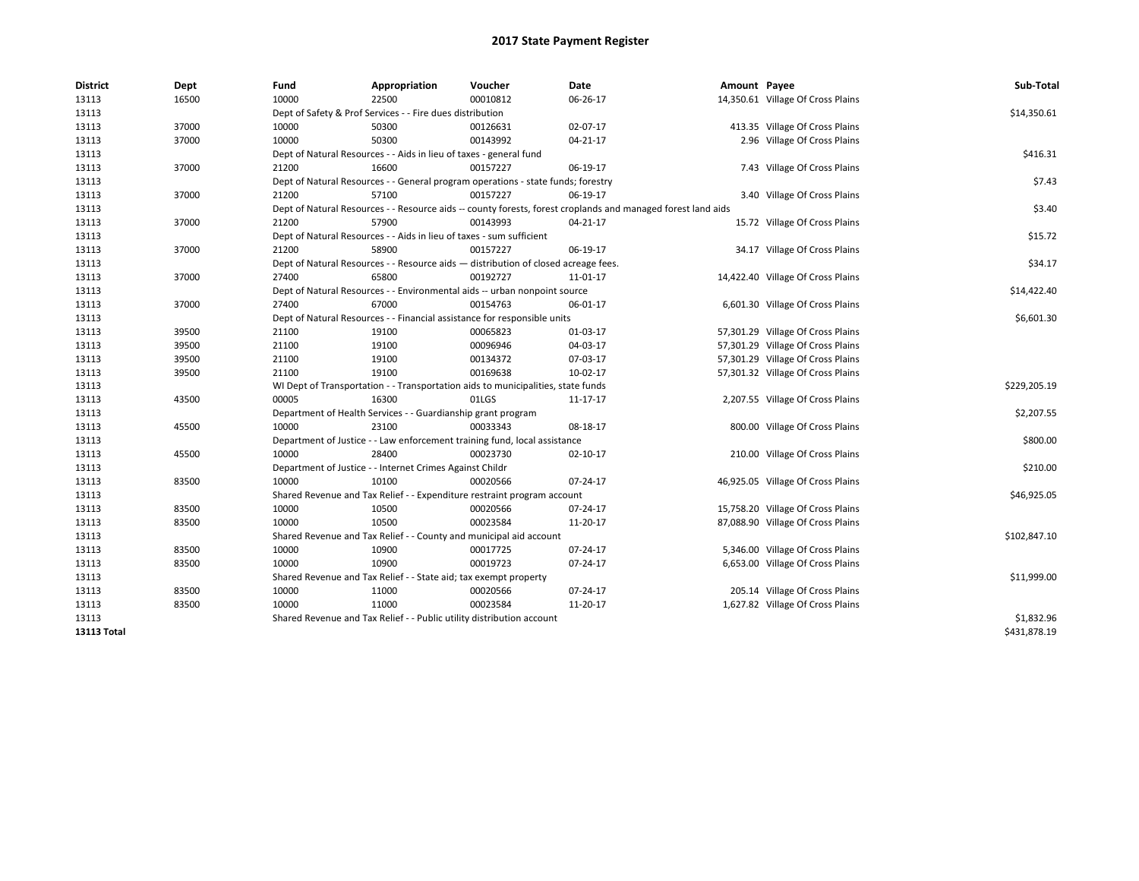| <b>District</b>    | Dept  | Fund  | Appropriation                                                                      | Voucher  | Date                                                                                                         | Amount Payee |                                   | Sub-Total    |
|--------------------|-------|-------|------------------------------------------------------------------------------------|----------|--------------------------------------------------------------------------------------------------------------|--------------|-----------------------------------|--------------|
| 13113              | 16500 | 10000 | 22500                                                                              | 00010812 | 06-26-17                                                                                                     |              | 14,350.61 Village Of Cross Plains |              |
| 13113              |       |       | Dept of Safety & Prof Services - - Fire dues distribution                          |          |                                                                                                              |              |                                   | \$14,350.61  |
| 13113              | 37000 | 10000 | 50300                                                                              | 00126631 | 02-07-17                                                                                                     |              | 413.35 Village Of Cross Plains    |              |
| 13113              | 37000 | 10000 | 50300                                                                              | 00143992 | 04-21-17                                                                                                     |              | 2.96 Village Of Cross Plains      |              |
| 13113              |       |       | Dept of Natural Resources - - Aids in lieu of taxes - general fund                 |          |                                                                                                              |              |                                   | \$416.31     |
| 13113              | 37000 | 21200 | 16600                                                                              | 00157227 | 06-19-17                                                                                                     |              | 7.43 Village Of Cross Plains      |              |
| 13113              |       |       | Dept of Natural Resources - - General program operations - state funds; forestry   |          |                                                                                                              |              |                                   | \$7.43       |
| 13113              | 37000 | 21200 | 57100                                                                              | 00157227 | 06-19-17                                                                                                     |              | 3.40 Village Of Cross Plains      |              |
| 13113              |       |       |                                                                                    |          | Dept of Natural Resources - - Resource aids -- county forests, forest croplands and managed forest land aids |              |                                   | \$3.40       |
| 13113              | 37000 | 21200 | 57900                                                                              | 00143993 | 04-21-17                                                                                                     |              | 15.72 Village Of Cross Plains     |              |
| 13113              |       |       | Dept of Natural Resources - - Aids in lieu of taxes - sum sufficient               |          |                                                                                                              |              |                                   | \$15.72      |
| 13113              | 37000 | 21200 | 58900                                                                              | 00157227 | 06-19-17                                                                                                     |              | 34.17 Village Of Cross Plains     |              |
| 13113              |       |       | Dept of Natural Resources - - Resource aids - distribution of closed acreage fees. |          |                                                                                                              |              |                                   | \$34.17      |
| 13113              | 37000 | 27400 | 65800                                                                              | 00192727 | 11-01-17                                                                                                     |              | 14,422.40 Village Of Cross Plains |              |
| 13113              |       |       | Dept of Natural Resources - - Environmental aids -- urban nonpoint source          |          |                                                                                                              |              |                                   | \$14,422.40  |
| 13113              | 37000 | 27400 | 67000                                                                              | 00154763 | 06-01-17                                                                                                     |              | 6,601.30 Village Of Cross Plains  |              |
| 13113              |       |       | Dept of Natural Resources - - Financial assistance for responsible units           |          |                                                                                                              |              |                                   | \$6,601.30   |
| 13113              | 39500 | 21100 | 19100                                                                              | 00065823 | 01-03-17                                                                                                     |              | 57,301.29 Village Of Cross Plains |              |
| 13113              | 39500 | 21100 | 19100                                                                              | 00096946 | 04-03-17                                                                                                     |              | 57,301.29 Village Of Cross Plains |              |
| 13113              | 39500 | 21100 | 19100                                                                              | 00134372 | 07-03-17                                                                                                     |              | 57,301.29 Village Of Cross Plains |              |
| 13113              | 39500 | 21100 | 19100                                                                              | 00169638 | 10-02-17                                                                                                     |              | 57,301.32 Village Of Cross Plains |              |
| 13113              |       |       | WI Dept of Transportation - - Transportation aids to municipalities, state funds   |          |                                                                                                              |              |                                   | \$229,205.19 |
| 13113              | 43500 | 00005 | 16300                                                                              | 01LGS    | 11-17-17                                                                                                     |              | 2,207.55 Village Of Cross Plains  |              |
| 13113              |       |       | Department of Health Services - - Guardianship grant program                       |          |                                                                                                              |              |                                   | \$2,207.55   |
| 13113              | 45500 | 10000 | 23100                                                                              | 00033343 | 08-18-17                                                                                                     |              | 800.00 Village Of Cross Plains    |              |
| 13113              |       |       | Department of Justice - - Law enforcement training fund, local assistance          |          |                                                                                                              |              |                                   | \$800.00     |
| 13113              | 45500 | 10000 | 28400                                                                              | 00023730 | 02-10-17                                                                                                     |              | 210.00 Village Of Cross Plains    |              |
| 13113              |       |       | Department of Justice - - Internet Crimes Against Childr                           |          |                                                                                                              |              |                                   | \$210.00     |
| 13113              | 83500 | 10000 | 10100                                                                              | 00020566 | 07-24-17                                                                                                     |              | 46,925.05 Village Of Cross Plains |              |
| 13113              |       |       | Shared Revenue and Tax Relief - - Expenditure restraint program account            |          |                                                                                                              |              |                                   | \$46,925.05  |
| 13113              | 83500 | 10000 | 10500                                                                              | 00020566 | 07-24-17                                                                                                     |              | 15,758.20 Village Of Cross Plains |              |
| 13113              | 83500 | 10000 | 10500                                                                              | 00023584 | 11-20-17                                                                                                     |              | 87,088.90 Village Of Cross Plains |              |
| 13113              |       |       | Shared Revenue and Tax Relief - - County and municipal aid account                 |          |                                                                                                              |              |                                   | \$102,847.10 |
| 13113              | 83500 | 10000 | 10900                                                                              | 00017725 | 07-24-17                                                                                                     |              | 5,346.00 Village Of Cross Plains  |              |
| 13113              | 83500 | 10000 | 10900                                                                              | 00019723 | 07-24-17                                                                                                     |              | 6,653.00 Village Of Cross Plains  |              |
| 13113              |       |       | Shared Revenue and Tax Relief - - State aid; tax exempt property                   |          |                                                                                                              |              |                                   | \$11,999.00  |
| 13113              | 83500 | 10000 | 11000                                                                              | 00020566 | 07-24-17                                                                                                     |              | 205.14 Village Of Cross Plains    |              |
| 13113              | 83500 | 10000 | 11000                                                                              | 00023584 | 11-20-17                                                                                                     |              | 1,627.82 Village Of Cross Plains  |              |
| 13113              |       |       | Shared Revenue and Tax Relief - - Public utility distribution account              |          |                                                                                                              |              |                                   | \$1,832.96   |
| <b>13113 Total</b> |       |       |                                                                                    |          |                                                                                                              |              |                                   | \$431,878.19 |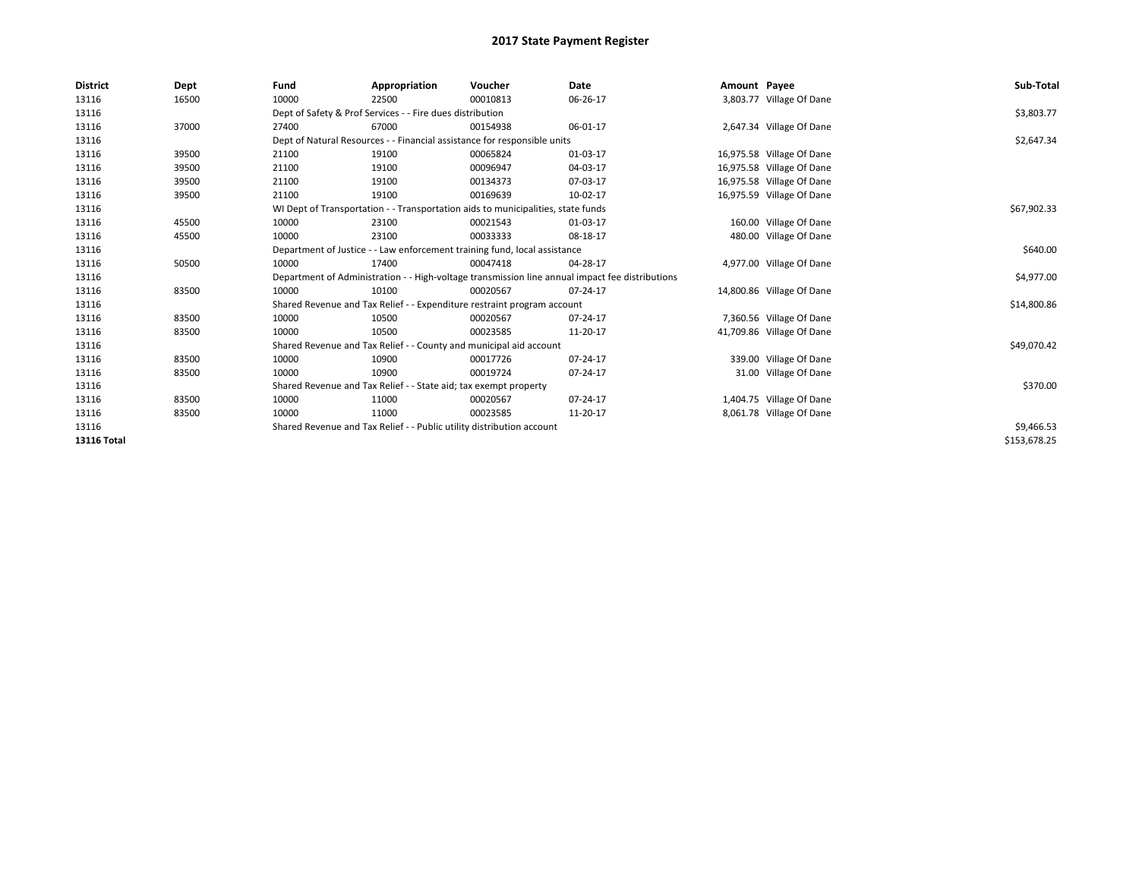| <b>District</b>    | Dept  | Fund  | Appropriation                                                             | Voucher                                                                          | Date                                                                                            | Amount Payee |                           | Sub-Total    |
|--------------------|-------|-------|---------------------------------------------------------------------------|----------------------------------------------------------------------------------|-------------------------------------------------------------------------------------------------|--------------|---------------------------|--------------|
| 13116              | 16500 | 10000 | 22500                                                                     | 00010813                                                                         | 06-26-17                                                                                        |              | 3,803.77 Village Of Dane  |              |
| 13116              |       |       | Dept of Safety & Prof Services - - Fire dues distribution                 |                                                                                  |                                                                                                 |              |                           | \$3,803.77   |
| 13116              | 37000 | 27400 | 67000                                                                     | 00154938                                                                         | 06-01-17                                                                                        |              | 2,647.34 Village Of Dane  |              |
| 13116              |       |       |                                                                           | Dept of Natural Resources - - Financial assistance for responsible units         |                                                                                                 |              |                           | \$2,647.34   |
| 13116              | 39500 | 21100 | 19100                                                                     | 00065824                                                                         | 01-03-17                                                                                        |              | 16,975.58 Village Of Dane |              |
| 13116              | 39500 | 21100 | 19100                                                                     | 00096947                                                                         | 04-03-17                                                                                        |              | 16,975.58 Village Of Dane |              |
| 13116              | 39500 | 21100 | 19100                                                                     | 00134373                                                                         | 07-03-17                                                                                        |              | 16,975.58 Village Of Dane |              |
| 13116              | 39500 | 21100 | 19100                                                                     | 00169639                                                                         | 10-02-17                                                                                        |              | 16,975.59 Village Of Dane |              |
| 13116              |       |       |                                                                           | WI Dept of Transportation - - Transportation aids to municipalities, state funds |                                                                                                 |              |                           | \$67,902.33  |
| 13116              | 45500 | 10000 | 23100                                                                     | 00021543                                                                         | 01-03-17                                                                                        |              | 160.00 Village Of Dane    |              |
| 13116              | 45500 | 10000 | 23100                                                                     | 00033333                                                                         | 08-18-17                                                                                        |              | 480.00 Village Of Dane    |              |
| 13116              |       |       | Department of Justice - - Law enforcement training fund, local assistance |                                                                                  | \$640.00                                                                                        |              |                           |              |
| 13116              | 50500 | 10000 | 17400                                                                     | 00047418                                                                         | 04-28-17                                                                                        |              | 4,977.00 Village Of Dane  |              |
| 13116              |       |       |                                                                           |                                                                                  | Department of Administration - - High-voltage transmission line annual impact fee distributions |              |                           | \$4,977.00   |
| 13116              | 83500 | 10000 | 10100                                                                     | 00020567                                                                         | 07-24-17                                                                                        |              | 14,800.86 Village Of Dane |              |
| 13116              |       |       |                                                                           | Shared Revenue and Tax Relief - - Expenditure restraint program account          |                                                                                                 |              |                           | \$14,800.86  |
| 13116              | 83500 | 10000 | 10500                                                                     | 00020567                                                                         | 07-24-17                                                                                        |              | 7,360.56 Village Of Dane  |              |
| 13116              | 83500 | 10000 | 10500                                                                     | 00023585                                                                         | 11-20-17                                                                                        |              | 41,709.86 Village Of Dane |              |
| 13116              |       |       |                                                                           | Shared Revenue and Tax Relief - - County and municipal aid account               |                                                                                                 |              |                           | \$49,070.42  |
| 13116              | 83500 | 10000 | 10900                                                                     | 00017726                                                                         | 07-24-17                                                                                        |              | 339.00 Village Of Dane    |              |
| 13116              | 83500 | 10000 | 10900                                                                     | 00019724                                                                         | 07-24-17                                                                                        |              | 31.00 Village Of Dane     |              |
| 13116              |       |       | Shared Revenue and Tax Relief - - State aid; tax exempt property          |                                                                                  |                                                                                                 |              |                           | \$370.00     |
| 13116              | 83500 | 10000 | 11000                                                                     | 00020567                                                                         | 07-24-17                                                                                        |              | 1,404.75 Village Of Dane  |              |
| 13116              | 83500 | 10000 | 11000                                                                     | 00023585                                                                         | 11-20-17                                                                                        |              | 8,061.78 Village Of Dane  |              |
| 13116              |       |       | Shared Revenue and Tax Relief - - Public utility distribution account     |                                                                                  |                                                                                                 |              |                           | \$9,466.53   |
| <b>13116 Total</b> |       |       |                                                                           |                                                                                  |                                                                                                 |              |                           | \$153,678.25 |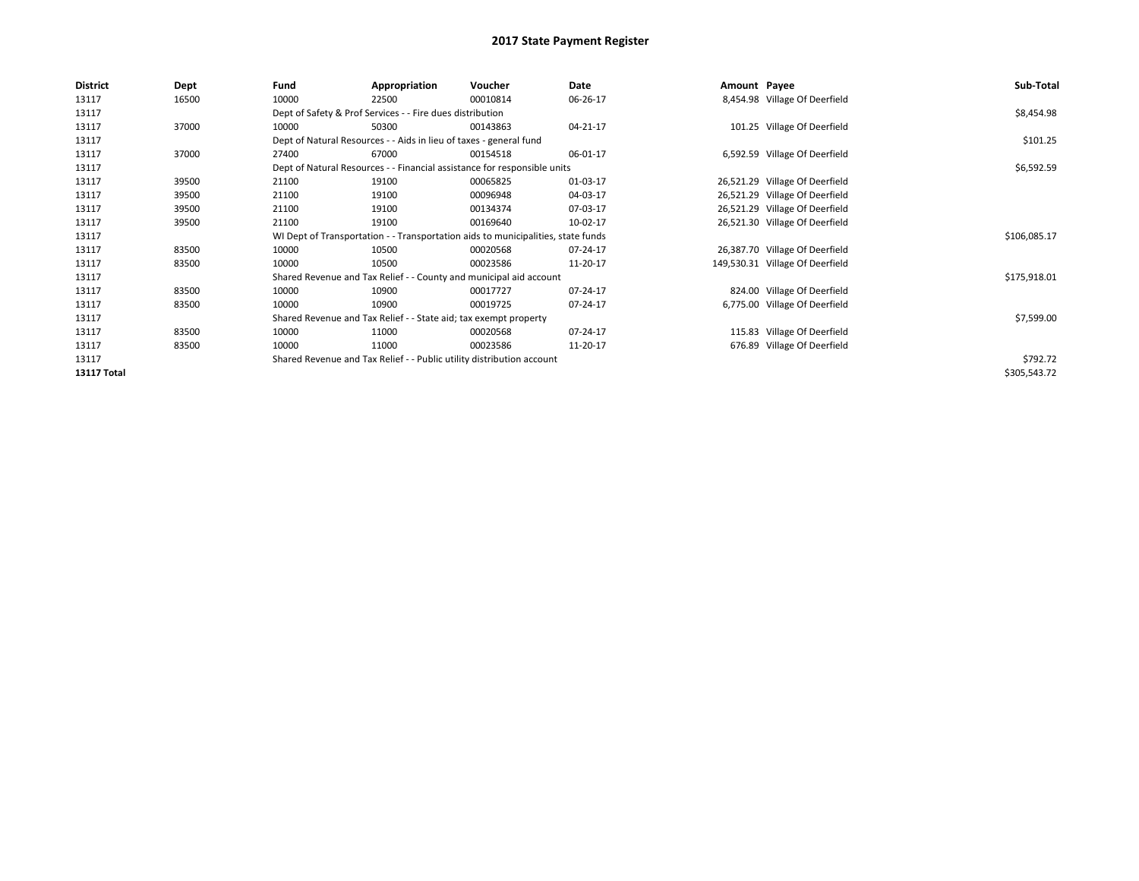| <b>District</b>    | Dept  | Fund  | Appropriation                                                                    | Voucher  | Date     | Amount Payee |                                 | Sub-Total    |
|--------------------|-------|-------|----------------------------------------------------------------------------------|----------|----------|--------------|---------------------------------|--------------|
| 13117              | 16500 | 10000 | 22500                                                                            | 00010814 | 06-26-17 |              | 8,454.98 Village Of Deerfield   |              |
| 13117              |       |       | Dept of Safety & Prof Services - - Fire dues distribution                        |          |          |              |                                 | \$8,454.98   |
| 13117              | 37000 | 10000 | 50300                                                                            | 00143863 | 04-21-17 |              | 101.25 Village Of Deerfield     |              |
| 13117              |       |       | Dept of Natural Resources - - Aids in lieu of taxes - general fund               |          |          |              |                                 | \$101.25     |
| 13117              | 37000 | 27400 | 67000                                                                            | 00154518 | 06-01-17 |              | 6,592.59 Village Of Deerfield   |              |
| 13117              |       |       | Dept of Natural Resources - - Financial assistance for responsible units         |          |          |              |                                 | \$6,592.59   |
| 13117              | 39500 | 21100 | 19100                                                                            | 00065825 | 01-03-17 |              | 26,521.29 Village Of Deerfield  |              |
| 13117              | 39500 | 21100 | 19100                                                                            | 00096948 | 04-03-17 |              | 26,521.29 Village Of Deerfield  |              |
| 13117              | 39500 | 21100 | 19100                                                                            | 00134374 | 07-03-17 |              | 26,521.29 Village Of Deerfield  |              |
| 13117              | 39500 | 21100 | 19100                                                                            | 00169640 | 10-02-17 |              | 26,521.30 Village Of Deerfield  |              |
| 13117              |       |       | WI Dept of Transportation - - Transportation aids to municipalities, state funds |          |          |              |                                 | \$106,085.17 |
| 13117              | 83500 | 10000 | 10500                                                                            | 00020568 | 07-24-17 |              | 26,387.70 Village Of Deerfield  |              |
| 13117              | 83500 | 10000 | 10500                                                                            | 00023586 | 11-20-17 |              | 149,530.31 Village Of Deerfield |              |
| 13117              |       |       | Shared Revenue and Tax Relief - - County and municipal aid account               |          |          |              |                                 | \$175,918.01 |
| 13117              | 83500 | 10000 | 10900                                                                            | 00017727 | 07-24-17 |              | 824.00 Village Of Deerfield     |              |
| 13117              | 83500 | 10000 | 10900                                                                            | 00019725 | 07-24-17 |              | 6,775.00 Village Of Deerfield   |              |
| 13117              |       |       | Shared Revenue and Tax Relief - - State aid; tax exempt property                 |          |          |              |                                 | \$7,599.00   |
| 13117              | 83500 | 10000 | 11000                                                                            | 00020568 | 07-24-17 |              | 115.83 Village Of Deerfield     |              |
| 13117              | 83500 | 10000 | 11000                                                                            | 00023586 | 11-20-17 |              | 676.89 Village Of Deerfield     |              |
| 13117              |       |       | Shared Revenue and Tax Relief - - Public utility distribution account            |          |          |              |                                 | \$792.72     |
| <b>13117 Total</b> |       |       |                                                                                  |          |          |              |                                 | \$305,543.72 |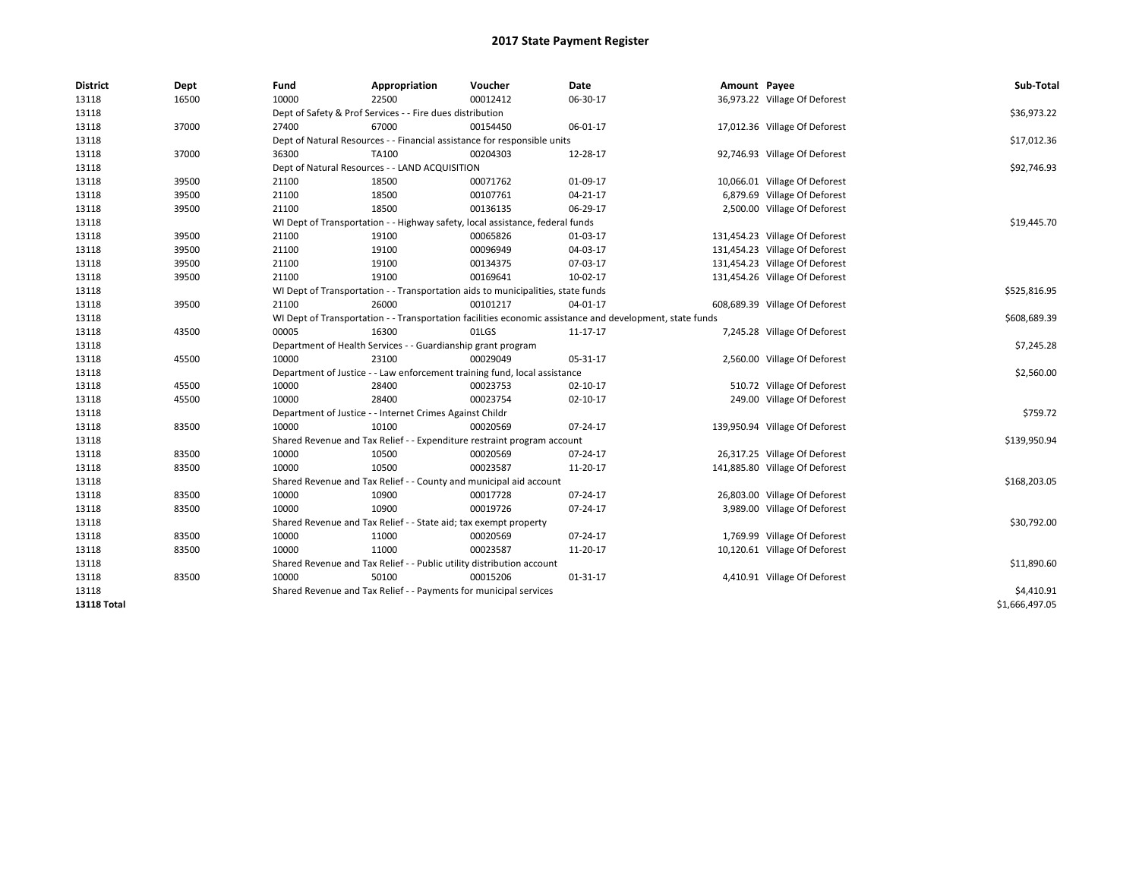| <b>District</b> | Dept  | Fund  | Appropriation                                                                    | Voucher  | Date                                                                                                     | Amount Payee |                                | Sub-Total      |
|-----------------|-------|-------|----------------------------------------------------------------------------------|----------|----------------------------------------------------------------------------------------------------------|--------------|--------------------------------|----------------|
| 13118           | 16500 | 10000 | 22500                                                                            | 00012412 | 06-30-17                                                                                                 |              | 36,973.22 Village Of Deforest  |                |
| 13118           |       |       | Dept of Safety & Prof Services - - Fire dues distribution                        |          |                                                                                                          |              |                                | \$36,973.22    |
| 13118           | 37000 | 27400 | 67000                                                                            | 00154450 | 06-01-17                                                                                                 |              | 17,012.36 Village Of Deforest  |                |
| 13118           |       |       | Dept of Natural Resources - - Financial assistance for responsible units         |          |                                                                                                          |              |                                | \$17,012.36    |
| 13118           | 37000 | 36300 | <b>TA100</b>                                                                     | 00204303 | 12-28-17                                                                                                 |              | 92,746.93 Village Of Deforest  |                |
| 13118           |       |       | Dept of Natural Resources - - LAND ACQUISITION                                   |          |                                                                                                          |              |                                | \$92,746.93    |
| 13118           | 39500 | 21100 | 18500                                                                            | 00071762 | 01-09-17                                                                                                 |              | 10,066.01 Village Of Deforest  |                |
| 13118           | 39500 | 21100 | 18500                                                                            | 00107761 | $04 - 21 - 17$                                                                                           |              | 6,879.69 Village Of Deforest   |                |
| 13118           | 39500 | 21100 | 18500                                                                            | 00136135 | 06-29-17                                                                                                 |              | 2,500.00 Village Of Deforest   |                |
| 13118           |       |       | WI Dept of Transportation - - Highway safety, local assistance, federal funds    |          |                                                                                                          |              |                                | \$19,445.70    |
| 13118           | 39500 | 21100 | 19100                                                                            | 00065826 | 01-03-17                                                                                                 |              | 131,454.23 Village Of Deforest |                |
| 13118           | 39500 | 21100 | 19100                                                                            | 00096949 | 04-03-17                                                                                                 |              | 131,454.23 Village Of Deforest |                |
| 13118           | 39500 | 21100 | 19100                                                                            | 00134375 | 07-03-17                                                                                                 |              | 131,454.23 Village Of Deforest |                |
| 13118           | 39500 | 21100 | 19100                                                                            | 00169641 | 10-02-17                                                                                                 |              | 131,454.26 Village Of Deforest |                |
| 13118           |       |       | WI Dept of Transportation - - Transportation aids to municipalities, state funds |          |                                                                                                          |              |                                | \$525,816.95   |
| 13118           | 39500 | 21100 | 26000                                                                            | 00101217 | 04-01-17                                                                                                 |              | 608,689.39 Village Of Deforest |                |
| 13118           |       |       |                                                                                  |          | WI Dept of Transportation - - Transportation facilities economic assistance and development, state funds |              |                                | \$608,689.39   |
| 13118           | 43500 | 00005 | 16300                                                                            | 01LGS    | 11-17-17                                                                                                 |              | 7,245.28 Village Of Deforest   |                |
| 13118           |       |       | Department of Health Services - - Guardianship grant program                     |          |                                                                                                          |              |                                | \$7,245.28     |
| 13118           | 45500 | 10000 | 23100                                                                            | 00029049 | 05-31-17                                                                                                 |              | 2,560.00 Village Of Deforest   |                |
| 13118           |       |       | Department of Justice - - Law enforcement training fund, local assistance        |          |                                                                                                          |              |                                | \$2,560.00     |
| 13118           | 45500 | 10000 | 28400                                                                            | 00023753 | 02-10-17                                                                                                 |              | 510.72 Village Of Deforest     |                |
| 13118           | 45500 | 10000 | 28400                                                                            | 00023754 | $02 - 10 - 17$                                                                                           |              | 249.00 Village Of Deforest     |                |
| 13118           |       |       | Department of Justice - - Internet Crimes Against Childr                         |          |                                                                                                          |              |                                | \$759.72       |
| 13118           | 83500 | 10000 | 10100                                                                            | 00020569 | 07-24-17                                                                                                 |              | 139,950.94 Village Of Deforest |                |
| 13118           |       |       | Shared Revenue and Tax Relief - - Expenditure restraint program account          |          |                                                                                                          |              |                                | \$139,950.94   |
| 13118           | 83500 | 10000 | 10500                                                                            | 00020569 | 07-24-17                                                                                                 |              | 26,317.25 Village Of Deforest  |                |
| 13118           | 83500 | 10000 | 10500                                                                            | 00023587 | 11-20-17                                                                                                 |              | 141,885.80 Village Of Deforest |                |
| 13118           |       |       | Shared Revenue and Tax Relief - - County and municipal aid account               |          |                                                                                                          |              |                                | \$168,203.05   |
| 13118           | 83500 | 10000 | 10900                                                                            | 00017728 | 07-24-17                                                                                                 |              | 26,803.00 Village Of Deforest  |                |
| 13118           | 83500 | 10000 | 10900                                                                            | 00019726 | 07-24-17                                                                                                 |              | 3,989.00 Village Of Deforest   |                |
| 13118           |       |       | Shared Revenue and Tax Relief - - State aid; tax exempt property                 |          |                                                                                                          |              |                                | \$30,792.00    |
| 13118           | 83500 | 10000 | 11000                                                                            | 00020569 | 07-24-17                                                                                                 |              | 1,769.99 Village Of Deforest   |                |
| 13118           | 83500 | 10000 | 11000                                                                            | 00023587 | 11-20-17                                                                                                 |              | 10,120.61 Village Of Deforest  |                |
| 13118           |       |       | Shared Revenue and Tax Relief - - Public utility distribution account            |          |                                                                                                          |              |                                | \$11,890.60    |
| 13118           | 83500 | 10000 | 50100                                                                            | 00015206 | 01-31-17                                                                                                 |              | 4,410.91 Village Of Deforest   |                |
| 13118           |       |       | Shared Revenue and Tax Relief - - Payments for municipal services                |          |                                                                                                          |              |                                | \$4,410.91     |
| 13118 Total     |       |       |                                                                                  |          |                                                                                                          |              |                                | \$1,666,497.05 |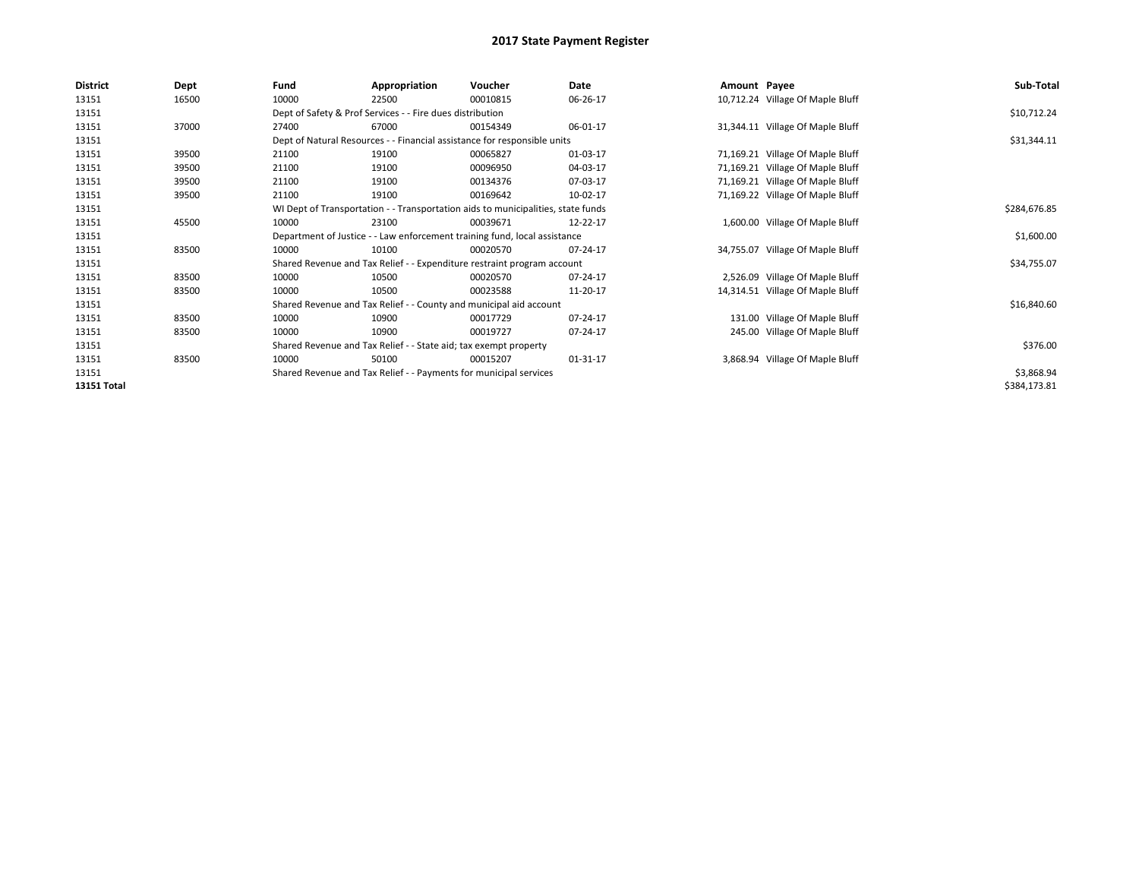| <b>District</b> | Dept  | Fund  | Appropriation                                                                    | Voucher  | Date     | Amount Payee |                                  | Sub-Total    |  |  |
|-----------------|-------|-------|----------------------------------------------------------------------------------|----------|----------|--------------|----------------------------------|--------------|--|--|
| 13151           | 16500 | 10000 | 22500                                                                            | 00010815 | 06-26-17 |              | 10,712.24 Village Of Maple Bluff |              |  |  |
| 13151           |       |       | Dept of Safety & Prof Services - - Fire dues distribution                        |          |          |              |                                  | \$10,712.24  |  |  |
| 13151           | 37000 | 27400 | 67000                                                                            | 00154349 | 06-01-17 |              | 31,344.11 Village Of Maple Bluff |              |  |  |
| 13151           |       |       | Dept of Natural Resources - - Financial assistance for responsible units         |          |          |              |                                  | \$31,344.11  |  |  |
| 13151           | 39500 | 21100 | 19100                                                                            | 00065827 | 01-03-17 |              | 71,169.21 Village Of Maple Bluff |              |  |  |
| 13151           | 39500 | 21100 | 19100                                                                            | 00096950 | 04-03-17 |              | 71,169.21 Village Of Maple Bluff |              |  |  |
| 13151           | 39500 | 21100 | 19100                                                                            | 00134376 | 07-03-17 |              | 71,169.21 Village Of Maple Bluff |              |  |  |
| 13151           | 39500 | 21100 | 19100                                                                            | 00169642 | 10-02-17 |              | 71,169.22 Village Of Maple Bluff |              |  |  |
| 13151           |       |       | WI Dept of Transportation - - Transportation aids to municipalities, state funds |          |          |              |                                  |              |  |  |
| 13151           | 45500 | 10000 | 23100                                                                            | 00039671 | 12-22-17 |              | 1,600.00 Village Of Maple Bluff  |              |  |  |
| 13151           |       |       | Department of Justice - - Law enforcement training fund, local assistance        |          |          |              |                                  | \$1,600.00   |  |  |
| 13151           | 83500 | 10000 | 10100                                                                            | 00020570 | 07-24-17 |              | 34,755.07 Village Of Maple Bluff |              |  |  |
| 13151           |       |       | Shared Revenue and Tax Relief - - Expenditure restraint program account          |          |          |              |                                  | \$34,755.07  |  |  |
| 13151           | 83500 | 10000 | 10500                                                                            | 00020570 | 07-24-17 |              | 2,526.09 Village Of Maple Bluff  |              |  |  |
| 13151           | 83500 | 10000 | 10500                                                                            | 00023588 | 11-20-17 |              | 14,314.51 Village Of Maple Bluff |              |  |  |
| 13151           |       |       | Shared Revenue and Tax Relief - - County and municipal aid account               |          |          |              |                                  | \$16,840.60  |  |  |
| 13151           | 83500 | 10000 | 10900                                                                            | 00017729 | 07-24-17 |              | 131.00 Village Of Maple Bluff    |              |  |  |
| 13151           | 83500 | 10000 | 10900                                                                            | 00019727 | 07-24-17 |              | 245.00 Village Of Maple Bluff    |              |  |  |
| 13151           |       |       | Shared Revenue and Tax Relief - - State aid; tax exempt property                 |          |          |              |                                  | \$376.00     |  |  |
| 13151           | 83500 | 10000 | 50100                                                                            | 00015207 | 01-31-17 |              | 3,868.94 Village Of Maple Bluff  |              |  |  |
| 13151           |       |       | Shared Revenue and Tax Relief - - Payments for municipal services                |          |          |              |                                  | \$3,868.94   |  |  |
| 13151 Total     |       |       |                                                                                  |          |          |              |                                  | \$384,173.81 |  |  |
|                 |       |       |                                                                                  |          |          |              |                                  |              |  |  |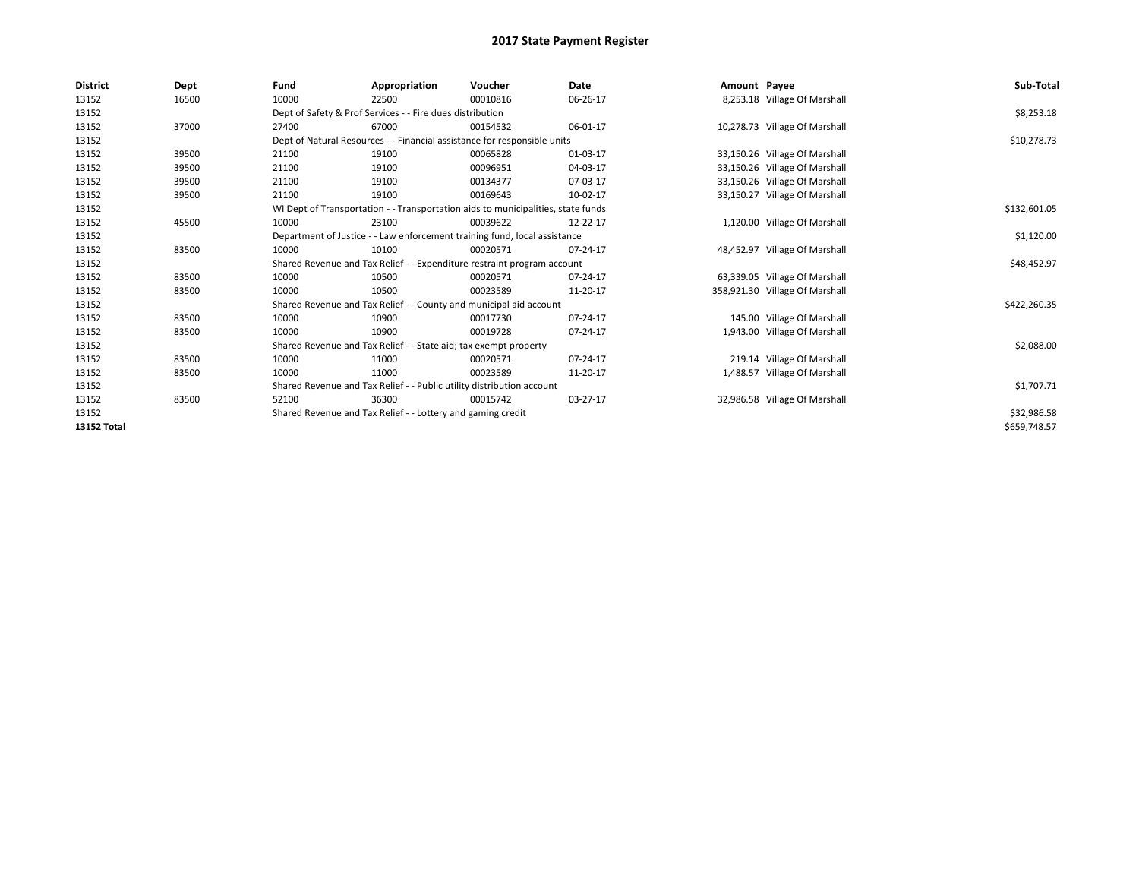| <b>District</b>    | Dept  | Fund  | Appropriation                                                                    | Voucher  | <b>Date</b> | Amount Payee |                                | Sub-Total    |  |  |
|--------------------|-------|-------|----------------------------------------------------------------------------------|----------|-------------|--------------|--------------------------------|--------------|--|--|
| 13152              | 16500 | 10000 | 22500                                                                            | 00010816 | 06-26-17    |              | 8,253.18 Village Of Marshall   |              |  |  |
| 13152              |       |       | Dept of Safety & Prof Services - - Fire dues distribution                        |          |             |              |                                | \$8,253.18   |  |  |
| 13152              | 37000 | 27400 | 67000                                                                            | 00154532 | 06-01-17    |              | 10,278.73 Village Of Marshall  |              |  |  |
| 13152              |       |       | Dept of Natural Resources - - Financial assistance for responsible units         |          |             |              |                                | \$10,278.73  |  |  |
| 13152              | 39500 | 21100 | 19100                                                                            | 00065828 | 01-03-17    |              | 33,150.26 Village Of Marshall  |              |  |  |
| 13152              | 39500 | 21100 | 19100                                                                            | 00096951 | 04-03-17    |              | 33,150.26 Village Of Marshall  |              |  |  |
| 13152              | 39500 | 21100 | 19100                                                                            | 00134377 | 07-03-17    |              | 33,150.26 Village Of Marshall  |              |  |  |
| 13152              | 39500 | 21100 | 19100                                                                            | 00169643 | 10-02-17    |              | 33,150.27 Village Of Marshall  |              |  |  |
| 13152              |       |       | WI Dept of Transportation - - Transportation aids to municipalities, state funds |          |             |              |                                |              |  |  |
| 13152              | 45500 | 10000 | 23100                                                                            | 00039622 | 12-22-17    |              | 1,120.00 Village Of Marshall   |              |  |  |
| 13152              |       |       | Department of Justice - - Law enforcement training fund, local assistance        |          |             |              |                                | \$1,120.00   |  |  |
| 13152              | 83500 | 10000 | 10100                                                                            | 00020571 | 07-24-17    |              | 48,452.97 Village Of Marshall  |              |  |  |
| 13152              |       |       | Shared Revenue and Tax Relief - - Expenditure restraint program account          |          |             |              |                                | \$48,452.97  |  |  |
| 13152              | 83500 | 10000 | 10500                                                                            | 00020571 | 07-24-17    |              | 63,339.05 Village Of Marshall  |              |  |  |
| 13152              | 83500 | 10000 | 10500                                                                            | 00023589 | 11-20-17    |              | 358,921.30 Village Of Marshall |              |  |  |
| 13152              |       |       | Shared Revenue and Tax Relief - - County and municipal aid account               |          |             |              |                                | \$422,260.35 |  |  |
| 13152              | 83500 | 10000 | 10900                                                                            | 00017730 | 07-24-17    |              | 145.00 Village Of Marshall     |              |  |  |
| 13152              | 83500 | 10000 | 10900                                                                            | 00019728 | 07-24-17    |              | 1,943.00 Village Of Marshall   |              |  |  |
| 13152              |       |       | Shared Revenue and Tax Relief - - State aid; tax exempt property                 |          |             |              |                                | \$2,088.00   |  |  |
| 13152              | 83500 | 10000 | 11000                                                                            | 00020571 | 07-24-17    |              | 219.14 Village Of Marshall     |              |  |  |
| 13152              | 83500 | 10000 | 11000                                                                            | 00023589 | 11-20-17    |              | 1,488.57 Village Of Marshall   |              |  |  |
| 13152              |       |       | Shared Revenue and Tax Relief - - Public utility distribution account            |          |             |              |                                | \$1,707.71   |  |  |
| 13152              | 83500 | 52100 | 36300                                                                            | 00015742 | 03-27-17    |              | 32,986.58 Village Of Marshall  |              |  |  |
| 13152              |       |       | Shared Revenue and Tax Relief - - Lottery and gaming credit                      |          |             |              |                                | \$32,986.58  |  |  |
| <b>13152 Total</b> |       |       |                                                                                  |          |             |              |                                | \$659,748.57 |  |  |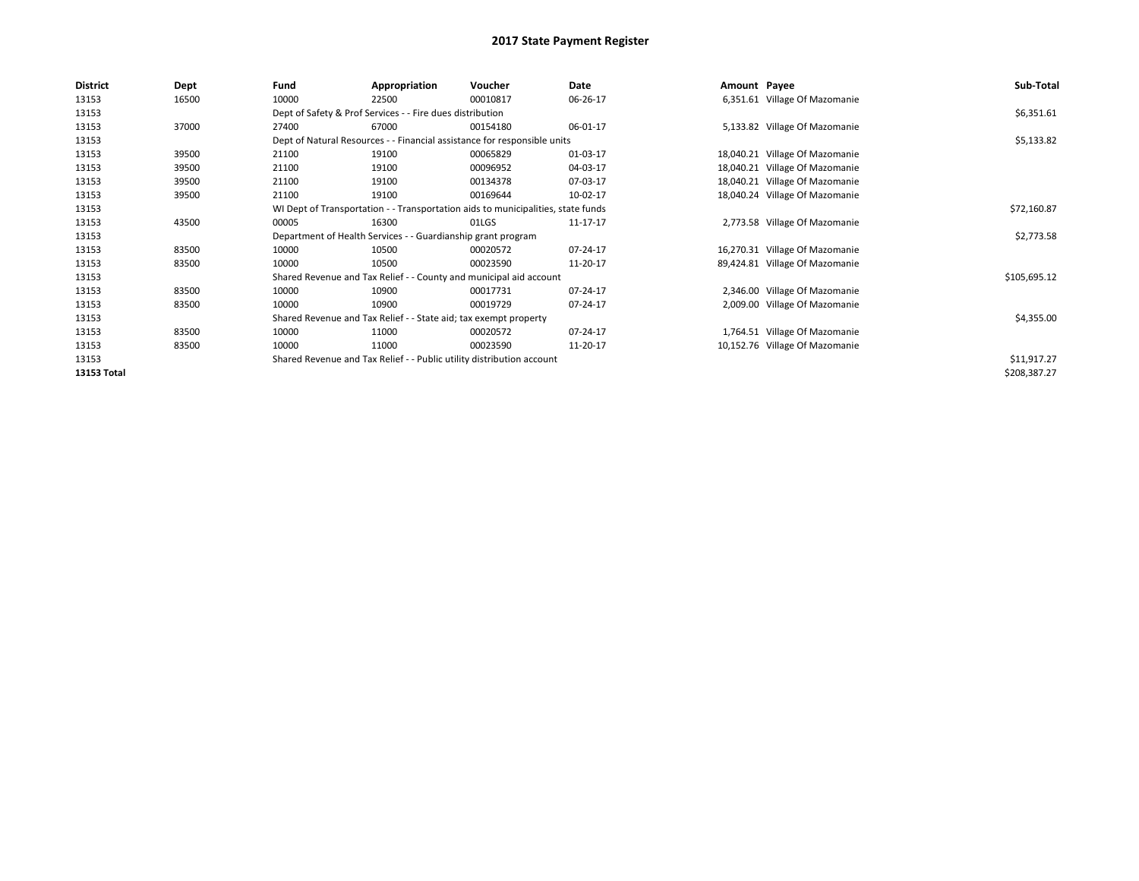| <b>District</b> | Dept  | Fund                                                                  | Appropriation                                                                    | Voucher     | Date     | Amount Payee |                                | Sub-Total    |  |  |
|-----------------|-------|-----------------------------------------------------------------------|----------------------------------------------------------------------------------|-------------|----------|--------------|--------------------------------|--------------|--|--|
| 13153           | 16500 | 10000                                                                 | 22500                                                                            | 00010817    | 06-26-17 |              | 6,351.61 Village Of Mazomanie  |              |  |  |
| 13153           |       |                                                                       | Dept of Safety & Prof Services - - Fire dues distribution                        |             |          |              |                                | \$6,351.61   |  |  |
| 13153           | 37000 | 27400                                                                 | 67000                                                                            | 00154180    | 06-01-17 |              | 5,133.82 Village Of Mazomanie  |              |  |  |
| 13153           |       |                                                                       | Dept of Natural Resources - - Financial assistance for responsible units         |             |          |              |                                | \$5,133.82   |  |  |
| 13153           | 39500 | 21100                                                                 | 19100                                                                            | 00065829    | 01-03-17 |              | 18,040.21 Village Of Mazomanie |              |  |  |
| 13153           | 39500 | 21100                                                                 | 19100                                                                            | 00096952    | 04-03-17 |              | 18,040.21 Village Of Mazomanie |              |  |  |
| 13153           | 39500 | 21100                                                                 | 19100                                                                            | 00134378    | 07-03-17 |              | 18,040.21 Village Of Mazomanie |              |  |  |
| 13153           | 39500 | 21100                                                                 | 19100                                                                            | 00169644    | 10-02-17 |              | 18,040.24 Village Of Mazomanie |              |  |  |
| 13153           |       |                                                                       | WI Dept of Transportation - - Transportation aids to municipalities, state funds |             |          |              |                                |              |  |  |
| 13153           | 43500 | 00005                                                                 | 16300                                                                            | 01LGS       | 11-17-17 |              | 2,773.58 Village Of Mazomanie  |              |  |  |
| 13153           |       |                                                                       | Department of Health Services - - Guardianship grant program                     |             |          |              |                                | \$2,773.58   |  |  |
| 13153           | 83500 | 10000                                                                 | 10500                                                                            | 00020572    | 07-24-17 |              | 16,270.31 Village Of Mazomanie |              |  |  |
| 13153           | 83500 | 10000                                                                 | 10500                                                                            | 00023590    | 11-20-17 |              | 89,424.81 Village Of Mazomanie |              |  |  |
| 13153           |       |                                                                       | Shared Revenue and Tax Relief - - County and municipal aid account               |             |          |              |                                | \$105,695.12 |  |  |
| 13153           | 83500 | 10000                                                                 | 10900                                                                            | 00017731    | 07-24-17 |              | 2,346.00 Village Of Mazomanie  |              |  |  |
| 13153           | 83500 | 10000                                                                 | 10900                                                                            | 00019729    | 07-24-17 |              | 2,009.00 Village Of Mazomanie  |              |  |  |
| 13153           |       |                                                                       | Shared Revenue and Tax Relief - - State aid; tax exempt property                 |             |          |              |                                | \$4,355.00   |  |  |
| 13153           | 83500 | 10000                                                                 | 11000                                                                            | 00020572    | 07-24-17 |              | 1,764.51 Village Of Mazomanie  |              |  |  |
| 13153           | 83500 | 10000                                                                 | 11000                                                                            | 00023590    | 11-20-17 |              | 10,152.76 Village Of Mazomanie |              |  |  |
| 13153           |       | Shared Revenue and Tax Relief - - Public utility distribution account |                                                                                  | \$11,917.27 |          |              |                                |              |  |  |
| 13153 Total     |       |                                                                       |                                                                                  |             |          |              |                                | \$208,387.27 |  |  |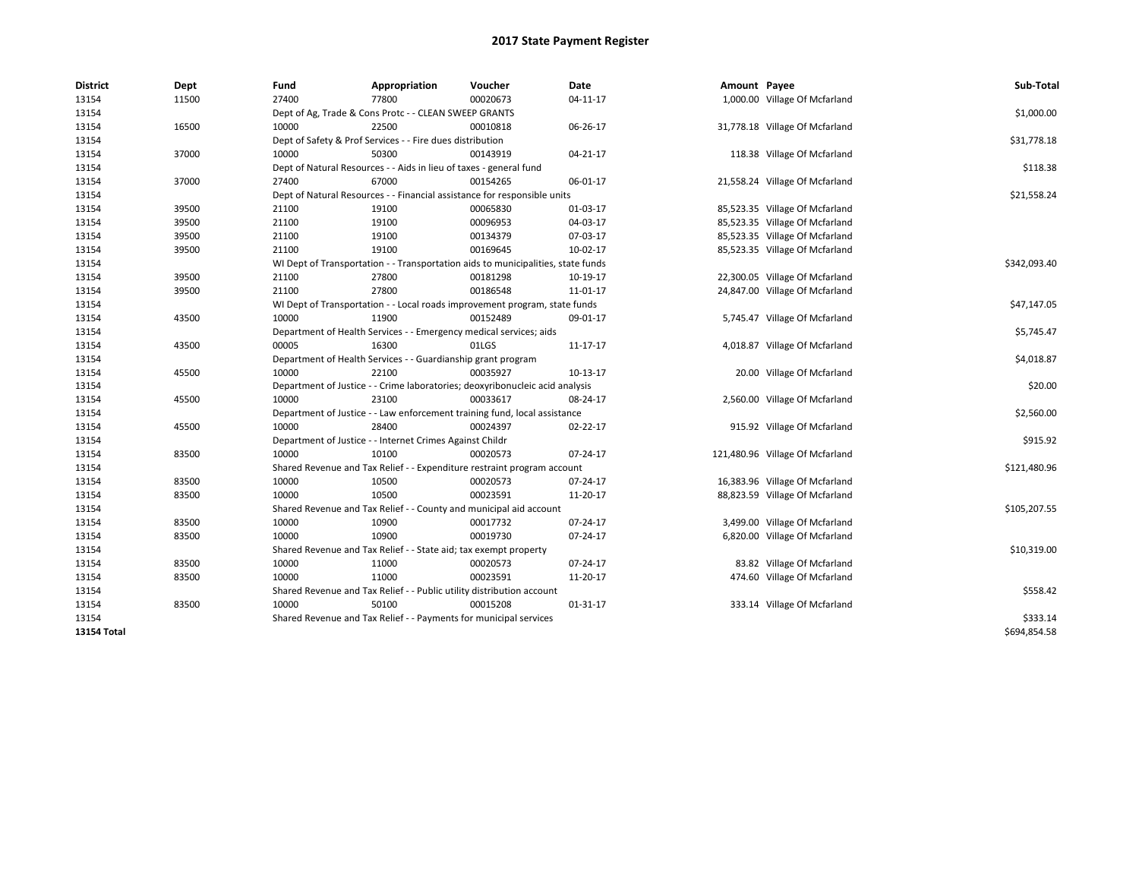| <b>District</b> | Dept  | Fund  | Appropriation                                                                    | Voucher  | Date           | Amount Payee |                                 | Sub-Total    |
|-----------------|-------|-------|----------------------------------------------------------------------------------|----------|----------------|--------------|---------------------------------|--------------|
| 13154           | 11500 | 27400 | 77800                                                                            | 00020673 | $04-11-17$     |              | 1,000.00 Village Of Mcfarland   |              |
| 13154           |       |       | Dept of Ag, Trade & Cons Protc - - CLEAN SWEEP GRANTS                            |          |                |              |                                 | \$1,000.00   |
| 13154           | 16500 | 10000 | 22500                                                                            | 00010818 | 06-26-17       |              | 31,778.18 Village Of Mcfarland  |              |
| 13154           |       |       | Dept of Safety & Prof Services - - Fire dues distribution                        |          |                |              |                                 | \$31,778.18  |
| 13154           | 37000 | 10000 | 50300                                                                            | 00143919 | $04 - 21 - 17$ |              | 118.38 Village Of Mcfarland     |              |
| 13154           |       |       | Dept of Natural Resources - - Aids in lieu of taxes - general fund               |          |                |              |                                 | \$118.38     |
| 13154           | 37000 | 27400 | 67000                                                                            | 00154265 | 06-01-17       |              | 21,558.24 Village Of Mcfarland  |              |
| 13154           |       |       | Dept of Natural Resources - - Financial assistance for responsible units         |          |                |              |                                 | \$21,558.24  |
| 13154           | 39500 | 21100 | 19100                                                                            | 00065830 | 01-03-17       |              | 85,523.35 Village Of Mcfarland  |              |
| 13154           | 39500 | 21100 | 19100                                                                            | 00096953 | 04-03-17       |              | 85,523.35 Village Of Mcfarland  |              |
| 13154           | 39500 | 21100 | 19100                                                                            | 00134379 | 07-03-17       |              | 85,523.35 Village Of Mcfarland  |              |
| 13154           | 39500 | 21100 | 19100                                                                            | 00169645 | $10-02-17$     |              | 85,523.35 Village Of Mcfarland  |              |
| 13154           |       |       | WI Dept of Transportation - - Transportation aids to municipalities, state funds |          |                |              |                                 | \$342,093.40 |
| 13154           | 39500 | 21100 | 27800                                                                            | 00181298 | 10-19-17       |              | 22,300.05 Village Of Mcfarland  |              |
| 13154           | 39500 | 21100 | 27800                                                                            | 00186548 | 11-01-17       |              | 24,847.00 Village Of Mcfarland  |              |
| 13154           |       |       | WI Dept of Transportation - - Local roads improvement program, state funds       |          |                |              |                                 | \$47,147.05  |
| 13154           | 43500 | 10000 | 11900                                                                            | 00152489 | 09-01-17       |              | 5,745.47 Village Of Mcfarland   |              |
| 13154           |       |       | Department of Health Services - - Emergency medical services; aids               |          |                |              |                                 | \$5,745.47   |
| 13154           | 43500 | 00005 | 16300                                                                            | 01LGS    | 11-17-17       |              | 4,018.87 Village Of Mcfarland   |              |
| 13154           |       |       | Department of Health Services - - Guardianship grant program                     |          |                |              |                                 | \$4,018.87   |
| 13154           | 45500 | 10000 | 22100                                                                            | 00035927 | 10-13-17       |              | 20.00 Village Of Mcfarland      |              |
| 13154           |       |       | Department of Justice - - Crime laboratories; deoxyribonucleic acid analysis     |          |                |              |                                 | \$20.00      |
| 13154           | 45500 | 10000 | 23100                                                                            | 00033617 | 08-24-17       |              | 2,560.00 Village Of Mcfarland   |              |
| 13154           |       |       | Department of Justice - - Law enforcement training fund, local assistance        |          |                |              |                                 | \$2,560.00   |
| 13154           | 45500 | 10000 | 28400                                                                            | 00024397 | 02-22-17       |              | 915.92 Village Of Mcfarland     |              |
| 13154           |       |       | Department of Justice - - Internet Crimes Against Childr                         |          |                |              |                                 | \$915.92     |
| 13154           | 83500 | 10000 | 10100                                                                            | 00020573 | 07-24-17       |              | 121,480.96 Village Of Mcfarland |              |
| 13154           |       |       | Shared Revenue and Tax Relief - - Expenditure restraint program account          |          |                |              |                                 | \$121,480.96 |
| 13154           | 83500 | 10000 | 10500                                                                            | 00020573 | 07-24-17       |              | 16,383.96 Village Of Mcfarland  |              |
| 13154           | 83500 | 10000 | 10500                                                                            | 00023591 | 11-20-17       |              | 88,823.59 Village Of Mcfarland  |              |
| 13154           |       |       | Shared Revenue and Tax Relief - - County and municipal aid account               |          |                |              |                                 | \$105,207.55 |
| 13154           | 83500 | 10000 | 10900                                                                            | 00017732 | 07-24-17       |              | 3,499.00 Village Of Mcfarland   |              |
| 13154           | 83500 | 10000 | 10900                                                                            | 00019730 | 07-24-17       |              | 6,820.00 Village Of Mcfarland   |              |
| 13154           |       |       | Shared Revenue and Tax Relief - - State aid; tax exempt property                 |          |                |              |                                 | \$10,319.00  |
| 13154           | 83500 | 10000 | 11000                                                                            | 00020573 | 07-24-17       |              | 83.82 Village Of Mcfarland      |              |
| 13154           | 83500 | 10000 | 11000                                                                            | 00023591 | 11-20-17       |              | 474.60 Village Of Mcfarland     |              |
| 13154           |       |       | Shared Revenue and Tax Relief - - Public utility distribution account            |          |                |              |                                 | \$558.42     |
| 13154           | 83500 | 10000 | 50100                                                                            | 00015208 | 01-31-17       |              | 333.14 Village Of Mcfarland     |              |
| 13154           |       |       | Shared Revenue and Tax Relief - - Payments for municipal services                |          |                |              |                                 | \$333.14     |
| 13154 Total     |       |       |                                                                                  |          |                |              |                                 | \$694,854.58 |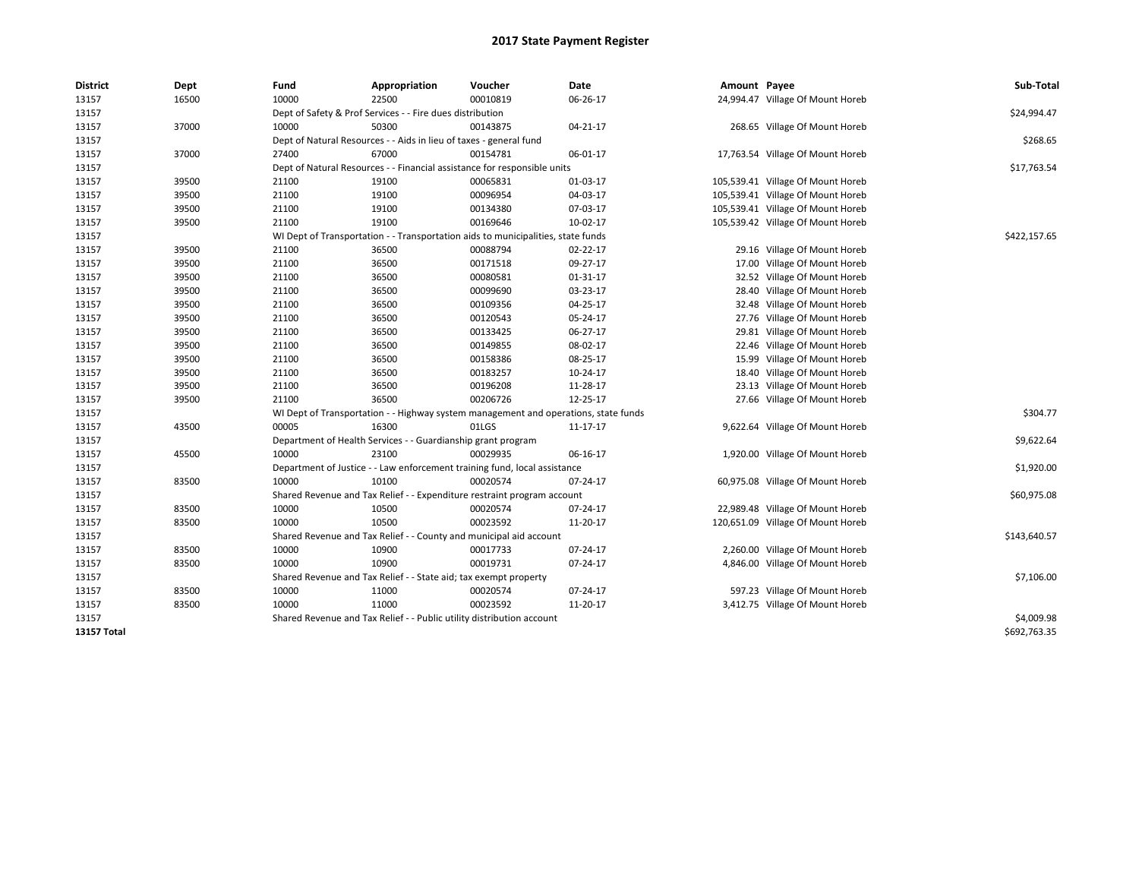| <b>District</b>    | Dept  | Fund  | Appropriation                                                                       | Voucher  | Date     | Amount Payee |                                   | Sub-Total    |
|--------------------|-------|-------|-------------------------------------------------------------------------------------|----------|----------|--------------|-----------------------------------|--------------|
| 13157              | 16500 | 10000 | 22500                                                                               | 00010819 | 06-26-17 |              | 24,994.47 Village Of Mount Horeb  |              |
| 13157              |       |       | Dept of Safety & Prof Services - - Fire dues distribution                           |          |          |              |                                   | \$24,994.47  |
| 13157              | 37000 | 10000 | 50300                                                                               | 00143875 | 04-21-17 |              | 268.65 Village Of Mount Horeb     |              |
| 13157              |       |       | Dept of Natural Resources - - Aids in lieu of taxes - general fund                  |          |          |              |                                   | \$268.65     |
| 13157              | 37000 | 27400 | 67000                                                                               | 00154781 | 06-01-17 |              | 17,763.54 Village Of Mount Horeb  |              |
| 13157              |       |       | Dept of Natural Resources - - Financial assistance for responsible units            |          |          |              |                                   | \$17,763.54  |
| 13157              | 39500 | 21100 | 19100                                                                               | 00065831 | 01-03-17 |              | 105,539.41 Village Of Mount Horeb |              |
| 13157              | 39500 | 21100 | 19100                                                                               | 00096954 | 04-03-17 |              | 105,539.41 Village Of Mount Horeb |              |
| 13157              | 39500 | 21100 | 19100                                                                               | 00134380 | 07-03-17 |              | 105,539.41 Village Of Mount Horeb |              |
| 13157              | 39500 | 21100 | 19100                                                                               | 00169646 | 10-02-17 |              | 105,539.42 Village Of Mount Horeb |              |
| 13157              |       |       | WI Dept of Transportation - - Transportation aids to municipalities, state funds    |          |          |              |                                   | \$422,157.65 |
| 13157              | 39500 | 21100 | 36500                                                                               | 00088794 | 02-22-17 |              | 29.16 Village Of Mount Horeb      |              |
| 13157              | 39500 | 21100 | 36500                                                                               | 00171518 | 09-27-17 |              | 17.00 Village Of Mount Horeb      |              |
| 13157              | 39500 | 21100 | 36500                                                                               | 00080581 | 01-31-17 |              | 32.52 Village Of Mount Horeb      |              |
| 13157              | 39500 | 21100 | 36500                                                                               | 00099690 | 03-23-17 |              | 28.40 Village Of Mount Horeb      |              |
| 13157              | 39500 | 21100 | 36500                                                                               | 00109356 | 04-25-17 |              | 32.48 Village Of Mount Horeb      |              |
| 13157              | 39500 | 21100 | 36500                                                                               | 00120543 | 05-24-17 |              | 27.76 Village Of Mount Horeb      |              |
| 13157              | 39500 | 21100 | 36500                                                                               | 00133425 | 06-27-17 |              | 29.81 Village Of Mount Horeb      |              |
| 13157              | 39500 | 21100 | 36500                                                                               | 00149855 | 08-02-17 |              | 22.46 Village Of Mount Horeb      |              |
| 13157              | 39500 | 21100 | 36500                                                                               | 00158386 | 08-25-17 |              | 15.99 Village Of Mount Horeb      |              |
| 13157              | 39500 | 21100 | 36500                                                                               | 00183257 | 10-24-17 |              | 18.40 Village Of Mount Horeb      |              |
| 13157              | 39500 | 21100 | 36500                                                                               | 00196208 | 11-28-17 |              | 23.13 Village Of Mount Horeb      |              |
| 13157              | 39500 | 21100 | 36500                                                                               | 00206726 | 12-25-17 |              | 27.66 Village Of Mount Horeb      |              |
| 13157              |       |       | WI Dept of Transportation - - Highway system management and operations, state funds |          |          |              |                                   | \$304.77     |
| 13157              | 43500 | 00005 | 16300                                                                               | 01LGS    | 11-17-17 |              | 9,622.64 Village Of Mount Horeb   |              |
| 13157              |       |       | Department of Health Services - - Guardianship grant program                        |          |          |              |                                   | \$9,622.64   |
| 13157              | 45500 | 10000 | 23100                                                                               | 00029935 | 06-16-17 |              | 1,920.00 Village Of Mount Horeb   |              |
| 13157              |       |       | Department of Justice - - Law enforcement training fund, local assistance           |          |          |              |                                   | \$1,920.00   |
| 13157              | 83500 | 10000 | 10100                                                                               | 00020574 | 07-24-17 |              | 60,975.08 Village Of Mount Horeb  |              |
| 13157              |       |       | Shared Revenue and Tax Relief - - Expenditure restraint program account             |          |          |              |                                   | \$60,975.08  |
| 13157              | 83500 | 10000 | 10500                                                                               | 00020574 | 07-24-17 |              | 22,989.48 Village Of Mount Horeb  |              |
| 13157              | 83500 | 10000 | 10500                                                                               | 00023592 | 11-20-17 |              | 120,651.09 Village Of Mount Horeb |              |
| 13157              |       |       | Shared Revenue and Tax Relief - - County and municipal aid account                  |          |          |              |                                   | \$143,640.57 |
| 13157              | 83500 | 10000 | 10900                                                                               | 00017733 | 07-24-17 |              | 2,260.00 Village Of Mount Horeb   |              |
| 13157              | 83500 | 10000 | 10900                                                                               | 00019731 | 07-24-17 |              | 4,846.00 Village Of Mount Horeb   |              |
| 13157              |       |       | Shared Revenue and Tax Relief - - State aid; tax exempt property                    |          |          |              |                                   | \$7,106.00   |
| 13157              | 83500 | 10000 | 11000                                                                               | 00020574 | 07-24-17 |              | 597.23 Village Of Mount Horeb     |              |
| 13157              | 83500 | 10000 | 11000                                                                               | 00023592 | 11-20-17 |              | 3,412.75 Village Of Mount Horeb   |              |
| 13157              |       |       | Shared Revenue and Tax Relief - - Public utility distribution account               |          |          |              |                                   | \$4,009.98   |
| <b>13157 Total</b> |       |       |                                                                                     |          |          |              |                                   | \$692,763.35 |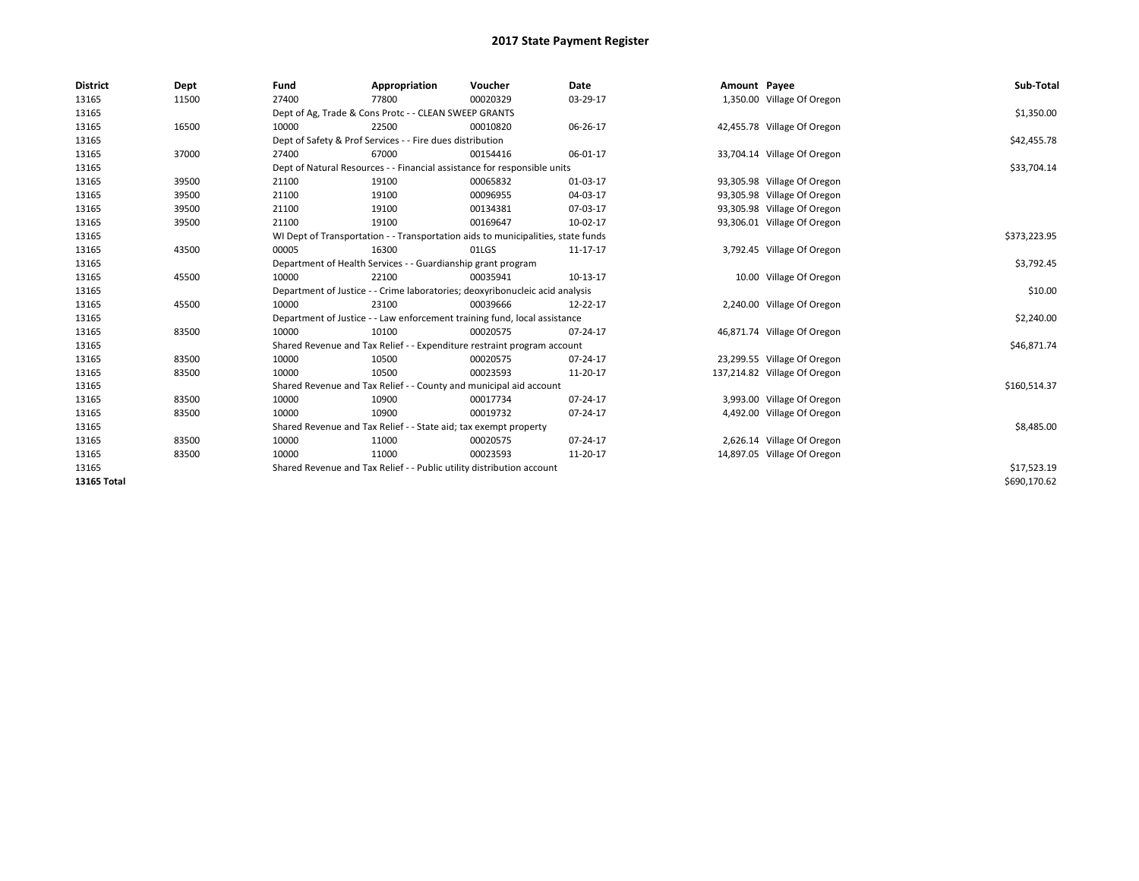| <b>District</b>    | Dept  | Fund  | Appropriation                                                                    | Voucher  | Date     | Amount Payee |                              | Sub-Total    |
|--------------------|-------|-------|----------------------------------------------------------------------------------|----------|----------|--------------|------------------------------|--------------|
| 13165              | 11500 | 27400 | 77800                                                                            | 00020329 | 03-29-17 |              | 1,350.00 Village Of Oregon   |              |
| 13165              |       |       | Dept of Ag, Trade & Cons Protc - - CLEAN SWEEP GRANTS                            |          |          |              |                              | \$1,350.00   |
| 13165              | 16500 | 10000 | 22500                                                                            | 00010820 | 06-26-17 |              | 42,455.78 Village Of Oregon  |              |
| 13165              |       |       | Dept of Safety & Prof Services - - Fire dues distribution                        |          |          |              |                              | \$42,455.78  |
| 13165              | 37000 | 27400 | 67000                                                                            | 00154416 | 06-01-17 |              | 33,704.14 Village Of Oregon  |              |
| 13165              |       |       | Dept of Natural Resources - - Financial assistance for responsible units         |          |          |              |                              | \$33,704.14  |
| 13165              | 39500 | 21100 | 19100                                                                            | 00065832 | 01-03-17 |              | 93,305.98 Village Of Oregon  |              |
| 13165              | 39500 | 21100 | 19100                                                                            | 00096955 | 04-03-17 |              | 93,305.98 Village Of Oregon  |              |
| 13165              | 39500 | 21100 | 19100                                                                            | 00134381 | 07-03-17 |              | 93,305.98 Village Of Oregon  |              |
| 13165              | 39500 | 21100 | 19100                                                                            | 00169647 | 10-02-17 |              | 93,306.01 Village Of Oregon  |              |
| 13165              |       |       | WI Dept of Transportation - - Transportation aids to municipalities, state funds |          |          |              |                              | \$373,223.95 |
| 13165              | 43500 | 00005 | 16300                                                                            | 01LGS    | 11-17-17 |              | 3,792.45 Village Of Oregon   |              |
| 13165              |       |       | Department of Health Services - - Guardianship grant program                     |          |          |              |                              | \$3,792.45   |
| 13165              | 45500 | 10000 | 22100                                                                            | 00035941 | 10-13-17 |              | 10.00 Village Of Oregon      |              |
| 13165              |       |       | Department of Justice - - Crime laboratories; deoxyribonucleic acid analysis     |          |          |              |                              | \$10.00      |
| 13165              | 45500 | 10000 | 23100                                                                            | 00039666 | 12-22-17 |              | 2,240.00 Village Of Oregon   |              |
| 13165              |       |       | Department of Justice - - Law enforcement training fund, local assistance        |          |          |              |                              | \$2,240.00   |
| 13165              | 83500 | 10000 | 10100                                                                            | 00020575 | 07-24-17 |              | 46,871.74 Village Of Oregon  |              |
| 13165              |       |       | Shared Revenue and Tax Relief - - Expenditure restraint program account          |          |          |              |                              | \$46,871.74  |
| 13165              | 83500 | 10000 | 10500                                                                            | 00020575 | 07-24-17 |              | 23,299.55 Village Of Oregon  |              |
| 13165              | 83500 | 10000 | 10500                                                                            | 00023593 | 11-20-17 |              | 137,214.82 Village Of Oregon |              |
| 13165              |       |       | Shared Revenue and Tax Relief - - County and municipal aid account               |          |          |              |                              | \$160,514.37 |
| 13165              | 83500 | 10000 | 10900                                                                            | 00017734 | 07-24-17 |              | 3,993.00 Village Of Oregon   |              |
| 13165              | 83500 | 10000 | 10900                                                                            | 00019732 | 07-24-17 |              | 4,492.00 Village Of Oregon   |              |
| 13165              |       |       | Shared Revenue and Tax Relief - - State aid; tax exempt property                 |          |          |              |                              | \$8,485.00   |
| 13165              | 83500 | 10000 | 11000                                                                            | 00020575 | 07-24-17 |              | 2,626.14 Village Of Oregon   |              |
| 13165              | 83500 | 10000 | 11000                                                                            | 00023593 | 11-20-17 |              | 14,897.05 Village Of Oregon  |              |
| 13165              |       |       | Shared Revenue and Tax Relief - - Public utility distribution account            |          |          |              |                              | \$17,523.19  |
| <b>13165 Total</b> |       |       |                                                                                  |          |          |              |                              | \$690,170.62 |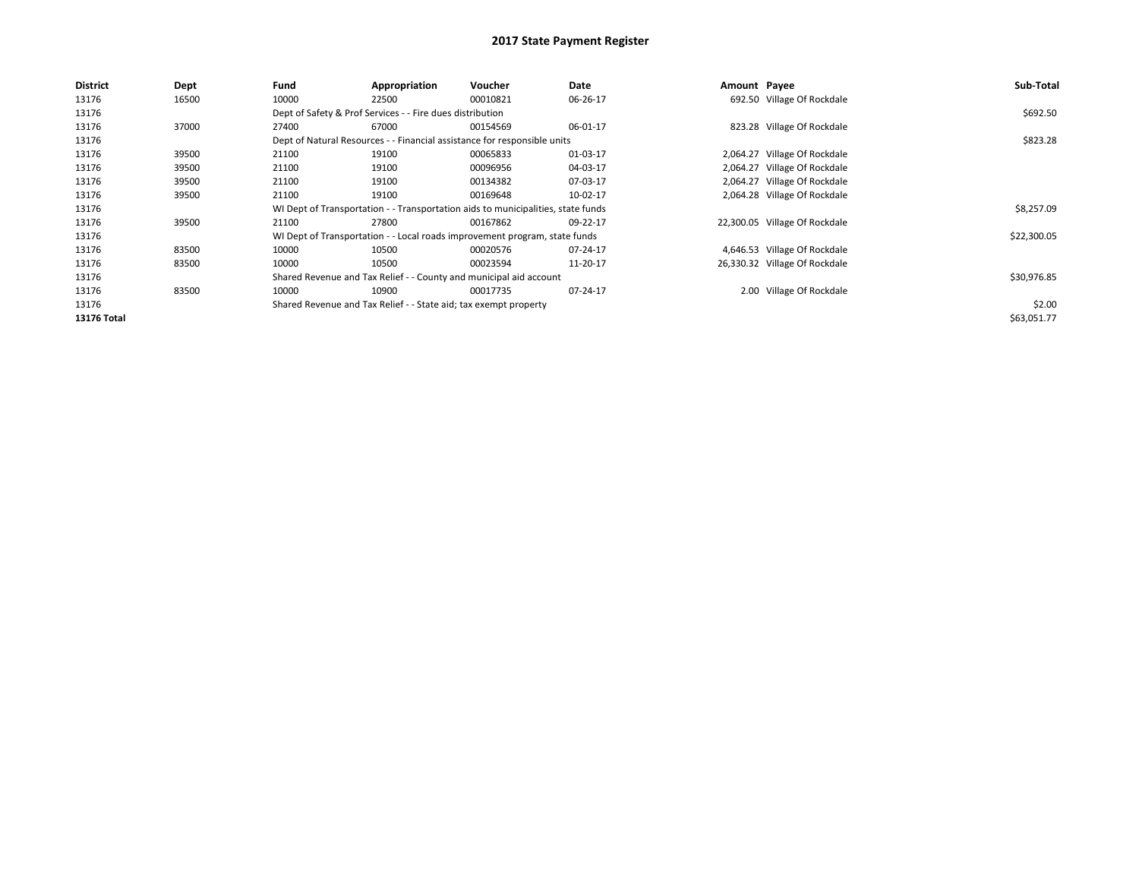| <b>District</b>    | Dept  | Fund  | Appropriation                                                    | <b>Voucher</b>                                                                   | Date     | Amount Payee |                               | Sub-Total   |
|--------------------|-------|-------|------------------------------------------------------------------|----------------------------------------------------------------------------------|----------|--------------|-------------------------------|-------------|
| 13176              | 16500 | 10000 | 22500                                                            | 00010821                                                                         | 06-26-17 |              | 692.50 Village Of Rockdale    |             |
| 13176              |       |       | Dept of Safety & Prof Services - - Fire dues distribution        |                                                                                  |          |              |                               | \$692.50    |
| 13176              | 37000 | 27400 | 67000                                                            | 00154569                                                                         | 06-01-17 |              | 823.28 Village Of Rockdale    |             |
| 13176              |       |       |                                                                  | Dept of Natural Resources - - Financial assistance for responsible units         |          |              |                               | \$823.28    |
| 13176              | 39500 | 21100 | 19100                                                            | 00065833                                                                         | 01-03-17 |              | 2,064.27 Village Of Rockdale  |             |
| 13176              | 39500 | 21100 | 19100                                                            | 00096956                                                                         | 04-03-17 |              | 2,064.27 Village Of Rockdale  |             |
| 13176              | 39500 | 21100 | 19100                                                            | 00134382                                                                         | 07-03-17 |              | 2,064.27 Village Of Rockdale  |             |
| 13176              | 39500 | 21100 | 19100                                                            | 00169648                                                                         | 10-02-17 |              | 2,064.28 Village Of Rockdale  |             |
| 13176              |       |       |                                                                  | WI Dept of Transportation - - Transportation aids to municipalities, state funds |          |              |                               | \$8,257.09  |
| 13176              | 39500 | 21100 | 27800                                                            | 00167862                                                                         | 09-22-17 |              | 22,300.05 Village Of Rockdale |             |
| 13176              |       |       |                                                                  | WI Dept of Transportation - - Local roads improvement program, state funds       |          |              |                               | \$22,300.05 |
| 13176              | 83500 | 10000 | 10500                                                            | 00020576                                                                         | 07-24-17 |              | 4,646.53 Village Of Rockdale  |             |
| 13176              | 83500 | 10000 | 10500                                                            | 00023594                                                                         | 11-20-17 |              | 26,330.32 Village Of Rockdale |             |
| 13176              |       |       |                                                                  | Shared Revenue and Tax Relief - - County and municipal aid account               |          |              |                               | \$30,976.85 |
| 13176              | 83500 | 10000 | 10900                                                            | 00017735                                                                         | 07-24-17 |              | 2.00 Village Of Rockdale      |             |
| 13176              |       |       | Shared Revenue and Tax Relief - - State aid; tax exempt property |                                                                                  |          |              |                               | \$2.00      |
| <b>13176 Total</b> |       |       |                                                                  |                                                                                  |          |              |                               | \$63,051.77 |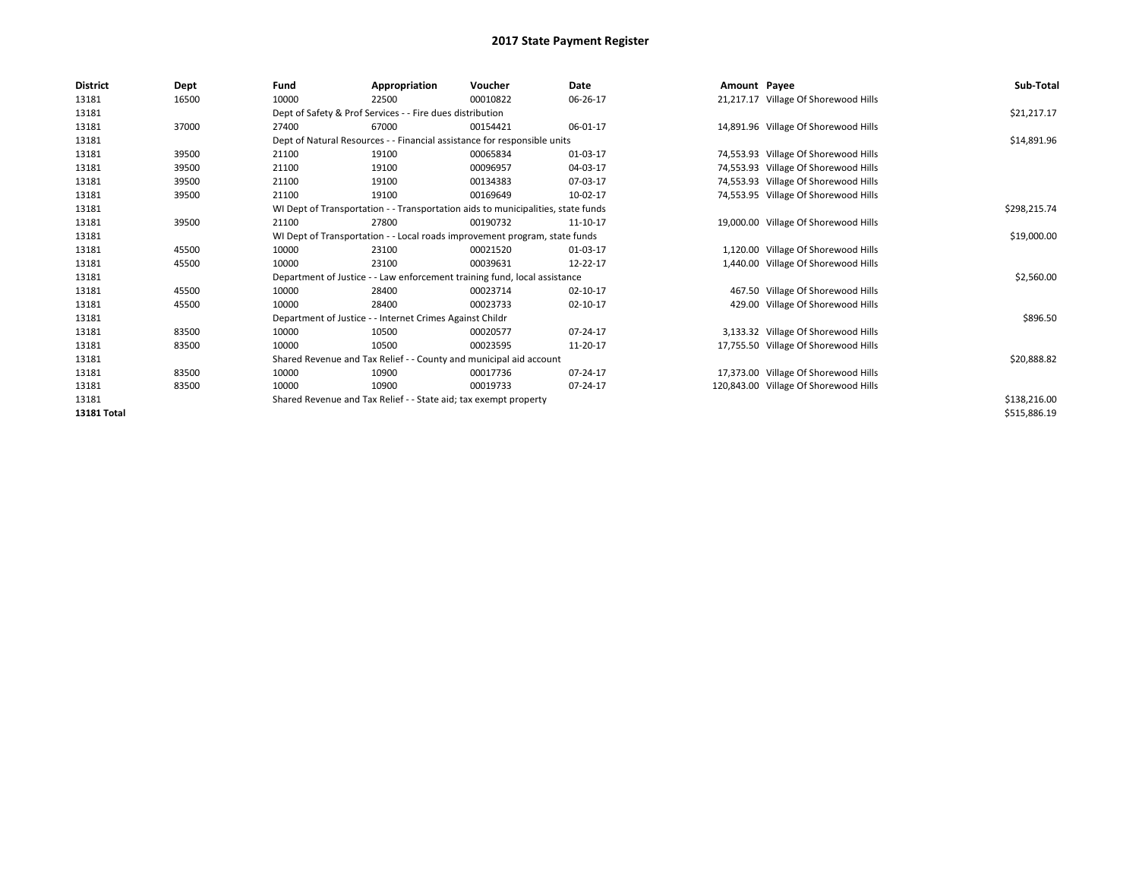| <b>District</b> | Dept  | Fund                                                             | Appropriation                                                                    | Voucher      | Date           | Amount Payee |                                       | Sub-Total    |
|-----------------|-------|------------------------------------------------------------------|----------------------------------------------------------------------------------|--------------|----------------|--------------|---------------------------------------|--------------|
| 13181           | 16500 | 10000                                                            | 22500                                                                            | 00010822     | 06-26-17       |              | 21,217.17 Village Of Shorewood Hills  |              |
| 13181           |       |                                                                  | Dept of Safety & Prof Services - - Fire dues distribution                        |              |                |              |                                       | \$21,217.17  |
| 13181           | 37000 | 27400                                                            | 67000                                                                            | 00154421     | 06-01-17       |              | 14,891.96 Village Of Shorewood Hills  |              |
| 13181           |       |                                                                  | Dept of Natural Resources - - Financial assistance for responsible units         |              |                |              |                                       | \$14,891.96  |
| 13181           | 39500 | 21100                                                            | 19100                                                                            | 00065834     | 01-03-17       |              | 74,553.93 Village Of Shorewood Hills  |              |
| 13181           | 39500 | 21100                                                            | 19100                                                                            | 00096957     | 04-03-17       |              | 74,553.93 Village Of Shorewood Hills  |              |
| 13181           | 39500 | 21100                                                            | 19100                                                                            | 00134383     | 07-03-17       |              | 74,553.93 Village Of Shorewood Hills  |              |
| 13181           | 39500 | 21100                                                            | 19100                                                                            | 00169649     | 10-02-17       |              | 74,553.95 Village Of Shorewood Hills  |              |
| 13181           |       |                                                                  | WI Dept of Transportation - - Transportation aids to municipalities, state funds |              |                |              |                                       | \$298,215.74 |
| 13181           | 39500 | 21100                                                            | 27800                                                                            | 00190732     | 11-10-17       |              | 19,000.00 Village Of Shorewood Hills  |              |
| 13181           |       |                                                                  | WI Dept of Transportation - - Local roads improvement program, state funds       |              |                |              |                                       | \$19,000.00  |
| 13181           | 45500 | 10000                                                            | 23100                                                                            | 00021520     | 01-03-17       |              | 1,120.00 Village Of Shorewood Hills   |              |
| 13181           | 45500 | 10000                                                            | 23100                                                                            | 00039631     | 12-22-17       |              | 1,440.00 Village Of Shorewood Hills   |              |
| 13181           |       |                                                                  | Department of Justice - - Law enforcement training fund, local assistance        |              |                |              |                                       | \$2,560.00   |
| 13181           | 45500 | 10000                                                            | 28400                                                                            | 00023714     | $02 - 10 - 17$ |              | 467.50 Village Of Shorewood Hills     |              |
| 13181           | 45500 | 10000                                                            | 28400                                                                            | 00023733     | $02 - 10 - 17$ |              | 429.00 Village Of Shorewood Hills     |              |
| 13181           |       |                                                                  | Department of Justice - - Internet Crimes Against Childr                         |              |                |              |                                       | \$896.50     |
| 13181           | 83500 | 10000                                                            | 10500                                                                            | 00020577     | 07-24-17       |              | 3,133.32 Village Of Shorewood Hills   |              |
| 13181           | 83500 | 10000                                                            | 10500                                                                            | 00023595     | 11-20-17       |              | 17,755.50 Village Of Shorewood Hills  |              |
| 13181           |       |                                                                  | Shared Revenue and Tax Relief - - County and municipal aid account               |              |                |              |                                       | \$20,888.82  |
| 13181           | 83500 | 10000                                                            | 10900                                                                            | 00017736     | 07-24-17       |              | 17,373.00 Village Of Shorewood Hills  |              |
| 13181           | 83500 | 10000                                                            | 10900                                                                            | 00019733     | 07-24-17       |              | 120,843.00 Village Of Shorewood Hills |              |
| 13181           |       | Shared Revenue and Tax Relief - - State aid; tax exempt property |                                                                                  | \$138,216.00 |                |              |                                       |              |
| 13181 Total     |       |                                                                  |                                                                                  |              |                |              |                                       | \$515,886.19 |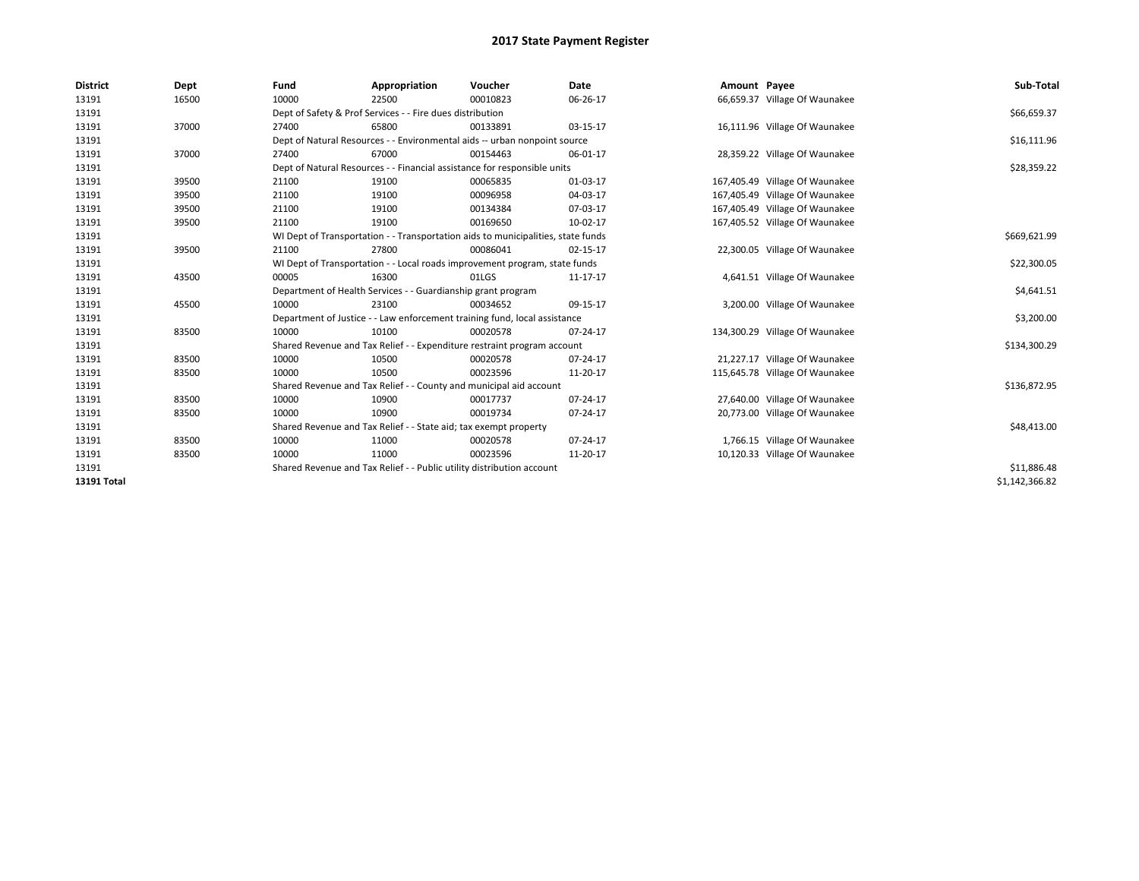| <b>District</b>    | Dept  | Fund  | Appropriation                                                                    | Voucher  | Date     | Amount Payee |                                | Sub-Total      |  |  |
|--------------------|-------|-------|----------------------------------------------------------------------------------|----------|----------|--------------|--------------------------------|----------------|--|--|
| 13191              | 16500 | 10000 | 22500                                                                            | 00010823 | 06-26-17 |              | 66,659.37 Village Of Waunakee  |                |  |  |
| 13191              |       |       | Dept of Safety & Prof Services - - Fire dues distribution                        |          |          |              |                                | \$66,659.37    |  |  |
| 13191              | 37000 | 27400 | 65800                                                                            | 00133891 | 03-15-17 |              | 16,111.96 Village Of Waunakee  |                |  |  |
| 13191              |       |       | Dept of Natural Resources - - Environmental aids -- urban nonpoint source        |          |          |              |                                | \$16,111.96    |  |  |
| 13191              | 37000 | 27400 | 67000                                                                            | 00154463 | 06-01-17 |              | 28,359.22 Village Of Waunakee  |                |  |  |
| 13191              |       |       | Dept of Natural Resources - - Financial assistance for responsible units         |          |          |              |                                | \$28,359.22    |  |  |
| 13191              | 39500 | 21100 | 19100                                                                            | 00065835 | 01-03-17 |              | 167,405.49 Village Of Waunakee |                |  |  |
| 13191              | 39500 | 21100 | 19100                                                                            | 00096958 | 04-03-17 |              | 167,405.49 Village Of Waunakee |                |  |  |
| 13191              | 39500 | 21100 | 19100                                                                            | 00134384 | 07-03-17 |              | 167,405.49 Village Of Waunakee |                |  |  |
| 13191              | 39500 | 21100 | 19100                                                                            | 00169650 | 10-02-17 |              | 167,405.52 Village Of Waunakee |                |  |  |
| 13191              |       |       | WI Dept of Transportation - - Transportation aids to municipalities, state funds |          |          |              |                                | \$669,621.99   |  |  |
| 13191              | 39500 | 21100 | 27800                                                                            | 00086041 | 02-15-17 |              | 22,300.05 Village Of Waunakee  |                |  |  |
| 13191              |       |       | WI Dept of Transportation - - Local roads improvement program, state funds       |          |          |              |                                | \$22,300.05    |  |  |
| 13191              | 43500 | 00005 | 16300                                                                            | 01LGS    | 11-17-17 |              | 4,641.51 Village Of Waunakee   |                |  |  |
| 13191              |       |       | Department of Health Services - - Guardianship grant program                     |          |          |              |                                | \$4,641.51     |  |  |
| 13191              | 45500 | 10000 | 23100                                                                            | 00034652 | 09-15-17 |              | 3,200.00 Village Of Waunakee   |                |  |  |
| 13191              |       |       | Department of Justice - - Law enforcement training fund, local assistance        |          |          |              |                                | \$3,200.00     |  |  |
| 13191              | 83500 | 10000 | 10100                                                                            | 00020578 | 07-24-17 |              | 134,300.29 Village Of Waunakee |                |  |  |
| 13191              |       |       | Shared Revenue and Tax Relief - - Expenditure restraint program account          |          |          |              |                                | \$134,300.29   |  |  |
| 13191              | 83500 | 10000 | 10500                                                                            | 00020578 | 07-24-17 |              | 21,227.17 Village Of Waunakee  |                |  |  |
| 13191              | 83500 | 10000 | 10500                                                                            | 00023596 | 11-20-17 |              | 115,645.78 Village Of Waunakee |                |  |  |
| 13191              |       |       | Shared Revenue and Tax Relief - - County and municipal aid account               |          |          |              |                                | \$136,872.95   |  |  |
| 13191              | 83500 | 10000 | 10900                                                                            | 00017737 | 07-24-17 |              | 27,640.00 Village Of Waunakee  |                |  |  |
| 13191              | 83500 | 10000 | 10900                                                                            | 00019734 | 07-24-17 |              | 20,773.00 Village Of Waunakee  |                |  |  |
| 13191              |       |       | Shared Revenue and Tax Relief - - State aid; tax exempt property                 |          |          |              |                                | \$48,413.00    |  |  |
| 13191              | 83500 | 10000 | 11000                                                                            | 00020578 | 07-24-17 |              | 1,766.15 Village Of Waunakee   |                |  |  |
| 13191              | 83500 | 10000 | 11000                                                                            | 00023596 | 11-20-17 |              | 10,120.33 Village Of Waunakee  |                |  |  |
| 13191              |       |       | Shared Revenue and Tax Relief - - Public utility distribution account            |          |          |              |                                |                |  |  |
| <b>13191 Total</b> |       |       |                                                                                  |          |          |              |                                | \$1.142.366.82 |  |  |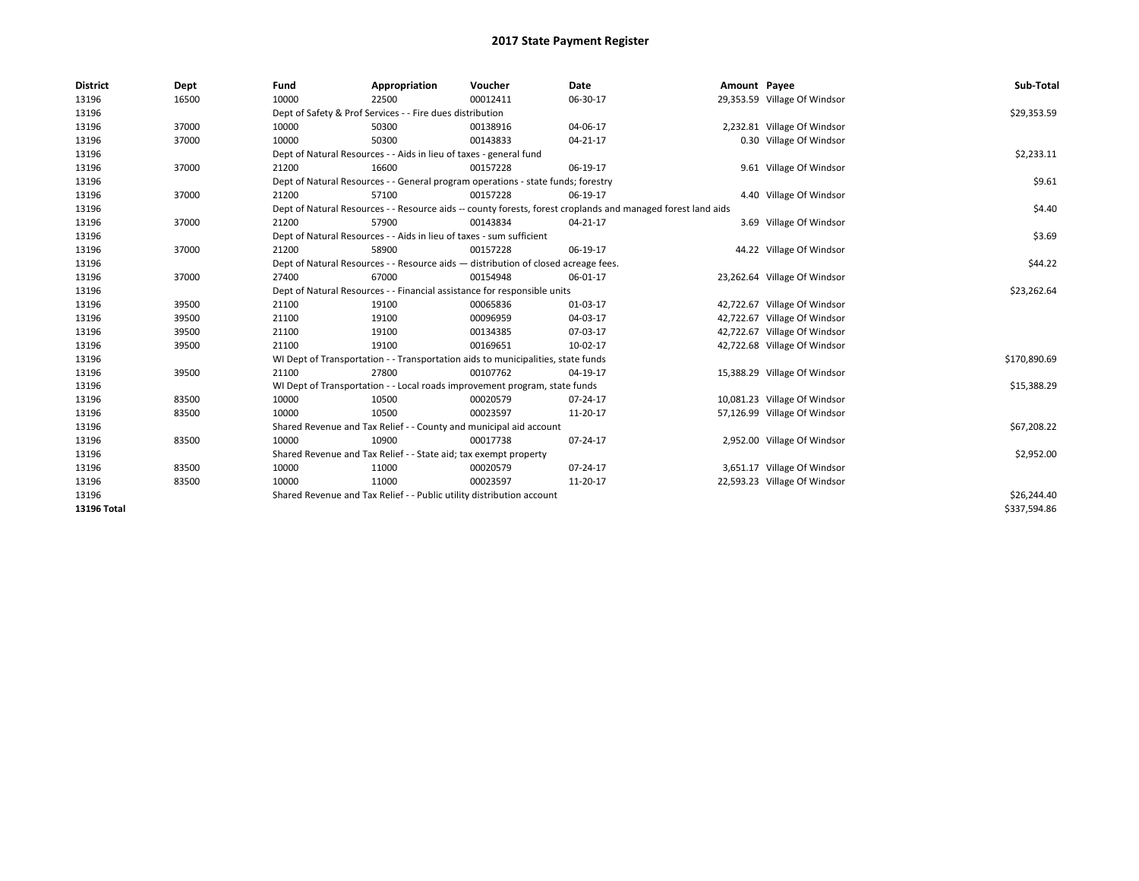| <b>District</b>    | Dept  | Fund  | Appropriation                                                                                                | Voucher  | Date     | Amount Payee |                              | Sub-Total    |
|--------------------|-------|-------|--------------------------------------------------------------------------------------------------------------|----------|----------|--------------|------------------------------|--------------|
| 13196              | 16500 | 10000 | 22500                                                                                                        | 00012411 | 06-30-17 |              | 29,353.59 Village Of Windsor |              |
| 13196              |       |       | Dept of Safety & Prof Services - - Fire dues distribution                                                    |          |          |              |                              | \$29,353.59  |
| 13196              | 37000 | 10000 | 50300                                                                                                        | 00138916 | 04-06-17 |              | 2,232.81 Village Of Windsor  |              |
| 13196              | 37000 | 10000 | 50300                                                                                                        | 00143833 | 04-21-17 |              | 0.30 Village Of Windsor      |              |
| 13196              |       |       | Dept of Natural Resources - - Aids in lieu of taxes - general fund                                           |          |          |              |                              | \$2,233.11   |
| 13196              | 37000 | 21200 | 16600                                                                                                        | 00157228 | 06-19-17 |              | 9.61 Village Of Windsor      |              |
| 13196              |       |       | Dept of Natural Resources - - General program operations - state funds; forestry                             |          |          |              |                              | \$9.61       |
| 13196              | 37000 | 21200 | 57100                                                                                                        | 00157228 | 06-19-17 |              | 4.40 Village Of Windsor      |              |
| 13196              |       |       | Dept of Natural Resources - - Resource aids -- county forests, forest croplands and managed forest land aids |          |          |              |                              | \$4.40       |
| 13196              | 37000 | 21200 | 57900                                                                                                        | 00143834 | 04-21-17 |              | 3.69 Village Of Windsor      |              |
| 13196              |       |       | Dept of Natural Resources - - Aids in lieu of taxes - sum sufficient                                         |          |          |              |                              | \$3.69       |
| 13196              | 37000 | 21200 | 58900                                                                                                        | 00157228 | 06-19-17 |              | 44.22 Village Of Windsor     |              |
| 13196              |       |       | Dept of Natural Resources - - Resource aids - distribution of closed acreage fees.                           |          |          |              |                              | \$44.22      |
| 13196              | 37000 | 27400 | 67000                                                                                                        | 00154948 | 06-01-17 |              | 23,262.64 Village Of Windsor |              |
| 13196              |       |       | Dept of Natural Resources - - Financial assistance for responsible units                                     |          |          |              |                              | \$23,262.64  |
| 13196              | 39500 | 21100 | 19100                                                                                                        | 00065836 | 01-03-17 |              | 42,722.67 Village Of Windsor |              |
| 13196              | 39500 | 21100 | 19100                                                                                                        | 00096959 | 04-03-17 |              | 42,722.67 Village Of Windsor |              |
| 13196              | 39500 | 21100 | 19100                                                                                                        | 00134385 | 07-03-17 |              | 42,722.67 Village Of Windsor |              |
| 13196              | 39500 | 21100 | 19100                                                                                                        | 00169651 | 10-02-17 |              | 42,722.68 Village Of Windsor |              |
| 13196              |       |       | WI Dept of Transportation - - Transportation aids to municipalities, state funds                             |          |          |              |                              | \$170,890.69 |
| 13196              | 39500 | 21100 | 27800                                                                                                        | 00107762 | 04-19-17 |              | 15,388.29 Village Of Windsor |              |
| 13196              |       |       | WI Dept of Transportation - - Local roads improvement program, state funds                                   |          |          |              |                              | \$15,388.29  |
| 13196              | 83500 | 10000 | 10500                                                                                                        | 00020579 | 07-24-17 |              | 10,081.23 Village Of Windsor |              |
| 13196              | 83500 | 10000 | 10500                                                                                                        | 00023597 | 11-20-17 |              | 57,126.99 Village Of Windsor |              |
| 13196              |       |       | Shared Revenue and Tax Relief - - County and municipal aid account                                           |          |          |              |                              | \$67,208.22  |
| 13196              | 83500 | 10000 | 10900                                                                                                        | 00017738 | 07-24-17 |              | 2,952.00 Village Of Windsor  |              |
| 13196              |       |       | Shared Revenue and Tax Relief - - State aid; tax exempt property                                             |          |          |              |                              | \$2,952.00   |
| 13196              | 83500 | 10000 | 11000                                                                                                        | 00020579 | 07-24-17 |              | 3,651.17 Village Of Windsor  |              |
| 13196              | 83500 | 10000 | 11000                                                                                                        | 00023597 | 11-20-17 |              | 22,593.23 Village Of Windsor |              |
| 13196              |       |       | Shared Revenue and Tax Relief - - Public utility distribution account                                        |          |          |              |                              | \$26,244.40  |
| <b>13196 Total</b> |       |       |                                                                                                              |          |          |              |                              | \$337,594.86 |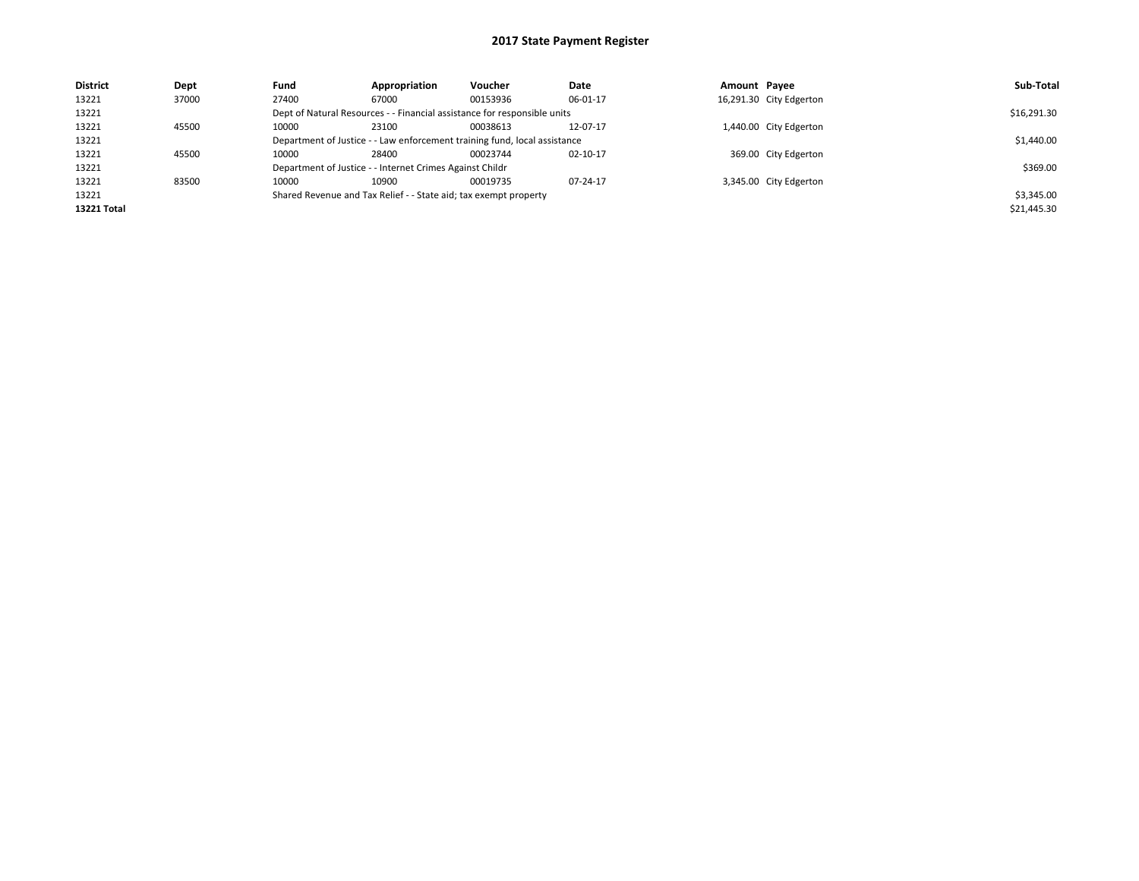| <b>District</b> | Dept  | Fund                                                                      | Appropriation                                                            | Voucher    | Date     | Amount Payee |                         | Sub-Total   |
|-----------------|-------|---------------------------------------------------------------------------|--------------------------------------------------------------------------|------------|----------|--------------|-------------------------|-------------|
| 13221           | 37000 | 27400                                                                     | 67000                                                                    | 00153936   | 06-01-17 |              | 16,291.30 City Edgerton |             |
| 13221           |       |                                                                           | Dept of Natural Resources - - Financial assistance for responsible units |            |          |              |                         | \$16,291.30 |
| 13221           | 45500 | 10000                                                                     | 23100                                                                    | 00038613   | 12-07-17 |              | 1,440.00 City Edgerton  |             |
| 13221           |       | Department of Justice - - Law enforcement training fund, local assistance |                                                                          | \$1,440.00 |          |              |                         |             |
| 13221           | 45500 | 10000                                                                     | 28400                                                                    | 00023744   | 02-10-17 |              | 369.00 City Edgerton    |             |
| 13221           |       |                                                                           | Department of Justice - - Internet Crimes Against Childr                 |            |          |              |                         | \$369.00    |
| 13221           | 83500 | 10000                                                                     | 10900                                                                    | 00019735   | 07-24-17 |              | 3,345.00 City Edgerton  |             |
| 13221           |       | Shared Revenue and Tax Relief - - State aid; tax exempt property          |                                                                          | \$3,345.00 |          |              |                         |             |
| 13221 Total     |       |                                                                           |                                                                          |            |          |              |                         | \$21,445.30 |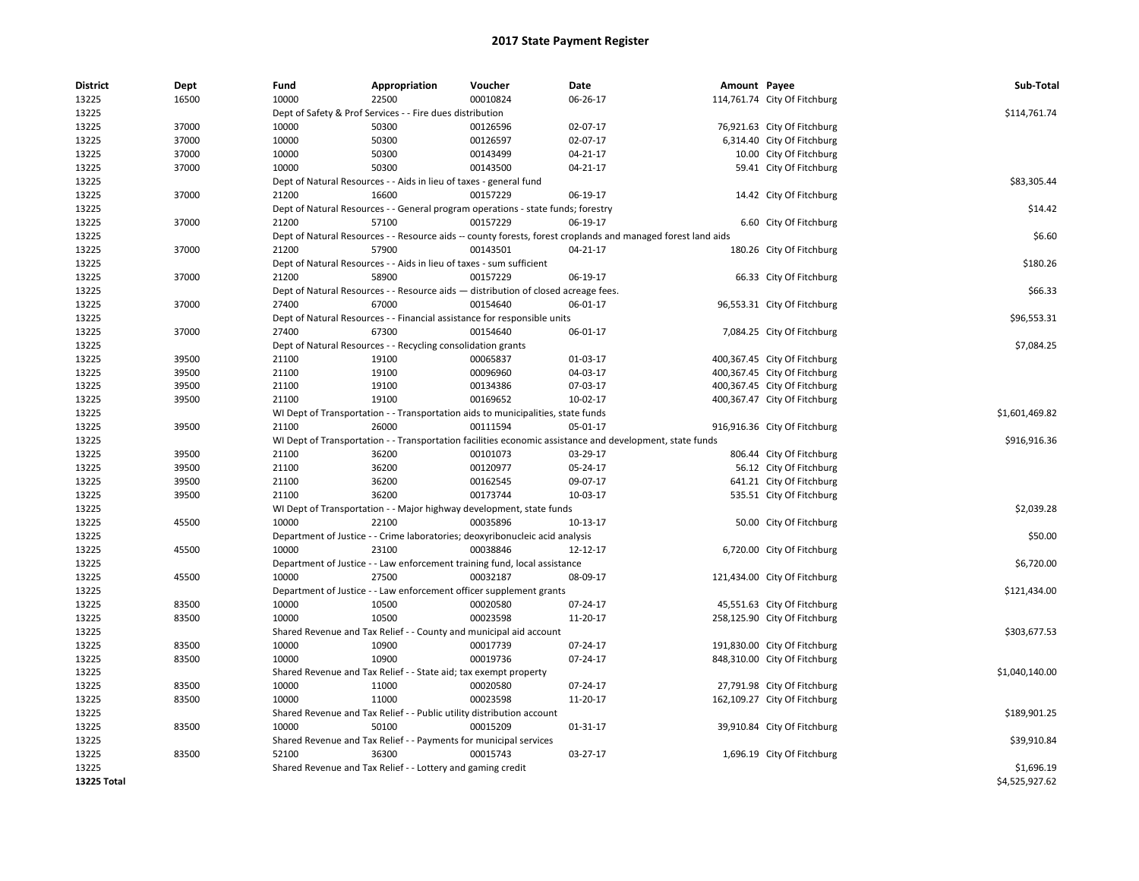| <b>District</b> | Dept  | Fund  | Appropriation                                                                      | Voucher  | Date                                                                                                         | Amount Payee |                              | Sub-Total      |
|-----------------|-------|-------|------------------------------------------------------------------------------------|----------|--------------------------------------------------------------------------------------------------------------|--------------|------------------------------|----------------|
| 13225           | 16500 | 10000 | 22500                                                                              | 00010824 | 06-26-17                                                                                                     |              | 114,761.74 City Of Fitchburg |                |
| 13225           |       |       | Dept of Safety & Prof Services - - Fire dues distribution                          |          |                                                                                                              |              |                              | \$114,761.74   |
| 13225           | 37000 | 10000 | 50300                                                                              | 00126596 | 02-07-17                                                                                                     |              | 76,921.63 City Of Fitchburg  |                |
| 13225           | 37000 | 10000 | 50300                                                                              | 00126597 | 02-07-17                                                                                                     |              | 6,314.40 City Of Fitchburg   |                |
| 13225           | 37000 | 10000 | 50300                                                                              | 00143499 | 04-21-17                                                                                                     |              | 10.00 City Of Fitchburg      |                |
| 13225           | 37000 | 10000 | 50300                                                                              | 00143500 | 04-21-17                                                                                                     |              | 59.41 City Of Fitchburg      |                |
| 13225           |       |       | Dept of Natural Resources - - Aids in lieu of taxes - general fund                 |          |                                                                                                              |              |                              | \$83,305.44    |
| 13225           | 37000 | 21200 | 16600                                                                              | 00157229 | 06-19-17                                                                                                     |              | 14.42 City Of Fitchburg      |                |
| 13225           |       |       | Dept of Natural Resources - - General program operations - state funds; forestry   |          |                                                                                                              |              |                              | \$14.42        |
| 13225           | 37000 | 21200 | 57100                                                                              | 00157229 | 06-19-17                                                                                                     |              | 6.60 City Of Fitchburg       |                |
| 13225           |       |       |                                                                                    |          | Dept of Natural Resources - - Resource aids -- county forests, forest croplands and managed forest land aids |              |                              | \$6.60         |
| 13225           | 37000 | 21200 | 57900                                                                              | 00143501 | 04-21-17                                                                                                     |              | 180.26 City Of Fitchburg     |                |
| 13225           |       |       | Dept of Natural Resources - - Aids in lieu of taxes - sum sufficient               |          |                                                                                                              |              |                              | \$180.26       |
| 13225           | 37000 | 21200 | 58900                                                                              | 00157229 | 06-19-17                                                                                                     |              | 66.33 City Of Fitchburg      |                |
| 13225           |       |       | Dept of Natural Resources - - Resource aids - distribution of closed acreage fees. |          |                                                                                                              |              |                              | \$66.33        |
| 13225           | 37000 | 27400 | 67000                                                                              | 00154640 | 06-01-17                                                                                                     |              | 96,553.31 City Of Fitchburg  |                |
| 13225           |       |       | Dept of Natural Resources - - Financial assistance for responsible units           |          |                                                                                                              |              |                              | \$96,553.31    |
| 13225           | 37000 | 27400 | 67300                                                                              | 00154640 | 06-01-17                                                                                                     |              | 7,084.25 City Of Fitchburg   |                |
| 13225           |       |       | Dept of Natural Resources - - Recycling consolidation grants                       |          |                                                                                                              |              |                              | \$7,084.25     |
| 13225           | 39500 | 21100 | 19100                                                                              | 00065837 | 01-03-17                                                                                                     |              | 400,367.45 City Of Fitchburg |                |
| 13225           | 39500 | 21100 | 19100                                                                              | 00096960 | 04-03-17                                                                                                     |              | 400,367.45 City Of Fitchburg |                |
| 13225           | 39500 | 21100 | 19100                                                                              | 00134386 | 07-03-17                                                                                                     |              | 400,367.45 City Of Fitchburg |                |
| 13225           | 39500 | 21100 | 19100                                                                              | 00169652 | 10-02-17                                                                                                     |              | 400,367.47 City Of Fitchburg |                |
| 13225           |       |       | WI Dept of Transportation - - Transportation aids to municipalities, state funds   |          |                                                                                                              |              |                              | \$1,601,469.82 |
| 13225           | 39500 | 21100 | 26000                                                                              | 00111594 | 05-01-17                                                                                                     |              | 916,916.36 City Of Fitchburg |                |
| 13225           |       |       |                                                                                    |          | WI Dept of Transportation - - Transportation facilities economic assistance and development, state funds     |              |                              | \$916,916.36   |
| 13225           | 39500 | 21100 | 36200                                                                              | 00101073 | 03-29-17                                                                                                     |              | 806.44 City Of Fitchburg     |                |
| 13225           | 39500 | 21100 | 36200                                                                              | 00120977 | 05-24-17                                                                                                     |              | 56.12 City Of Fitchburg      |                |
| 13225           | 39500 | 21100 | 36200                                                                              | 00162545 | 09-07-17                                                                                                     |              | 641.21 City Of Fitchburg     |                |
| 13225           | 39500 | 21100 | 36200                                                                              | 00173744 | 10-03-17                                                                                                     |              | 535.51 City Of Fitchburg     |                |
| 13225           |       |       | WI Dept of Transportation - - Major highway development, state funds               |          |                                                                                                              |              |                              | \$2,039.28     |
| 13225           | 45500 | 10000 | 22100                                                                              | 00035896 | 10-13-17                                                                                                     |              | 50.00 City Of Fitchburg      |                |
| 13225           |       |       | Department of Justice - - Crime laboratories; deoxyribonucleic acid analysis       |          |                                                                                                              |              |                              | \$50.00        |
| 13225           | 45500 | 10000 | 23100                                                                              | 00038846 | 12-12-17                                                                                                     |              | 6,720.00 City Of Fitchburg   |                |
| 13225           |       |       | Department of Justice - - Law enforcement training fund, local assistance          |          |                                                                                                              |              |                              | \$6,720.00     |
| 13225           | 45500 | 10000 | 27500                                                                              | 00032187 | 08-09-17                                                                                                     |              | 121,434.00 City Of Fitchburg |                |
| 13225           |       |       | Department of Justice - - Law enforcement officer supplement grants                |          |                                                                                                              |              |                              | \$121,434.00   |
| 13225           | 83500 | 10000 | 10500                                                                              | 00020580 | 07-24-17                                                                                                     |              | 45,551.63 City Of Fitchburg  |                |
| 13225           | 83500 | 10000 | 10500                                                                              | 00023598 | 11-20-17                                                                                                     |              | 258,125.90 City Of Fitchburg |                |
| 13225           |       |       | Shared Revenue and Tax Relief - - County and municipal aid account                 |          |                                                                                                              |              |                              | \$303,677.53   |
| 13225           | 83500 | 10000 | 10900                                                                              | 00017739 | 07-24-17                                                                                                     |              | 191,830.00 City Of Fitchburg |                |
| 13225           | 83500 | 10000 | 10900                                                                              | 00019736 | 07-24-17                                                                                                     |              | 848,310.00 City Of Fitchburg |                |
| 13225           |       |       | Shared Revenue and Tax Relief - - State aid; tax exempt property                   |          |                                                                                                              |              |                              | \$1,040,140.00 |
| 13225           | 83500 | 10000 | 11000                                                                              | 00020580 | 07-24-17                                                                                                     |              | 27,791.98 City Of Fitchburg  |                |
| 13225           | 83500 | 10000 | 11000                                                                              | 00023598 | 11-20-17                                                                                                     |              | 162,109.27 City Of Fitchburg |                |
| 13225           |       |       | Shared Revenue and Tax Relief - - Public utility distribution account              |          |                                                                                                              |              |                              | \$189,901.25   |
| 13225           | 83500 | 10000 | 50100                                                                              | 00015209 | 01-31-17                                                                                                     |              | 39,910.84 City Of Fitchburg  |                |
| 13225           |       |       | Shared Revenue and Tax Relief - - Payments for municipal services                  |          |                                                                                                              |              |                              | \$39,910.84    |
| 13225           | 83500 | 52100 | 36300                                                                              | 00015743 | 03-27-17                                                                                                     |              | 1,696.19 City Of Fitchburg   |                |
| 13225           |       |       | Shared Revenue and Tax Relief - - Lottery and gaming credit                        |          |                                                                                                              |              |                              | \$1,696.19     |
| 13225 Total     |       |       |                                                                                    |          |                                                                                                              |              |                              | \$4,525,927.62 |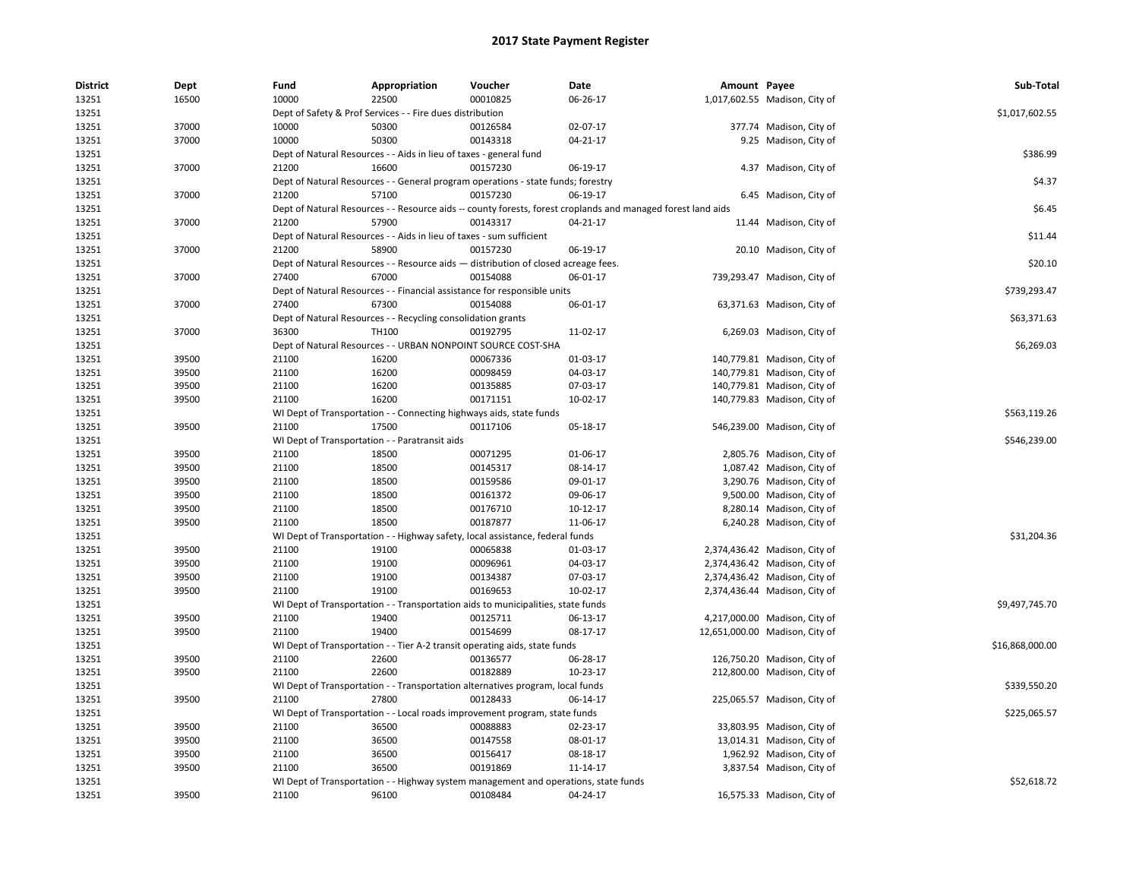| <b>District</b> | Dept  | Fund  | Appropriation                                                                      | Voucher  | Date                                                                                                         | Amount Payee |                                | Sub-Total       |
|-----------------|-------|-------|------------------------------------------------------------------------------------|----------|--------------------------------------------------------------------------------------------------------------|--------------|--------------------------------|-----------------|
| 13251           | 16500 | 10000 | 22500                                                                              | 00010825 | 06-26-17                                                                                                     |              | 1,017,602.55 Madison, City of  |                 |
| 13251           |       |       | Dept of Safety & Prof Services - - Fire dues distribution                          |          |                                                                                                              |              |                                | \$1,017,602.55  |
| 13251           | 37000 | 10000 | 50300                                                                              | 00126584 | 02-07-17                                                                                                     |              | 377.74 Madison, City of        |                 |
| 13251           | 37000 | 10000 | 50300                                                                              | 00143318 | 04-21-17                                                                                                     |              | 9.25 Madison, City of          |                 |
| 13251           |       |       | Dept of Natural Resources - - Aids in lieu of taxes - general fund                 |          |                                                                                                              |              |                                | \$386.99        |
| 13251           | 37000 | 21200 | 16600                                                                              | 00157230 | 06-19-17                                                                                                     |              | 4.37 Madison, City of          |                 |
| 13251           |       |       | Dept of Natural Resources - - General program operations - state funds; forestry   |          |                                                                                                              |              |                                | \$4.37          |
| 13251           | 37000 | 21200 | 57100                                                                              | 00157230 | 06-19-17                                                                                                     |              | 6.45 Madison, City of          |                 |
| 13251           |       |       |                                                                                    |          | Dept of Natural Resources - - Resource aids -- county forests, forest croplands and managed forest land aids |              |                                | \$6.45          |
| 13251           | 37000 | 21200 | 57900                                                                              | 00143317 | 04-21-17                                                                                                     |              | 11.44 Madison, City of         |                 |
| 13251           |       |       | Dept of Natural Resources - - Aids in lieu of taxes - sum sufficient               |          |                                                                                                              |              |                                | \$11.44         |
| 13251           | 37000 | 21200 | 58900                                                                              | 00157230 | 06-19-17                                                                                                     |              | 20.10 Madison, City of         |                 |
| 13251           |       |       | Dept of Natural Resources - - Resource aids - distribution of closed acreage fees. |          |                                                                                                              |              |                                | \$20.10         |
| 13251           | 37000 | 27400 | 67000                                                                              | 00154088 | 06-01-17                                                                                                     |              | 739,293.47 Madison, City of    |                 |
| 13251           |       |       | Dept of Natural Resources - - Financial assistance for responsible units           |          |                                                                                                              |              |                                | \$739,293.47    |
| 13251           | 37000 | 27400 | 67300                                                                              | 00154088 | 06-01-17                                                                                                     |              | 63,371.63 Madison, City of     |                 |
| 13251           |       |       | Dept of Natural Resources - - Recycling consolidation grants                       |          |                                                                                                              |              |                                | \$63,371.63     |
| 13251           | 37000 | 36300 | <b>TH100</b>                                                                       | 00192795 | 11-02-17                                                                                                     |              | 6,269.03 Madison, City of      |                 |
| 13251           |       |       | Dept of Natural Resources - - URBAN NONPOINT SOURCE COST-SHA                       |          |                                                                                                              |              |                                | \$6,269.03      |
| 13251           | 39500 | 21100 | 16200                                                                              | 00067336 | 01-03-17                                                                                                     |              | 140,779.81 Madison, City of    |                 |
| 13251           | 39500 | 21100 | 16200                                                                              | 00098459 | 04-03-17                                                                                                     |              | 140,779.81 Madison, City of    |                 |
| 13251           | 39500 | 21100 | 16200                                                                              | 00135885 | 07-03-17                                                                                                     |              | 140,779.81 Madison, City of    |                 |
| 13251           | 39500 | 21100 | 16200                                                                              | 00171151 | $10-02-17$                                                                                                   |              | 140,779.83 Madison, City of    |                 |
| 13251           |       |       | WI Dept of Transportation - - Connecting highways aids, state funds                |          |                                                                                                              |              |                                | \$563,119.26    |
| 13251           | 39500 | 21100 | 17500                                                                              | 00117106 | 05-18-17                                                                                                     |              | 546,239.00 Madison, City of    |                 |
| 13251           |       |       | WI Dept of Transportation - - Paratransit aids                                     |          |                                                                                                              |              |                                | \$546,239.00    |
| 13251           | 39500 | 21100 | 18500                                                                              | 00071295 | 01-06-17                                                                                                     |              | 2,805.76 Madison, City of      |                 |
| 13251           | 39500 | 21100 | 18500                                                                              | 00145317 | 08-14-17                                                                                                     |              | 1,087.42 Madison, City of      |                 |
| 13251           | 39500 | 21100 | 18500                                                                              | 00159586 | 09-01-17                                                                                                     |              | 3,290.76 Madison, City of      |                 |
| 13251           | 39500 | 21100 | 18500                                                                              | 00161372 | 09-06-17                                                                                                     |              | 9,500.00 Madison, City of      |                 |
| 13251           | 39500 | 21100 | 18500                                                                              | 00176710 | 10-12-17                                                                                                     |              | 8,280.14 Madison, City of      |                 |
| 13251           | 39500 | 21100 | 18500                                                                              | 00187877 | 11-06-17                                                                                                     |              | 6,240.28 Madison, City of      |                 |
| 13251           |       |       | WI Dept of Transportation - - Highway safety, local assistance, federal funds      |          |                                                                                                              |              |                                | \$31,204.36     |
| 13251           | 39500 | 21100 | 19100                                                                              | 00065838 | 01-03-17                                                                                                     |              | 2,374,436.42 Madison, City of  |                 |
| 13251           | 39500 | 21100 | 19100                                                                              | 00096961 | 04-03-17                                                                                                     |              | 2,374,436.42 Madison, City of  |                 |
| 13251           | 39500 | 21100 | 19100                                                                              | 00134387 | 07-03-17                                                                                                     |              | 2,374,436.42 Madison, City of  |                 |
| 13251           | 39500 | 21100 | 19100                                                                              | 00169653 | 10-02-17                                                                                                     |              | 2,374,436.44 Madison, City of  |                 |
| 13251           |       |       | WI Dept of Transportation - - Transportation aids to municipalities, state funds   |          |                                                                                                              |              |                                | \$9,497,745.70  |
| 13251           | 39500 | 21100 | 19400                                                                              | 00125711 | 06-13-17                                                                                                     |              | 4,217,000.00 Madison, City of  |                 |
| 13251           | 39500 | 21100 | 19400                                                                              | 00154699 | 08-17-17                                                                                                     |              | 12,651,000.00 Madison, City of |                 |
| 13251           |       |       | WI Dept of Transportation - - Tier A-2 transit operating aids, state funds         |          |                                                                                                              |              |                                | \$16,868,000.00 |
| 13251           | 39500 | 21100 | 22600                                                                              | 00136577 | 06-28-17                                                                                                     |              | 126,750.20 Madison, City of    |                 |
| 13251           | 39500 | 21100 | 22600                                                                              | 00182889 | 10-23-17                                                                                                     |              | 212,800.00 Madison, City of    |                 |
| 13251           |       |       | WI Dept of Transportation - - Transportation alternatives program, local funds     |          |                                                                                                              |              |                                | \$339,550.20    |
| 13251           | 39500 | 21100 | 27800                                                                              | 00128433 | 06-14-17                                                                                                     |              | 225,065.57 Madison, City of    |                 |
|                 |       |       |                                                                                    |          |                                                                                                              |              |                                | \$225,065.57    |
| 13251           |       |       | WI Dept of Transportation - - Local roads improvement program, state funds         |          |                                                                                                              |              |                                |                 |
| 13251           | 39500 | 21100 | 36500                                                                              | 00088883 | 02-23-17                                                                                                     |              | 33,803.95 Madison, City of     |                 |
| 13251           | 39500 | 21100 | 36500                                                                              | 00147558 | 08-01-17                                                                                                     |              | 13,014.31 Madison, City of     |                 |
| 13251           | 39500 | 21100 | 36500                                                                              | 00156417 | 08-18-17                                                                                                     |              | 1,962.92 Madison, City of      |                 |
| 13251           | 39500 | 21100 | 36500                                                                              | 00191869 | 11-14-17                                                                                                     |              | 3,837.54 Madison, City of      |                 |
| 13251           |       |       |                                                                                    |          | WI Dept of Transportation - - Highway system management and operations, state funds                          |              |                                | \$52,618.72     |
| 13251           | 39500 | 21100 | 96100                                                                              | 00108484 | 04-24-17                                                                                                     |              | 16,575.33 Madison, City of     |                 |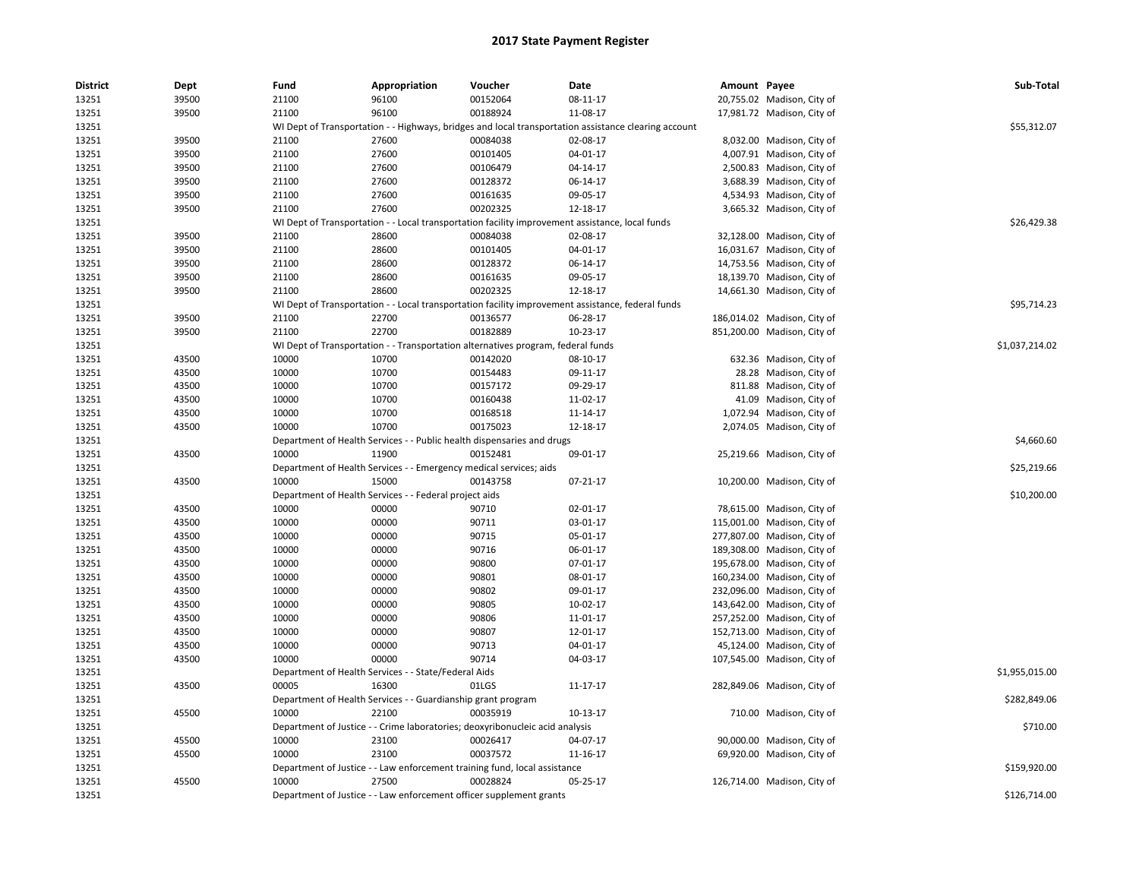| <b>District</b> | Dept  | Fund  | Appropriation                                                      | Voucher                                                                          | Date                                                                                                 | Amount Payee |                             | Sub-Total      |
|-----------------|-------|-------|--------------------------------------------------------------------|----------------------------------------------------------------------------------|------------------------------------------------------------------------------------------------------|--------------|-----------------------------|----------------|
| 13251           | 39500 | 21100 | 96100                                                              | 00152064                                                                         | 08-11-17                                                                                             |              | 20,755.02 Madison, City of  |                |
| 13251           | 39500 | 21100 | 96100                                                              | 00188924                                                                         | 11-08-17                                                                                             |              | 17,981.72 Madison, City of  |                |
| 13251           |       |       |                                                                    |                                                                                  | WI Dept of Transportation - - Highways, bridges and local transportation assistance clearing account |              |                             | \$55,312.07    |
| 13251           | 39500 | 21100 | 27600                                                              | 00084038                                                                         | 02-08-17                                                                                             |              | 8,032.00 Madison, City of   |                |
| 13251           | 39500 | 21100 | 27600                                                              | 00101405                                                                         | 04-01-17                                                                                             |              | 4,007.91 Madison, City of   |                |
| 13251           | 39500 | 21100 | 27600                                                              | 00106479                                                                         | 04-14-17                                                                                             |              | 2,500.83 Madison, City of   |                |
| 13251           | 39500 | 21100 | 27600                                                              | 00128372                                                                         | 06-14-17                                                                                             |              | 3,688.39 Madison, City of   |                |
| 13251           | 39500 | 21100 | 27600                                                              | 00161635                                                                         | 09-05-17                                                                                             |              | 4,534.93 Madison, City of   |                |
| 13251           | 39500 | 21100 | 27600                                                              | 00202325                                                                         | 12-18-17                                                                                             |              | 3,665.32 Madison, City of   |                |
| 13251           |       |       |                                                                    |                                                                                  | WI Dept of Transportation - - Local transportation facility improvement assistance, local funds      |              |                             | \$26,429.38    |
| 13251           | 39500 | 21100 | 28600                                                              | 00084038                                                                         | 02-08-17                                                                                             |              | 32,128.00 Madison, City of  |                |
| 13251           | 39500 | 21100 | 28600                                                              | 00101405                                                                         | 04-01-17                                                                                             |              | 16,031.67 Madison, City of  |                |
| 13251           | 39500 | 21100 | 28600                                                              | 00128372                                                                         | 06-14-17                                                                                             |              | 14,753.56 Madison, City of  |                |
| 13251           | 39500 | 21100 | 28600                                                              | 00161635                                                                         | 09-05-17                                                                                             |              | 18,139.70 Madison, City of  |                |
| 13251           | 39500 | 21100 | 28600                                                              | 00202325                                                                         | 12-18-17                                                                                             |              | 14,661.30 Madison, City of  |                |
| 13251           |       |       |                                                                    |                                                                                  | WI Dept of Transportation - - Local transportation facility improvement assistance, federal funds    |              |                             | \$95,714.23    |
| 13251           | 39500 | 21100 | 22700                                                              | 00136577                                                                         | 06-28-17                                                                                             |              | 186,014.02 Madison, City of |                |
| 13251           | 39500 | 21100 | 22700                                                              | 00182889                                                                         | 10-23-17                                                                                             |              | 851,200.00 Madison, City of |                |
| 13251           |       |       |                                                                    | WI Dept of Transportation - - Transportation alternatives program, federal funds |                                                                                                      |              |                             | \$1,037,214.02 |
| 13251           | 43500 | 10000 | 10700                                                              | 00142020                                                                         | 08-10-17                                                                                             |              | 632.36 Madison, City of     |                |
| 13251           | 43500 | 10000 | 10700                                                              | 00154483                                                                         | 09-11-17                                                                                             |              | 28.28 Madison, City of      |                |
| 13251           | 43500 | 10000 | 10700                                                              | 00157172                                                                         | 09-29-17                                                                                             |              | 811.88 Madison, City of     |                |
| 13251           | 43500 | 10000 | 10700                                                              | 00160438                                                                         | 11-02-17                                                                                             |              | 41.09 Madison, City of      |                |
| 13251           | 43500 | 10000 | 10700                                                              | 00168518                                                                         | 11-14-17                                                                                             |              | 1,072.94 Madison, City of   |                |
| 13251           | 43500 | 10000 | 10700                                                              | 00175023                                                                         | 12-18-17                                                                                             |              | 2,074.05 Madison, City of   |                |
|                 |       |       |                                                                    |                                                                                  |                                                                                                      |              |                             | \$4,660.60     |
| 13251           |       |       |                                                                    | Department of Health Services - - Public health dispensaries and drugs           |                                                                                                      |              |                             |                |
| 13251           | 43500 | 10000 | 11900                                                              | 00152481                                                                         | 09-01-17                                                                                             |              | 25,219.66 Madison, City of  |                |
| 13251           |       |       | Department of Health Services - - Emergency medical services; aids |                                                                                  |                                                                                                      |              |                             | \$25,219.66    |
| 13251           | 43500 | 10000 | 15000                                                              | 00143758                                                                         | 07-21-17                                                                                             |              | 10,200.00 Madison, City of  |                |
| 13251           |       |       | Department of Health Services - - Federal project aids             |                                                                                  |                                                                                                      |              |                             | \$10,200.00    |
| 13251           | 43500 | 10000 | 00000                                                              | 90710                                                                            | 02-01-17                                                                                             |              | 78,615.00 Madison, City of  |                |
| 13251           | 43500 | 10000 | 00000                                                              | 90711                                                                            | 03-01-17                                                                                             |              | 115,001.00 Madison, City of |                |
| 13251           | 43500 | 10000 | 00000                                                              | 90715                                                                            | 05-01-17                                                                                             |              | 277,807.00 Madison, City of |                |
| 13251           | 43500 | 10000 | 00000                                                              | 90716                                                                            | 06-01-17                                                                                             |              | 189,308.00 Madison, City of |                |
| 13251           | 43500 | 10000 | 00000                                                              | 90800                                                                            | 07-01-17                                                                                             |              | 195,678.00 Madison, City of |                |
| 13251           | 43500 | 10000 | 00000                                                              | 90801                                                                            | 08-01-17                                                                                             |              | 160,234.00 Madison, City of |                |
| 13251           | 43500 | 10000 | 00000                                                              | 90802                                                                            | 09-01-17                                                                                             |              | 232,096.00 Madison, City of |                |
| 13251           | 43500 | 10000 | 00000                                                              | 90805                                                                            | 10-02-17                                                                                             |              | 143,642.00 Madison, City of |                |
| 13251           | 43500 | 10000 | 00000                                                              | 90806                                                                            | 11-01-17                                                                                             |              | 257,252.00 Madison, City of |                |
| 13251           | 43500 | 10000 | 00000                                                              | 90807                                                                            | 12-01-17                                                                                             |              | 152,713.00 Madison, City of |                |
| 13251           | 43500 | 10000 | 00000                                                              | 90713                                                                            | 04-01-17                                                                                             |              | 45,124.00 Madison, City of  |                |
| 13251           | 43500 | 10000 | 00000                                                              | 90714                                                                            | 04-03-17                                                                                             |              | 107,545.00 Madison, City of |                |
| 13251           |       |       | Department of Health Services - - State/Federal Aids               |                                                                                  |                                                                                                      |              |                             | \$1,955,015.00 |
| 13251           | 43500 | 00005 | 16300                                                              | 01LGS                                                                            | 11-17-17                                                                                             |              | 282,849.06 Madison, City of |                |
| 13251           |       |       | Department of Health Services - - Guardianship grant program       |                                                                                  |                                                                                                      |              |                             | \$282,849.06   |
| 13251           | 45500 | 10000 | 22100                                                              | 00035919                                                                         | 10-13-17                                                                                             |              | 710.00 Madison, City of     |                |
| 13251           |       |       |                                                                    | Department of Justice - - Crime laboratories; deoxyribonucleic acid analysis     |                                                                                                      |              |                             | \$710.00       |
| 13251           | 45500 | 10000 | 23100                                                              | 00026417                                                                         | 04-07-17                                                                                             |              | 90,000.00 Madison, City of  |                |
| 13251           | 45500 | 10000 | 23100                                                              | 00037572                                                                         | 11-16-17                                                                                             |              | 69,920.00 Madison, City of  |                |
| 13251           |       |       |                                                                    | Department of Justice - - Law enforcement training fund, local assistance        |                                                                                                      |              |                             | \$159,920.00   |
| 13251           | 45500 | 10000 | 27500                                                              | 00028824                                                                         | 05-25-17                                                                                             |              | 126,714.00 Madison, City of |                |
| 13251           |       |       |                                                                    | Department of Justice - - Law enforcement officer supplement grants              |                                                                                                      |              |                             | \$126,714.00   |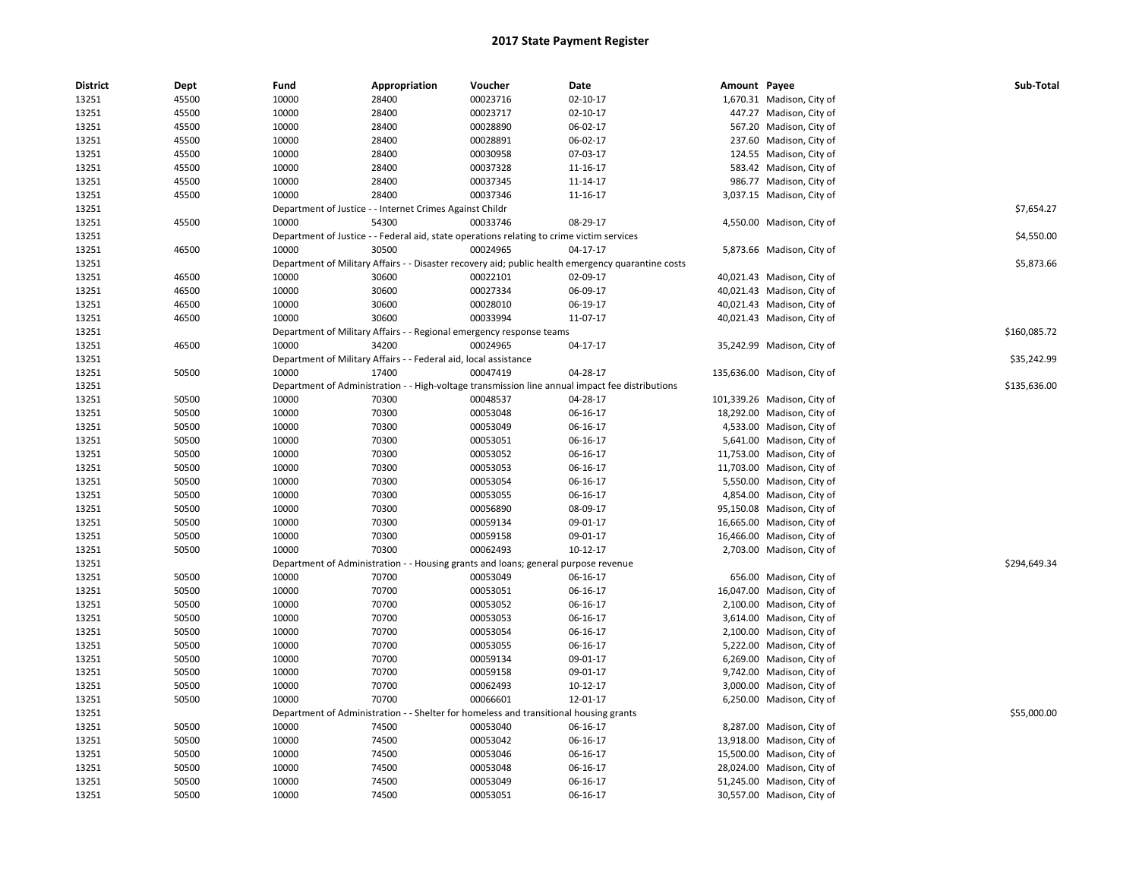| <b>District</b> | Dept  | Fund                         | Appropriation                                                                             | Voucher                                             | Date                                                                                               | Amount Payee |                             | Sub-Total    |
|-----------------|-------|------------------------------|-------------------------------------------------------------------------------------------|-----------------------------------------------------|----------------------------------------------------------------------------------------------------|--------------|-----------------------------|--------------|
| 13251           | 45500 | 10000                        | 28400                                                                                     | 00023716                                            | 02-10-17                                                                                           |              | 1,670.31 Madison, City of   |              |
| 13251           | 45500 | 10000                        | 28400                                                                                     | 00023717                                            | $02 - 10 - 17$                                                                                     |              | 447.27 Madison, City of     |              |
| 13251           | 45500 | 10000                        | 28400                                                                                     | 00028890                                            | 06-02-17                                                                                           |              | 567.20 Madison, City of     |              |
| 13251           | 45500 | 10000                        | 28400                                                                                     | 00028891                                            | 06-02-17                                                                                           |              | 237.60 Madison, City of     |              |
| 13251           | 45500 | 10000                        | 28400                                                                                     | 00030958                                            | 07-03-17                                                                                           |              | 124.55 Madison, City of     |              |
| 13251           | 45500 | 10000                        | 28400                                                                                     | 00037328                                            | 11-16-17                                                                                           |              | 583.42 Madison, City of     |              |
| 13251           | 45500 | 10000                        | 28400                                                                                     | 00037345                                            | 11-14-17                                                                                           |              | 986.77 Madison, City of     |              |
| 13251           | 45500 | 10000                        | 28400                                                                                     | 00037346                                            | 11-16-17                                                                                           |              | 3,037.15 Madison, City of   |              |
| 13251           |       |                              | Department of Justice - - Internet Crimes Against Childr                                  |                                                     |                                                                                                    |              |                             | \$7,654.27   |
| 13251           | 45500 | 10000                        | 54300                                                                                     | 00033746                                            | 08-29-17                                                                                           |              | 4,550.00 Madison, City of   |              |
| 13251           |       |                              | Department of Justice - - Federal aid, state operations relating to crime victim services |                                                     |                                                                                                    |              |                             | \$4,550.00   |
| 13251           | 46500 | 10000                        | 30500                                                                                     | 00024965                                            | 04-17-17                                                                                           |              | 5,873.66 Madison, City of   |              |
| 13251           |       |                              |                                                                                           |                                                     | Department of Military Affairs - - Disaster recovery aid; public health emergency quarantine costs |              |                             | \$5,873.66   |
| 13251           | 46500 | 10000                        | 30600                                                                                     | 00022101                                            | 02-09-17                                                                                           |              | 40,021.43 Madison, City of  |              |
| 13251           | 46500 | 10000                        | 30600                                                                                     | 00027334                                            | 06-09-17                                                                                           |              | 40,021.43 Madison, City of  |              |
| 13251           | 46500 | 10000                        | 30600                                                                                     | 00028010                                            | 06-19-17                                                                                           |              | 40,021.43 Madison, City of  |              |
| 13251           | 46500 | 10000                        | 30600                                                                                     | 00033994                                            | 11-07-17                                                                                           |              | 40,021.43 Madison, City of  |              |
| 13251           |       |                              | Department of Military Affairs - - Regional emergency response teams                      |                                                     |                                                                                                    |              |                             | \$160,085.72 |
| 13251           | 46500 | 10000                        | 34200                                                                                     | 00024965                                            | 04-17-17                                                                                           |              | 35,242.99 Madison, City of  |              |
| 13251           |       |                              | Department of Military Affairs - - Federal aid, local assistance                          |                                                     |                                                                                                    |              |                             | \$35,242.99  |
| 13251           | 50500 | 10000                        | 17400                                                                                     | 00047419                                            | 04-28-17                                                                                           |              | 135,636.00 Madison, City of |              |
| 13251           |       |                              |                                                                                           |                                                     | Department of Administration - - High-voltage transmission line annual impact fee distributions    |              |                             | \$135,636.00 |
| 13251           | 50500 | 10000                        | 70300                                                                                     | 00048537                                            | 04-28-17                                                                                           |              | 101,339.26 Madison, City of |              |
| 13251           | 50500 | 10000                        | 70300                                                                                     | 00053048                                            | 06-16-17                                                                                           |              | 18,292.00 Madison, City of  |              |
| 13251           | 50500 | 10000                        | 70300                                                                                     | 00053049                                            | 06-16-17                                                                                           |              | 4,533.00 Madison, City of   |              |
| 13251           | 50500 | 10000                        | 70300                                                                                     | 00053051                                            | 06-16-17                                                                                           |              | 5,641.00 Madison, City of   |              |
| 13251           | 50500 | 10000                        | 70300                                                                                     | 00053052                                            | 06-16-17                                                                                           |              | 11,753.00 Madison, City of  |              |
| 13251           | 50500 | 10000                        | 70300                                                                                     | 00053053                                            | 06-16-17                                                                                           |              | 11,703.00 Madison, City of  |              |
| 13251           | 50500 | 10000                        | 70300                                                                                     | 00053054                                            | 06-16-17                                                                                           |              | 5,550.00 Madison, City of   |              |
| 13251           | 50500 | 10000                        | 70300                                                                                     | 00053055                                            | 06-16-17                                                                                           |              | 4,854.00 Madison, City of   |              |
| 13251           | 50500 | 10000                        | 70300                                                                                     | 00056890                                            | 08-09-17                                                                                           |              | 95,150.08 Madison, City of  |              |
| 13251           | 50500 | 10000                        | 70300                                                                                     | 00059134                                            | 09-01-17                                                                                           |              | 16,665.00 Madison, City of  |              |
| 13251           | 50500 | 10000                        | 70300                                                                                     | 00059158                                            | 09-01-17                                                                                           |              | 16,466.00 Madison, City of  |              |
| 13251           | 50500 | 10000                        | 70300                                                                                     | 00062493                                            | $10-12-17$                                                                                         |              | 2,703.00 Madison, City of   |              |
| 13251           |       | Department of Administration |                                                                                           | - Housing grants and loans; general purpose revenue |                                                                                                    |              |                             | \$294,649.34 |
| 13251           | 50500 | 10000                        | 70700                                                                                     | 00053049                                            | 06-16-17                                                                                           |              | 656.00 Madison, City of     |              |
| 13251           | 50500 | 10000                        | 70700                                                                                     | 00053051                                            | 06-16-17                                                                                           |              | 16,047.00 Madison, City of  |              |
| 13251           | 50500 | 10000                        | 70700                                                                                     | 00053052                                            | 06-16-17                                                                                           |              | 2,100.00 Madison, City of   |              |
| 13251           | 50500 | 10000                        | 70700                                                                                     | 00053053                                            | 06-16-17                                                                                           |              | 3,614.00 Madison, City of   |              |
| 13251           | 50500 | 10000                        | 70700                                                                                     | 00053054                                            | 06-16-17                                                                                           |              | 2,100.00 Madison, City of   |              |
| 13251           | 50500 | 10000                        | 70700                                                                                     | 00053055                                            | 06-16-17                                                                                           |              | 5,222.00 Madison, City of   |              |
| 13251           | 50500 | 10000                        | 70700                                                                                     | 00059134                                            | 09-01-17                                                                                           |              | 6,269.00 Madison, City of   |              |
| 13251           | 50500 | 10000                        | 70700                                                                                     | 00059158                                            | 09-01-17                                                                                           |              | 9,742.00 Madison, City of   |              |
| 13251           | 50500 | 10000                        | 70700                                                                                     | 00062493                                            | 10-12-17                                                                                           |              | 3,000.00 Madison, City of   |              |
| 13251           | 50500 | 10000                        | 70700                                                                                     | 00066601                                            | 12-01-17                                                                                           |              | 6,250.00 Madison, City of   |              |
| 13251           |       |                              | Department of Administration - - Shelter for homeless and transitional housing grants     |                                                     |                                                                                                    |              |                             | \$55,000.00  |
| 13251           | 50500 | 10000                        | 74500                                                                                     | 00053040                                            | 06-16-17                                                                                           |              | 8,287.00 Madison, City of   |              |
| 13251           | 50500 | 10000                        | 74500                                                                                     | 00053042                                            | 06-16-17                                                                                           |              | 13,918.00 Madison, City of  |              |
| 13251           | 50500 | 10000                        | 74500                                                                                     | 00053046                                            | 06-16-17                                                                                           |              | 15,500.00 Madison, City of  |              |
| 13251           | 50500 | 10000                        | 74500                                                                                     | 00053048                                            | 06-16-17                                                                                           |              | 28,024.00 Madison, City of  |              |
| 13251           | 50500 | 10000                        | 74500                                                                                     | 00053049                                            | 06-16-17                                                                                           |              | 51,245.00 Madison, City of  |              |
| 13251           | 50500 | 10000                        | 74500                                                                                     | 00053051                                            | 06-16-17                                                                                           |              | 30,557.00 Madison, City of  |              |
|                 |       |                              |                                                                                           |                                                     |                                                                                                    |              |                             |              |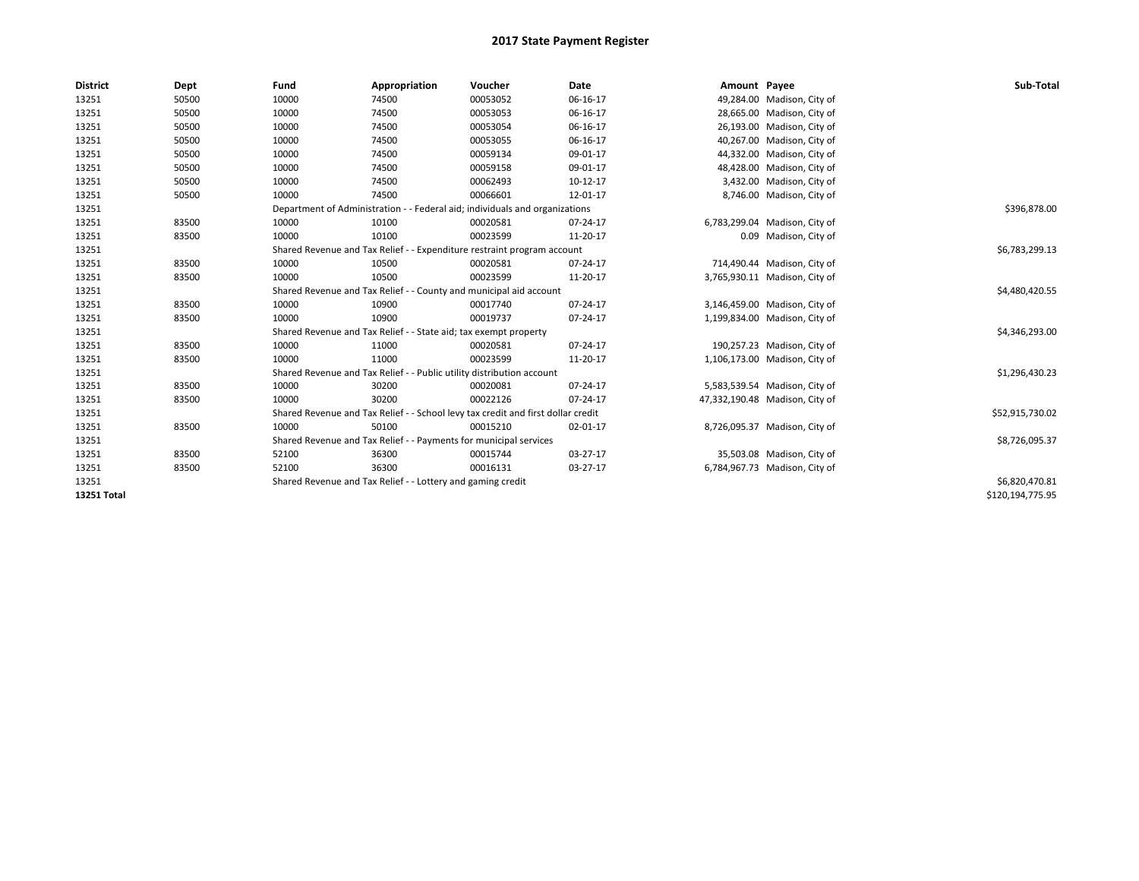| <b>District</b> | Dept  | Fund  | Appropriation                                                                    | Voucher  | Date     | Amount Payee |                                | Sub-Total        |  |  |
|-----------------|-------|-------|----------------------------------------------------------------------------------|----------|----------|--------------|--------------------------------|------------------|--|--|
| 13251           | 50500 | 10000 | 74500                                                                            | 00053052 | 06-16-17 |              | 49,284.00 Madison, City of     |                  |  |  |
| 13251           | 50500 | 10000 | 74500                                                                            | 00053053 | 06-16-17 |              | 28,665.00 Madison, City of     |                  |  |  |
| 13251           | 50500 | 10000 | 74500                                                                            | 00053054 | 06-16-17 |              | 26,193.00 Madison, City of     |                  |  |  |
| 13251           | 50500 | 10000 | 74500                                                                            | 00053055 | 06-16-17 |              | 40,267.00 Madison, City of     |                  |  |  |
| 13251           | 50500 | 10000 | 74500                                                                            | 00059134 | 09-01-17 |              | 44,332.00 Madison, City of     |                  |  |  |
| 13251           | 50500 | 10000 | 74500                                                                            | 00059158 | 09-01-17 |              | 48,428.00 Madison, City of     |                  |  |  |
| 13251           | 50500 | 10000 | 74500                                                                            | 00062493 | 10-12-17 |              | 3,432.00 Madison, City of      |                  |  |  |
| 13251           | 50500 | 10000 | 74500                                                                            | 00066601 | 12-01-17 |              | 8,746.00 Madison, City of      |                  |  |  |
| 13251           |       |       | Department of Administration - - Federal aid; individuals and organizations      |          |          |              |                                | \$396,878.00     |  |  |
| 13251           | 83500 | 10000 | 10100                                                                            | 00020581 | 07-24-17 |              | 6,783,299.04 Madison, City of  |                  |  |  |
| 13251           | 83500 | 10000 | 10100                                                                            | 00023599 | 11-20-17 |              | 0.09 Madison, City of          |                  |  |  |
| 13251           |       |       | Shared Revenue and Tax Relief - - Expenditure restraint program account          |          |          |              |                                | \$6,783,299.13   |  |  |
| 13251           | 83500 | 10000 | 10500                                                                            | 00020581 | 07-24-17 |              | 714,490.44 Madison, City of    |                  |  |  |
| 13251           | 83500 | 10000 | 10500                                                                            | 00023599 | 11-20-17 |              | 3,765,930.11 Madison, City of  |                  |  |  |
| 13251           |       |       | Shared Revenue and Tax Relief - - County and municipal aid account               |          |          |              |                                | \$4,480,420.55   |  |  |
| 13251           | 83500 | 10000 | 10900                                                                            | 00017740 | 07-24-17 |              | 3,146,459.00 Madison, City of  |                  |  |  |
| 13251           | 83500 | 10000 | 10900                                                                            | 00019737 | 07-24-17 |              | 1,199,834.00 Madison, City of  |                  |  |  |
| 13251           |       |       | Shared Revenue and Tax Relief - - State aid; tax exempt property                 |          |          |              |                                | \$4,346,293.00   |  |  |
| 13251           | 83500 | 10000 | 11000                                                                            | 00020581 | 07-24-17 |              | 190,257.23 Madison, City of    |                  |  |  |
| 13251           | 83500 | 10000 | 11000                                                                            | 00023599 | 11-20-17 |              | 1,106,173.00 Madison, City of  |                  |  |  |
| 13251           |       |       | Shared Revenue and Tax Relief - - Public utility distribution account            |          |          |              |                                | \$1,296,430.23   |  |  |
| 13251           | 83500 | 10000 | 30200                                                                            | 00020081 | 07-24-17 |              | 5,583,539.54 Madison, City of  |                  |  |  |
| 13251           | 83500 | 10000 | 30200                                                                            | 00022126 | 07-24-17 |              | 47,332,190.48 Madison, City of |                  |  |  |
| 13251           |       |       | Shared Revenue and Tax Relief - - School levy tax credit and first dollar credit |          |          |              |                                | \$52,915,730.02  |  |  |
| 13251           | 83500 | 10000 | 50100                                                                            | 00015210 | 02-01-17 |              | 8,726,095.37 Madison, City of  |                  |  |  |
| 13251           |       |       | Shared Revenue and Tax Relief - - Payments for municipal services                |          |          |              |                                | \$8,726,095.37   |  |  |
| 13251           | 83500 | 52100 | 36300                                                                            | 00015744 | 03-27-17 |              | 35,503.08 Madison, City of     |                  |  |  |
| 13251           | 83500 | 52100 | 36300                                                                            | 00016131 | 03-27-17 |              | 6,784,967.73 Madison, City of  |                  |  |  |
| 13251           |       |       | Shared Revenue and Tax Relief - - Lottery and gaming credit                      |          |          |              |                                |                  |  |  |
| 13251 Total     |       |       |                                                                                  |          |          |              |                                | \$120,194,775.95 |  |  |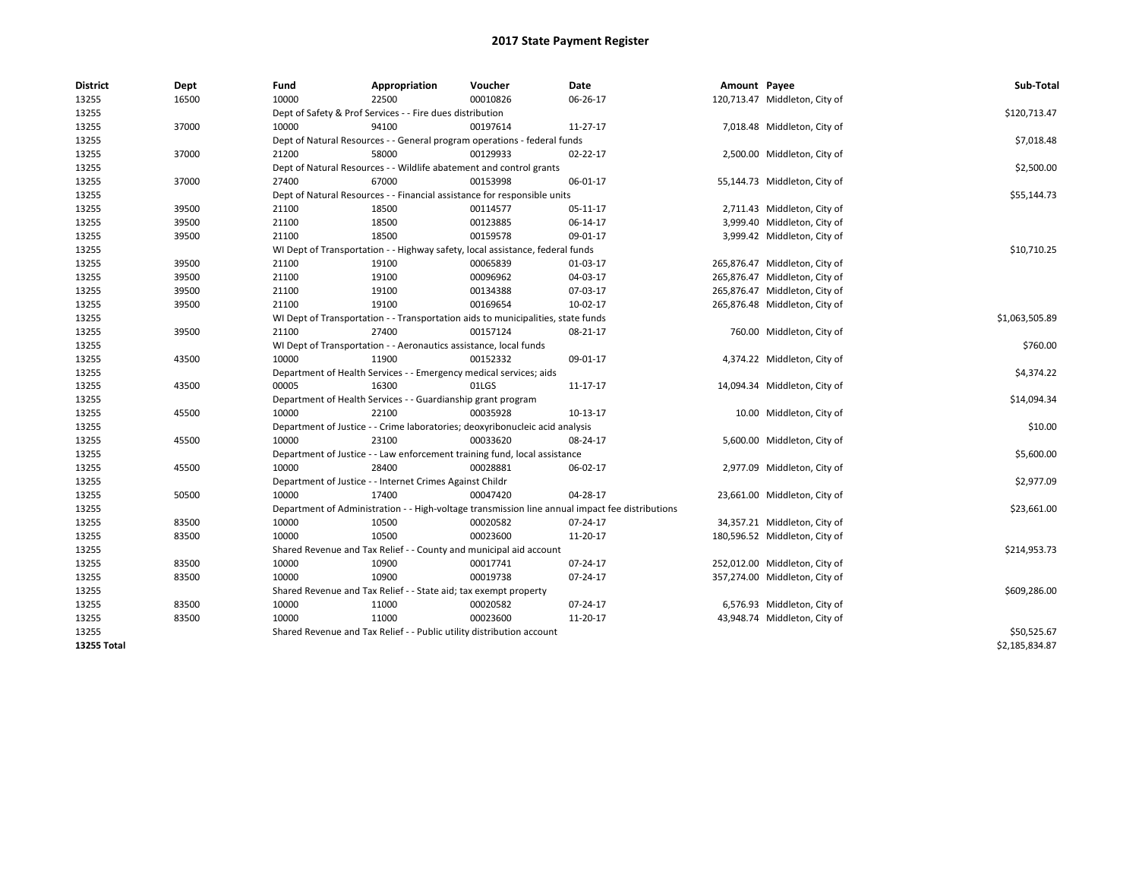| <b>District</b> | Dept  | Fund                                                              | Appropriation                                                                    | Voucher  | Date                                                                                            | Amount Payee |                               | Sub-Total      |
|-----------------|-------|-------------------------------------------------------------------|----------------------------------------------------------------------------------|----------|-------------------------------------------------------------------------------------------------|--------------|-------------------------------|----------------|
| 13255           | 16500 | 10000                                                             | 22500                                                                            | 00010826 | 06-26-17                                                                                        |              | 120,713.47 Middleton, City of |                |
| 13255           |       |                                                                   | Dept of Safety & Prof Services - - Fire dues distribution                        |          |                                                                                                 |              |                               | \$120,713.47   |
| 13255           | 37000 | 10000                                                             | 94100                                                                            | 00197614 | 11-27-17                                                                                        |              | 7,018.48 Middleton, City of   |                |
| 13255           |       |                                                                   | Dept of Natural Resources - - General program operations - federal funds         |          |                                                                                                 |              |                               | \$7,018.48     |
| 13255           | 37000 | 21200                                                             | 58000                                                                            | 00129933 | $02 - 22 - 17$                                                                                  |              | 2,500.00 Middleton, City of   |                |
| 13255           |       |                                                                   | Dept of Natural Resources - - Wildlife abatement and control grants              |          |                                                                                                 |              |                               | \$2,500.00     |
| 13255           | 37000 | 27400                                                             | 67000                                                                            | 00153998 | 06-01-17                                                                                        |              | 55,144.73 Middleton, City of  |                |
| 13255           |       |                                                                   | Dept of Natural Resources - - Financial assistance for responsible units         |          |                                                                                                 |              |                               | \$55,144.73    |
| 13255           | 39500 | 21100                                                             | 18500                                                                            | 00114577 | 05-11-17                                                                                        |              | 2,711.43 Middleton, City of   |                |
| 13255           | 39500 | 21100                                                             | 18500                                                                            | 00123885 | 06-14-17                                                                                        |              | 3,999.40 Middleton, City of   |                |
| 13255           | 39500 | 21100                                                             | 18500                                                                            | 00159578 | 09-01-17                                                                                        |              | 3,999.42 Middleton, City of   |                |
| 13255           |       |                                                                   | WI Dept of Transportation - - Highway safety, local assistance, federal funds    |          |                                                                                                 |              |                               | \$10,710.25    |
| 13255           | 39500 | 21100                                                             | 19100                                                                            | 00065839 | 01-03-17                                                                                        |              | 265,876.47 Middleton, City of |                |
| 13255           | 39500 | 21100                                                             | 19100                                                                            | 00096962 | 04-03-17                                                                                        |              | 265,876.47 Middleton, City of |                |
| 13255           | 39500 | 21100                                                             | 19100                                                                            | 00134388 | 07-03-17                                                                                        |              | 265,876.47 Middleton, City of |                |
| 13255           | 39500 | 21100                                                             | 19100                                                                            | 00169654 | 10-02-17                                                                                        |              | 265,876.48 Middleton, City of |                |
| 13255           |       |                                                                   | WI Dept of Transportation - - Transportation aids to municipalities, state funds |          |                                                                                                 |              |                               | \$1,063,505.89 |
| 13255           | 39500 | 21100                                                             | 27400                                                                            | 00157124 | 08-21-17                                                                                        |              | 760.00 Middleton, City of     |                |
| 13255           |       | WI Dept of Transportation - - Aeronautics assistance, local funds | \$760.00                                                                         |          |                                                                                                 |              |                               |                |
| 13255           | 43500 | 10000                                                             | 11900                                                                            | 00152332 | 09-01-17                                                                                        |              | 4,374.22 Middleton, City of   |                |
| 13255           |       |                                                                   | Department of Health Services - - Emergency medical services; aids               |          |                                                                                                 |              |                               | \$4,374.22     |
| 13255           | 43500 | 00005                                                             | 16300                                                                            | 01LGS    | 11-17-17                                                                                        |              | 14,094.34 Middleton, City of  |                |
| 13255           |       |                                                                   | Department of Health Services - - Guardianship grant program                     |          |                                                                                                 |              |                               | \$14,094.34    |
| 13255           | 45500 | 10000                                                             | 22100                                                                            | 00035928 | 10-13-17                                                                                        |              | 10.00 Middleton, City of      |                |
| 13255           |       |                                                                   | Department of Justice - - Crime laboratories; deoxyribonucleic acid analysis     |          |                                                                                                 |              |                               | \$10.00        |
| 13255           | 45500 | 10000                                                             | 23100                                                                            | 00033620 | 08-24-17                                                                                        |              | 5,600.00 Middleton, City of   |                |
| 13255           |       |                                                                   | Department of Justice - - Law enforcement training fund, local assistance        |          |                                                                                                 |              |                               | \$5,600.00     |
| 13255           | 45500 | 10000                                                             | 28400                                                                            | 00028881 | 06-02-17                                                                                        |              | 2,977.09 Middleton, City of   |                |
| 13255           |       |                                                                   | Department of Justice - - Internet Crimes Against Childr                         |          |                                                                                                 |              |                               | \$2,977.09     |
| 13255           | 50500 | 10000                                                             | 17400                                                                            | 00047420 | 04-28-17                                                                                        |              | 23,661.00 Middleton, City of  |                |
| 13255           |       |                                                                   |                                                                                  |          | Department of Administration - - High-voltage transmission line annual impact fee distributions |              |                               | \$23,661.00    |
| 13255           | 83500 | 10000                                                             | 10500                                                                            | 00020582 | 07-24-17                                                                                        |              | 34,357.21 Middleton, City of  |                |
| 13255           | 83500 | 10000                                                             | 10500                                                                            | 00023600 | 11-20-17                                                                                        |              | 180,596.52 Middleton, City of |                |
| 13255           |       |                                                                   | Shared Revenue and Tax Relief - - County and municipal aid account               |          |                                                                                                 |              |                               | \$214,953.73   |
| 13255           | 83500 | 10000                                                             | 10900                                                                            | 00017741 | 07-24-17                                                                                        |              | 252,012.00 Middleton, City of |                |
| 13255           | 83500 | 10000                                                             | 10900                                                                            | 00019738 | 07-24-17                                                                                        |              | 357,274.00 Middleton, City of |                |
| 13255           |       |                                                                   | Shared Revenue and Tax Relief - - State aid; tax exempt property                 |          |                                                                                                 |              |                               | \$609,286.00   |
| 13255           | 83500 | 10000                                                             | 11000                                                                            | 00020582 | 07-24-17                                                                                        |              | 6,576.93 Middleton, City of   |                |
| 13255           | 83500 | 10000                                                             | 11000                                                                            | 00023600 | 11-20-17                                                                                        |              | 43,948.74 Middleton, City of  |                |
| 13255           |       |                                                                   | Shared Revenue and Tax Relief - - Public utility distribution account            |          |                                                                                                 |              |                               | \$50,525.67    |
| 13255 Total     |       |                                                                   |                                                                                  |          |                                                                                                 |              |                               | \$2,185,834.87 |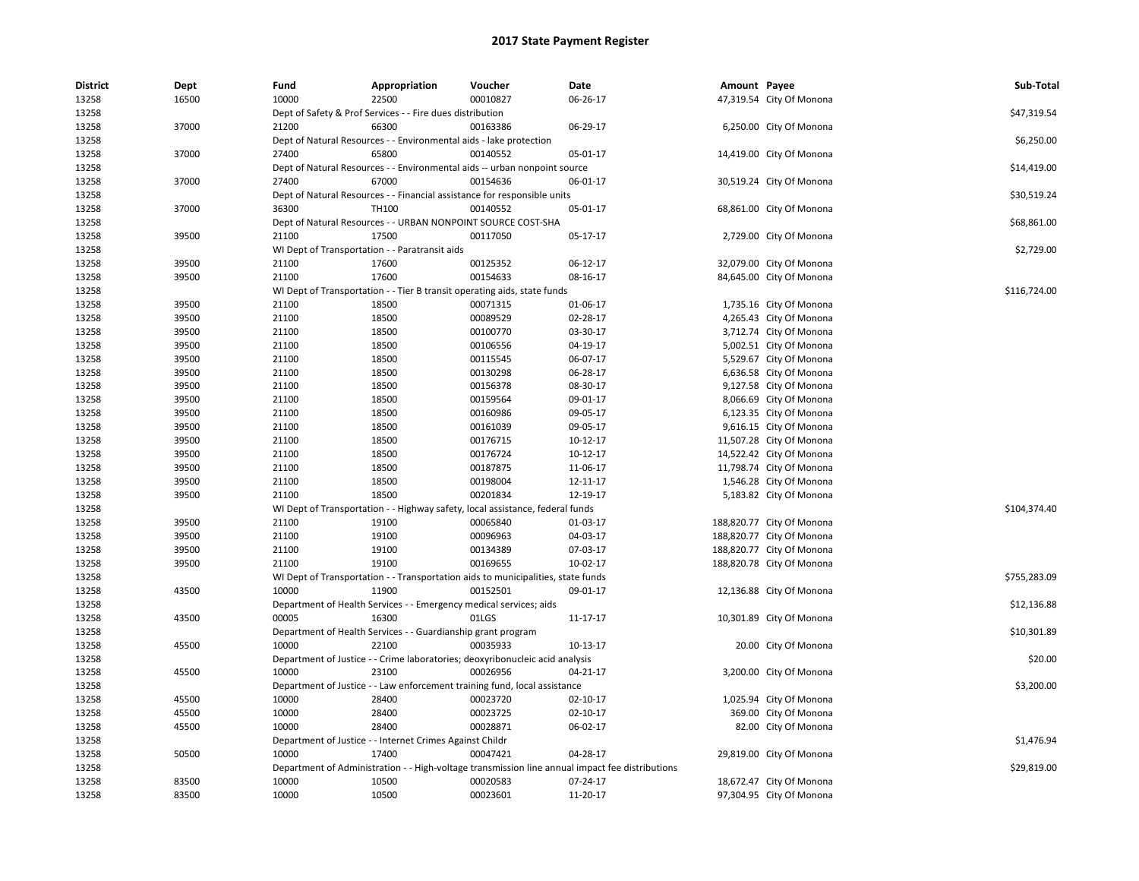| <b>District</b><br>13258 | Dept<br>16500 | Fund<br>10000 | Appropriation<br>22500                                                           | Voucher<br>00010827 | Date<br>06-26-17                                                                                | Amount Payee | 47,319.54 City Of Monona  | Sub-Total    |
|--------------------------|---------------|---------------|----------------------------------------------------------------------------------|---------------------|-------------------------------------------------------------------------------------------------|--------------|---------------------------|--------------|
| 13258                    |               |               | Dept of Safety & Prof Services - - Fire dues distribution                        |                     |                                                                                                 |              |                           | \$47,319.54  |
| 13258                    | 37000         | 21200         | 66300                                                                            | 00163386            | 06-29-17                                                                                        |              | 6,250.00 City Of Monona   |              |
| 13258                    |               |               | Dept of Natural Resources - - Environmental aids - lake protection               |                     |                                                                                                 |              |                           | \$6,250.00   |
| 13258                    | 37000         | 27400         | 65800                                                                            | 00140552            | 05-01-17                                                                                        |              | 14,419.00 City Of Monona  |              |
| 13258                    |               |               | Dept of Natural Resources - - Environmental aids -- urban nonpoint source        |                     |                                                                                                 |              |                           | \$14,419.00  |
| 13258                    | 37000         | 27400         | 67000                                                                            | 00154636            | 06-01-17                                                                                        |              | 30,519.24 City Of Monona  |              |
| 13258                    |               |               | Dept of Natural Resources - - Financial assistance for responsible units         |                     |                                                                                                 |              |                           | \$30,519.24  |
| 13258                    | 37000         | 36300         | TH100                                                                            | 00140552            | 05-01-17                                                                                        |              | 68,861.00 City Of Monona  |              |
| 13258                    |               |               | Dept of Natural Resources - - URBAN NONPOINT SOURCE COST-SHA                     |                     |                                                                                                 |              |                           | \$68,861.00  |
| 13258                    | 39500         | 21100         | 17500                                                                            | 00117050            | 05-17-17                                                                                        |              | 2,729.00 City Of Monona   |              |
| 13258                    |               |               | WI Dept of Transportation - - Paratransit aids                                   |                     |                                                                                                 |              |                           | \$2,729.00   |
| 13258                    | 39500         | 21100         | 17600                                                                            | 00125352            | 06-12-17                                                                                        |              | 32,079.00 City Of Monona  |              |
| 13258                    | 39500         | 21100         | 17600                                                                            | 00154633            | 08-16-17                                                                                        |              | 84,645.00 City Of Monona  |              |
| 13258                    |               |               | WI Dept of Transportation - - Tier B transit operating aids, state funds         |                     |                                                                                                 |              |                           | \$116,724.00 |
| 13258                    | 39500         | 21100         | 18500                                                                            | 00071315            | 01-06-17                                                                                        |              | 1,735.16 City Of Monona   |              |
| 13258                    | 39500         | 21100         | 18500                                                                            | 00089529            | 02-28-17                                                                                        |              | 4,265.43 City Of Monona   |              |
| 13258                    | 39500         | 21100         | 18500                                                                            | 00100770            | 03-30-17                                                                                        |              | 3,712.74 City Of Monona   |              |
| 13258                    | 39500         | 21100         | 18500                                                                            | 00106556            | 04-19-17                                                                                        |              | 5,002.51 City Of Monona   |              |
| 13258                    | 39500         | 21100         | 18500                                                                            | 00115545            | 06-07-17                                                                                        |              | 5,529.67 City Of Monona   |              |
| 13258                    | 39500         | 21100         | 18500                                                                            | 00130298            | 06-28-17                                                                                        |              | 6,636.58 City Of Monona   |              |
| 13258                    | 39500         | 21100         | 18500                                                                            | 00156378            | 08-30-17                                                                                        |              | 9,127.58 City Of Monona   |              |
| 13258                    | 39500         | 21100         | 18500                                                                            | 00159564            | 09-01-17                                                                                        |              | 8,066.69 City Of Monona   |              |
| 13258                    | 39500         | 21100         | 18500                                                                            | 00160986            | 09-05-17                                                                                        |              | 6,123.35 City Of Monona   |              |
| 13258                    | 39500         | 21100         | 18500                                                                            | 00161039            | 09-05-17                                                                                        |              | 9,616.15 City Of Monona   |              |
| 13258                    | 39500         | 21100         | 18500                                                                            | 00176715            | 10-12-17                                                                                        |              | 11,507.28 City Of Monona  |              |
| 13258                    | 39500         | 21100         | 18500                                                                            | 00176724            | 10-12-17                                                                                        |              | 14,522.42 City Of Monona  |              |
| 13258                    | 39500         | 21100         | 18500                                                                            | 00187875            | 11-06-17                                                                                        |              | 11,798.74 City Of Monona  |              |
| 13258                    | 39500         | 21100         | 18500                                                                            | 00198004            | 12-11-17                                                                                        |              | 1,546.28 City Of Monona   |              |
| 13258                    | 39500         | 21100         | 18500                                                                            | 00201834            | 12-19-17                                                                                        |              | 5,183.82 City Of Monona   |              |
| 13258                    |               |               | WI Dept of Transportation - - Highway safety, local assistance, federal funds    |                     |                                                                                                 |              |                           | \$104,374.40 |
| 13258                    | 39500         | 21100         | 19100                                                                            | 00065840            | 01-03-17                                                                                        |              | 188,820.77 City Of Monona |              |
| 13258                    | 39500         | 21100         | 19100                                                                            | 00096963            | 04-03-17                                                                                        |              | 188,820.77 City Of Monona |              |
| 13258                    | 39500         | 21100         | 19100                                                                            | 00134389            | 07-03-17                                                                                        |              | 188,820.77 City Of Monona |              |
| 13258                    | 39500         | 21100         | 19100                                                                            | 00169655            | 10-02-17                                                                                        |              | 188,820.78 City Of Monona |              |
| 13258                    |               |               | WI Dept of Transportation - - Transportation aids to municipalities, state funds |                     |                                                                                                 |              |                           | \$755,283.09 |
| 13258                    | 43500         | 10000         | 11900                                                                            | 00152501            | 09-01-17                                                                                        |              | 12,136.88 City Of Monona  |              |
| 13258                    |               |               | Department of Health Services - - Emergency medical services; aids               |                     |                                                                                                 |              |                           | \$12,136.88  |
| 13258                    | 43500         | 00005         | 16300                                                                            | 01LGS               | 11-17-17                                                                                        |              | 10,301.89 City Of Monona  |              |
| 13258                    |               |               | Department of Health Services - - Guardianship grant program                     |                     |                                                                                                 |              |                           | \$10,301.89  |
| 13258                    | 45500         | 10000         | 22100                                                                            | 00035933            | 10-13-17                                                                                        |              | 20.00 City Of Monona      |              |
| 13258                    |               |               | Department of Justice - - Crime laboratories; deoxyribonucleic acid analysis     |                     |                                                                                                 |              |                           | \$20.00      |
| 13258                    | 45500         | 10000         | 23100                                                                            | 00026956            | 04-21-17                                                                                        |              | 3,200.00 City Of Monona   |              |
| 13258                    |               |               | Department of Justice - - Law enforcement training fund, local assistance        |                     |                                                                                                 |              |                           | \$3,200.00   |
| 13258                    | 45500         | 10000         | 28400                                                                            | 00023720            | 02-10-17                                                                                        |              | 1,025.94 City Of Monona   |              |
| 13258                    | 45500         | 10000         | 28400                                                                            | 00023725            | 02-10-17                                                                                        |              | 369.00 City Of Monona     |              |
| 13258                    | 45500         | 10000         | 28400                                                                            | 00028871            | 06-02-17                                                                                        |              | 82.00 City Of Monona      |              |
| 13258                    |               |               | Department of Justice - - Internet Crimes Against Childr                         |                     |                                                                                                 |              |                           | \$1,476.94   |
| 13258                    | 50500         | 10000         | 17400                                                                            | 00047421            | 04-28-17                                                                                        |              | 29,819.00 City Of Monona  |              |
| 13258                    |               |               |                                                                                  |                     | Department of Administration - - High-voltage transmission line annual impact fee distributions |              |                           | \$29,819.00  |
| 13258                    | 83500         | 10000         | 10500                                                                            | 00020583            | 07-24-17                                                                                        |              | 18,672.47 City Of Monona  |              |
| 13258                    | 83500         | 10000         | 10500                                                                            | 00023601            | 11-20-17                                                                                        |              | 97,304.95 City Of Monona  |              |
|                          |               |               |                                                                                  |                     |                                                                                                 |              |                           |              |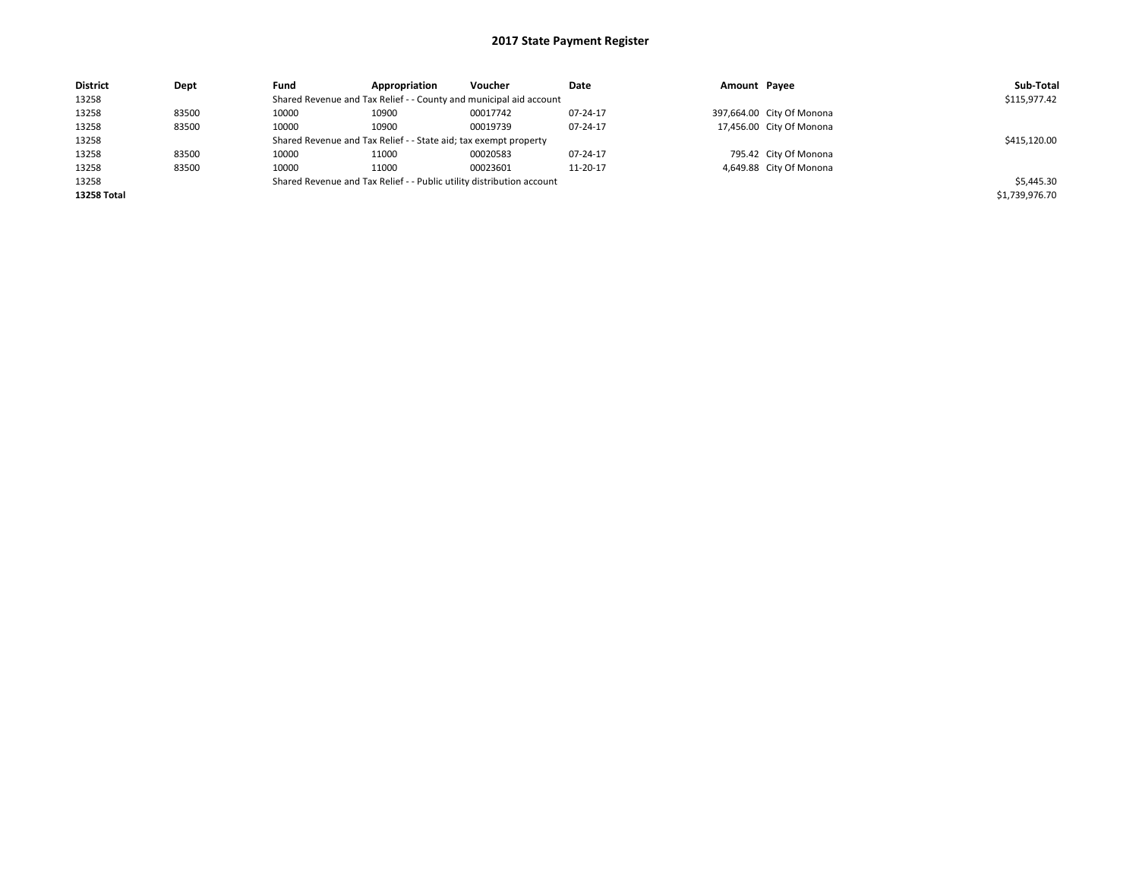| <b>District</b>    | Dept  | Fund                                                                  | Appropriation                                                      | Voucher      | Date     | Amount Payee |                           | Sub-Total      |
|--------------------|-------|-----------------------------------------------------------------------|--------------------------------------------------------------------|--------------|----------|--------------|---------------------------|----------------|
| 13258              |       |                                                                       | Shared Revenue and Tax Relief - - County and municipal aid account |              |          |              |                           | \$115,977.42   |
| 13258              | 83500 | 10000                                                                 | 10900                                                              | 00017742     | 07-24-17 |              | 397,664.00 City Of Monona |                |
| 13258              | 83500 | 10000                                                                 | 10900                                                              | 00019739     | 07-24-17 |              | 17,456.00 City Of Monona  |                |
| 13258              |       | Shared Revenue and Tax Relief - - State aid; tax exempt property      |                                                                    | \$415,120.00 |          |              |                           |                |
| 13258              | 83500 | 10000                                                                 | 11000                                                              | 00020583     | 07-24-17 |              | 795.42 City Of Monona     |                |
| 13258              | 83500 | 10000                                                                 | 11000                                                              | 00023601     | 11-20-17 |              | 4,649.88 City Of Monona   |                |
| 13258              |       | Shared Revenue and Tax Relief - - Public utility distribution account |                                                                    | \$5,445.30   |          |              |                           |                |
| <b>13258 Total</b> |       |                                                                       |                                                                    |              |          |              |                           | \$1,739,976.70 |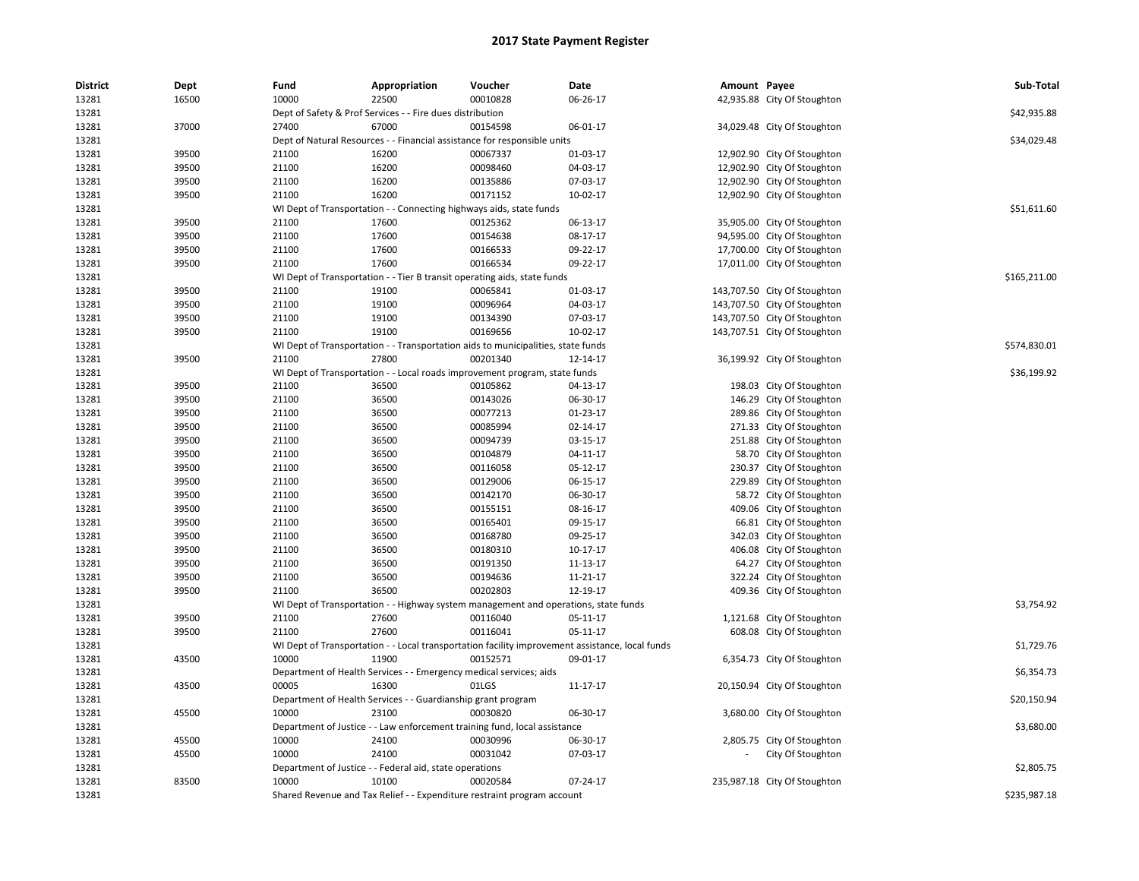| <b>District</b> | Dept  | Fund  | Appropriation                                                       | Voucher                                                                                         | Date                                                                                            | Amount Payee |                              | Sub-Total    |
|-----------------|-------|-------|---------------------------------------------------------------------|-------------------------------------------------------------------------------------------------|-------------------------------------------------------------------------------------------------|--------------|------------------------------|--------------|
| 13281           | 16500 | 10000 | 22500                                                               | 00010828                                                                                        | 06-26-17                                                                                        |              | 42,935.88 City Of Stoughton  |              |
| 13281           |       |       | Dept of Safety & Prof Services - - Fire dues distribution           |                                                                                                 |                                                                                                 |              |                              | \$42,935.88  |
| 13281           | 37000 | 27400 | 67000                                                               | 00154598                                                                                        | 06-01-17                                                                                        |              | 34,029.48 City Of Stoughton  |              |
| 13281           |       |       |                                                                     | Dept of Natural Resources - - Financial assistance for responsible units                        |                                                                                                 |              |                              | \$34,029.48  |
| 13281           | 39500 | 21100 | 16200                                                               | 00067337                                                                                        | 01-03-17                                                                                        |              | 12,902.90 City Of Stoughton  |              |
| 13281           | 39500 | 21100 | 16200                                                               | 00098460                                                                                        | 04-03-17                                                                                        |              | 12,902.90 City Of Stoughton  |              |
| 13281           | 39500 | 21100 | 16200                                                               | 00135886                                                                                        | 07-03-17                                                                                        |              | 12,902.90 City Of Stoughton  |              |
| 13281           | 39500 | 21100 | 16200                                                               | 00171152                                                                                        | 10-02-17                                                                                        |              | 12,902.90 City Of Stoughton  |              |
| 13281           |       |       | WI Dept of Transportation - - Connecting highways aids, state funds |                                                                                                 |                                                                                                 |              |                              | \$51,611.60  |
| 13281           | 39500 | 21100 | 17600                                                               | 00125362                                                                                        | 06-13-17                                                                                        |              | 35,905.00 City Of Stoughton  |              |
| 13281           | 39500 | 21100 | 17600                                                               | 00154638                                                                                        | 08-17-17                                                                                        |              | 94,595.00 City Of Stoughton  |              |
| 13281           | 39500 | 21100 | 17600                                                               | 00166533                                                                                        | 09-22-17                                                                                        |              | 17,700.00 City Of Stoughton  |              |
| 13281           | 39500 | 21100 | 17600                                                               | 00166534                                                                                        | 09-22-17                                                                                        |              | 17,011.00 City Of Stoughton  |              |
| 13281           |       |       |                                                                     | WI Dept of Transportation - - Tier B transit operating aids, state funds                        |                                                                                                 |              |                              | \$165,211.00 |
| 13281           | 39500 | 21100 | 19100                                                               | 00065841                                                                                        | 01-03-17                                                                                        |              | 143,707.50 City Of Stoughton |              |
| 13281           | 39500 | 21100 | 19100                                                               | 00096964                                                                                        | 04-03-17                                                                                        |              | 143,707.50 City Of Stoughton |              |
| 13281           | 39500 | 21100 | 19100                                                               | 00134390                                                                                        | 07-03-17                                                                                        |              | 143,707.50 City Of Stoughton |              |
| 13281           | 39500 | 21100 | 19100                                                               | 00169656                                                                                        | 10-02-17                                                                                        |              | 143,707.51 City Of Stoughton |              |
| 13281           |       |       |                                                                     | WI Dept of Transportation - - Transportation aids to municipalities, state funds                |                                                                                                 |              |                              | \$574,830.01 |
| 13281           | 39500 | 21100 | 27800                                                               | 00201340                                                                                        | 12-14-17                                                                                        |              | 36,199.92 City Of Stoughton  |              |
| 13281           |       |       |                                                                     | WI Dept of Transportation - - Local roads improvement program, state funds                      |                                                                                                 |              |                              | \$36,199.92  |
| 13281           | 39500 | 21100 | 36500                                                               | 00105862                                                                                        | 04-13-17                                                                                        |              | 198.03 City Of Stoughton     |              |
| 13281           | 39500 | 21100 | 36500                                                               | 00143026                                                                                        | 06-30-17                                                                                        |              | 146.29 City Of Stoughton     |              |
| 13281           | 39500 | 21100 | 36500                                                               | 00077213                                                                                        | 01-23-17                                                                                        |              | 289.86 City Of Stoughton     |              |
| 13281           | 39500 | 21100 | 36500                                                               | 00085994                                                                                        | 02-14-17                                                                                        |              | 271.33 City Of Stoughton     |              |
| 13281           | 39500 | 21100 | 36500                                                               | 00094739                                                                                        | 03-15-17                                                                                        |              | 251.88 City Of Stoughton     |              |
| 13281           | 39500 | 21100 | 36500                                                               | 00104879                                                                                        | 04-11-17                                                                                        |              | 58.70 City Of Stoughton      |              |
| 13281           | 39500 | 21100 | 36500                                                               | 00116058                                                                                        | 05-12-17                                                                                        |              | 230.37 City Of Stoughton     |              |
| 13281           | 39500 | 21100 | 36500                                                               | 00129006                                                                                        | 06-15-17                                                                                        |              | 229.89 City Of Stoughton     |              |
| 13281           | 39500 | 21100 | 36500                                                               | 00142170                                                                                        | 06-30-17                                                                                        |              | 58.72 City Of Stoughton      |              |
| 13281           | 39500 | 21100 | 36500                                                               | 00155151                                                                                        | 08-16-17                                                                                        |              | 409.06 City Of Stoughton     |              |
| 13281           | 39500 | 21100 | 36500                                                               | 00165401                                                                                        | 09-15-17                                                                                        |              | 66.81 City Of Stoughton      |              |
| 13281           | 39500 | 21100 | 36500                                                               | 00168780                                                                                        | 09-25-17                                                                                        |              | 342.03 City Of Stoughton     |              |
| 13281           | 39500 | 21100 | 36500                                                               | 00180310                                                                                        | 10-17-17                                                                                        |              | 406.08 City Of Stoughton     |              |
| 13281           | 39500 | 21100 | 36500                                                               | 00191350                                                                                        | 11-13-17                                                                                        |              | 64.27 City Of Stoughton      |              |
| 13281           | 39500 | 21100 | 36500                                                               | 00194636                                                                                        | 11-21-17                                                                                        |              | 322.24 City Of Stoughton     |              |
| 13281           | 39500 | 21100 | 36500                                                               | 00202803                                                                                        | 12-19-17                                                                                        |              | 409.36 City Of Stoughton     |              |
| 13281           |       |       |                                                                     |                                                                                                 |                                                                                                 |              |                              | \$3,754.92   |
| 13281           | 39500 | 21100 | 27600                                                               | WI Dept of Transportation - - Highway system management and operations, state funds<br>00116040 | 05-11-17                                                                                        |              | 1,121.68 City Of Stoughton   |              |
| 13281           | 39500 | 21100 | 27600                                                               | 00116041                                                                                        | 05-11-17                                                                                        |              | 608.08 City Of Stoughton     |              |
|                 |       |       |                                                                     |                                                                                                 |                                                                                                 |              |                              |              |
| 13281           |       |       | 11900                                                               |                                                                                                 | WI Dept of Transportation - - Local transportation facility improvement assistance, local funds |              |                              | \$1,729.76   |
| 13281           | 43500 | 10000 |                                                                     | 00152571                                                                                        | 09-01-17                                                                                        |              | 6,354.73 City Of Stoughton   |              |
| 13281           |       |       | Department of Health Services - - Emergency medical services; aids  |                                                                                                 |                                                                                                 |              |                              | \$6,354.73   |
| 13281           | 43500 | 00005 | 16300                                                               | 01LGS                                                                                           | 11-17-17                                                                                        |              | 20,150.94 City Of Stoughton  |              |
| 13281           |       |       | Department of Health Services - - Guardianship grant program        |                                                                                                 |                                                                                                 |              |                              | \$20,150.94  |
| 13281           | 45500 | 10000 | 23100                                                               | 00030820                                                                                        | 06-30-17                                                                                        |              | 3,680.00 City Of Stoughton   |              |
| 13281           |       |       |                                                                     | Department of Justice - - Law enforcement training fund, local assistance                       |                                                                                                 |              |                              | \$3,680.00   |
| 13281           | 45500 | 10000 | 24100                                                               | 00030996                                                                                        | 06-30-17                                                                                        |              | 2,805.75 City Of Stoughton   |              |
| 13281           | 45500 | 10000 | 24100                                                               | 00031042                                                                                        | 07-03-17                                                                                        |              | City Of Stoughton            |              |
| 13281           |       |       | Department of Justice - - Federal aid, state operations             |                                                                                                 |                                                                                                 |              |                              | \$2,805.75   |
| 13281           | 83500 | 10000 | 10100                                                               | 00020584                                                                                        | 07-24-17                                                                                        |              | 235,987.18 City Of Stoughton |              |
| 13281           |       |       |                                                                     | Shared Revenue and Tax Relief - - Expenditure restraint program account                         |                                                                                                 |              |                              | \$235,987.18 |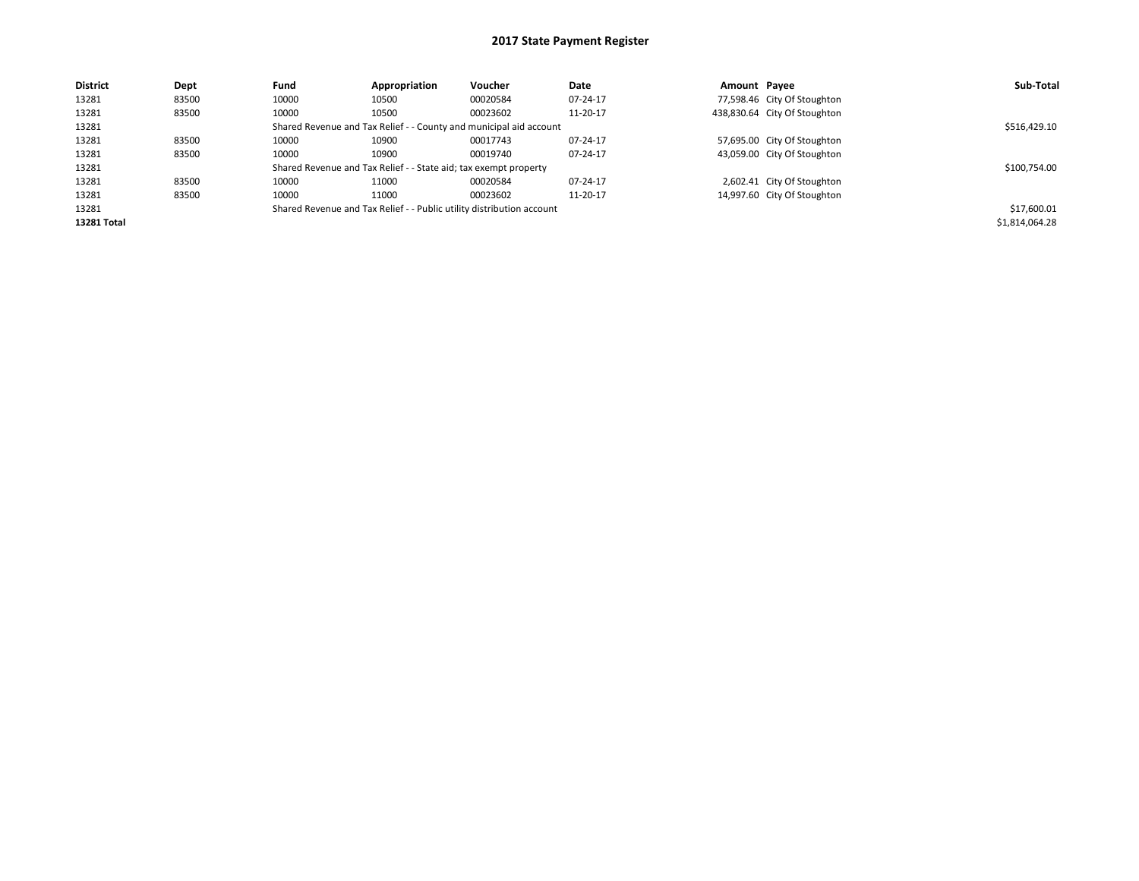## 2017 State Payment Register

| <b>District</b> | Dept  | Fund                                                                  | Appropriation | Voucher      | Date     | Amount Payee |                              | Sub-Total      |
|-----------------|-------|-----------------------------------------------------------------------|---------------|--------------|----------|--------------|------------------------------|----------------|
| 13281           | 83500 | 10000                                                                 | 10500         | 00020584     | 07-24-17 |              | 77,598.46 City Of Stoughton  |                |
| 13281           | 83500 | 10000                                                                 | 10500         | 00023602     | 11-20-17 |              | 438,830.64 City Of Stoughton |                |
| 13281           |       | Shared Revenue and Tax Relief - - County and municipal aid account    |               | \$516,429.10 |          |              |                              |                |
| 13281           | 83500 | 10000                                                                 | 10900         | 00017743     | 07-24-17 |              | 57,695.00 City Of Stoughton  |                |
| 13281           | 83500 | 10000                                                                 | 10900         | 00019740     | 07-24-17 |              | 43,059.00 City Of Stoughton  |                |
| 13281           |       | Shared Revenue and Tax Relief - - State aid; tax exempt property      |               | \$100,754.00 |          |              |                              |                |
| 13281           | 83500 | 10000                                                                 | 11000         | 00020584     | 07-24-17 |              | 2,602.41 City Of Stoughton   |                |
| 13281           | 83500 | 10000                                                                 | 11000         | 00023602     | 11-20-17 |              | 14,997.60 City Of Stoughton  |                |
| 13281           |       | Shared Revenue and Tax Relief - - Public utility distribution account |               | \$17,600.01  |          |              |                              |                |
| 13281 Total     |       |                                                                       |               |              |          |              |                              | \$1,814,064.28 |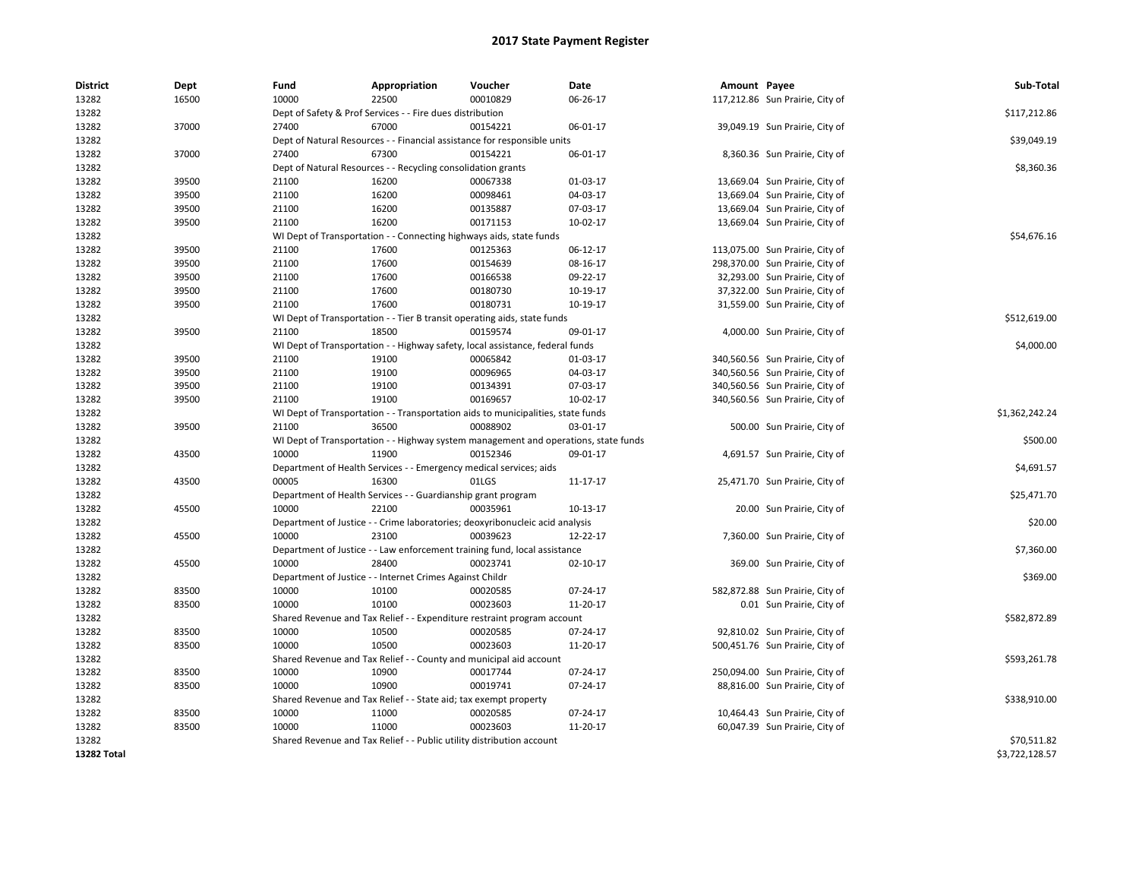## 2017 State Payment Register

| <b>District</b> | Dept  | Fund                                                                     | Appropriation                                                         | Voucher                                                                             | Date     | Amount Payee |                                 | Sub-Total      |
|-----------------|-------|--------------------------------------------------------------------------|-----------------------------------------------------------------------|-------------------------------------------------------------------------------------|----------|--------------|---------------------------------|----------------|
| 13282           | 16500 | 10000                                                                    | 22500                                                                 | 00010829                                                                            | 06-26-17 |              | 117,212.86 Sun Prairie, City of |                |
| 13282           |       | Dept of Safety & Prof Services - - Fire dues distribution                | \$117,212.86                                                          |                                                                                     |          |              |                                 |                |
| 13282           | 37000 | 27400                                                                    | 67000                                                                 | 00154221                                                                            | 06-01-17 |              | 39,049.19 Sun Prairie, City of  |                |
| 13282           |       | Dept of Natural Resources - - Financial assistance for responsible units | \$39,049.19                                                           |                                                                                     |          |              |                                 |                |
| 13282           | 37000 | 27400                                                                    | 67300                                                                 | 00154221                                                                            | 06-01-17 |              | 8,360.36 Sun Prairie, City of   |                |
| 13282           |       | Dept of Natural Resources - - Recycling consolidation grants             | \$8,360.36                                                            |                                                                                     |          |              |                                 |                |
| 13282           | 39500 | 21100                                                                    | 16200                                                                 | 00067338                                                                            | 01-03-17 |              | 13,669.04 Sun Prairie, City of  |                |
| 13282           | 39500 | 21100                                                                    | 16200                                                                 | 00098461                                                                            | 04-03-17 |              | 13,669.04 Sun Prairie, City of  |                |
| 13282           | 39500 | 21100                                                                    | 16200                                                                 | 00135887                                                                            | 07-03-17 |              | 13,669.04 Sun Prairie, City of  |                |
| 13282           | 39500 | 21100                                                                    | 16200                                                                 | 00171153                                                                            | 10-02-17 |              | 13,669.04 Sun Prairie, City of  |                |
| 13282           |       |                                                                          |                                                                       | WI Dept of Transportation - - Connecting highways aids, state funds                 |          |              |                                 | \$54,676.16    |
| 13282           | 39500 | 21100                                                                    | 17600                                                                 | 00125363                                                                            | 06-12-17 |              | 113,075.00 Sun Prairie, City of |                |
| 13282           | 39500 | 21100                                                                    | 17600                                                                 | 00154639                                                                            | 08-16-17 |              | 298,370.00 Sun Prairie, City of |                |
| 13282           | 39500 | 21100                                                                    | 17600                                                                 | 00166538                                                                            | 09-22-17 |              | 32,293.00 Sun Prairie, City of  |                |
| 13282           | 39500 | 21100                                                                    | 17600                                                                 | 00180730                                                                            | 10-19-17 |              | 37,322.00 Sun Prairie, City of  |                |
| 13282           | 39500 | 21100                                                                    | 17600                                                                 | 00180731                                                                            | 10-19-17 |              | 31,559.00 Sun Prairie, City of  |                |
| 13282           |       |                                                                          |                                                                       | WI Dept of Transportation - - Tier B transit operating aids, state funds            |          |              |                                 | \$512,619.00   |
| 13282           | 39500 | 21100                                                                    | 18500                                                                 | 00159574                                                                            | 09-01-17 |              | 4,000.00 Sun Prairie, City of   |                |
| 13282           |       |                                                                          |                                                                       | WI Dept of Transportation - - Highway safety, local assistance, federal funds       |          |              |                                 | \$4,000.00     |
| 13282           | 39500 | 21100                                                                    | 19100                                                                 | 00065842                                                                            | 01-03-17 |              | 340,560.56 Sun Prairie, City of |                |
| 13282           | 39500 | 21100                                                                    | 19100                                                                 | 00096965                                                                            | 04-03-17 |              | 340,560.56 Sun Prairie, City of |                |
| 13282           | 39500 | 21100                                                                    | 19100                                                                 | 00134391                                                                            | 07-03-17 |              | 340,560.56 Sun Prairie, City of |                |
| 13282           | 39500 | 21100                                                                    | 19100                                                                 | 00169657                                                                            | 10-02-17 |              | 340,560.56 Sun Prairie, City of |                |
| 13282           |       |                                                                          |                                                                       | WI Dept of Transportation - - Transportation aids to municipalities, state funds    |          |              |                                 | \$1,362,242.24 |
| 13282           | 39500 | 21100                                                                    | 36500                                                                 | 00088902                                                                            | 03-01-17 |              | 500.00 Sun Prairie, City of     |                |
| 13282           |       |                                                                          |                                                                       | WI Dept of Transportation - - Highway system management and operations, state funds |          |              |                                 | \$500.00       |
| 13282           | 43500 | 10000                                                                    | 11900                                                                 | 00152346                                                                            | 09-01-17 |              | 4,691.57 Sun Prairie, City of   |                |
| 13282           |       |                                                                          | Department of Health Services - - Emergency medical services; aids    |                                                                                     |          |              |                                 | \$4,691.57     |
| 13282           | 43500 | 00005                                                                    | 16300                                                                 | 01LGS                                                                               | 11-17-17 |              | 25,471.70 Sun Prairie, City of  |                |
| 13282           |       |                                                                          | Department of Health Services - - Guardianship grant program          |                                                                                     |          |              |                                 | \$25,471.70    |
| 13282           | 45500 | 10000                                                                    | 22100                                                                 | 00035961                                                                            | 10-13-17 |              | 20.00 Sun Prairie, City of      |                |
| 13282           |       |                                                                          |                                                                       | Department of Justice - - Crime laboratories; deoxyribonucleic acid analysis        |          |              |                                 | \$20.00        |
| 13282           | 45500 | 10000                                                                    | 23100                                                                 | 00039623                                                                            | 12-22-17 |              | 7,360.00 Sun Prairie, City of   |                |
| 13282           |       |                                                                          |                                                                       | Department of Justice - - Law enforcement training fund, local assistance           |          |              |                                 | \$7,360.00     |
| 13282           | 45500 | 10000                                                                    | 28400                                                                 | 00023741                                                                            | 02-10-17 |              | 369.00 Sun Prairie, City of     |                |
| 13282           |       |                                                                          | Department of Justice - - Internet Crimes Against Childr              |                                                                                     |          |              |                                 | \$369.00       |
| 13282           | 83500 | 10000                                                                    | 10100                                                                 | 00020585                                                                            | 07-24-17 |              | 582,872.88 Sun Prairie, City of |                |
| 13282           | 83500 | 10000                                                                    | 10100                                                                 | 00023603                                                                            | 11-20-17 |              | 0.01 Sun Prairie, City of       |                |
| 13282           |       |                                                                          |                                                                       | Shared Revenue and Tax Relief - - Expenditure restraint program account             |          |              |                                 | \$582,872.89   |
| 13282           | 83500 | 10000                                                                    | 10500                                                                 | 00020585                                                                            | 07-24-17 |              | 92,810.02 Sun Prairie, City of  |                |
| 13282           | 83500 | 10000                                                                    | 10500                                                                 | 00023603                                                                            | 11-20-17 |              | 500,451.76 Sun Prairie, City of |                |
| 13282           |       |                                                                          |                                                                       | Shared Revenue and Tax Relief - - County and municipal aid account                  |          |              |                                 | \$593,261.78   |
| 13282           | 83500 | 10000                                                                    | 10900                                                                 | 00017744                                                                            | 07-24-17 |              | 250,094.00 Sun Prairie, City of |                |
| 13282           | 83500 | 10000                                                                    | 10900                                                                 | 00019741                                                                            | 07-24-17 |              | 88,816.00 Sun Prairie, City of  |                |
| 13282           |       | Shared Revenue and Tax Relief - - State aid; tax exempt property         | \$338,910.00                                                          |                                                                                     |          |              |                                 |                |
| 13282           | 83500 | 10000                                                                    | 11000                                                                 | 00020585                                                                            | 07-24-17 |              | 10,464.43 Sun Prairie, City of  |                |
| 13282           | 83500 | 10000                                                                    | 11000                                                                 | 00023603                                                                            | 11-20-17 |              | 60,047.39 Sun Prairie, City of  |                |
| 13282           |       |                                                                          | Shared Revenue and Tax Relief - - Public utility distribution account |                                                                                     |          |              |                                 | \$70,511.82    |
| 13282 Total     |       |                                                                          |                                                                       |                                                                                     |          |              |                                 | \$3,722,128.57 |